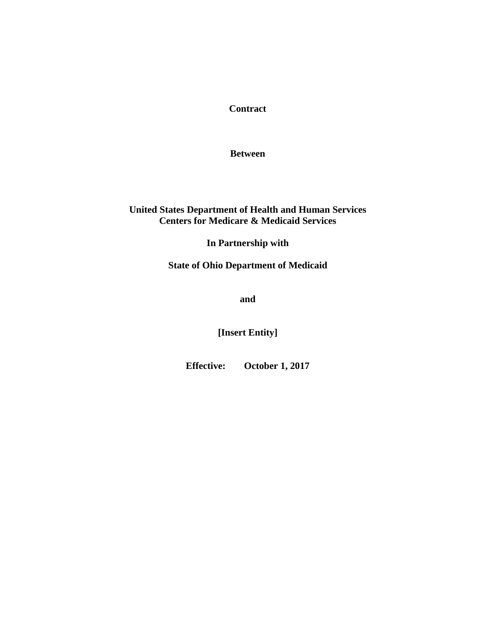**Contract**

**Between**

**United States Department of Health and Human Services Centers for Medicare & Medicaid Services**

**In Partnership with**

**State of Ohio Department of Medicaid**

**and**

**[Insert Entity]** 

**Effective: October 1, 2017**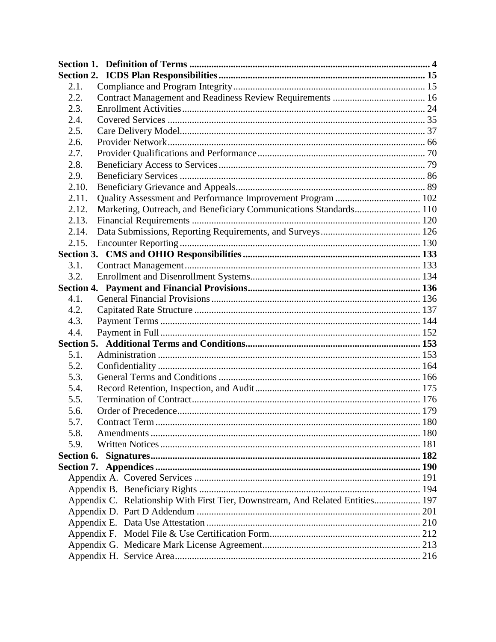| 2.1.                                                                           |                                                                   |     |
|--------------------------------------------------------------------------------|-------------------------------------------------------------------|-----|
| 2.2.                                                                           |                                                                   |     |
| 2.3.                                                                           |                                                                   |     |
| 2.4.                                                                           |                                                                   |     |
| 2.5.                                                                           |                                                                   |     |
| 2.6.                                                                           |                                                                   |     |
| 2.7.                                                                           |                                                                   |     |
| 2.8.                                                                           |                                                                   |     |
| 2.9.                                                                           |                                                                   |     |
| 2.10.                                                                          |                                                                   |     |
| 2.11.                                                                          |                                                                   |     |
| 2.12.                                                                          | Marketing, Outreach, and Beneficiary Communications Standards 110 |     |
| 2.13.                                                                          |                                                                   |     |
| 2.14.                                                                          |                                                                   |     |
| 2.15.                                                                          |                                                                   |     |
|                                                                                |                                                                   |     |
| 3.1.                                                                           |                                                                   |     |
| 3.2.                                                                           |                                                                   |     |
|                                                                                |                                                                   |     |
| 4.1.                                                                           |                                                                   |     |
| 4.2.                                                                           |                                                                   |     |
| 4.3.                                                                           |                                                                   |     |
| 4.4.                                                                           |                                                                   |     |
|                                                                                |                                                                   |     |
| 5.1.                                                                           |                                                                   |     |
| 5.2.                                                                           |                                                                   |     |
| 5.3.                                                                           |                                                                   |     |
| 5.4.                                                                           |                                                                   |     |
| 5.5.                                                                           |                                                                   |     |
| 5.6.                                                                           |                                                                   |     |
| 5.7.                                                                           | Contract Term                                                     | 180 |
| 5.8.                                                                           |                                                                   |     |
| 5.9.                                                                           |                                                                   |     |
|                                                                                |                                                                   |     |
|                                                                                |                                                                   |     |
|                                                                                |                                                                   |     |
|                                                                                |                                                                   |     |
| Appendix C. Relationship With First Tier, Downstream, And Related Entities 197 |                                                                   |     |
|                                                                                |                                                                   |     |
|                                                                                |                                                                   |     |
|                                                                                |                                                                   |     |
|                                                                                |                                                                   |     |
|                                                                                |                                                                   |     |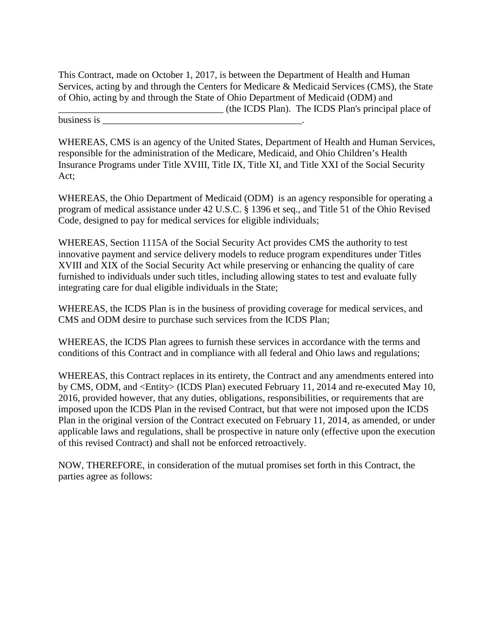This Contract, made on October 1, 2017, is between the Department of Health and Human Services, acting by and through the Centers for Medicare & Medicaid Services (CMS), the State of Ohio, acting by and through the State of Ohio Department of Medicaid (ODM) and \_\_\_\_\_\_\_\_\_\_\_\_\_\_\_\_\_\_\_\_\_\_\_\_\_\_\_\_\_\_\_\_\_\_ (the ICDS Plan). The ICDS Plan's principal place of

business is \_\_\_\_\_\_\_\_\_\_\_\_\_\_\_\_\_\_\_\_\_\_\_\_\_\_\_\_\_\_\_\_\_\_\_\_\_\_\_\_\_.

WHEREAS, CMS is an agency of the United States, Department of Health and Human Services, responsible for the administration of the Medicare, Medicaid, and Ohio Children's Health Insurance Programs under Title XVIII, Title IX, Title XI, and Title XXI of the Social Security Act;

WHEREAS, the Ohio Department of Medicaid (ODM) is an agency responsible for operating a program of medical assistance under 42 U.S.C. § 1396 et seq., and Title 51 of the Ohio Revised Code, designed to pay for medical services for eligible individuals;

WHEREAS, Section 1115A of the Social Security Act provides CMS the authority to test innovative payment and service delivery models to reduce program expenditures under Titles XVIII and XIX of the Social Security Act while preserving or enhancing the quality of care furnished to individuals under such titles, including allowing states to test and evaluate fully integrating care for dual eligible individuals in the State;

WHEREAS, the ICDS Plan is in the business of providing coverage for medical services, and CMS and ODM desire to purchase such services from the ICDS Plan;

WHEREAS, the ICDS Plan agrees to furnish these services in accordance with the terms and conditions of this Contract and in compliance with all federal and Ohio laws and regulations;

WHEREAS, this Contract replaces in its entirety, the Contract and any amendments entered into by CMS, ODM, and <Entity> (ICDS Plan) executed February 11, 2014 and re-executed May 10, 2016, provided however, that any duties, obligations, responsibilities, or requirements that are imposed upon the ICDS Plan in the revised Contract, but that were not imposed upon the ICDS Plan in the original version of the Contract executed on February 11, 2014, as amended, or under applicable laws and regulations, shall be prospective in nature only (effective upon the execution of this revised Contract) and shall not be enforced retroactively.

NOW, THEREFORE, in consideration of the mutual promises set forth in this Contract, the parties agree as follows: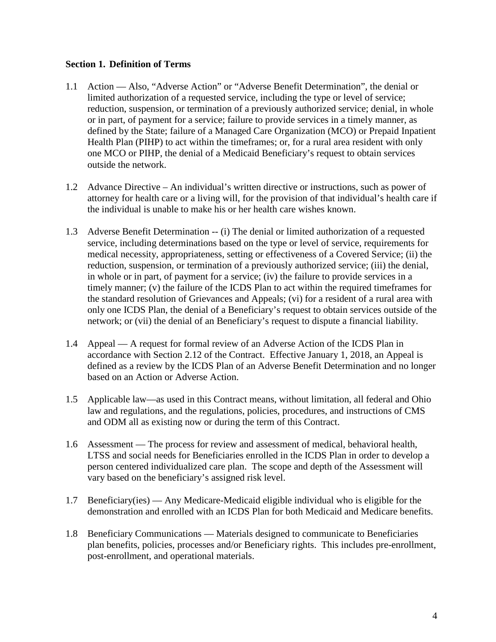### <span id="page-3-0"></span>**Section 1. Definition of Terms**

- 1.1 Action Also, "Adverse Action" or "Adverse Benefit Determination", the denial or limited authorization of a requested service, including the type or level of service; reduction, suspension, or termination of a previously authorized service; denial, in whole or in part, of payment for a service; failure to provide services in a timely manner, as defined by the State; failure of a Managed Care Organization (MCO) or Prepaid Inpatient Health Plan (PIHP) to act within the timeframes; or, for a rural area resident with only one MCO or PIHP, the denial of a Medicaid Beneficiary's request to obtain services outside the network.
- 1.2 Advance Directive An individual's written directive or instructions, such as power of attorney for health care or a living will, for the provision of that individual's health care if the individual is unable to make his or her health care wishes known.
- 1.3 Adverse Benefit Determination -- (i) The denial or limited authorization of a requested service, including determinations based on the type or level of service, requirements for medical necessity, appropriateness, setting or effectiveness of a Covered Service; (ii) the reduction, suspension, or termination of a previously authorized service; (iii) the denial, in whole or in part, of payment for a service; (iv) the failure to provide services in a timely manner; (v) the failure of the ICDS Plan to act within the required timeframes for the standard resolution of Grievances and Appeals; (vi) for a resident of a rural area with only one ICDS Plan, the denial of a Beneficiary's request to obtain services outside of the network; or (vii) the denial of an Beneficiary's request to dispute a financial liability.
- 1.4 Appeal A request for formal review of an Adverse Action of the ICDS Plan in accordance with Section 2.12 of the Contract. Effective January 1, 2018, an Appeal is defined as a review by the ICDS Plan of an Adverse Benefit Determination and no longer based on an Action or Adverse Action.
- 1.5 Applicable law—as used in this Contract means, without limitation, all federal and Ohio law and regulations, and the regulations, policies, procedures, and instructions of CMS and ODM all as existing now or during the term of this Contract.
- 1.6 Assessment The process for review and assessment of medical, behavioral health, LTSS and social needs for Beneficiaries enrolled in the ICDS Plan in order to develop a person centered individualized care plan. The scope and depth of the Assessment will vary based on the beneficiary's assigned risk level.
- 1.7 Beneficiary(ies) Any Medicare-Medicaid eligible individual who is eligible for the demonstration and enrolled with an ICDS Plan for both Medicaid and Medicare benefits.
- 1.8 Beneficiary Communications Materials designed to communicate to Beneficiaries plan benefits, policies, processes and/or Beneficiary rights. This includes pre-enrollment, post-enrollment, and operational materials.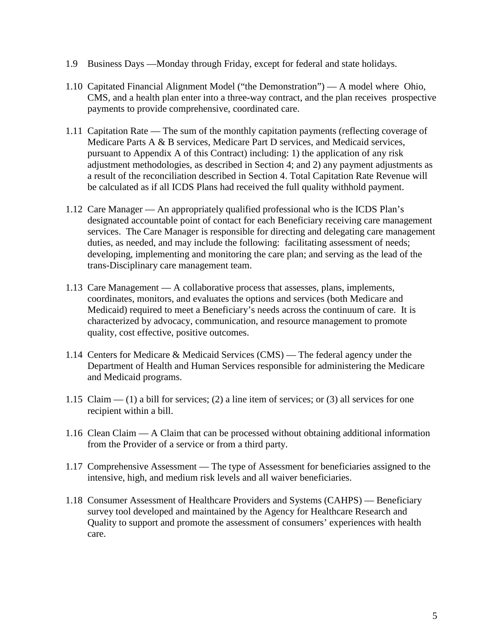- 1.9 Business Days —Monday through Friday, except for federal and state holidays.
- 1.10 Capitated Financial Alignment Model ("the Demonstration") A model where Ohio, CMS, and a health plan enter into a three-way contract, and the plan receives prospective payments to provide comprehensive, coordinated care.
- 1.11 Capitation Rate The sum of the monthly capitation payments (reflecting coverage of Medicare Parts A & B services, Medicare Part D services, and Medicaid services, pursuant to Appendix A of this Contract) including: 1) the application of any risk adjustment methodologies, as described in Section 4; and 2) any payment adjustments as a result of the reconciliation described in Section 4. Total Capitation Rate Revenue will be calculated as if all ICDS Plans had received the full quality withhold payment.
- 1.12 Care Manager An appropriately qualified professional who is the ICDS Plan's designated accountable point of contact for each Beneficiary receiving care management services. The Care Manager is responsible for directing and delegating care management duties, as needed, and may include the following: facilitating assessment of needs; developing, implementing and monitoring the care plan; and serving as the lead of the trans-Disciplinary care management team.
- 1.13 Care Management A collaborative process that assesses, plans, implements, coordinates, monitors, and evaluates the options and services (both Medicare and Medicaid) required to meet a Beneficiary's needs across the continuum of care. It is characterized by advocacy, communication, and resource management to promote quality, cost effective, positive outcomes.
- 1.14 Centers for Medicare & Medicaid Services (CMS) The federal agency under the Department of Health and Human Services responsible for administering the Medicare and Medicaid programs.
- 1.15 Claim  $-$  (1) a bill for services; (2) a line item of services; or (3) all services for one recipient within a bill.
- 1.16 Clean Claim A Claim that can be processed without obtaining additional information from the Provider of a service or from a third party.
- 1.17 Comprehensive Assessment The type of Assessment for beneficiaries assigned to the intensive, high, and medium risk levels and all waiver beneficiaries.
- 1.18 Consumer Assessment of Healthcare Providers and Systems (CAHPS) Beneficiary survey tool developed and maintained by the Agency for Healthcare Research and Quality to support and promote the assessment of consumers' experiences with health care.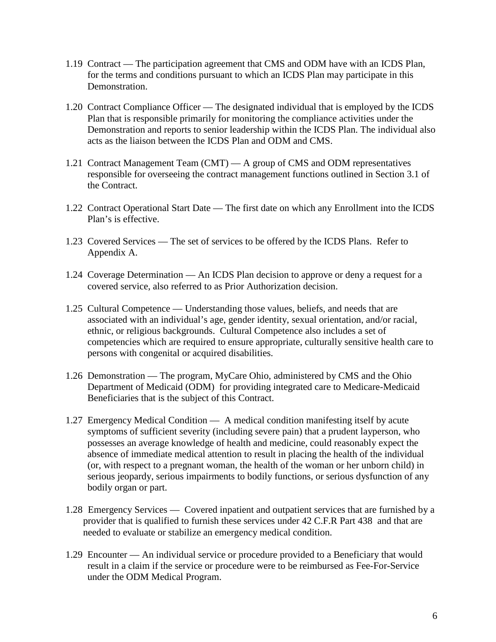- 1.19 Contract The participation agreement that CMS and ODM have with an ICDS Plan, for the terms and conditions pursuant to which an ICDS Plan may participate in this Demonstration.
- 1.20 Contract Compliance Officer The designated individual that is employed by the ICDS Plan that is responsible primarily for monitoring the compliance activities under the Demonstration and reports to senior leadership within the ICDS Plan. The individual also acts as the liaison between the ICDS Plan and ODM and CMS.
- 1.21 Contract Management Team (CMT) A group of CMS and ODM representatives responsible for overseeing the contract management functions outlined in Section 3.1 of the Contract.
- 1.22 Contract Operational Start Date The first date on which any Enrollment into the ICDS Plan's is effective.
- 1.23 Covered Services The set of services to be offered by the ICDS Plans. Refer to Appendix A.
- 1.24 Coverage Determination An ICDS Plan decision to approve or deny a request for a covered service, also referred to as Prior Authorization decision.
- 1.25 Cultural Competence Understanding those values, beliefs, and needs that are associated with an individual's age, gender identity, sexual orientation, and/or racial, ethnic, or religious backgrounds. Cultural Competence also includes a set of competencies which are required to ensure appropriate, culturally sensitive health care to persons with congenital or acquired disabilities.
- 1.26 Demonstration The program, MyCare Ohio, administered by CMS and the Ohio Department of Medicaid (ODM) for providing integrated care to Medicare-Medicaid Beneficiaries that is the subject of this Contract.
- 1.27 Emergency Medical Condition A medical condition manifesting itself by acute symptoms of sufficient severity (including severe pain) that a prudent layperson, who possesses an average knowledge of health and medicine, could reasonably expect the absence of immediate medical attention to result in placing the health of the individual (or, with respect to a pregnant woman, the health of the woman or her unborn child) in serious jeopardy, serious impairments to bodily functions, or serious dysfunction of any bodily organ or part.
- 1.28 Emergency Services Covered inpatient and outpatient services that are furnished by a provider that is qualified to furnish these services under 42 C.F.R Part 438 and that are needed to evaluate or stabilize an emergency medical condition.
- 1.29 Encounter An individual service or procedure provided to a Beneficiary that would result in a claim if the service or procedure were to be reimbursed as Fee-For-Service under the ODM Medical Program.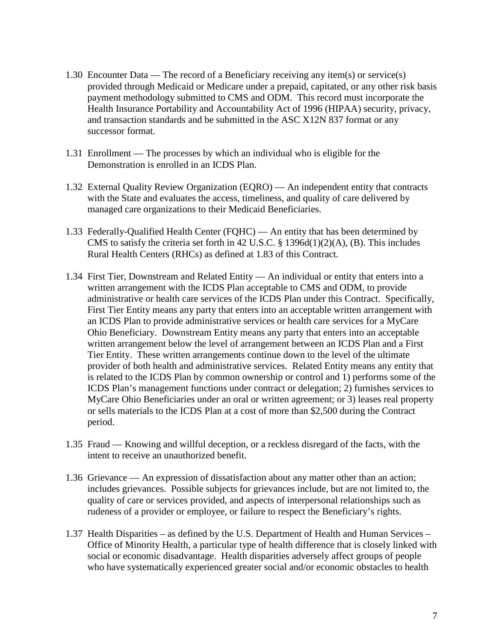- 1.30 Encounter Data The record of a Beneficiary receiving any item(s) or service(s) provided through Medicaid or Medicare under a prepaid, capitated, or any other risk basis payment methodology submitted to CMS and ODM. This record must incorporate the Health Insurance Portability and Accountability Act of 1996 (HIPAA) security, privacy, and transaction standards and be submitted in the ASC X12N 837 format or any successor format.
- 1.31 Enrollment The processes by which an individual who is eligible for the Demonstration is enrolled in an ICDS Plan.
- 1.32 External Quality Review Organization (EQRO) An independent entity that contracts with the State and evaluates the access, timeliness, and quality of care delivered by managed care organizations to their Medicaid Beneficiaries.
- 1.33 Federally-Qualified Health Center (FQHC) An entity that has been determined by CMS to satisfy the criteria set forth in 42 U.S.C. § 1396d(1)(2)(A), (B). This includes Rural Health Centers (RHCs) as defined at 1.83 of this Contract.
- 1.34 First Tier, Downstream and Related Entity An individual or entity that enters into a written arrangement with the ICDS Plan acceptable to CMS and ODM, to provide administrative or health care services of the ICDS Plan under this Contract. Specifically, First Tier Entity means any party that enters into an acceptable written arrangement with an ICDS Plan to provide administrative services or health care services for a MyCare Ohio Beneficiary. Downstream Entity means any party that enters into an acceptable written arrangement below the level of arrangement between an ICDS Plan and a First Tier Entity. These written arrangements continue down to the level of the ultimate provider of both health and administrative services. Related Entity means any entity that is related to the ICDS Plan by common ownership or control and 1) performs some of the ICDS Plan's management functions under contract or delegation; 2) furnishes services to MyCare Ohio Beneficiaries under an oral or written agreement; or 3) leases real property or sells materials to the ICDS Plan at a cost of more than \$2,500 during the Contract period.
- 1.35 Fraud Knowing and willful deception, or a reckless disregard of the facts, with the intent to receive an unauthorized benefit.
- 1.36 Grievance An expression of dissatisfaction about any matter other than an action; includes grievances. Possible subjects for grievances include, but are not limited to, the quality of care or services provided, and aspects of interpersonal relationships such as rudeness of a provider or employee, or failure to respect the Beneficiary's rights.
- 1.37 Health Disparities as defined by the U.S. Department of Health and Human Services Office of Minority Health, a particular type of health difference that is closely linked with social or economic disadvantage. Health disparities adversely affect groups of people who have systematically experienced greater social and/or economic obstacles to health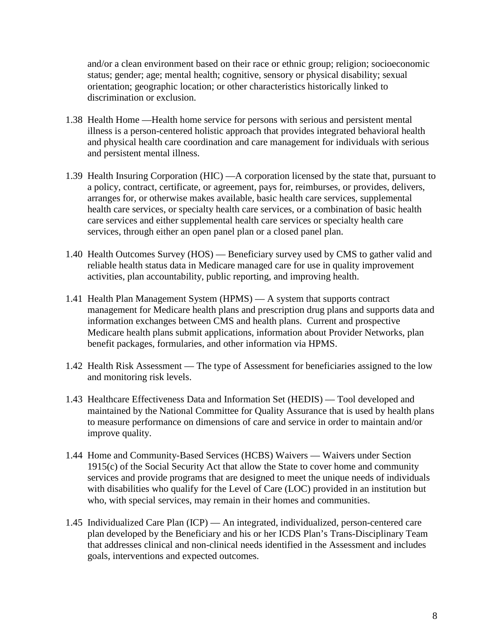and/or a clean environment based on their race or ethnic group; religion; socioeconomic status; gender; age; mental health; cognitive, sensory or physical disability; sexual orientation; geographic location; or other characteristics historically linked to discrimination or exclusion.

- 1.38 Health Home —Health home service for persons with serious and persistent mental illness is a person-centered holistic approach that provides integrated behavioral health and physical health care coordination and care management for individuals with serious and persistent mental illness.
- 1.39 Health Insuring Corporation (HIC) —A corporation licensed by the state that, pursuant to a policy, contract, certificate, or agreement, pays for, reimburses, or provides, delivers, arranges for, or otherwise makes available, basic health care services, supplemental health care services, or specialty health care services, or a combination of basic health care services and either supplemental health care services or specialty health care services, through either an open panel plan or a closed panel plan.
- 1.40 Health Outcomes Survey (HOS) Beneficiary survey used by CMS to gather valid and reliable health status data in Medicare managed care for use in quality improvement activities, plan accountability, public reporting, and improving health.
- 1.41 Health Plan Management System (HPMS) A system that supports contract management for Medicare health plans and prescription drug plans and supports data and information exchanges between CMS and health plans. Current and prospective Medicare health plans submit applications, information about Provider Networks, plan benefit packages, formularies, and other information via HPMS.
- 1.42 Health Risk Assessment The type of Assessment for beneficiaries assigned to the low and monitoring risk levels.
- 1.43 Healthcare Effectiveness Data and Information Set (HEDIS) Tool developed and maintained by the National Committee for Quality Assurance that is used by health plans to measure performance on dimensions of care and service in order to maintain and/or improve quality.
- 1.44 Home and Community-Based Services (HCBS) Waivers Waivers under Section 1915(c) of the Social Security Act that allow the State to cover home and community services and provide programs that are designed to meet the unique needs of individuals with disabilities who qualify for the Level of Care (LOC) provided in an institution but who, with special services, may remain in their homes and communities.
- 1.45 Individualized Care Plan (ICP) An integrated, individualized, person-centered care plan developed by the Beneficiary and his or her ICDS Plan's Trans-Disciplinary Team that addresses clinical and non-clinical needs identified in the Assessment and includes goals, interventions and expected outcomes.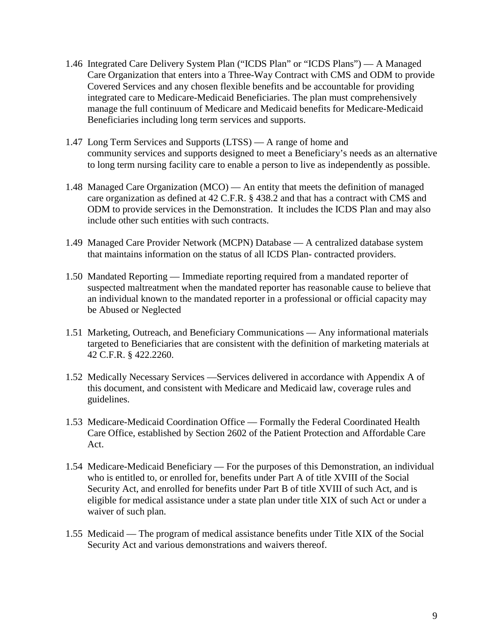- 1.46 Integrated Care Delivery System Plan ("ICDS Plan" or "ICDS Plans") A Managed Care Organization that enters into a Three-Way Contract with CMS and ODM to provide Covered Services and any chosen flexible benefits and be accountable for providing integrated care to Medicare-Medicaid Beneficiaries. The plan must comprehensively manage the full continuum of Medicare and Medicaid benefits for Medicare-Medicaid Beneficiaries including long term services and supports.
- 1.47 Long Term Services and Supports (LTSS) A range of home and community services and supports designed to meet a Beneficiary's needs as an alternative to long term nursing facility care to enable a person to live as independently as possible.
- 1.48 Managed Care Organization (MCO) An entity that meets the definition of managed care organization as defined at 42 C.F.R. § 438.2 and that has a contract with CMS and ODM to provide services in the Demonstration. It includes the ICDS Plan and may also include other such entities with such contracts.
- 1.49 Managed Care Provider Network (MCPN) Database A centralized database system that maintains information on the status of all ICDS Plan- contracted providers.
- 1.50 Mandated Reporting Immediate reporting required from a mandated reporter of suspected maltreatment when the mandated reporter has reasonable cause to believe that an individual known to the mandated reporter in a professional or official capacity may be Abused or Neglected
- 1.51 Marketing, Outreach, and Beneficiary Communications Any informational materials targeted to Beneficiaries that are consistent with the definition of marketing materials at 42 C.F.R. § 422.2260.
- 1.52 Medically Necessary Services —Services delivered in accordance with Appendix A of this document, and consistent with Medicare and Medicaid law, coverage rules and guidelines.
- 1.53 Medicare-Medicaid Coordination Office Formally the Federal Coordinated Health Care Office, established by Section 2602 of the Patient Protection and Affordable Care Act.
- 1.54 Medicare-Medicaid Beneficiary For the purposes of this Demonstration, an individual who is entitled to, or enrolled for, benefits under Part A of title XVIII of the Social Security Act, and enrolled for benefits under Part B of title XVIII of such Act, and is eligible for medical assistance under a state plan under title XIX of such Act or under a waiver of such plan.
- 1.55 Medicaid The program of medical assistance benefits under Title XIX of the Social Security Act and various demonstrations and waivers thereof.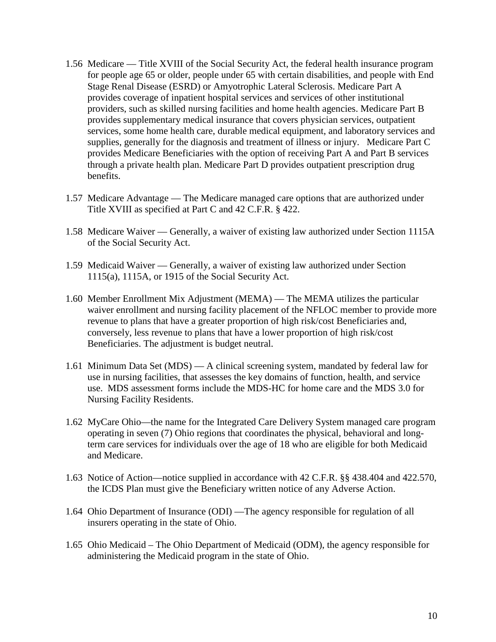- 1.56 Medicare Title XVIII of the Social Security Act, the federal health insurance program for people age 65 or older, people under 65 with certain disabilities, and people with End Stage Renal Disease (ESRD) or Amyotrophic Lateral Sclerosis. Medicare Part A provides coverage of inpatient hospital services and services of other institutional providers, such as skilled nursing facilities and home health agencies. Medicare Part B provides supplementary medical insurance that covers physician services, outpatient services, some home health care, durable medical equipment, and laboratory services and supplies, generally for the diagnosis and treatment of illness or injury. Medicare Part C provides Medicare Beneficiaries with the option of receiving Part A and Part B services through a private health plan. Medicare Part D provides outpatient prescription drug benefits.
- 1.57 Medicare Advantage The Medicare managed care options that are authorized under Title XVIII as specified at Part C and 42 C.F.R. § 422.
- 1.58 Medicare Waiver Generally, a waiver of existing law authorized under Section 1115A of the Social Security Act.
- 1.59 Medicaid Waiver Generally, a waiver of existing law authorized under Section 1115(a), 1115A, or 1915 of the Social Security Act.
- 1.60 Member Enrollment Mix Adjustment (MEMA) The MEMA utilizes the particular waiver enrollment and nursing facility placement of the NFLOC member to provide more revenue to plans that have a greater proportion of high risk/cost Beneficiaries and, conversely, less revenue to plans that have a lower proportion of high risk/cost Beneficiaries. The adjustment is budget neutral.
- 1.61 Minimum Data Set (MDS) A clinical screening system, mandated by federal law for use in nursing facilities, that assesses the key domains of function, health, and service use. MDS assessment forms include the MDS-HC for home care and the MDS 3.0 for Nursing Facility Residents.
- 1.62 MyCare Ohio—the name for the Integrated Care Delivery System managed care program operating in seven (7) Ohio regions that coordinates the physical, behavioral and longterm care services for individuals over the age of 18 who are eligible for both Medicaid and Medicare.
- 1.63 Notice of Action—notice supplied in accordance with 42 C.F.R. §§ 438.404 and 422.570, the ICDS Plan must give the Beneficiary written notice of any Adverse Action.
- 1.64 Ohio Department of Insurance (ODI) —The agency responsible for regulation of all insurers operating in the state of Ohio.
- 1.65 Ohio Medicaid The Ohio Department of Medicaid (ODM), the agency responsible for administering the Medicaid program in the state of Ohio.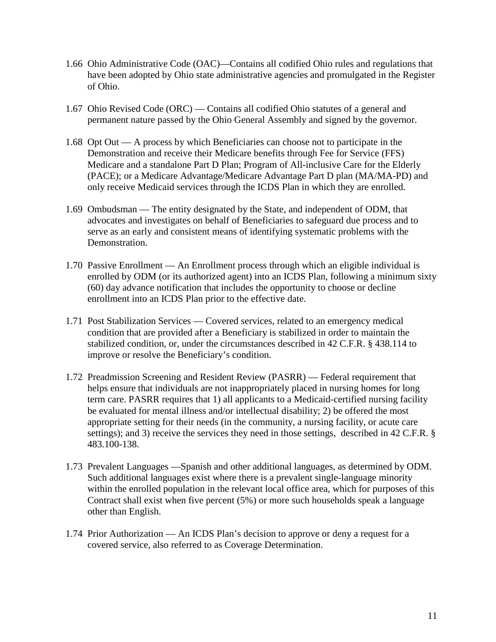- 1.66 Ohio Administrative Code (OAC)—Contains all codified Ohio rules and regulations that have been adopted by Ohio state administrative agencies and promulgated in the Register of Ohio.
- 1.67 Ohio Revised Code (ORC) Contains all codified Ohio statutes of a general and permanent nature passed by the Ohio General Assembly and signed by the governor.
- 1.68 Opt Out A process by which Beneficiaries can choose not to participate in the Demonstration and receive their Medicare benefits through Fee for Service (FFS) Medicare and a standalone Part D Plan; Program of All-inclusive Care for the Elderly (PACE); or a Medicare Advantage/Medicare Advantage Part D plan (MA/MA-PD) and only receive Medicaid services through the ICDS Plan in which they are enrolled.
- 1.69 Ombudsman The entity designated by the State, and independent of ODM, that advocates and investigates on behalf of Beneficiaries to safeguard due process and to serve as an early and consistent means of identifying systematic problems with the Demonstration.
- 1.70 Passive Enrollment An Enrollment process through which an eligible individual is enrolled by ODM (or its authorized agent) into an ICDS Plan, following a minimum sixty (60) day advance notification that includes the opportunity to choose or decline enrollment into an ICDS Plan prior to the effective date.
- 1.71 Post Stabilization Services Covered services, related to an emergency medical condition that are provided after a Beneficiary is stabilized in order to maintain the stabilized condition, or, under the circumstances described in 42 C.F.R. § 438.114 to improve or resolve the Beneficiary's condition.
- 1.72 Preadmission Screening and Resident Review (PASRR) Federal requirement that helps ensure that individuals are not inappropriately placed in nursing homes for long term care. PASRR requires that 1) all applicants to a Medicaid-certified nursing facility be evaluated for mental illness and/or intellectual disability; 2) be offered the most appropriate setting for their needs (in the community, a nursing facility, or acute care settings); and 3) receive the services they need in those settings, described in 42 C.F.R. § 483.100-138.
- 1.73 Prevalent Languages —Spanish and other additional languages, as determined by ODM. Such additional languages exist where there is a prevalent single-language minority within the enrolled population in the relevant local office area, which for purposes of this Contract shall exist when five percent (5%) or more such households speak a language other than English.
- 1.74 Prior Authorization An ICDS Plan's decision to approve or deny a request for a covered service, also referred to as Coverage Determination.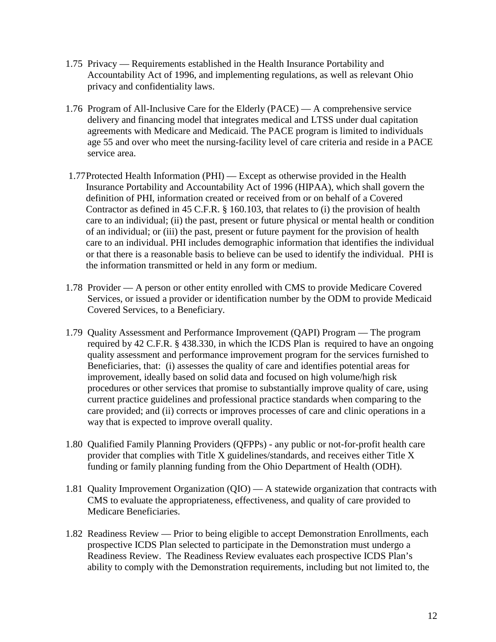- 1.75 Privacy Requirements established in the Health Insurance Portability and Accountability Act of 1996, and implementing regulations, as well as relevant Ohio privacy and confidentiality laws.
- 1.76 Program of All-Inclusive Care for the Elderly (PACE) A comprehensive service delivery and financing model that integrates medical and LTSS under dual capitation agreements with Medicare and Medicaid. The PACE program is limited to individuals age 55 and over who meet the nursing-facility level of care criteria and reside in a PACE service area.
- 1.77Protected Health Information (PHI) Except as otherwise provided in the Health Insurance Portability and Accountability Act of 1996 (HIPAA), which shall govern the definition of PHI, information created or received from or on behalf of a Covered Contractor as defined in 45 C.F.R. § 160.103, that relates to (i) the provision of health care to an individual; (ii) the past, present or future physical or mental health or condition of an individual; or (iii) the past, present or future payment for the provision of health care to an individual. PHI includes demographic information that identifies the individual or that there is a reasonable basis to believe can be used to identify the individual. PHI is the information transmitted or held in any form or medium.
- 1.78 Provider A person or other entity enrolled with CMS to provide Medicare Covered Services, or issued a provider or identification number by the ODM to provide Medicaid Covered Services, to a Beneficiary.
- 1.79 Quality Assessment and Performance Improvement (QAPI) Program The program required by 42 C.F.R. § 438.330, in which the ICDS Plan is required to have an ongoing quality assessment and performance improvement program for the services furnished to Beneficiaries, that: (i) assesses the quality of care and identifies potential areas for improvement, ideally based on solid data and focused on high volume/high risk procedures or other services that promise to substantially improve quality of care, using current practice guidelines and professional practice standards when comparing to the care provided; and (ii) corrects or improves processes of care and clinic operations in a way that is expected to improve overall quality.
- 1.80 Qualified Family Planning Providers (QFPPs) any public or not-for-profit health care provider that complies with Title X guidelines/standards, and receives either Title X funding or family planning funding from the Ohio Department of Health (ODH).
- 1.81 Quality Improvement Organization (QIO) A statewide organization that contracts with CMS to evaluate the appropriateness, effectiveness, and quality of care provided to Medicare Beneficiaries.
- 1.82 Readiness Review Prior to being eligible to accept Demonstration Enrollments, each prospective ICDS Plan selected to participate in the Demonstration must undergo a Readiness Review. The Readiness Review evaluates each prospective ICDS Plan's ability to comply with the Demonstration requirements, including but not limited to, the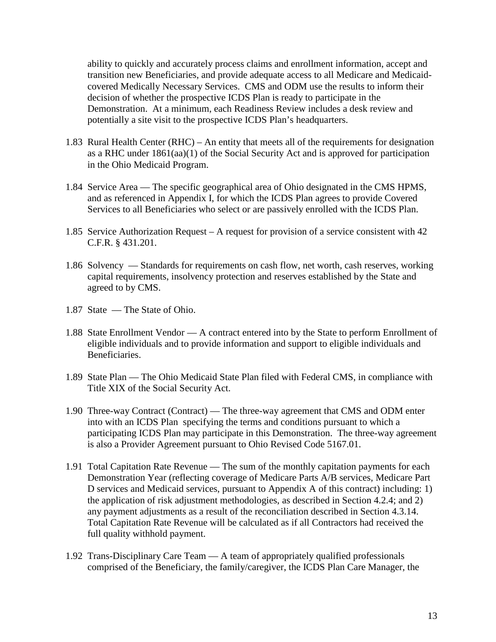ability to quickly and accurately process claims and enrollment information, accept and transition new Beneficiaries, and provide adequate access to all Medicare and Medicaidcovered Medically Necessary Services. CMS and ODM use the results to inform their decision of whether the prospective ICDS Plan is ready to participate in the Demonstration. At a minimum, each Readiness Review includes a desk review and potentially a site visit to the prospective ICDS Plan's headquarters.

- 1.83 Rural Health Center (RHC) An entity that meets all of the requirements for designation as a RHC under 1861(aa)(1) of the Social Security Act and is approved for participation in the Ohio Medicaid Program.
- 1.84 Service Area The specific geographical area of Ohio designated in the CMS HPMS, and as referenced in Appendix I, for which the ICDS Plan agrees to provide Covered Services to all Beneficiaries who select or are passively enrolled with the ICDS Plan.
- 1.85 Service Authorization Request A request for provision of a service consistent with 42 C.F.R. § 431.201.
- 1.86 Solvency Standards for requirements on cash flow, net worth, cash reserves, working capital requirements, insolvency protection and reserves established by the State and agreed to by CMS.
- 1.87 State The State of Ohio.
- 1.88 State Enrollment Vendor A contract entered into by the State to perform Enrollment of eligible individuals and to provide information and support to eligible individuals and Beneficiaries.
- 1.89 State Plan The Ohio Medicaid State Plan filed with Federal CMS, in compliance with Title XIX of the Social Security Act.
- 1.90 Three-way Contract (Contract) The three-way agreement that CMS and ODM enter into with an ICDS Plan specifying the terms and conditions pursuant to which a participating ICDS Plan may participate in this Demonstration. The three-way agreement is also a Provider Agreement pursuant to Ohio Revised Code 5167.01.
- 1.91 Total Capitation Rate Revenue The sum of the monthly capitation payments for each Demonstration Year (reflecting coverage of Medicare Parts A/B services, Medicare Part D services and Medicaid services, pursuant to Appendix A of this contract) including: 1) the application of risk adjustment methodologies, as described in Section 4.2.4; and 2) any payment adjustments as a result of the reconciliation described in Section 4.3.14. Total Capitation Rate Revenue will be calculated as if all Contractors had received the full quality withhold payment.
- 1.92 Trans-Disciplinary Care Team A team of appropriately qualified professionals comprised of the Beneficiary, the family/caregiver, the ICDS Plan Care Manager, the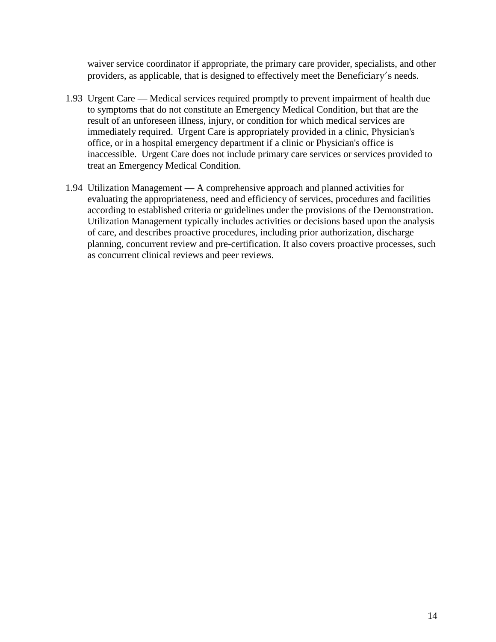waiver service coordinator if appropriate, the primary care provider, specialists, and other providers, as applicable, that is designed to effectively meet the Beneficiary's needs.

- 1.93 Urgent Care Medical services required promptly to prevent impairment of health due to symptoms that do not constitute an Emergency Medical Condition, but that are the result of an unforeseen illness, injury, or condition for which medical services are immediately required. Urgent Care is appropriately provided in a clinic, Physician's office, or in a hospital emergency department if a clinic or Physician's office is inaccessible. Urgent Care does not include primary care services or services provided to treat an Emergency Medical Condition.
- 1.94 Utilization Management A comprehensive approach and planned activities for evaluating the appropriateness, need and efficiency of services, procedures and facilities according to established criteria or guidelines under the provisions of the Demonstration. Utilization Management typically includes activities or decisions based upon the analysis of care, and describes proactive procedures, including prior authorization, discharge planning, concurrent review and pre-certification. It also covers proactive processes, such as concurrent clinical reviews and peer reviews.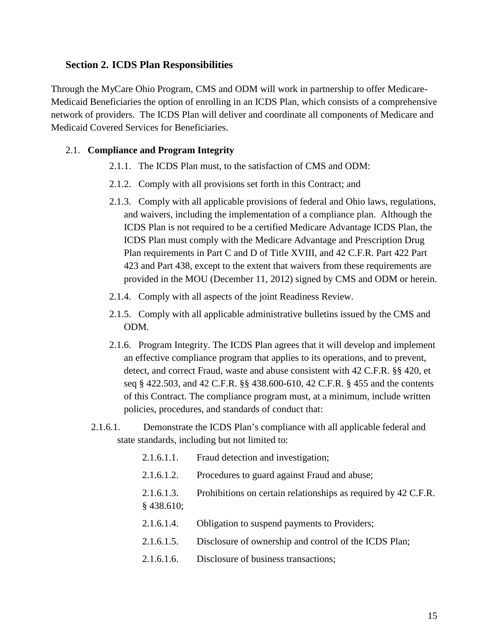# <span id="page-14-0"></span>**Section 2. ICDS Plan Responsibilities**

Through the MyCare Ohio Program, CMS and ODM will work in partnership to offer Medicare-Medicaid Beneficiaries the option of enrolling in an ICDS Plan, which consists of a comprehensive network of providers. The ICDS Plan will deliver and coordinate all components of Medicare and Medicaid Covered Services for Beneficiaries.

# <span id="page-14-1"></span>2.1. **Compliance and Program Integrity**

- 2.1.1. The ICDS Plan must, to the satisfaction of CMS and ODM:
- 2.1.2. Comply with all provisions set forth in this Contract; and
- 2.1.3. Comply with all applicable provisions of federal and Ohio laws, regulations, and waivers, including the implementation of a compliance plan. Although the ICDS Plan is not required to be a certified Medicare Advantage ICDS Plan, the ICDS Plan must comply with the Medicare Advantage and Prescription Drug Plan requirements in Part C and D of Title XVIII, and 42 C.F.R. Part 422 Part 423 and Part 438, except to the extent that waivers from these requirements are provided in the MOU (December 11, 2012) signed by CMS and ODM or herein.
- 2.1.4. Comply with all aspects of the joint Readiness Review.
- 2.1.5. Comply with all applicable administrative bulletins issued by the CMS and ODM.
- 2.1.6. Program Integrity. The ICDS Plan agrees that it will develop and implement an effective compliance program that applies to its operations, and to prevent, detect, and correct Fraud, waste and abuse consistent with 42 C.F.R. §§ 420, et seq § 422.503, and 42 C.F.R. §§ 438.600-610, 42 C.F.R. § 455 and the contents of this Contract. The compliance program must, at a minimum, include written policies, procedures, and standards of conduct that:
- 2.1.6.1. Demonstrate the ICDS Plan's compliance with all applicable federal and state standards, including but not limited to:

| 2.1.6.1.1.                 | Fraud detection and investigation;                             |
|----------------------------|----------------------------------------------------------------|
| 2.1.6.1.2.                 | Procedures to guard against Fraud and abuse;                   |
| 2.1.6.1.3.<br>$§$ 438.610; | Prohibitions on certain relationships as required by 42 C.F.R. |
| 2.1.6.1.4.                 | Obligation to suspend payments to Providers;                   |
| 2.1.6.1.5.                 | Disclosure of ownership and control of the ICDS Plan;          |
| 2.1.6.1.6.                 | Disclosure of business transactions;                           |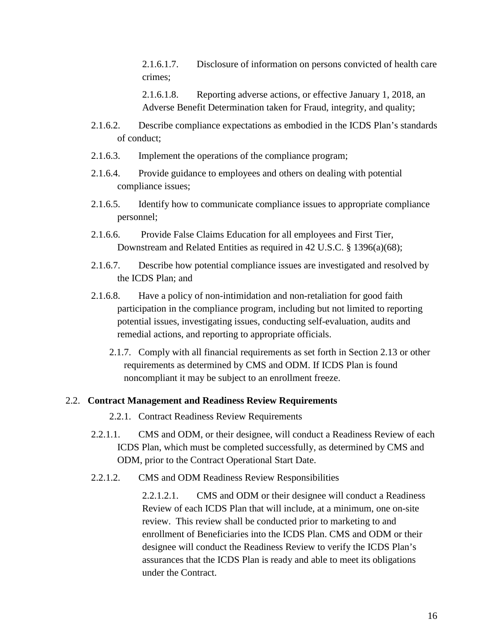2.1.6.1.7. Disclosure of information on persons convicted of health care crimes;

2.1.6.1.8. Reporting adverse actions, or effective January 1, 2018, an Adverse Benefit Determination taken for Fraud, integrity, and quality;

- 2.1.6.2. Describe compliance expectations as embodied in the ICDS Plan's standards of conduct;
- 2.1.6.3. Implement the operations of the compliance program;
- 2.1.6.4. Provide guidance to employees and others on dealing with potential compliance issues;
- 2.1.6.5. Identify how to communicate compliance issues to appropriate compliance personnel;
- 2.1.6.6. Provide False Claims Education for all employees and First Tier, Downstream and Related Entities as required in 42 U.S.C. § 1396(a)(68);
- 2.1.6.7. Describe how potential compliance issues are investigated and resolved by the ICDS Plan; and
- 2.1.6.8. Have a policy of non-intimidation and non-retaliation for good faith participation in the compliance program, including but not limited to reporting potential issues, investigating issues, conducting self-evaluation, audits and remedial actions, and reporting to appropriate officials.
	- 2.1.7. Comply with all financial requirements as set forth in Section 2.13 or other requirements as determined by CMS and ODM. If ICDS Plan is found noncompliant it may be subject to an enrollment freeze.

### <span id="page-15-0"></span>2.2. **Contract Management and Readiness Review Requirements**

- 2.2.1. Contract Readiness Review Requirements
- 2.2.1.1. CMS and ODM, or their designee, will conduct a Readiness Review of each ICDS Plan, which must be completed successfully, as determined by CMS and ODM, prior to the Contract Operational Start Date.
- 2.2.1.2. CMS and ODM Readiness Review Responsibilities

2.2.1.2.1. CMS and ODM or their designee will conduct a Readiness Review of each ICDS Plan that will include, at a minimum, one on-site review. This review shall be conducted prior to marketing to and enrollment of Beneficiaries into the ICDS Plan. CMS and ODM or their designee will conduct the Readiness Review to verify the ICDS Plan's assurances that the ICDS Plan is ready and able to meet its obligations under the Contract.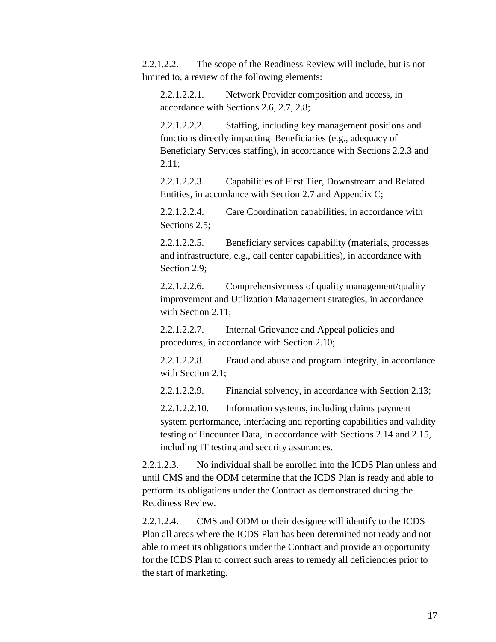2.2.1.2.2. The scope of the Readiness Review will include, but is not limited to, a review of the following elements:

2.2.1.2.2.1. Network Provider composition and access, in accordance with Sections 2.6, 2.7, 2.8;

2.2.1.2.2.2. Staffing, including key management positions and functions directly impacting Beneficiaries (e.g., adequacy of Beneficiary Services staffing), in accordance with Sections 2.2.3 and 2.11;

2.2.1.2.2.3. Capabilities of First Tier, Downstream and Related Entities, in accordance with Section 2.7 and Appendix C;

2.2.1.2.2.4. Care Coordination capabilities, in accordance with Sections 2.5:

2.2.1.2.2.5. Beneficiary services capability (materials, processes and infrastructure, e.g., call center capabilities), in accordance with Section 2.9;

2.2.1.2.2.6. Comprehensiveness of quality management/quality improvement and Utilization Management strategies, in accordance with Section 2.11;

2.2.1.2.2.7. Internal Grievance and Appeal policies and procedures, in accordance with Section 2.10;

2.2.1.2.2.8. Fraud and abuse and program integrity, in accordance with Section 2.1:

2.2.1.2.2.9. Financial solvency, in accordance with Section 2.13;

2.2.1.2.2.10. Information systems, including claims payment system performance, interfacing and reporting capabilities and validity testing of Encounter Data, in accordance with Sections 2.14 and 2.15, including IT testing and security assurances.

2.2.1.2.3. No individual shall be enrolled into the ICDS Plan unless and until CMS and the ODM determine that the ICDS Plan is ready and able to perform its obligations under the Contract as demonstrated during the Readiness Review.

2.2.1.2.4. CMS and ODM or their designee will identify to the ICDS Plan all areas where the ICDS Plan has been determined not ready and not able to meet its obligations under the Contract and provide an opportunity for the ICDS Plan to correct such areas to remedy all deficiencies prior to the start of marketing.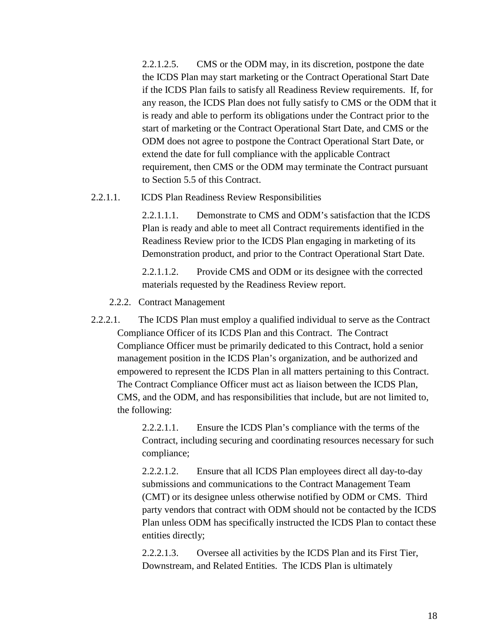2.2.1.2.5. CMS or the ODM may, in its discretion, postpone the date the ICDS Plan may start marketing or the Contract Operational Start Date if the ICDS Plan fails to satisfy all Readiness Review requirements. If, for any reason, the ICDS Plan does not fully satisfy to CMS or the ODM that it is ready and able to perform its obligations under the Contract prior to the start of marketing or the Contract Operational Start Date, and CMS or the ODM does not agree to postpone the Contract Operational Start Date, or extend the date for full compliance with the applicable Contract requirement, then CMS or the ODM may terminate the Contract pursuant to Section 5.5 of this Contract.

### 2.2.1.1. ICDS Plan Readiness Review Responsibilities

2.2.1.1.1. Demonstrate to CMS and ODM's satisfaction that the ICDS Plan is ready and able to meet all Contract requirements identified in the Readiness Review prior to the ICDS Plan engaging in marketing of its Demonstration product, and prior to the Contract Operational Start Date.

2.2.1.1.2. Provide CMS and ODM or its designee with the corrected materials requested by the Readiness Review report.

- 2.2.2. Contract Management
- 2.2.2.1. The ICDS Plan must employ a qualified individual to serve as the Contract Compliance Officer of its ICDS Plan and this Contract. The Contract Compliance Officer must be primarily dedicated to this Contract, hold a senior management position in the ICDS Plan's organization, and be authorized and empowered to represent the ICDS Plan in all matters pertaining to this Contract. The Contract Compliance Officer must act as liaison between the ICDS Plan, CMS, and the ODM, and has responsibilities that include, but are not limited to, the following:

2.2.2.1.1. Ensure the ICDS Plan's compliance with the terms of the Contract, including securing and coordinating resources necessary for such compliance;

2.2.2.1.2. Ensure that all ICDS Plan employees direct all day-to-day submissions and communications to the Contract Management Team (CMT) or its designee unless otherwise notified by ODM or CMS. Third party vendors that contract with ODM should not be contacted by the ICDS Plan unless ODM has specifically instructed the ICDS Plan to contact these entities directly;

2.2.2.1.3. Oversee all activities by the ICDS Plan and its First Tier, Downstream, and Related Entities. The ICDS Plan is ultimately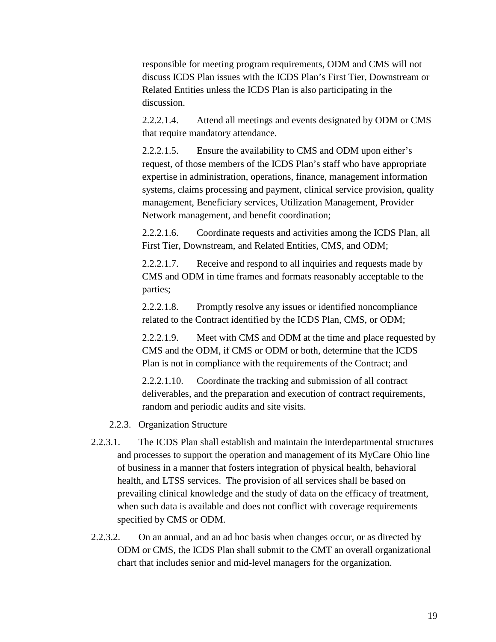responsible for meeting program requirements, ODM and CMS will not discuss ICDS Plan issues with the ICDS Plan's First Tier, Downstream or Related Entities unless the ICDS Plan is also participating in the discussion.

2.2.2.1.4. Attend all meetings and events designated by ODM or CMS that require mandatory attendance.

2.2.2.1.5. Ensure the availability to CMS and ODM upon either's request, of those members of the ICDS Plan's staff who have appropriate expertise in administration, operations, finance, management information systems, claims processing and payment, clinical service provision, quality management, Beneficiary services, Utilization Management, Provider Network management, and benefit coordination;

2.2.2.1.6. Coordinate requests and activities among the ICDS Plan, all First Tier, Downstream, and Related Entities, CMS, and ODM;

2.2.2.1.7. Receive and respond to all inquiries and requests made by CMS and ODM in time frames and formats reasonably acceptable to the parties;

2.2.2.1.8. Promptly resolve any issues or identified noncompliance related to the Contract identified by the ICDS Plan, CMS, or ODM;

2.2.2.1.9. Meet with CMS and ODM at the time and place requested by CMS and the ODM, if CMS or ODM or both, determine that the ICDS Plan is not in compliance with the requirements of the Contract; and

2.2.2.1.10. Coordinate the tracking and submission of all contract deliverables, and the preparation and execution of contract requirements, random and periodic audits and site visits.

- 2.2.3. Organization Structure
- 2.2.3.1. The ICDS Plan shall establish and maintain the interdepartmental structures and processes to support the operation and management of its MyCare Ohio line of business in a manner that fosters integration of physical health, behavioral health, and LTSS services. The provision of all services shall be based on prevailing clinical knowledge and the study of data on the efficacy of treatment, when such data is available and does not conflict with coverage requirements specified by CMS or ODM.
- 2.2.3.2. On an annual, and an ad hoc basis when changes occur, or as directed by ODM or CMS, the ICDS Plan shall submit to the CMT an overall organizational chart that includes senior and mid-level managers for the organization.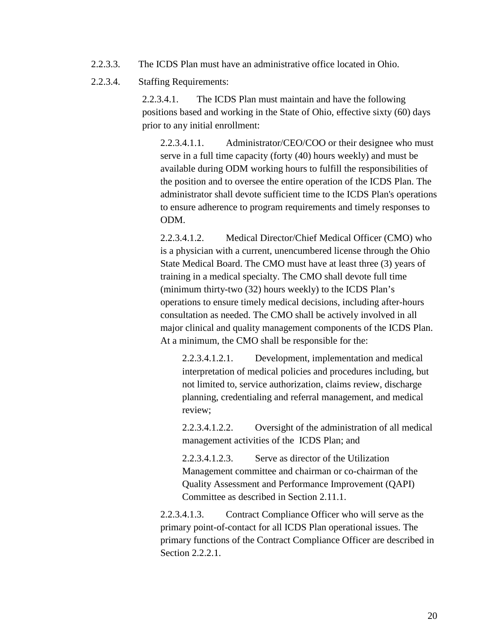- 2.2.3.3. The ICDS Plan must have an administrative office located in Ohio.
- 2.2.3.4. Staffing Requirements:

2.2.3.4.1. The ICDS Plan must maintain and have the following positions based and working in the State of Ohio, effective sixty (60) days prior to any initial enrollment:

2.2.3.4.1.1. Administrator/CEO/COO or their designee who must serve in a full time capacity (forty (40) hours weekly) and must be available during ODM working hours to fulfill the responsibilities of the position and to oversee the entire operation of the ICDS Plan. The administrator shall devote sufficient time to the ICDS Plan's operations to ensure adherence to program requirements and timely responses to ODM.

2.2.3.4.1.2. Medical Director/Chief Medical Officer (CMO) who is a physician with a current, unencumbered license through the Ohio State Medical Board. The CMO must have at least three (3) years of training in a medical specialty. The CMO shall devote full time (minimum thirty-two (32) hours weekly) to the ICDS Plan's operations to ensure timely medical decisions, including after-hours consultation as needed. The CMO shall be actively involved in all major clinical and quality management components of the ICDS Plan. At a minimum, the CMO shall be responsible for the:

2.2.3.4.1.2.1. Development, implementation and medical interpretation of medical policies and procedures including, but not limited to, service authorization, claims review, discharge planning, credentialing and referral management, and medical review;

2.2.3.4.1.2.2. Oversight of the administration of all medical management activities of the ICDS Plan; and

2.2.3.4.1.2.3. Serve as director of the Utilization Management committee and chairman or co-chairman of the Quality Assessment and Performance Improvement (QAPI) Committee as described in Section 2.11.1.

2.2.3.4.1.3. Contract Compliance Officer who will serve as the primary point-of-contact for all ICDS Plan operational issues. The primary functions of the Contract Compliance Officer are described in Section 2.2.2.1.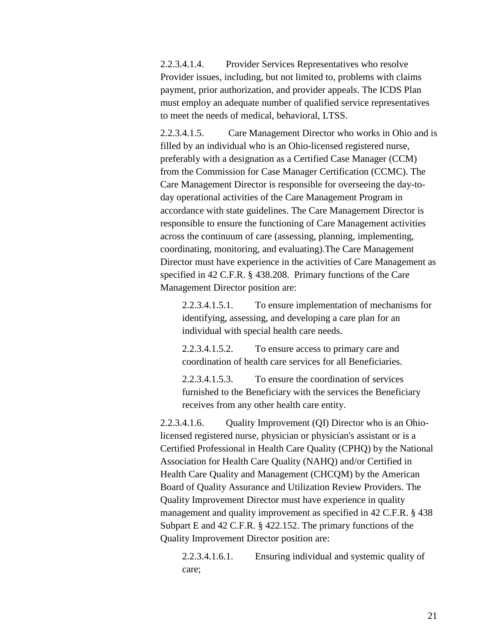2.2.3.4.1.4. Provider Services Representatives who resolve Provider issues, including, but not limited to, problems with claims payment, prior authorization, and provider appeals. The ICDS Plan must employ an adequate number of qualified service representatives to meet the needs of medical, behavioral, LTSS.

2.2.3.4.1.5. Care Management Director who works in Ohio and is filled by an individual who is an Ohio-licensed registered nurse, preferably with a designation as a Certified Case Manager (CCM) from the Commission for Case Manager Certification (CCMC). The Care Management Director is responsible for overseeing the day-today operational activities of the Care Management Program in accordance with state guidelines. The Care Management Director is responsible to ensure the functioning of Care Management activities across the continuum of care (assessing, planning, implementing, coordinating, monitoring, and evaluating).The Care Management Director must have experience in the activities of Care Management as specified in 42 C.F.R. § 438.208. Primary functions of the Care Management Director position are:

2.2.3.4.1.5.1. To ensure implementation of mechanisms for identifying, assessing, and developing a care plan for an individual with special health care needs.

2.2.3.4.1.5.2. To ensure access to primary care and coordination of health care services for all Beneficiaries.

2.2.3.4.1.5.3. To ensure the coordination of services furnished to the Beneficiary with the services the Beneficiary receives from any other health care entity.

2.2.3.4.1.6. Quality Improvement (QI) Director who is an Ohiolicensed registered nurse, physician or physician's assistant or is a Certified Professional in Health Care Quality (CPHQ) by the National Association for Health Care Quality (NAHQ) and/or Certified in Health Care Quality and Management (CHCQM) by the American Board of Quality Assurance and Utilization Review Providers. The Quality Improvement Director must have experience in quality management and quality improvement as specified in 42 C.F.R. § 438 Subpart E and 42 C.F.R. § 422.152. The primary functions of the Quality Improvement Director position are:

2.2.3.4.1.6.1. Ensuring individual and systemic quality of care;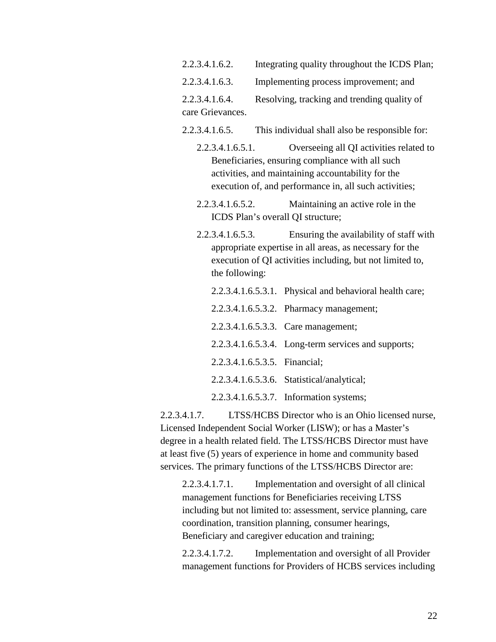- 2.2.3.4.1.6.2. Integrating quality throughout the ICDS Plan;
- 2.2.3.4.1.6.3. Implementing process improvement; and

2.2.3.4.1.6.4. Resolving, tracking and trending quality of care Grievances.

- 2.2.3.4.1.6.5. This individual shall also be responsible for:
	- 2.2.3.4.1.6.5.1. Overseeing all QI activities related to Beneficiaries, ensuring compliance with all such activities, and maintaining accountability for the execution of, and performance in, all such activities;
	- 2.2.3.4.1.6.5.2. Maintaining an active role in the ICDS Plan's overall QI structure;
	- 2.2.3.4.1.6.5.3. Ensuring the availability of staff with appropriate expertise in all areas, as necessary for the execution of QI activities including, but not limited to, the following:
		- 2.2.3.4.1.6.5.3.1. Physical and behavioral health care;
		- 2.2.3.4.1.6.5.3.2. Pharmacy management;
		- 2.2.3.4.1.6.5.3.3. Care management;
		- 2.2.3.4.1.6.5.3.4. Long-term services and supports;
		- 2.2.3.4.1.6.5.3.5. Financial;
		- 2.2.3.4.1.6.5.3.6. Statistical/analytical;
		- 2.2.3.4.1.6.5.3.7. Information systems;

2.2.3.4.1.7. LTSS/HCBS Director who is an Ohio licensed nurse, Licensed Independent Social Worker (LISW); or has a Master's degree in a health related field. The LTSS/HCBS Director must have at least five (5) years of experience in home and community based services. The primary functions of the LTSS/HCBS Director are:

2.2.3.4.1.7.1. Implementation and oversight of all clinical management functions for Beneficiaries receiving LTSS including but not limited to: assessment, service planning, care coordination, transition planning, consumer hearings, Beneficiary and caregiver education and training;

2.2.3.4.1.7.2. Implementation and oversight of all Provider management functions for Providers of HCBS services including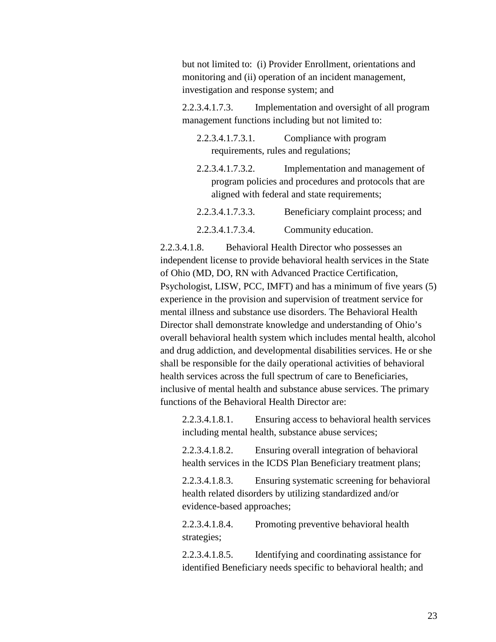but not limited to: (i) Provider Enrollment, orientations and monitoring and (ii) operation of an incident management, investigation and response system; and

2.2.3.4.1.7.3. Implementation and oversight of all program management functions including but not limited to:

- 2.2.3.4.1.7.3.1. Compliance with program requirements, rules and regulations;
- 2.2.3.4.1.7.3.2. Implementation and management of program policies and procedures and protocols that are aligned with federal and state requirements;
- 2.2.3.4.1.7.3.3. Beneficiary complaint process; and 2.2.3.4.1.7.3.4. Community education.

2.2.3.4.1.8. Behavioral Health Director who possesses an independent license to provide behavioral health services in the State of Ohio (MD, DO, RN with Advanced Practice Certification, Psychologist, LISW, PCC, IMFT) and has a minimum of five years (5) experience in the provision and supervision of treatment service for mental illness and substance use disorders. The Behavioral Health Director shall demonstrate knowledge and understanding of Ohio's overall behavioral health system which includes mental health, alcohol and drug addiction, and developmental disabilities services. He or she shall be responsible for the daily operational activities of behavioral health services across the full spectrum of care to Beneficiaries, inclusive of mental health and substance abuse services. The primary functions of the Behavioral Health Director are:

2.2.3.4.1.8.1. Ensuring access to behavioral health services including mental health, substance abuse services;

2.2.3.4.1.8.2. Ensuring overall integration of behavioral health services in the ICDS Plan Beneficiary treatment plans;

2.2.3.4.1.8.3. Ensuring systematic screening for behavioral health related disorders by utilizing standardized and/or evidence-based approaches;

2.2.3.4.1.8.4. Promoting preventive behavioral health strategies;

2.2.3.4.1.8.5. Identifying and coordinating assistance for identified Beneficiary needs specific to behavioral health; and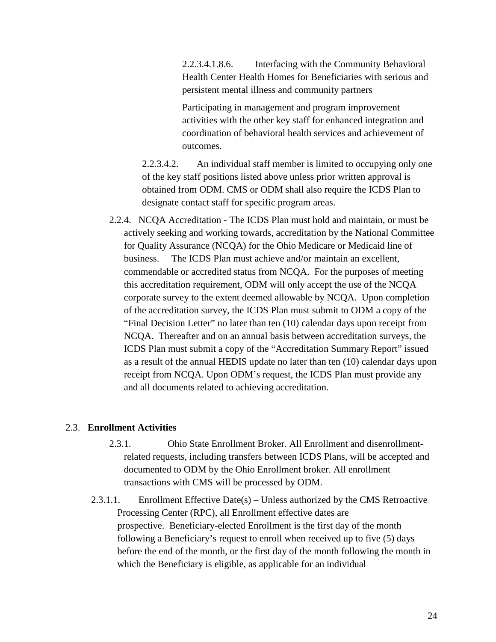2.2.3.4.1.8.6. Interfacing with the Community Behavioral Health Center Health Homes for Beneficiaries with serious and persistent mental illness and community partners

Participating in management and program improvement activities with the other key staff for enhanced integration and coordination of behavioral health services and achievement of outcomes.

2.2.3.4.2. An individual staff member is limited to occupying only one of the key staff positions listed above unless prior written approval is obtained from ODM. CMS or ODM shall also require the ICDS Plan to designate contact staff for specific program areas.

2.2.4. NCQA Accreditation - The ICDS Plan must hold and maintain, or must be actively seeking and working towards, accreditation by the National Committee for Quality Assurance (NCQA) for the Ohio Medicare or Medicaid line of business. The ICDS Plan must achieve and/or maintain an excellent, commendable or accredited status from NCQA. For the purposes of meeting this accreditation requirement, ODM will only accept the use of the NCQA corporate survey to the extent deemed allowable by NCQA. Upon completion of the accreditation survey, the ICDS Plan must submit to ODM a copy of the "Final Decision Letter" no later than ten (10) calendar days upon receipt from NCQA. Thereafter and on an annual basis between accreditation surveys, the ICDS Plan must submit a copy of the "Accreditation Summary Report" issued as a result of the annual HEDIS update no later than ten (10) calendar days upon receipt from NCQA. Upon ODM's request, the ICDS Plan must provide any and all documents related to achieving accreditation.

# <span id="page-23-0"></span>2.3. **Enrollment Activities**

- 2.3.1. Ohio State Enrollment Broker. All Enrollment and disenrollmentrelated requests, including transfers between ICDS Plans, will be accepted and documented to ODM by the Ohio Enrollment broker. All enrollment transactions with CMS will be processed by ODM.
- 2.3.1.1. Enrollment Effective Date(s) Unless authorized by the CMS Retroactive Processing Center (RPC), all Enrollment effective dates are prospective. Beneficiary-elected Enrollment is the first day of the month following a Beneficiary's request to enroll when received up to five (5) days before the end of the month, or the first day of the month following the month in which the Beneficiary is eligible, as applicable for an individual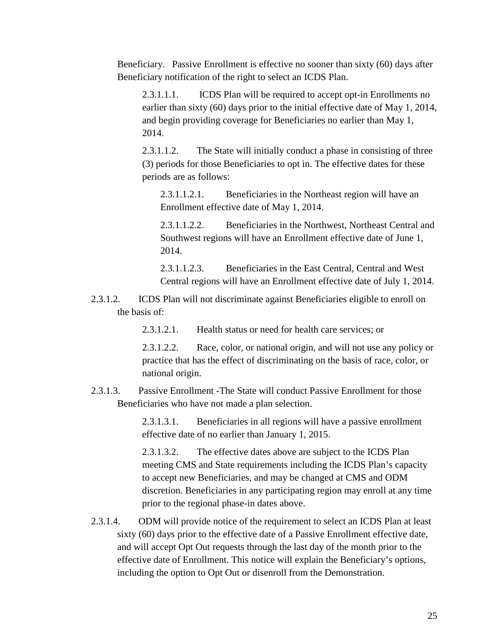Beneficiary. Passive Enrollment is effective no sooner than sixty (60) days after Beneficiary notification of the right to select an ICDS Plan.

2.3.1.1.1. ICDS Plan will be required to accept opt-in Enrollments no earlier than sixty (60) days prior to the initial effective date of May 1, 2014, and begin providing coverage for Beneficiaries no earlier than May 1, 2014.

2.3.1.1.2. The State will initially conduct a phase in consisting of three (3) periods for those Beneficiaries to opt in. The effective dates for these periods are as follows:

2.3.1.1.2.1. Beneficiaries in the Northeast region will have an Enrollment effective date of May 1, 2014.

2.3.1.1.2.2. Beneficiaries in the Northwest, Northeast Central and Southwest regions will have an Enrollment effective date of June 1, 2014.

2.3.1.1.2.3. Beneficiaries in the East Central, Central and West Central regions will have an Enrollment effective date of July 1, 2014.

2.3.1.2. ICDS Plan will not discriminate against Beneficiaries eligible to enroll on the basis of:

2.3.1.2.1. Health status or need for health care services; or

2.3.1.2.2. Race, color, or national origin, and will not use any policy or practice that has the effect of discriminating on the basis of race, color, or national origin.

2.3.1.3. Passive Enrollment -The State will conduct Passive Enrollment for those Beneficiaries who have not made a plan selection.

> 2.3.1.3.1. Beneficiaries in all regions will have a passive enrollment effective date of no earlier than January 1, 2015.

2.3.1.3.2. The effective dates above are subject to the ICDS Plan meeting CMS and State requirements including the ICDS Plan's capacity to accept new Beneficiaries, and may be changed at CMS and ODM discretion. Beneficiaries in any participating region may enroll at any time prior to the regional phase-in dates above.

2.3.1.4. ODM will provide notice of the requirement to select an ICDS Plan at least sixty (60) days prior to the effective date of a Passive Enrollment effective date, and will accept Opt Out requests through the last day of the month prior to the effective date of Enrollment. This notice will explain the Beneficiary's options, including the option to Opt Out or disenroll from the Demonstration.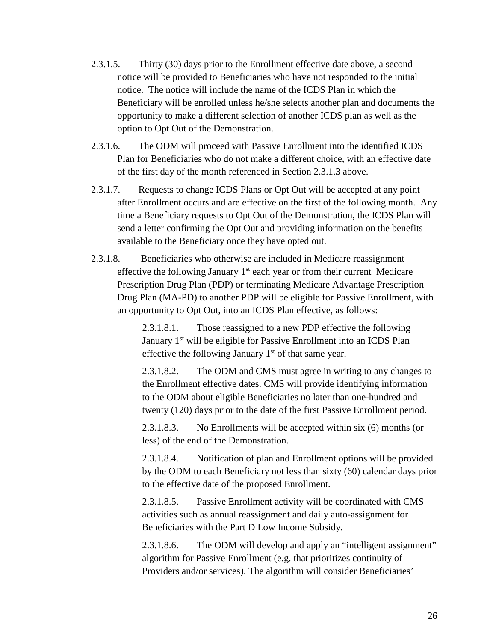- 2.3.1.5. Thirty (30) days prior to the Enrollment effective date above, a second notice will be provided to Beneficiaries who have not responded to the initial notice. The notice will include the name of the ICDS Plan in which the Beneficiary will be enrolled unless he/she selects another plan and documents the opportunity to make a different selection of another ICDS plan as well as the option to Opt Out of the Demonstration.
- 2.3.1.6. The ODM will proceed with Passive Enrollment into the identified ICDS Plan for Beneficiaries who do not make a different choice, with an effective date of the first day of the month referenced in Section 2.3.1.3 above.
- 2.3.1.7. Requests to change ICDS Plans or Opt Out will be accepted at any point after Enrollment occurs and are effective on the first of the following month. Any time a Beneficiary requests to Opt Out of the Demonstration, the ICDS Plan will send a letter confirming the Opt Out and providing information on the benefits available to the Beneficiary once they have opted out.
- 2.3.1.8. Beneficiaries who otherwise are included in Medicare reassignment effective the following January  $1<sup>st</sup>$  each year or from their current Medicare Prescription Drug Plan (PDP) or terminating Medicare Advantage Prescription Drug Plan (MA-PD) to another PDP will be eligible for Passive Enrollment, with an opportunity to Opt Out, into an ICDS Plan effective, as follows:

2.3.1.8.1. Those reassigned to a new PDP effective the following January 1<sup>st</sup> will be eligible for Passive Enrollment into an ICDS Plan effective the following January  $1<sup>st</sup>$  of that same year.

2.3.1.8.2. The ODM and CMS must agree in writing to any changes to the Enrollment effective dates. CMS will provide identifying information to the ODM about eligible Beneficiaries no later than one-hundred and twenty (120) days prior to the date of the first Passive Enrollment period.

2.3.1.8.3. No Enrollments will be accepted within six (6) months (or less) of the end of the Demonstration.

2.3.1.8.4. Notification of plan and Enrollment options will be provided by the ODM to each Beneficiary not less than sixty (60) calendar days prior to the effective date of the proposed Enrollment.

2.3.1.8.5. Passive Enrollment activity will be coordinated with CMS activities such as annual reassignment and daily auto-assignment for Beneficiaries with the Part D Low Income Subsidy.

2.3.1.8.6. The ODM will develop and apply an "intelligent assignment" algorithm for Passive Enrollment (e.g. that prioritizes continuity of Providers and/or services). The algorithm will consider Beneficiaries'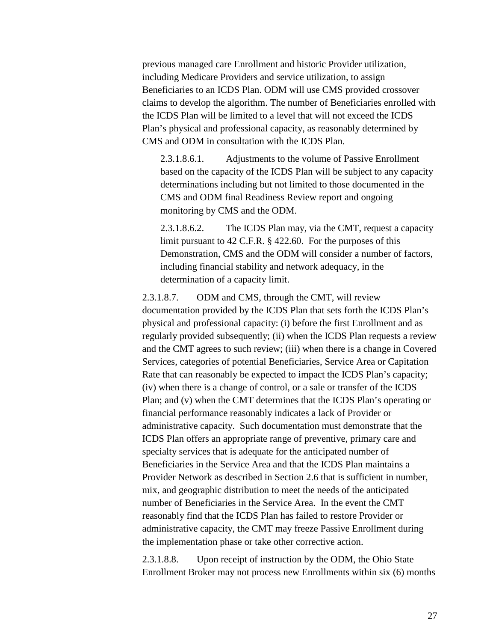previous managed care Enrollment and historic Provider utilization, including Medicare Providers and service utilization, to assign Beneficiaries to an ICDS Plan. ODM will use CMS provided crossover claims to develop the algorithm. The number of Beneficiaries enrolled with the ICDS Plan will be limited to a level that will not exceed the ICDS Plan's physical and professional capacity, as reasonably determined by CMS and ODM in consultation with the ICDS Plan.

2.3.1.8.6.1. Adjustments to the volume of Passive Enrollment based on the capacity of the ICDS Plan will be subject to any capacity determinations including but not limited to those documented in the CMS and ODM final Readiness Review report and ongoing monitoring by CMS and the ODM.

2.3.1.8.6.2. The ICDS Plan may, via the CMT, request a capacity limit pursuant to 42 C.F.R. § 422.60. For the purposes of this Demonstration, CMS and the ODM will consider a number of factors, including financial stability and network adequacy, in the determination of a capacity limit.

2.3.1.8.7. ODM and CMS, through the CMT, will review documentation provided by the ICDS Plan that sets forth the ICDS Plan's physical and professional capacity: (i) before the first Enrollment and as regularly provided subsequently; (ii) when the ICDS Plan requests a review and the CMT agrees to such review; (iii) when there is a change in Covered Services, categories of potential Beneficiaries, Service Area or Capitation Rate that can reasonably be expected to impact the ICDS Plan's capacity; (iv) when there is a change of control, or a sale or transfer of the ICDS Plan; and (v) when the CMT determines that the ICDS Plan's operating or financial performance reasonably indicates a lack of Provider or administrative capacity. Such documentation must demonstrate that the ICDS Plan offers an appropriate range of preventive, primary care and specialty services that is adequate for the anticipated number of Beneficiaries in the Service Area and that the ICDS Plan maintains a Provider Network as described in Section 2.6 that is sufficient in number, mix, and geographic distribution to meet the needs of the anticipated number of Beneficiaries in the Service Area. In the event the CMT reasonably find that the ICDS Plan has failed to restore Provider or administrative capacity, the CMT may freeze Passive Enrollment during the implementation phase or take other corrective action.

2.3.1.8.8. Upon receipt of instruction by the ODM, the Ohio State Enrollment Broker may not process new Enrollments within six (6) months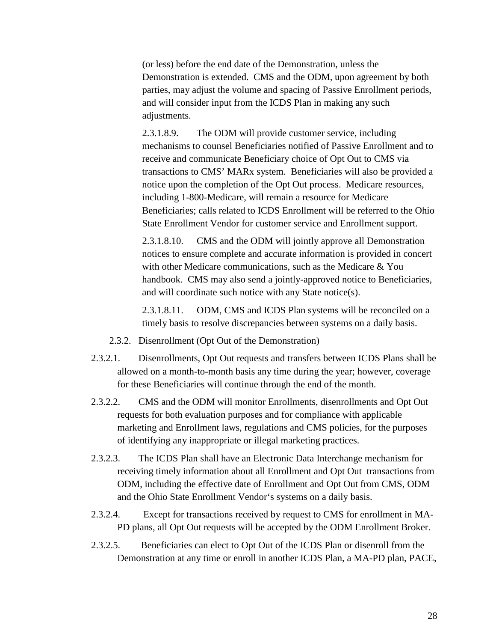(or less) before the end date of the Demonstration, unless the Demonstration is extended. CMS and the ODM, upon agreement by both parties, may adjust the volume and spacing of Passive Enrollment periods, and will consider input from the ICDS Plan in making any such adjustments.

2.3.1.8.9. The ODM will provide customer service, including mechanisms to counsel Beneficiaries notified of Passive Enrollment and to receive and communicate Beneficiary choice of Opt Out to CMS via transactions to CMS' MARx system. Beneficiaries will also be provided a notice upon the completion of the Opt Out process. Medicare resources, including 1-800-Medicare, will remain a resource for Medicare Beneficiaries; calls related to ICDS Enrollment will be referred to the Ohio State Enrollment Vendor for customer service and Enrollment support.

2.3.1.8.10. CMS and the ODM will jointly approve all Demonstration notices to ensure complete and accurate information is provided in concert with other Medicare communications, such as the Medicare & You handbook. CMS may also send a jointly-approved notice to Beneficiaries, and will coordinate such notice with any State notice(s).

2.3.1.8.11. ODM, CMS and ICDS Plan systems will be reconciled on a timely basis to resolve discrepancies between systems on a daily basis.

- 2.3.2. Disenrollment (Opt Out of the Demonstration)
- 2.3.2.1. Disenrollments, Opt Out requests and transfers between ICDS Plans shall be allowed on a month-to-month basis any time during the year; however, coverage for these Beneficiaries will continue through the end of the month.
- 2.3.2.2. CMS and the ODM will monitor Enrollments, disenrollments and Opt Out requests for both evaluation purposes and for compliance with applicable marketing and Enrollment laws, regulations and CMS policies, for the purposes of identifying any inappropriate or illegal marketing practices.
- 2.3.2.3. The ICDS Plan shall have an Electronic Data Interchange mechanism for receiving timely information about all Enrollment and Opt Out transactions from ODM, including the effective date of Enrollment and Opt Out from CMS, ODM and the Ohio State Enrollment Vendor's systems on a daily basis.
- 2.3.2.4. Except for transactions received by request to CMS for enrollment in MA-PD plans, all Opt Out requests will be accepted by the ODM Enrollment Broker.
- 2.3.2.5. Beneficiaries can elect to Opt Out of the ICDS Plan or disenroll from the Demonstration at any time or enroll in another ICDS Plan, a MA-PD plan, PACE,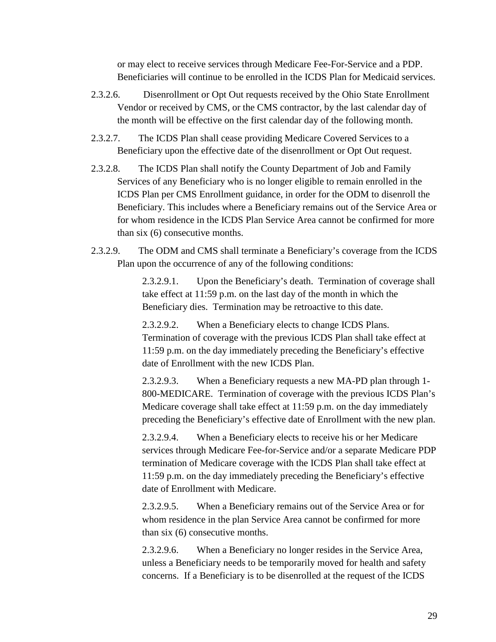or may elect to receive services through Medicare Fee-For-Service and a PDP. Beneficiaries will continue to be enrolled in the ICDS Plan for Medicaid services.

- 2.3.2.6. Disenrollment or Opt Out requests received by the Ohio State Enrollment Vendor or received by CMS, or the CMS contractor, by the last calendar day of the month will be effective on the first calendar day of the following month.
- 2.3.2.7. The ICDS Plan shall cease providing Medicare Covered Services to a Beneficiary upon the effective date of the disenrollment or Opt Out request.
- 2.3.2.8. The ICDS Plan shall notify the County Department of Job and Family Services of any Beneficiary who is no longer eligible to remain enrolled in the ICDS Plan per CMS Enrollment guidance, in order for the ODM to disenroll the Beneficiary. This includes where a Beneficiary remains out of the Service Area or for whom residence in the ICDS Plan Service Area cannot be confirmed for more than six (6) consecutive months.
- 2.3.2.9. The ODM and CMS shall terminate a Beneficiary's coverage from the ICDS Plan upon the occurrence of any of the following conditions:

2.3.2.9.1. Upon the Beneficiary's death. Termination of coverage shall take effect at 11:59 p.m. on the last day of the month in which the Beneficiary dies. Termination may be retroactive to this date.

2.3.2.9.2. When a Beneficiary elects to change ICDS Plans. Termination of coverage with the previous ICDS Plan shall take effect at 11:59 p.m. on the day immediately preceding the Beneficiary's effective date of Enrollment with the new ICDS Plan.

2.3.2.9.3. When a Beneficiary requests a new MA-PD plan through 1- 800-MEDICARE. Termination of coverage with the previous ICDS Plan's Medicare coverage shall take effect at 11:59 p.m. on the day immediately preceding the Beneficiary's effective date of Enrollment with the new plan.

2.3.2.9.4. When a Beneficiary elects to receive his or her Medicare services through Medicare Fee-for-Service and/or a separate Medicare PDP termination of Medicare coverage with the ICDS Plan shall take effect at 11:59 p.m. on the day immediately preceding the Beneficiary's effective date of Enrollment with Medicare.

2.3.2.9.5. When a Beneficiary remains out of the Service Area or for whom residence in the plan Service Area cannot be confirmed for more than six (6) consecutive months.

2.3.2.9.6. When a Beneficiary no longer resides in the Service Area, unless a Beneficiary needs to be temporarily moved for health and safety concerns. If a Beneficiary is to be disenrolled at the request of the ICDS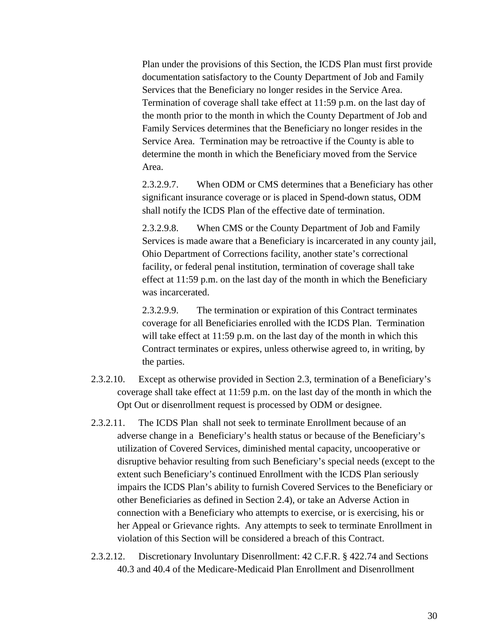Plan under the provisions of this Section, the ICDS Plan must first provide documentation satisfactory to the County Department of Job and Family Services that the Beneficiary no longer resides in the Service Area. Termination of coverage shall take effect at 11:59 p.m. on the last day of the month prior to the month in which the County Department of Job and Family Services determines that the Beneficiary no longer resides in the Service Area. Termination may be retroactive if the County is able to determine the month in which the Beneficiary moved from the Service Area.

2.3.2.9.7. When ODM or CMS determines that a Beneficiary has other significant insurance coverage or is placed in Spend-down status, ODM shall notify the ICDS Plan of the effective date of termination.

2.3.2.9.8. When CMS or the County Department of Job and Family Services is made aware that a Beneficiary is incarcerated in any county jail, Ohio Department of Corrections facility, another state's correctional facility, or federal penal institution, termination of coverage shall take effect at 11:59 p.m. on the last day of the month in which the Beneficiary was incarcerated.

2.3.2.9.9. The termination or expiration of this Contract terminates coverage for all Beneficiaries enrolled with the ICDS Plan. Termination will take effect at 11:59 p.m. on the last day of the month in which this Contract terminates or expires, unless otherwise agreed to, in writing, by the parties.

- 2.3.2.10. Except as otherwise provided in Section 2.3, termination of a Beneficiary's coverage shall take effect at 11:59 p.m. on the last day of the month in which the Opt Out or disenrollment request is processed by ODM or designee.
- 2.3.2.11. The ICDS Plan shall not seek to terminate Enrollment because of an adverse change in a Beneficiary's health status or because of the Beneficiary's utilization of Covered Services, diminished mental capacity, uncooperative or disruptive behavior resulting from such Beneficiary's special needs (except to the extent such Beneficiary's continued Enrollment with the ICDS Plan seriously impairs the ICDS Plan's ability to furnish Covered Services to the Beneficiary or other Beneficiaries as defined in Section 2.4), or take an Adverse Action in connection with a Beneficiary who attempts to exercise, or is exercising, his or her Appeal or Grievance rights. Any attempts to seek to terminate Enrollment in violation of this Section will be considered a breach of this Contract.
- 2.3.2.12. Discretionary Involuntary Disenrollment: 42 C.F.R. § 422.74 and Sections 40.3 and 40.4 of the Medicare-Medicaid Plan Enrollment and Disenrollment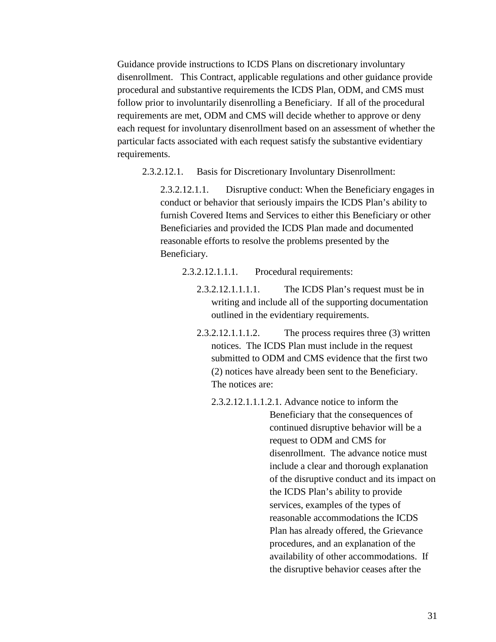Guidance provide instructions to ICDS Plans on discretionary involuntary disenrollment. This Contract, applicable regulations and other guidance provide procedural and substantive requirements the ICDS Plan, ODM, and CMS must follow prior to involuntarily disenrolling a Beneficiary. If all of the procedural requirements are met, ODM and CMS will decide whether to approve or deny each request for involuntary disenrollment based on an assessment of whether the particular facts associated with each request satisfy the substantive evidentiary requirements.

2.3.2.12.1. Basis for Discretionary Involuntary Disenrollment:

2.3.2.12.1.1. Disruptive conduct: When the Beneficiary engages in conduct or behavior that seriously impairs the ICDS Plan's ability to furnish Covered Items and Services to either this Beneficiary or other Beneficiaries and provided the ICDS Plan made and documented reasonable efforts to resolve the problems presented by the Beneficiary.

- 2.3.2.12.1.1.1. Procedural requirements:
	- 2.3.2.12.1.1.1.1. The ICDS Plan's request must be in writing and include all of the supporting documentation outlined in the evidentiary requirements.
	- 2.3.2.12.1.1.1.2. The process requires three (3) written notices. The ICDS Plan must include in the request submitted to ODM and CMS evidence that the first two (2) notices have already been sent to the Beneficiary. The notices are:
		- 2.3.2.12.1.1.1.2.1. Advance notice to inform the Beneficiary that the consequences of continued disruptive behavior will be a request to ODM and CMS for disenrollment. The advance notice must include a clear and thorough explanation of the disruptive conduct and its impact on the ICDS Plan's ability to provide services, examples of the types of reasonable accommodations the ICDS Plan has already offered, the Grievance procedures, and an explanation of the availability of other accommodations. If the disruptive behavior ceases after the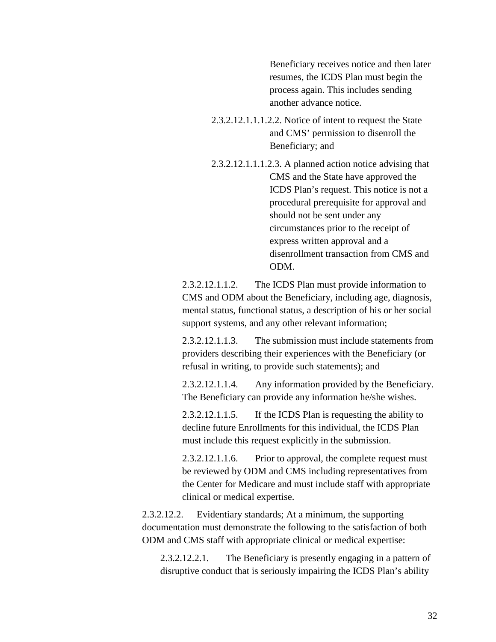Beneficiary receives notice and then later resumes, the ICDS Plan must begin the process again. This includes sending another advance notice.

- 2.3.2.12.1.1.1.2.2. Notice of intent to request the State and CMS' permission to disenroll the Beneficiary; and
- 2.3.2.12.1.1.1.2.3. A planned action notice advising that CMS and the State have approved the ICDS Plan's request. This notice is not a procedural prerequisite for approval and should not be sent under any circumstances prior to the receipt of express written approval and a disenrollment transaction from CMS and ODM.

2.3.2.12.1.1.2. The ICDS Plan must provide information to CMS and ODM about the Beneficiary, including age, diagnosis, mental status, functional status, a description of his or her social support systems, and any other relevant information;

2.3.2.12.1.1.3. The submission must include statements from providers describing their experiences with the Beneficiary (or refusal in writing, to provide such statements); and

2.3.2.12.1.1.4. Any information provided by the Beneficiary. The Beneficiary can provide any information he/she wishes.

2.3.2.12.1.1.5. If the ICDS Plan is requesting the ability to decline future Enrollments for this individual, the ICDS Plan must include this request explicitly in the submission.

2.3.2.12.1.1.6. Prior to approval, the complete request must be reviewed by ODM and CMS including representatives from the Center for Medicare and must include staff with appropriate clinical or medical expertise.

2.3.2.12.2. Evidentiary standards; At a minimum, the supporting documentation must demonstrate the following to the satisfaction of both ODM and CMS staff with appropriate clinical or medical expertise:

2.3.2.12.2.1. The Beneficiary is presently engaging in a pattern of disruptive conduct that is seriously impairing the ICDS Plan's ability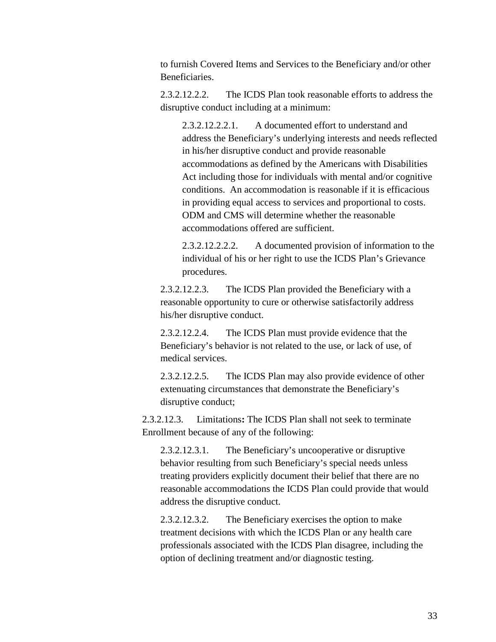to furnish Covered Items and Services to the Beneficiary and/or other Beneficiaries.

2.3.2.12.2.2. The ICDS Plan took reasonable efforts to address the disruptive conduct including at a minimum:

2.3.2.12.2.2.1. A documented effort to understand and address the Beneficiary's underlying interests and needs reflected in his/her disruptive conduct and provide reasonable accommodations as defined by the Americans with Disabilities Act including those for individuals with mental and/or cognitive conditions. An accommodation is reasonable if it is efficacious in providing equal access to services and proportional to costs. ODM and CMS will determine whether the reasonable accommodations offered are sufficient.

2.3.2.12.2.2.2. A documented provision of information to the individual of his or her right to use the ICDS Plan's Grievance procedures.

2.3.2.12.2.3. The ICDS Plan provided the Beneficiary with a reasonable opportunity to cure or otherwise satisfactorily address his/her disruptive conduct.

2.3.2.12.2.4. The ICDS Plan must provide evidence that the Beneficiary's behavior is not related to the use, or lack of use, of medical services.

2.3.2.12.2.5. The ICDS Plan may also provide evidence of other extenuating circumstances that demonstrate the Beneficiary's disruptive conduct;

2.3.2.12.3. Limitations**:** The ICDS Plan shall not seek to terminate Enrollment because of any of the following:

2.3.2.12.3.1. The Beneficiary's uncooperative or disruptive behavior resulting from such Beneficiary's special needs unless treating providers explicitly document their belief that there are no reasonable accommodations the ICDS Plan could provide that would address the disruptive conduct.

2.3.2.12.3.2. The Beneficiary exercises the option to make treatment decisions with which the ICDS Plan or any health care professionals associated with the ICDS Plan disagree, including the option of declining treatment and/or diagnostic testing.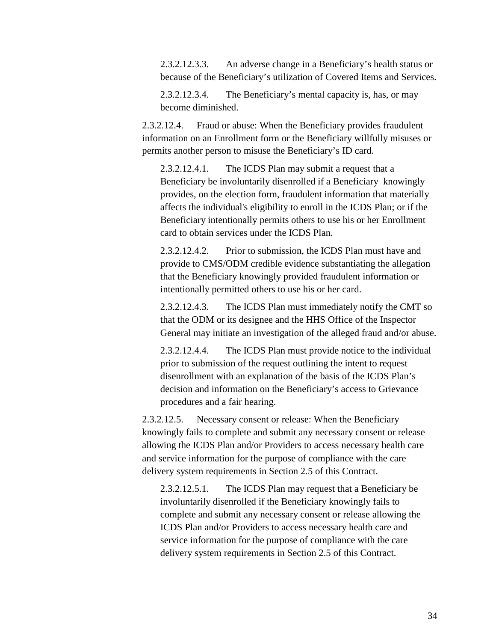2.3.2.12.3.3. An adverse change in a Beneficiary's health status or because of the Beneficiary's utilization of Covered Items and Services.

2.3.2.12.3.4. The Beneficiary's mental capacity is, has, or may become diminished.

2.3.2.12.4. Fraud or abuse: When the Beneficiary provides fraudulent information on an Enrollment form or the Beneficiary willfully misuses or permits another person to misuse the Beneficiary's ID card.

2.3.2.12.4.1. The ICDS Plan may submit a request that a Beneficiary be involuntarily disenrolled if a Beneficiary knowingly provides, on the election form, fraudulent information that materially affects the individual's eligibility to enroll in the ICDS Plan; or if the Beneficiary intentionally permits others to use his or her Enrollment card to obtain services under the ICDS Plan.

2.3.2.12.4.2. Prior to submission, the ICDS Plan must have and provide to CMS/ODM credible evidence substantiating the allegation that the Beneficiary knowingly provided fraudulent information or intentionally permitted others to use his or her card.

2.3.2.12.4.3. The ICDS Plan must immediately notify the CMT so that the ODM or its designee and the HHS Office of the Inspector General may initiate an investigation of the alleged fraud and/or abuse.

2.3.2.12.4.4. The ICDS Plan must provide notice to the individual prior to submission of the request outlining the intent to request disenrollment with an explanation of the basis of the ICDS Plan's decision and information on the Beneficiary's access to Grievance procedures and a fair hearing.

2.3.2.12.5. Necessary consent or release: When the Beneficiary knowingly fails to complete and submit any necessary consent or release allowing the ICDS Plan and/or Providers to access necessary health care and service information for the purpose of compliance with the care delivery system requirements in Section 2.5 of this Contract.

2.3.2.12.5.1. The ICDS Plan may request that a Beneficiary be involuntarily disenrolled if the Beneficiary knowingly fails to complete and submit any necessary consent or release allowing the ICDS Plan and/or Providers to access necessary health care and service information for the purpose of compliance with the care delivery system requirements in Section 2.5 of this Contract.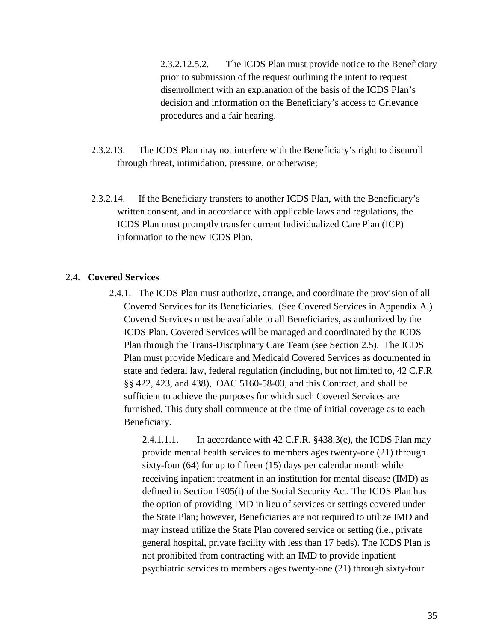2.3.2.12.5.2. The ICDS Plan must provide notice to the Beneficiary prior to submission of the request outlining the intent to request disenrollment with an explanation of the basis of the ICDS Plan's decision and information on the Beneficiary's access to Grievance procedures and a fair hearing.

- 2.3.2.13. The ICDS Plan may not interfere with the Beneficiary's right to disenroll through threat, intimidation, pressure, or otherwise;
- 2.3.2.14. If the Beneficiary transfers to another ICDS Plan, with the Beneficiary's written consent, and in accordance with applicable laws and regulations, the ICDS Plan must promptly transfer current Individualized Care Plan (ICP) information to the new ICDS Plan.

#### <span id="page-34-0"></span>2.4. **Covered Services**

2.4.1. The ICDS Plan must authorize, arrange, and coordinate the provision of all Covered Services for its Beneficiaries. (See Covered Services in Appendix A.) Covered Services must be available to all Beneficiaries, as authorized by the ICDS Plan. Covered Services will be managed and coordinated by the ICDS Plan through the Trans-Disciplinary Care Team (see Section 2.5). The ICDS Plan must provide Medicare and Medicaid Covered Services as documented in state and federal law, federal regulation (including, but not limited to, 42 C.F.R §§ 422, 423, and 438), OAC 5160-58-03, and this Contract, and shall be sufficient to achieve the purposes for which such Covered Services are furnished. This duty shall commence at the time of initial coverage as to each Beneficiary.

2.4.1.1.1. In accordance with 42 C.F.R. §438.3(e), the ICDS Plan may provide mental health services to members ages twenty-one (21) through sixty-four (64) for up to fifteen (15) days per calendar month while receiving inpatient treatment in an institution for mental disease (IMD) as defined in Section 1905(i) of the Social Security Act. The ICDS Plan has the option of providing IMD in lieu of services or settings covered under the State Plan; however, Beneficiaries are not required to utilize IMD and may instead utilize the State Plan covered service or setting (i.e., private general hospital, private facility with less than 17 beds). The ICDS Plan is not prohibited from contracting with an IMD to provide inpatient psychiatric services to members ages twenty-one (21) through sixty-four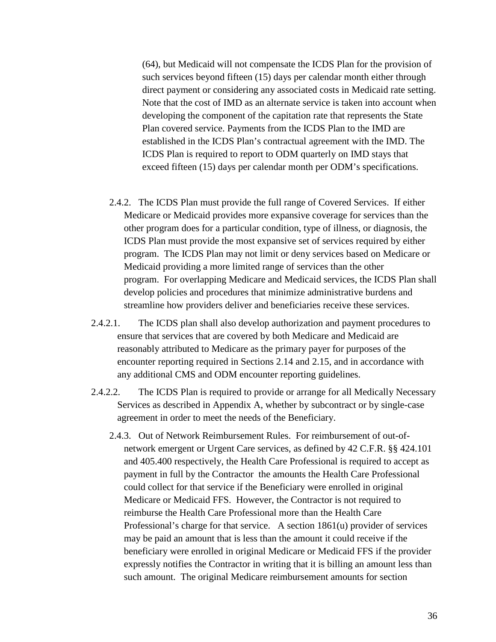(64), but Medicaid will not compensate the ICDS Plan for the provision of such services beyond fifteen (15) days per calendar month either through direct payment or considering any associated costs in Medicaid rate setting. Note that the cost of IMD as an alternate service is taken into account when developing the component of the capitation rate that represents the State Plan covered service. Payments from the ICDS Plan to the IMD are established in the ICDS Plan's contractual agreement with the IMD. The ICDS Plan is required to report to ODM quarterly on IMD stays that exceed fifteen (15) days per calendar month per ODM's specifications.

- 2.4.2. The ICDS Plan must provide the full range of Covered Services. If either Medicare or Medicaid provides more expansive coverage for services than the other program does for a particular condition, type of illness, or diagnosis, the ICDS Plan must provide the most expansive set of services required by either program. The ICDS Plan may not limit or deny services based on Medicare or Medicaid providing a more limited range of services than the other program. For overlapping Medicare and Medicaid services, the ICDS Plan shall develop policies and procedures that minimize administrative burdens and streamline how providers deliver and beneficiaries receive these services.
- 2.4.2.1. The ICDS plan shall also develop authorization and payment procedures to ensure that services that are covered by both Medicare and Medicaid are reasonably attributed to Medicare as the primary payer for purposes of the encounter reporting required in Sections 2.14 and 2.15, and in accordance with any additional CMS and ODM encounter reporting guidelines.
- 2.4.2.2. The ICDS Plan is required to provide or arrange for all Medically Necessary Services as described in Appendix A, whether by subcontract or by single-case agreement in order to meet the needs of the Beneficiary.
	- 2.4.3. Out of Network Reimbursement Rules. For reimbursement of out-ofnetwork emergent or Urgent Care services, as defined by 42 C.F.R. §§ 424.101 and 405.400 respectively, the Health Care Professional is required to accept as payment in full by the Contractor the amounts the Health Care Professional could collect for that service if the Beneficiary were enrolled in original Medicare or Medicaid FFS. However, the Contractor is not required to reimburse the Health Care Professional more than the Health Care Professional's charge for that service. A section 1861(u) provider of services may be paid an amount that is less than the amount it could receive if the beneficiary were enrolled in original Medicare or Medicaid FFS if the provider expressly notifies the Contractor in writing that it is billing an amount less than such amount. The original Medicare reimbursement amounts for section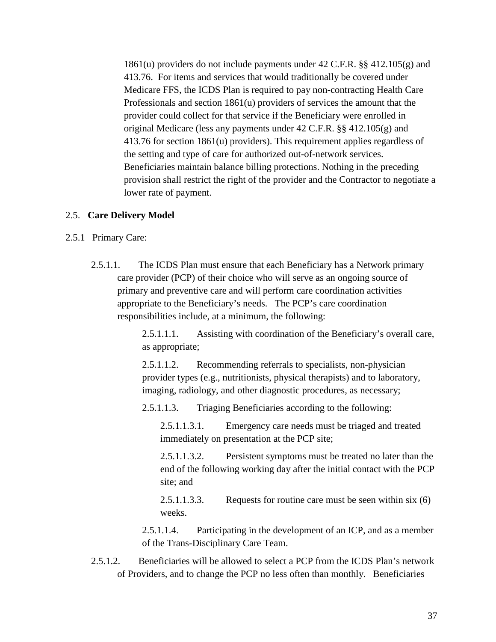1861(u) providers do not include payments under 42 C.F.R. §§ 412.105(g) and 413.76. For items and services that would traditionally be covered under Medicare FFS, the ICDS Plan is required to pay non-contracting Health Care Professionals and section 1861(u) providers of services the amount that the provider could collect for that service if the Beneficiary were enrolled in original Medicare (less any payments under 42 C.F.R. §§ 412.105(g) and 413.76 for section 1861(u) providers). This requirement applies regardless of the setting and type of care for authorized out-of-network services. Beneficiaries maintain balance billing protections. Nothing in the preceding provision shall restrict the right of the provider and the Contractor to negotiate a lower rate of payment.

### 2.5. **Care Delivery Model**

- 2.5.1 Primary Care:
	- 2.5.1.1. The ICDS Plan must ensure that each Beneficiary has a Network primary care provider (PCP) of their choice who will serve as an ongoing source of primary and preventive care and will perform care coordination activities appropriate to the Beneficiary's needs. The PCP's care coordination responsibilities include, at a minimum, the following:

2.5.1.1.1. Assisting with coordination of the Beneficiary's overall care, as appropriate;

2.5.1.1.2. Recommending referrals to specialists, non-physician provider types (e.g., nutritionists, physical therapists) and to laboratory, imaging, radiology, and other diagnostic procedures, as necessary;

2.5.1.1.3. Triaging Beneficiaries according to the following:

2.5.1.1.3.1. Emergency care needs must be triaged and treated immediately on presentation at the PCP site;

2.5.1.1.3.2. Persistent symptoms must be treated no later than the end of the following working day after the initial contact with the PCP site; and

2.5.1.1.3.3. Requests for routine care must be seen within six (6) weeks.

2.5.1.1.4. Participating in the development of an ICP, and as a member of the Trans-Disciplinary Care Team.

2.5.1.2. Beneficiaries will be allowed to select a PCP from the ICDS Plan's network of Providers, and to change the PCP no less often than monthly. Beneficiaries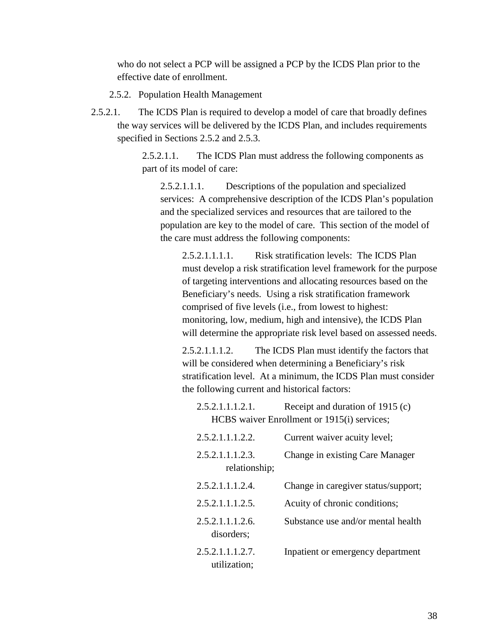who do not select a PCP will be assigned a PCP by the ICDS Plan prior to the effective date of enrollment.

- 2.5.2. Population Health Management
- 2.5.2.1. The ICDS Plan is required to develop a model of care that broadly defines the way services will be delivered by the ICDS Plan, and includes requirements specified in Sections 2.5.2 and 2.5.3.

2.5.2.1.1. The ICDS Plan must address the following components as part of its model of care:

2.5.2.1.1.1. Descriptions of the population and specialized services: A comprehensive description of the ICDS Plan's population and the specialized services and resources that are tailored to the population are key to the model of care. This section of the model of the care must address the following components:

2.5.2.1.1.1.1. Risk stratification levels: The ICDS Plan must develop a risk stratification level framework for the purpose of targeting interventions and allocating resources based on the Beneficiary's needs. Using a risk stratification framework comprised of five levels (i.e., from lowest to highest: monitoring, low, medium, high and intensive), the ICDS Plan will determine the appropriate risk level based on assessed needs.

2.5.2.1.1.1.2. The ICDS Plan must identify the factors that will be considered when determining a Beneficiary's risk stratification level. At a minimum, the ICDS Plan must consider the following current and historical factors:

| 2.5.2.1.1.1.2.1.                  | Receipt and duration of 1915 (c)<br>HCBS waiver Enrollment or 1915(i) services; |
|-----------------------------------|---------------------------------------------------------------------------------|
| 2.5.2.1.1.1.2.2.                  | Current waiver acuity level;                                                    |
| 2.5.2.1.1.1.2.3.<br>relationship; | Change in existing Care Manager                                                 |
| 2.5.2.1.1.1.2.4.                  | Change in caregiver status/support;                                             |
| 2.5.2.1.1.1.2.5.                  | Acuity of chronic conditions;                                                   |
| 2.5.2.1.1.1.2.6.<br>disorders;    | Substance use and/or mental health                                              |
| 2.5.2.1.1.1.2.7.<br>utilization;  | Inpatient or emergency department                                               |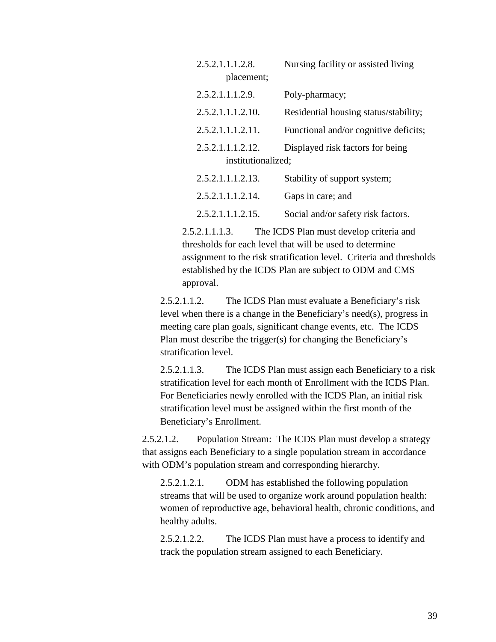| 2.5.2.1.1.1.2.8.<br>placement;          | Nursing facility or assisted living   |
|-----------------------------------------|---------------------------------------|
| 2.5.2.1.1.1.2.9.                        | Poly-pharmacy;                        |
| 2.5.2.1.1.1.2.10.                       | Residential housing status/stability; |
| 2.5.2.1.1.1.2.11.                       | Functional and/or cognitive deficits; |
| 2.5.2.1.1.1.2.12.<br>institutionalized; | Displayed risk factors for being      |
| 2.5.2.1.1.1.2.13.                       | Stability of support system;          |
| 2.5.2.1.1.1.2.14.                       | Gaps in care; and                     |
| 2.5.2.1.1.1.2.15                        | Social and/or safety risk factors.    |

2.5.2.1.1.1.3. The ICDS Plan must develop criteria and thresholds for each level that will be used to determine assignment to the risk stratification level. Criteria and thresholds established by the ICDS Plan are subject to ODM and CMS approval.

2.5.2.1.1.2. The ICDS Plan must evaluate a Beneficiary's risk level when there is a change in the Beneficiary's need(s), progress in meeting care plan goals, significant change events, etc. The ICDS Plan must describe the trigger(s) for changing the Beneficiary's stratification level.

2.5.2.1.1.3. The ICDS Plan must assign each Beneficiary to a risk stratification level for each month of Enrollment with the ICDS Plan. For Beneficiaries newly enrolled with the ICDS Plan, an initial risk stratification level must be assigned within the first month of the Beneficiary's Enrollment.

2.5.2.1.2. Population Stream: The ICDS Plan must develop a strategy that assigns each Beneficiary to a single population stream in accordance with ODM's population stream and corresponding hierarchy.

2.5.2.1.2.1. ODM has established the following population streams that will be used to organize work around population health: women of reproductive age, behavioral health, chronic conditions, and healthy adults.

2.5.2.1.2.2. The ICDS Plan must have a process to identify and track the population stream assigned to each Beneficiary.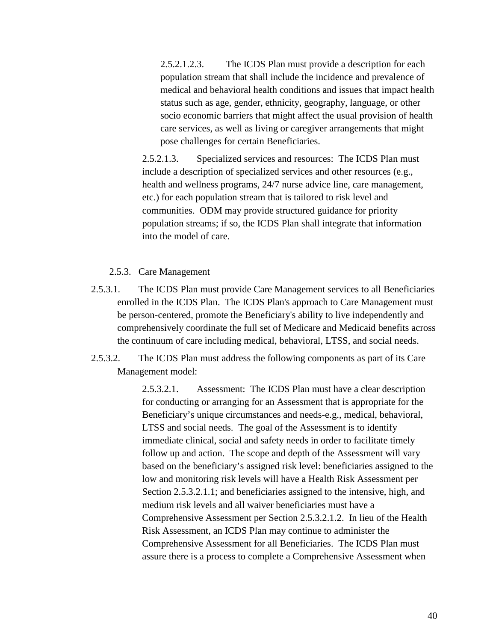2.5.2.1.2.3. The ICDS Plan must provide a description for each population stream that shall include the incidence and prevalence of medical and behavioral health conditions and issues that impact health status such as age, gender, ethnicity, geography, language, or other socio economic barriers that might affect the usual provision of health care services, as well as living or caregiver arrangements that might pose challenges for certain Beneficiaries.

2.5.2.1.3. Specialized services and resources: The ICDS Plan must include a description of specialized services and other resources (e.g., health and wellness programs, 24/7 nurse advice line, care management, etc.) for each population stream that is tailored to risk level and communities. ODM may provide structured guidance for priority population streams; if so, the ICDS Plan shall integrate that information into the model of care.

- 2.5.3. Care Management
- 2.5.3.1. The ICDS Plan must provide Care Management services to all Beneficiaries enrolled in the ICDS Plan. The ICDS Plan's approach to Care Management must be person-centered, promote the Beneficiary's ability to live independently and comprehensively coordinate the full set of Medicare and Medicaid benefits across the continuum of care including medical, behavioral, LTSS, and social needs.
- 2.5.3.2. The ICDS Plan must address the following components as part of its Care Management model:

2.5.3.2.1. Assessment: The ICDS Plan must have a clear description for conducting or arranging for an Assessment that is appropriate for the Beneficiary's unique circumstances and needs-e.g., medical, behavioral, LTSS and social needs. The goal of the Assessment is to identify immediate clinical, social and safety needs in order to facilitate timely follow up and action. The scope and depth of the Assessment will vary based on the beneficiary's assigned risk level: beneficiaries assigned to the low and monitoring risk levels will have a Health Risk Assessment per Section 2.5.3.2.1.1; and beneficiaries assigned to the intensive, high, and medium risk levels and all waiver beneficiaries must have a Comprehensive Assessment per Section 2.5.3.2.1.2. In lieu of the Health Risk Assessment, an ICDS Plan may continue to administer the Comprehensive Assessment for all Beneficiaries. The ICDS Plan must assure there is a process to complete a Comprehensive Assessment when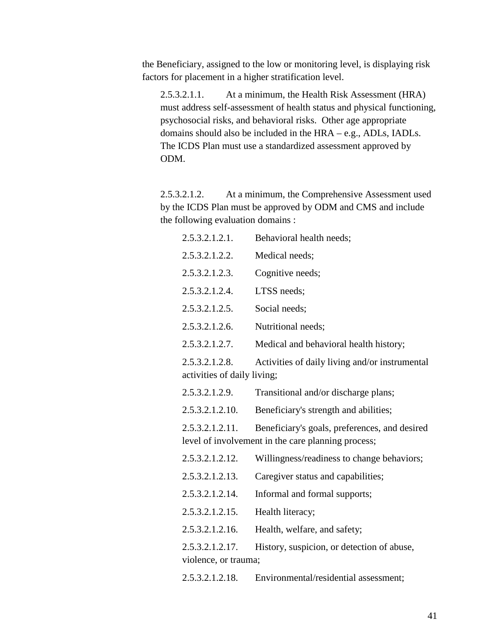the Beneficiary, assigned to the low or monitoring level, is displaying risk factors for placement in a higher stratification level.

2.5.3.2.1.1. At a minimum, the Health Risk Assessment (HRA) must address self-assessment of health status and physical functioning, psychosocial risks, and behavioral risks. Other age appropriate domains should also be included in the HRA – e.g., ADLs, IADLs. The ICDS Plan must use a standardized assessment approved by ODM.

2.5.3.2.1.2. At a minimum, the Comprehensive Assessment used by the ICDS Plan must be approved by ODM and CMS and include the following evaluation domains :

| 2.5.3.2.1.2.1.                                | Behavioral health needs;                                                                            |
|-----------------------------------------------|-----------------------------------------------------------------------------------------------------|
| 2.5.3.2.1.2.2.                                | Medical needs;                                                                                      |
| 2.5.3.2.1.2.3.                                | Cognitive needs;                                                                                    |
| 2.5.3.2.1.2.4.                                | LTSS needs;                                                                                         |
| 2.5.3.2.1.2.5.                                | Social needs;                                                                                       |
| 2.5.3.2.1.2.6.                                | Nutritional needs;                                                                                  |
| 2.5.3.2.1.2.7.                                | Medical and behavioral health history;                                                              |
| 2.5.3.2.1.2.8.<br>activities of daily living; | Activities of daily living and/or instrumental                                                      |
| 2.5.3.2.1.2.9.                                | Transitional and/or discharge plans;                                                                |
| 2.5.3.2.1.2.10.                               | Beneficiary's strength and abilities;                                                               |
| 2.5.3.2.1.2.11.                               | Beneficiary's goals, preferences, and desired<br>level of involvement in the care planning process; |
| 2.5.3.2.1.2.12.                               | Willingness/readiness to change behaviors;                                                          |
| 2.5.3.2.1.2.13.                               | Caregiver status and capabilities;                                                                  |
| 2.5.3.2.1.2.14.                               | Informal and formal supports;                                                                       |
| 2.5.3.2.1.2.15.                               | Health literacy;                                                                                    |
| 2.5.3.2.1.2.16.                               | Health, welfare, and safety;                                                                        |
| 2.5.3.2.1.2.17.<br>violence, or trauma;       | History, suspicion, or detection of abuse,                                                          |
| 2.5.3.2.1.2.18.                               | Environmental/residential assessment;                                                               |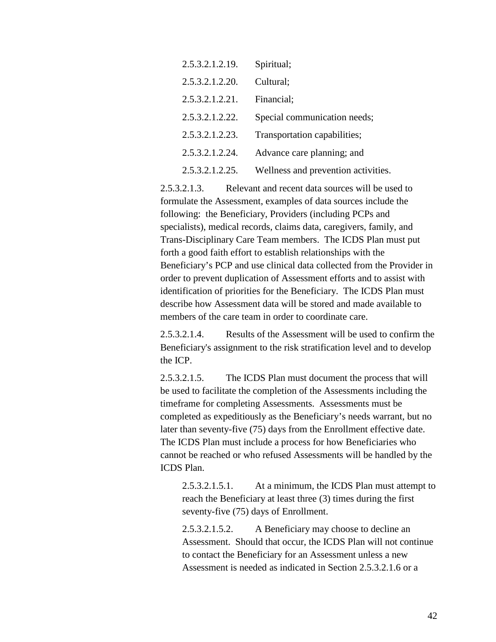| 2.5.3.2.1.2.19. | Spiritual;                          |
|-----------------|-------------------------------------|
| 2.5.3.2.1.2.20. | Cultural;                           |
| 2.5.3.2.1.2.21. | Financial;                          |
| 2.5.3.2.1.2.22. | Special communication needs;        |
| 2.5.3.2.1.2.23. | Transportation capabilities;        |
| 2.5.3.2.1.2.24. | Advance care planning; and          |
| 2.5.3.2.1.2.25. | Wellness and prevention activities. |

2.5.3.2.1.3. Relevant and recent data sources will be used to formulate the Assessment, examples of data sources include the following: the Beneficiary, Providers (including PCPs and specialists), medical records, claims data, caregivers, family, and Trans-Disciplinary Care Team members. The ICDS Plan must put forth a good faith effort to establish relationships with the Beneficiary's PCP and use clinical data collected from the Provider in order to prevent duplication of Assessment efforts and to assist with identification of priorities for the Beneficiary. The ICDS Plan must describe how Assessment data will be stored and made available to members of the care team in order to coordinate care.

2.5.3.2.1.4. Results of the Assessment will be used to confirm the Beneficiary's assignment to the risk stratification level and to develop the ICP.

2.5.3.2.1.5. The ICDS Plan must document the process that will be used to facilitate the completion of the Assessments including the timeframe for completing Assessments. Assessments must be completed as expeditiously as the Beneficiary's needs warrant, but no later than seventy-five (75) days from the Enrollment effective date. The ICDS Plan must include a process for how Beneficiaries who cannot be reached or who refused Assessments will be handled by the ICDS Plan.

2.5.3.2.1.5.1. At a minimum, the ICDS Plan must attempt to reach the Beneficiary at least three (3) times during the first seventy-five (75) days of Enrollment.

2.5.3.2.1.5.2. A Beneficiary may choose to decline an Assessment. Should that occur, the ICDS Plan will not continue to contact the Beneficiary for an Assessment unless a new Assessment is needed as indicated in Section 2.5.3.2.1.6 or a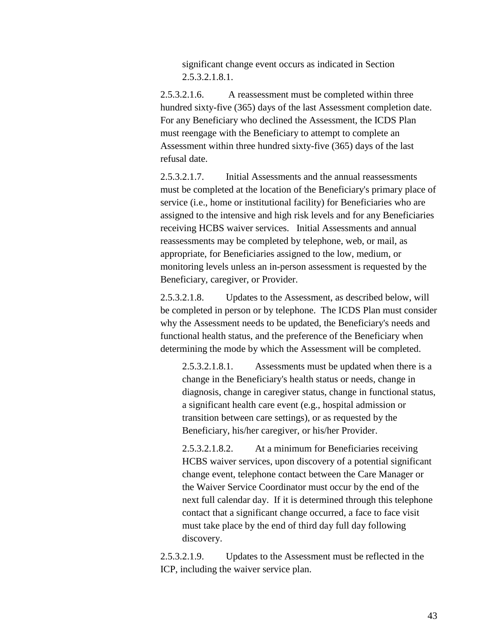significant change event occurs as indicated in Section 2.5.3.2.1.8.1.

2.5.3.2.1.6. A reassessment must be completed within three hundred sixty-five (365) days of the last Assessment completion date. For any Beneficiary who declined the Assessment, the ICDS Plan must reengage with the Beneficiary to attempt to complete an Assessment within three hundred sixty-five (365) days of the last refusal date.

2.5.3.2.1.7. Initial Assessments and the annual reassessments must be completed at the location of the Beneficiary's primary place of service (i.e., home or institutional facility) for Beneficiaries who are assigned to the intensive and high risk levels and for any Beneficiaries receiving HCBS waiver services. Initial Assessments and annual reassessments may be completed by telephone, web, or mail, as appropriate, for Beneficiaries assigned to the low, medium, or monitoring levels unless an in-person assessment is requested by the Beneficiary, caregiver, or Provider.

2.5.3.2.1.8. Updates to the Assessment, as described below, will be completed in person or by telephone. The ICDS Plan must consider why the Assessment needs to be updated, the Beneficiary's needs and functional health status, and the preference of the Beneficiary when determining the mode by which the Assessment will be completed.

2.5.3.2.1.8.1. Assessments must be updated when there is a change in the Beneficiary's health status or needs, change in diagnosis, change in caregiver status, change in functional status, a significant health care event (e.g., hospital admission or transition between care settings), or as requested by the Beneficiary, his/her caregiver, or his/her Provider.

2.5.3.2.1.8.2. At a minimum for Beneficiaries receiving HCBS waiver services, upon discovery of a potential significant change event, telephone contact between the Care Manager or the Waiver Service Coordinator must occur by the end of the next full calendar day. If it is determined through this telephone contact that a significant change occurred, a face to face visit must take place by the end of third day full day following discovery.

2.5.3.2.1.9. Updates to the Assessment must be reflected in the ICP, including the waiver service plan.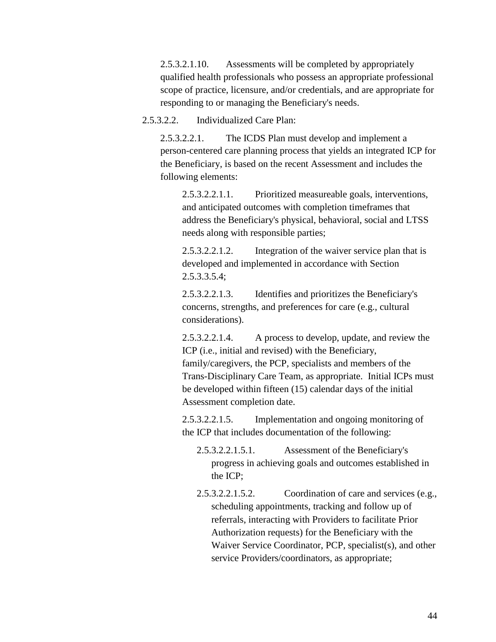2.5.3.2.1.10. Assessments will be completed by appropriately qualified health professionals who possess an appropriate professional scope of practice, licensure, and/or credentials, and are appropriate for responding to or managing the Beneficiary's needs.

### 2.5.3.2.2. Individualized Care Plan:

2.5.3.2.2.1. The ICDS Plan must develop and implement a person-centered care planning process that yields an integrated ICP for the Beneficiary, is based on the recent Assessment and includes the following elements:

2.5.3.2.2.1.1. Prioritized measureable goals, interventions, and anticipated outcomes with completion timeframes that address the Beneficiary's physical, behavioral, social and LTSS needs along with responsible parties;

2.5.3.2.2.1.2. Integration of the waiver service plan that is developed and implemented in accordance with Section 2.5.3.3.5.4;

2.5.3.2.2.1.3. Identifies and prioritizes the Beneficiary's concerns, strengths, and preferences for care (e.g., cultural considerations).

2.5.3.2.2.1.4. A process to develop, update, and review the ICP (i.e., initial and revised) with the Beneficiary, family/caregivers, the PCP, specialists and members of the Trans-Disciplinary Care Team, as appropriate. Initial ICPs must be developed within fifteen (15) calendar days of the initial Assessment completion date.

2.5.3.2.2.1.5. Implementation and ongoing monitoring of the ICP that includes documentation of the following:

- 2.5.3.2.2.1.5.1. Assessment of the Beneficiary's progress in achieving goals and outcomes established in the ICP;
- 2.5.3.2.2.1.5.2. Coordination of care and services (e.g., scheduling appointments, tracking and follow up of referrals, interacting with Providers to facilitate Prior Authorization requests) for the Beneficiary with the Waiver Service Coordinator, PCP, specialist(s), and other service Providers/coordinators, as appropriate;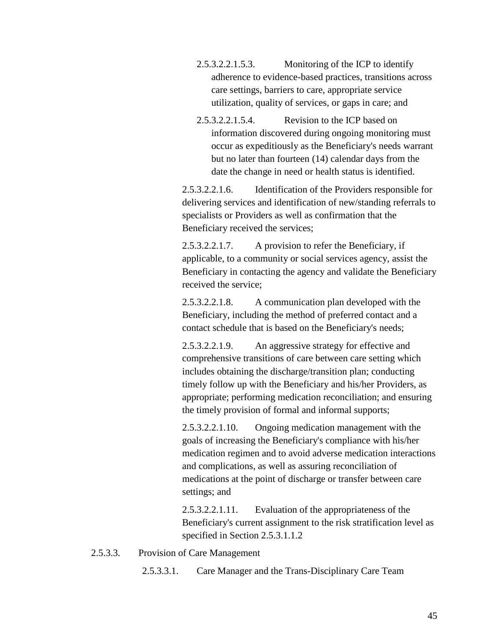- 2.5.3.2.2.1.5.3. Monitoring of the ICP to identify adherence to evidence-based practices, transitions across care settings, barriers to care, appropriate service utilization, quality of services, or gaps in care; and
- 2.5.3.2.2.1.5.4. Revision to the ICP based on information discovered during ongoing monitoring must occur as expeditiously as the Beneficiary's needs warrant but no later than fourteen (14) calendar days from the date the change in need or health status is identified.

2.5.3.2.2.1.6. Identification of the Providers responsible for delivering services and identification of new/standing referrals to specialists or Providers as well as confirmation that the Beneficiary received the services;

2.5.3.2.2.1.7. A provision to refer the Beneficiary, if applicable, to a community or social services agency, assist the Beneficiary in contacting the agency and validate the Beneficiary received the service;

2.5.3.2.2.1.8. A communication plan developed with the Beneficiary, including the method of preferred contact and a contact schedule that is based on the Beneficiary's needs;

2.5.3.2.2.1.9. An aggressive strategy for effective and comprehensive transitions of care between care setting which includes obtaining the discharge/transition plan; conducting timely follow up with the Beneficiary and his/her Providers, as appropriate; performing medication reconciliation; and ensuring the timely provision of formal and informal supports;

2.5.3.2.2.1.10. Ongoing medication management with the goals of increasing the Beneficiary's compliance with his/her medication regimen and to avoid adverse medication interactions and complications, as well as assuring reconciliation of medications at the point of discharge or transfer between care settings; and

2.5.3.2.2.1.11. Evaluation of the appropriateness of the Beneficiary's current assignment to the risk stratification level as specified in Section 2.5.3.1.1.2

- 2.5.3.3. Provision of Care Management
	- 2.5.3.3.1. Care Manager and the Trans-Disciplinary Care Team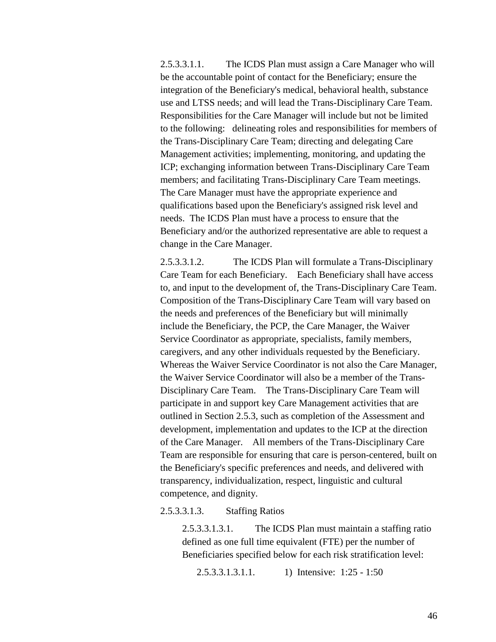2.5.3.3.1.1. The ICDS Plan must assign a Care Manager who will be the accountable point of contact for the Beneficiary; ensure the integration of the Beneficiary's medical, behavioral health, substance use and LTSS needs; and will lead the Trans-Disciplinary Care Team. Responsibilities for the Care Manager will include but not be limited to the following: delineating roles and responsibilities for members of the Trans-Disciplinary Care Team; directing and delegating Care Management activities; implementing, monitoring, and updating the ICP; exchanging information between Trans-Disciplinary Care Team members; and facilitating Trans-Disciplinary Care Team meetings. The Care Manager must have the appropriate experience and qualifications based upon the Beneficiary's assigned risk level and needs. The ICDS Plan must have a process to ensure that the Beneficiary and/or the authorized representative are able to request a change in the Care Manager.

2.5.3.3.1.2. The ICDS Plan will formulate a Trans-Disciplinary Care Team for each Beneficiary. Each Beneficiary shall have access to, and input to the development of, the Trans-Disciplinary Care Team. Composition of the Trans-Disciplinary Care Team will vary based on the needs and preferences of the Beneficiary but will minimally include the Beneficiary, the PCP, the Care Manager, the Waiver Service Coordinator as appropriate, specialists, family members, caregivers, and any other individuals requested by the Beneficiary. Whereas the Waiver Service Coordinator is not also the Care Manager, the Waiver Service Coordinator will also be a member of the Trans-Disciplinary Care Team. The Trans-Disciplinary Care Team will participate in and support key Care Management activities that are outlined in Section 2.5.3, such as completion of the Assessment and development, implementation and updates to the ICP at the direction of the Care Manager. All members of the Trans-Disciplinary Care Team are responsible for ensuring that care is person-centered, built on the Beneficiary's specific preferences and needs, and delivered with transparency, individualization, respect, linguistic and cultural competence, and dignity.

#### 2.5.3.3.1.3. Staffing Ratios

2.5.3.3.1.3.1. The ICDS Plan must maintain a staffing ratio defined as one full time equivalent (FTE) per the number of Beneficiaries specified below for each risk stratification level:

2.5.3.3.1.3.1.1. 1) Intensive: 1:25 - 1:50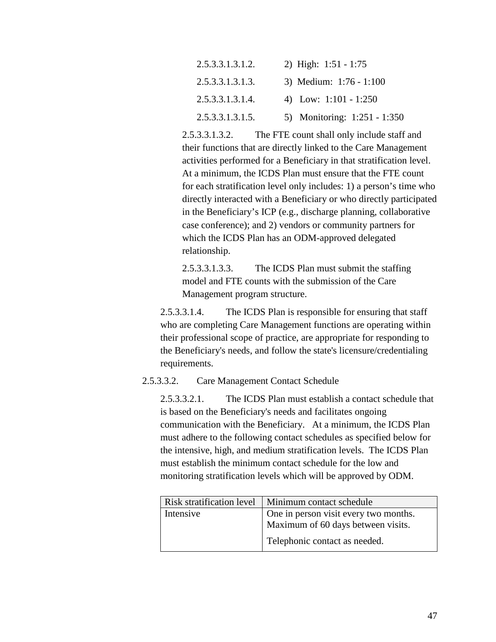| 2.5.3.3.1.3.1.2. | 2) High: 1:51 - 1:75         |
|------------------|------------------------------|
| 2.5.3.3.1.3.1.3. | 3) Medium: 1:76 - 1:100      |
| 2.5.3.3.1.3.1.4. | 4) Low: $1:101 - 1:250$      |
| 2.5.3.3.1.3.1.5. | 5) Monitoring: 1:251 - 1:350 |

2.5.3.3.1.3.2. The FTE count shall only include staff and their functions that are directly linked to the Care Management activities performed for a Beneficiary in that stratification level. At a minimum, the ICDS Plan must ensure that the FTE count for each stratification level only includes: 1) a person's time who directly interacted with a Beneficiary or who directly participated in the Beneficiary's ICP (e.g., discharge planning, collaborative case conference); and 2) vendors or community partners for which the ICDS Plan has an ODM-approved delegated relationship.

2.5.3.3.1.3.3. The ICDS Plan must submit the staffing model and FTE counts with the submission of the Care Management program structure.

2.5.3.3.1.4. The ICDS Plan is responsible for ensuring that staff who are completing Care Management functions are operating within their professional scope of practice, are appropriate for responding to the Beneficiary's needs, and follow the state's licensure/credentialing requirements.

## 2.5.3.3.2. Care Management Contact Schedule

2.5.3.3.2.1. The ICDS Plan must establish a contact schedule that is based on the Beneficiary's needs and facilitates ongoing communication with the Beneficiary. At a minimum, the ICDS Plan must adhere to the following contact schedules as specified below for the intensive, high, and medium stratification levels. The ICDS Plan must establish the minimum contact schedule for the low and monitoring stratification levels which will be approved by ODM.

| Risk stratification level | Minimum contact schedule                                                                                     |
|---------------------------|--------------------------------------------------------------------------------------------------------------|
| Intensive                 | One in person visit every two months.<br>Maximum of 60 days between visits.<br>Telephonic contact as needed. |
|                           |                                                                                                              |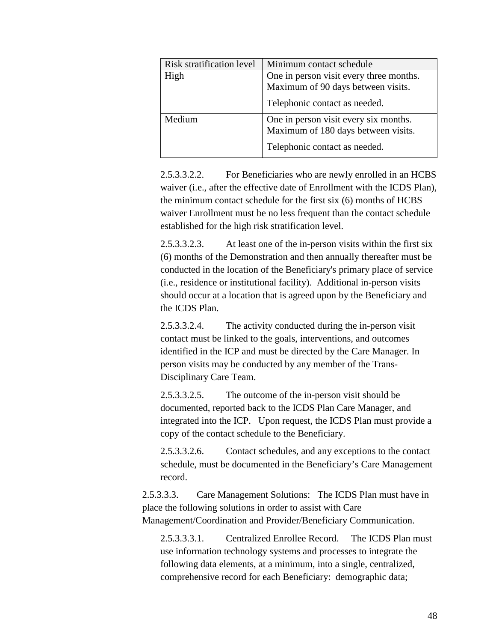| Risk stratification level | Minimum contact schedule                                                      |  |
|---------------------------|-------------------------------------------------------------------------------|--|
| High                      | One in person visit every three months.<br>Maximum of 90 days between visits. |  |
|                           | Telephonic contact as needed.                                                 |  |
| Medium                    | One in person visit every six months.<br>Maximum of 180 days between visits.  |  |
|                           | Telephonic contact as needed.                                                 |  |

2.5.3.3.2.2. For Beneficiaries who are newly enrolled in an HCBS waiver (i.e., after the effective date of Enrollment with the ICDS Plan), the minimum contact schedule for the first six (6) months of HCBS waiver Enrollment must be no less frequent than the contact schedule established for the high risk stratification level.

2.5.3.3.2.3. At least one of the in-person visits within the first six (6) months of the Demonstration and then annually thereafter must be conducted in the location of the Beneficiary's primary place of service (i.e., residence or institutional facility). Additional in-person visits should occur at a location that is agreed upon by the Beneficiary and the ICDS Plan.

2.5.3.3.2.4. The activity conducted during the in-person visit contact must be linked to the goals, interventions, and outcomes identified in the ICP and must be directed by the Care Manager. In person visits may be conducted by any member of the Trans-Disciplinary Care Team.

2.5.3.3.2.5. The outcome of the in-person visit should be documented, reported back to the ICDS Plan Care Manager, and integrated into the ICP. Upon request, the ICDS Plan must provide a copy of the contact schedule to the Beneficiary.

2.5.3.3.2.6. Contact schedules, and any exceptions to the contact schedule, must be documented in the Beneficiary's Care Management record.

2.5.3.3.3. Care Management Solutions: The ICDS Plan must have in place the following solutions in order to assist with Care Management/Coordination and Provider/Beneficiary Communication.

2.5.3.3.3.1. Centralized Enrollee Record. The ICDS Plan must use information technology systems and processes to integrate the following data elements, at a minimum, into a single, centralized, comprehensive record for each Beneficiary: demographic data;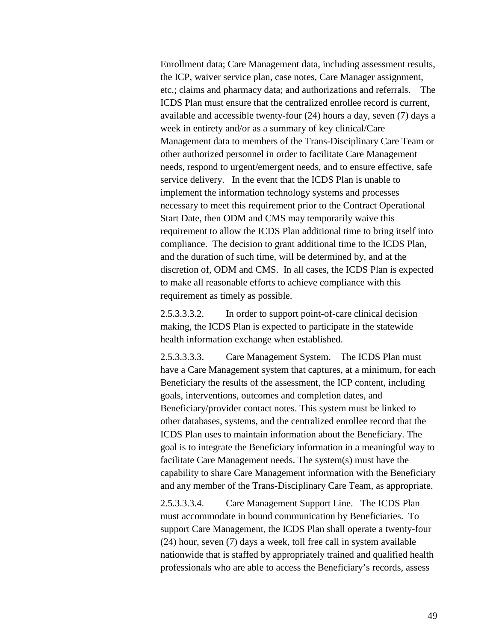Enrollment data; Care Management data, including assessment results, the ICP, waiver service plan, case notes, Care Manager assignment, etc.; claims and pharmacy data; and authorizations and referrals. The ICDS Plan must ensure that the centralized enrollee record is current, available and accessible twenty-four (24) hours a day, seven (7) days a week in entirety and/or as a summary of key clinical/Care Management data to members of the Trans-Disciplinary Care Team or other authorized personnel in order to facilitate Care Management needs, respond to urgent/emergent needs, and to ensure effective, safe service delivery. In the event that the ICDS Plan is unable to implement the information technology systems and processes necessary to meet this requirement prior to the Contract Operational Start Date, then ODM and CMS may temporarily waive this requirement to allow the ICDS Plan additional time to bring itself into compliance. The decision to grant additional time to the ICDS Plan, and the duration of such time, will be determined by, and at the discretion of, ODM and CMS. In all cases, the ICDS Plan is expected to make all reasonable efforts to achieve compliance with this requirement as timely as possible.

2.5.3.3.3.2. In order to support point-of-care clinical decision making, the ICDS Plan is expected to participate in the statewide health information exchange when established.

2.5.3.3.3.3. Care Management System. The ICDS Plan must have a Care Management system that captures, at a minimum, for each Beneficiary the results of the assessment, the ICP content, including goals, interventions, outcomes and completion dates, and Beneficiary/provider contact notes. This system must be linked to other databases, systems, and the centralized enrollee record that the ICDS Plan uses to maintain information about the Beneficiary. The goal is to integrate the Beneficiary information in a meaningful way to facilitate Care Management needs. The system(s) must have the capability to share Care Management information with the Beneficiary and any member of the Trans-Disciplinary Care Team, as appropriate.

2.5.3.3.3.4. Care Management Support Line. The ICDS Plan must accommodate in bound communication by Beneficiaries. To support Care Management, the ICDS Plan shall operate a twenty-four (24) hour, seven (7) days a week, toll free call in system available nationwide that is staffed by appropriately trained and qualified health professionals who are able to access the Beneficiary's records, assess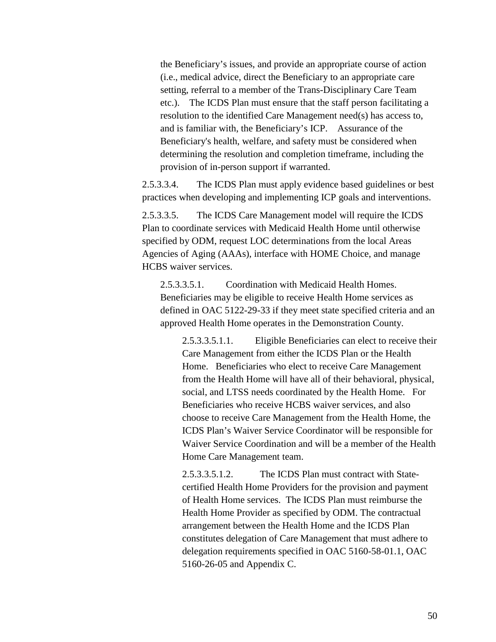the Beneficiary's issues, and provide an appropriate course of action (i.e., medical advice, direct the Beneficiary to an appropriate care setting, referral to a member of the Trans-Disciplinary Care Team etc.). The ICDS Plan must ensure that the staff person facilitating a resolution to the identified Care Management need(s) has access to, and is familiar with, the Beneficiary's ICP. Assurance of the Beneficiary's health, welfare, and safety must be considered when determining the resolution and completion timeframe, including the provision of in-person support if warranted.

2.5.3.3.4. The ICDS Plan must apply evidence based guidelines or best practices when developing and implementing ICP goals and interventions.

2.5.3.3.5. The ICDS Care Management model will require the ICDS Plan to coordinate services with Medicaid Health Home until otherwise specified by ODM, request LOC determinations from the local Areas Agencies of Aging (AAAs), interface with HOME Choice, and manage HCBS waiver services.

2.5.3.3.5.1. Coordination with Medicaid Health Homes. Beneficiaries may be eligible to receive Health Home services as defined in OAC 5122-29-33 if they meet state specified criteria and an approved Health Home operates in the Demonstration County.

2.5.3.3.5.1.1. Eligible Beneficiaries can elect to receive their Care Management from either the ICDS Plan or the Health Home. Beneficiaries who elect to receive Care Management from the Health Home will have all of their behavioral, physical, social, and LTSS needs coordinated by the Health Home. For Beneficiaries who receive HCBS waiver services, and also choose to receive Care Management from the Health Home, the ICDS Plan's Waiver Service Coordinator will be responsible for Waiver Service Coordination and will be a member of the Health Home Care Management team.

2.5.3.3.5.1.2. The ICDS Plan must contract with Statecertified Health Home Providers for the provision and payment of Health Home services. The ICDS Plan must reimburse the Health Home Provider as specified by ODM. The contractual arrangement between the Health Home and the ICDS Plan constitutes delegation of Care Management that must adhere to delegation requirements specified in OAC 5160-58-01.1, OAC 5160-26-05 and Appendix C.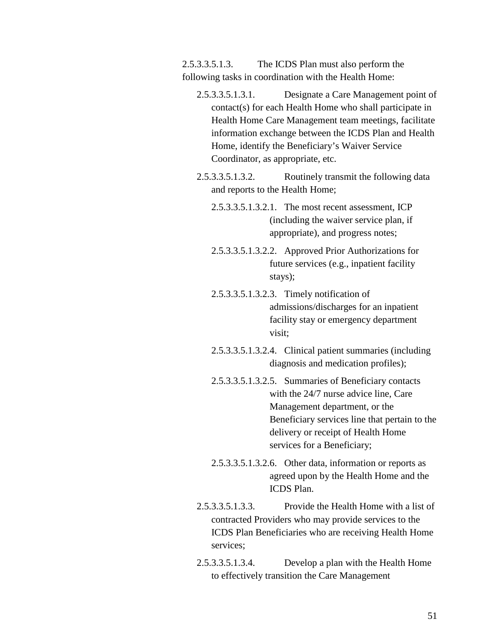2.5.3.3.5.1.3. The ICDS Plan must also perform the following tasks in coordination with the Health Home:

- 2.5.3.3.5.1.3.1. Designate a Care Management point of contact(s) for each Health Home who shall participate in Health Home Care Management team meetings, facilitate information exchange between the ICDS Plan and Health Home, identify the Beneficiary's Waiver Service Coordinator, as appropriate, etc.
- 2.5.3.3.5.1.3.2. Routinely transmit the following data and reports to the Health Home;
	- 2.5.3.3.5.1.3.2.1. The most recent assessment, ICP (including the waiver service plan, if appropriate), and progress notes;
	- 2.5.3.3.5.1.3.2.2. Approved Prior Authorizations for future services (e.g., inpatient facility stays);
	- 2.5.3.3.5.1.3.2.3. Timely notification of admissions/discharges for an inpatient facility stay or emergency department visit;
	- 2.5.3.3.5.1.3.2.4. Clinical patient summaries (including diagnosis and medication profiles);
	- 2.5.3.3.5.1.3.2.5. Summaries of Beneficiary contacts with the 24/7 nurse advice line, Care Management department, or the Beneficiary services line that pertain to the delivery or receipt of Health Home services for a Beneficiary;
	- 2.5.3.3.5.1.3.2.6. Other data, information or reports as agreed upon by the Health Home and the ICDS Plan.
- 2.5.3.3.5.1.3.3. Provide the Health Home with a list of contracted Providers who may provide services to the ICDS Plan Beneficiaries who are receiving Health Home services;
- 2.5.3.3.5.1.3.4. Develop a plan with the Health Home to effectively transition the Care Management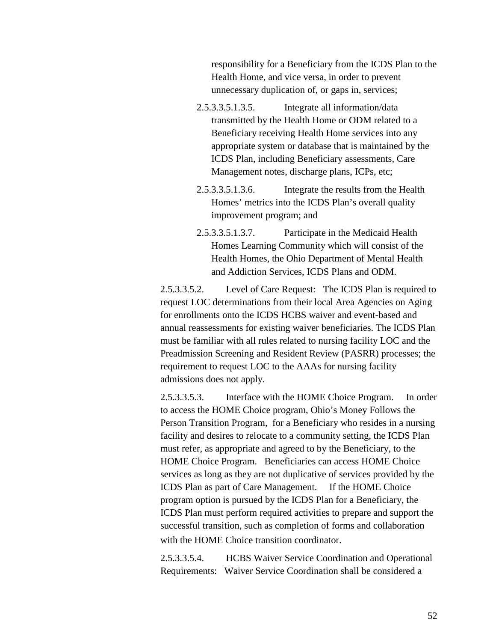responsibility for a Beneficiary from the ICDS Plan to the Health Home, and vice versa, in order to prevent unnecessary duplication of, or gaps in, services;

- 2.5.3.3.5.1.3.5. Integrate all information/data transmitted by the Health Home or ODM related to a Beneficiary receiving Health Home services into any appropriate system or database that is maintained by the ICDS Plan, including Beneficiary assessments, Care Management notes, discharge plans, ICPs, etc;
- 2.5.3.3.5.1.3.6. Integrate the results from the Health Homes' metrics into the ICDS Plan's overall quality improvement program; and
- 2.5.3.3.5.1.3.7. Participate in the Medicaid Health Homes Learning Community which will consist of the Health Homes, the Ohio Department of Mental Health and Addiction Services, ICDS Plans and ODM.

2.5.3.3.5.2. Level of Care Request: The ICDS Plan is required to request LOC determinations from their local Area Agencies on Aging for enrollments onto the ICDS HCBS waiver and event-based and annual reassessments for existing waiver beneficiaries. The ICDS Plan must be familiar with all rules related to nursing facility LOC and the Preadmission Screening and Resident Review (PASRR) processes; the requirement to request LOC to the AAAs for nursing facility admissions does not apply.

2.5.3.3.5.3. Interface with the HOME Choice Program. In order to access the HOME Choice program, Ohio's Money Follows the Person Transition Program, for a Beneficiary who resides in a nursing facility and desires to relocate to a community setting, the ICDS Plan must refer, as appropriate and agreed to by the Beneficiary, to the HOME Choice Program. Beneficiaries can access HOME Choice services as long as they are not duplicative of services provided by the ICDS Plan as part of Care Management. If the HOME Choice program option is pursued by the ICDS Plan for a Beneficiary, the ICDS Plan must perform required activities to prepare and support the successful transition, such as completion of forms and collaboration with the HOME Choice transition coordinator.

2.5.3.3.5.4. HCBS Waiver Service Coordination and Operational Requirements: Waiver Service Coordination shall be considered a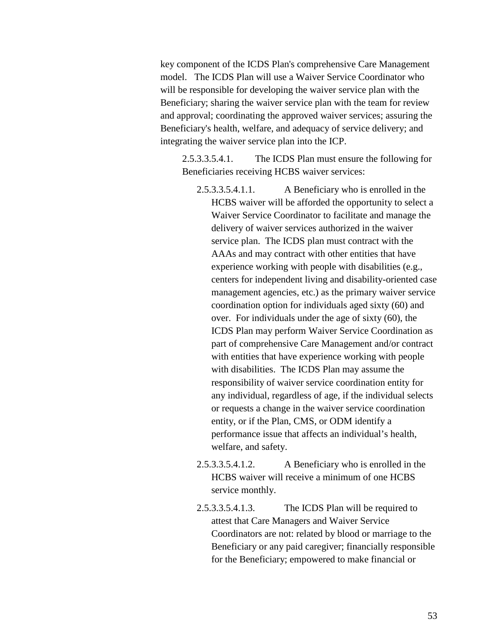key component of the ICDS Plan's comprehensive Care Management model. The ICDS Plan will use a Waiver Service Coordinator who will be responsible for developing the waiver service plan with the Beneficiary; sharing the waiver service plan with the team for review and approval; coordinating the approved waiver services; assuring the Beneficiary's health, welfare, and adequacy of service delivery; and integrating the waiver service plan into the ICP.

2.5.3.3.5.4.1. The ICDS Plan must ensure the following for Beneficiaries receiving HCBS waiver services:

- 2.5.3.3.5.4.1.1. A Beneficiary who is enrolled in the HCBS waiver will be afforded the opportunity to select a Waiver Service Coordinator to facilitate and manage the delivery of waiver services authorized in the waiver service plan. The ICDS plan must contract with the AAAs and may contract with other entities that have experience working with people with disabilities (e.g., centers for independent living and disability-oriented case management agencies, etc.) as the primary waiver service coordination option for individuals aged sixty (60) and over. For individuals under the age of sixty (60), the ICDS Plan may perform Waiver Service Coordination as part of comprehensive Care Management and/or contract with entities that have experience working with people with disabilities. The ICDS Plan may assume the responsibility of waiver service coordination entity for any individual, regardless of age, if the individual selects or requests a change in the waiver service coordination entity, or if the Plan, CMS, or ODM identify a performance issue that affects an individual's health, welfare, and safety.
- 2.5.3.3.5.4.1.2. A Beneficiary who is enrolled in the HCBS waiver will receive a minimum of one HCBS service monthly.
- 2.5.3.3.5.4.1.3. The ICDS Plan will be required to attest that Care Managers and Waiver Service Coordinators are not: related by blood or marriage to the Beneficiary or any paid caregiver; financially responsible for the Beneficiary; empowered to make financial or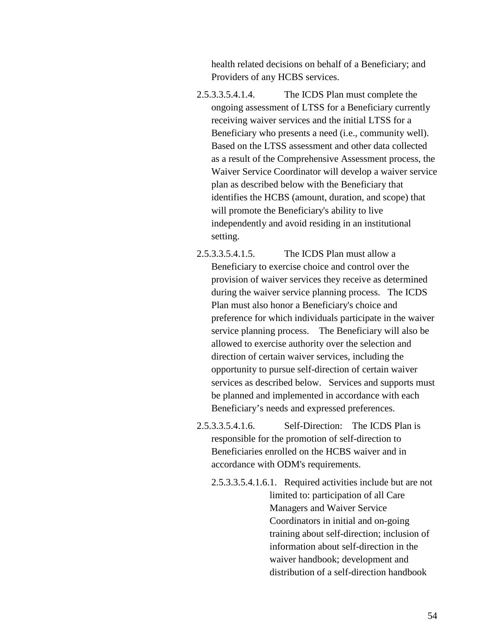health related decisions on behalf of a Beneficiary; and Providers of any HCBS services.

- 2.5.3.3.5.4.1.4. The ICDS Plan must complete the ongoing assessment of LTSS for a Beneficiary currently receiving waiver services and the initial LTSS for a Beneficiary who presents a need (i.e., community well). Based on the LTSS assessment and other data collected as a result of the Comprehensive Assessment process, the Waiver Service Coordinator will develop a waiver service plan as described below with the Beneficiary that identifies the HCBS (amount, duration, and scope) that will promote the Beneficiary's ability to live independently and avoid residing in an institutional setting.
- 2.5.3.3.5.4.1.5. The ICDS Plan must allow a Beneficiary to exercise choice and control over the provision of waiver services they receive as determined during the waiver service planning process. The ICDS Plan must also honor a Beneficiary's choice and preference for which individuals participate in the waiver service planning process. The Beneficiary will also be allowed to exercise authority over the selection and direction of certain waiver services, including the opportunity to pursue self-direction of certain waiver services as described below. Services and supports must be planned and implemented in accordance with each Beneficiary's needs and expressed preferences.
- 2.5.3.3.5.4.1.6. Self-Direction: The ICDS Plan is responsible for the promotion of self-direction to Beneficiaries enrolled on the HCBS waiver and in accordance with ODM's requirements.
	- 2.5.3.3.5.4.1.6.1. Required activities include but are not limited to: participation of all Care Managers and Waiver Service Coordinators in initial and on-going training about self-direction; inclusion of information about self-direction in the waiver handbook; development and distribution of a self-direction handbook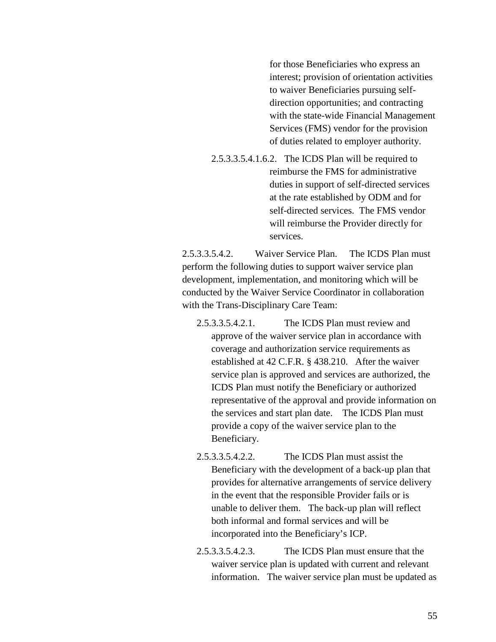for those Beneficiaries who express an interest; provision of orientation activities to waiver Beneficiaries pursuing selfdirection opportunities; and contracting with the state-wide Financial Management Services (FMS) vendor for the provision of duties related to employer authority.

2.5.3.3.5.4.1.6.2. The ICDS Plan will be required to reimburse the FMS for administrative duties in support of self-directed services at the rate established by ODM and for self-directed services. The FMS vendor will reimburse the Provider directly for services.

2.5.3.3.5.4.2. Waiver Service Plan. The ICDS Plan must perform the following duties to support waiver service plan development, implementation, and monitoring which will be conducted by the Waiver Service Coordinator in collaboration with the Trans-Disciplinary Care Team:

- 2.5.3.3.5.4.2.1. The ICDS Plan must review and approve of the waiver service plan in accordance with coverage and authorization service requirements as established at 42 C.F.R. § 438.210. After the waiver service plan is approved and services are authorized, the ICDS Plan must notify the Beneficiary or authorized representative of the approval and provide information on the services and start plan date. The ICDS Plan must provide a copy of the waiver service plan to the Beneficiary.
- 2.5.3.3.5.4.2.2. The ICDS Plan must assist the Beneficiary with the development of a back-up plan that provides for alternative arrangements of service delivery in the event that the responsible Provider fails or is unable to deliver them. The back-up plan will reflect both informal and formal services and will be incorporated into the Beneficiary's ICP.
- 2.5.3.3.5.4.2.3. The ICDS Plan must ensure that the waiver service plan is updated with current and relevant information. The waiver service plan must be updated as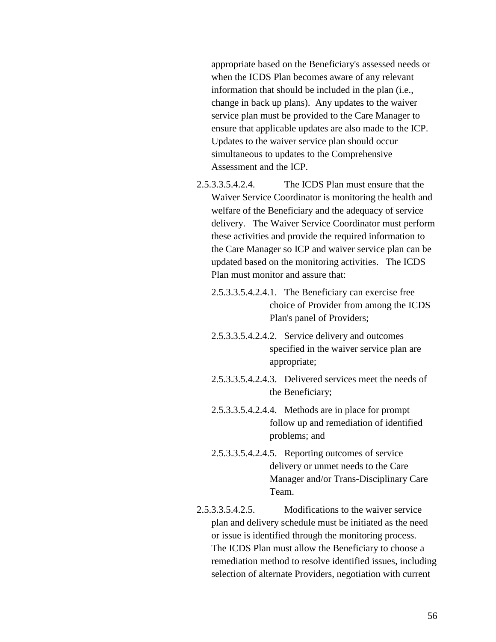appropriate based on the Beneficiary's assessed needs or when the ICDS Plan becomes aware of any relevant information that should be included in the plan (i.e., change in back up plans). Any updates to the waiver service plan must be provided to the Care Manager to ensure that applicable updates are also made to the ICP. Updates to the waiver service plan should occur simultaneous to updates to the Comprehensive Assessment and the ICP.

- 2.5.3.3.5.4.2.4. The ICDS Plan must ensure that the Waiver Service Coordinator is monitoring the health and welfare of the Beneficiary and the adequacy of service delivery. The Waiver Service Coordinator must perform these activities and provide the required information to the Care Manager so ICP and waiver service plan can be updated based on the monitoring activities. The ICDS Plan must monitor and assure that:
	- 2.5.3.3.5.4.2.4.1. The Beneficiary can exercise free choice of Provider from among the ICDS Plan's panel of Providers;
	- 2.5.3.3.5.4.2.4.2. Service delivery and outcomes specified in the waiver service plan are appropriate;
	- 2.5.3.3.5.4.2.4.3. Delivered services meet the needs of the Beneficiary;
	- 2.5.3.3.5.4.2.4.4. Methods are in place for prompt follow up and remediation of identified problems; and
	- 2.5.3.3.5.4.2.4.5. Reporting outcomes of service delivery or unmet needs to the Care Manager and/or Trans-Disciplinary Care Team.
- 2.5.3.3.5.4.2.5. Modifications to the waiver service plan and delivery schedule must be initiated as the need or issue is identified through the monitoring process. The ICDS Plan must allow the Beneficiary to choose a remediation method to resolve identified issues, including selection of alternate Providers, negotiation with current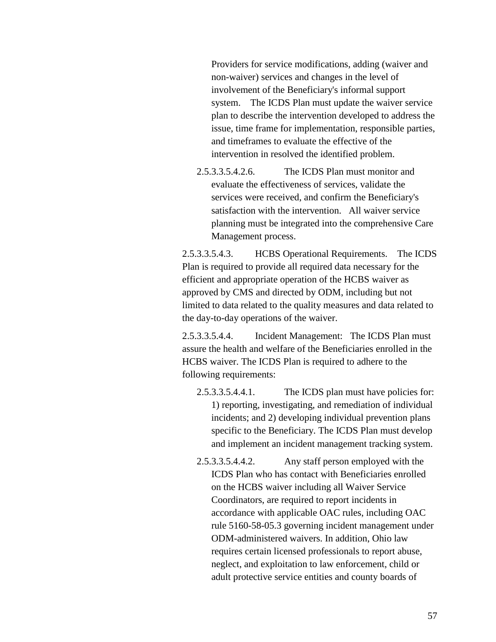Providers for service modifications, adding (waiver and non-waiver) services and changes in the level of involvement of the Beneficiary's informal support system. The ICDS Plan must update the waiver service plan to describe the intervention developed to address the issue, time frame for implementation, responsible parties, and timeframes to evaluate the effective of the intervention in resolved the identified problem.

2.5.3.3.5.4.2.6. The ICDS Plan must monitor and evaluate the effectiveness of services, validate the services were received, and confirm the Beneficiary's satisfaction with the intervention. All waiver service planning must be integrated into the comprehensive Care Management process.

2.5.3.3.5.4.3. HCBS Operational Requirements. The ICDS Plan is required to provide all required data necessary for the efficient and appropriate operation of the HCBS waiver as approved by CMS and directed by ODM, including but not limited to data related to the quality measures and data related to the day-to-day operations of the waiver.

2.5.3.3.5.4.4. Incident Management: The ICDS Plan must assure the health and welfare of the Beneficiaries enrolled in the HCBS waiver. The ICDS Plan is required to adhere to the following requirements:

- 2.5.3.3.5.4.4.1. The ICDS plan must have policies for: 1) reporting, investigating, and remediation of individual incidents; and 2) developing individual prevention plans specific to the Beneficiary. The ICDS Plan must develop and implement an incident management tracking system.
- 2.5.3.3.5.4.4.2. Any staff person employed with the ICDS Plan who has contact with Beneficiaries enrolled on the HCBS waiver including all Waiver Service Coordinators, are required to report incidents in accordance with applicable OAC rules, including OAC rule 5160-58-05.3 governing incident management under ODM-administered waivers. In addition, Ohio law requires certain licensed professionals to report abuse, neglect, and exploitation to law enforcement, child or adult protective service entities and county boards of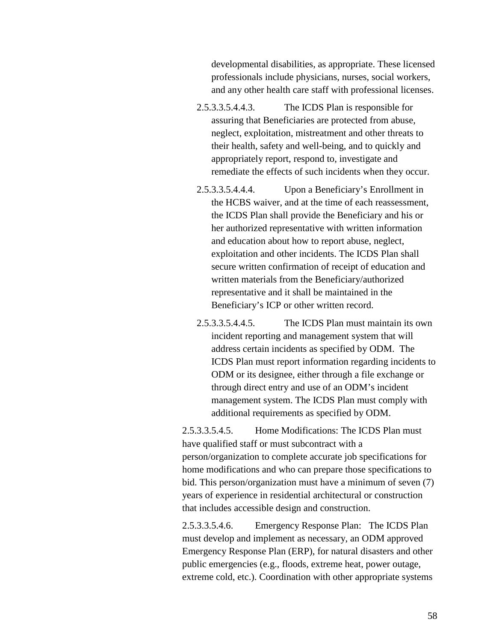developmental disabilities, as appropriate. These licensed professionals include physicians, nurses, social workers, and any other health care staff with professional licenses.

- 2.5.3.3.5.4.4.3. The ICDS Plan is responsible for assuring that Beneficiaries are protected from abuse, neglect, exploitation, mistreatment and other threats to their health, safety and well-being, and to quickly and appropriately report, respond to, investigate and remediate the effects of such incidents when they occur.
- 2.5.3.3.5.4.4.4. Upon a Beneficiary's Enrollment in the HCBS waiver, and at the time of each reassessment, the ICDS Plan shall provide the Beneficiary and his or her authorized representative with written information and education about how to report abuse, neglect, exploitation and other incidents. The ICDS Plan shall secure written confirmation of receipt of education and written materials from the Beneficiary/authorized representative and it shall be maintained in the Beneficiary's ICP or other written record.
- 2.5.3.3.5.4.4.5. The ICDS Plan must maintain its own incident reporting and management system that will address certain incidents as specified by ODM. The ICDS Plan must report information regarding incidents to ODM or its designee, either through a file exchange or through direct entry and use of an ODM's incident management system. The ICDS Plan must comply with additional requirements as specified by ODM.

2.5.3.3.5.4.5. Home Modifications: The ICDS Plan must have qualified staff or must subcontract with a person/organization to complete accurate job specifications for home modifications and who can prepare those specifications to bid. This person/organization must have a minimum of seven (7) years of experience in residential architectural or construction that includes accessible design and construction.

2.5.3.3.5.4.6. Emergency Response Plan: The ICDS Plan must develop and implement as necessary, an ODM approved Emergency Response Plan (ERP), for natural disasters and other public emergencies (e.g., floods, extreme heat, power outage, extreme cold, etc.). Coordination with other appropriate systems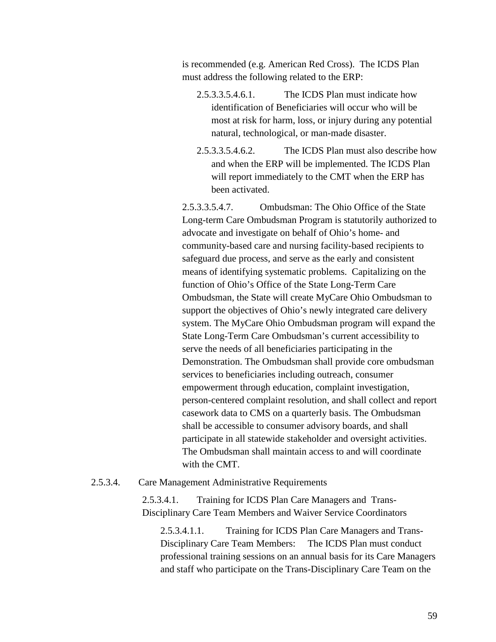is recommended (e.g. American Red Cross). The ICDS Plan must address the following related to the ERP:

- 2.5.3.3.5.4.6.1. The ICDS Plan must indicate how identification of Beneficiaries will occur who will be most at risk for harm, loss, or injury during any potential natural, technological, or man-made disaster.
- 2.5.3.3.5.4.6.2. The ICDS Plan must also describe how and when the ERP will be implemented. The ICDS Plan will report immediately to the CMT when the ERP has been activated.

2.5.3.3.5.4.7. Ombudsman: The Ohio Office of the State Long-term Care Ombudsman Program is statutorily authorized to advocate and investigate on behalf of Ohio's home- and community-based care and nursing facility-based recipients to safeguard due process, and serve as the early and consistent means of identifying systematic problems. Capitalizing on the function of Ohio's Office of the State Long-Term Care Ombudsman, the State will create MyCare Ohio Ombudsman to support the objectives of Ohio's newly integrated care delivery system. The MyCare Ohio Ombudsman program will expand the State Long-Term Care Ombudsman's current accessibility to serve the needs of all beneficiaries participating in the Demonstration. The Ombudsman shall provide core ombudsman services to beneficiaries including outreach, consumer empowerment through education, complaint investigation, person-centered complaint resolution, and shall collect and report casework data to CMS on a quarterly basis. The Ombudsman shall be accessible to consumer advisory boards, and shall participate in all statewide stakeholder and oversight activities. The Ombudsman shall maintain access to and will coordinate with the CMT.

#### 2.5.3.4. Care Management Administrative Requirements

2.5.3.4.1. Training for ICDS Plan Care Managers and Trans-Disciplinary Care Team Members and Waiver Service Coordinators

2.5.3.4.1.1. Training for ICDS Plan Care Managers and Trans-Disciplinary Care Team Members: The ICDS Plan must conduct professional training sessions on an annual basis for its Care Managers and staff who participate on the Trans-Disciplinary Care Team on the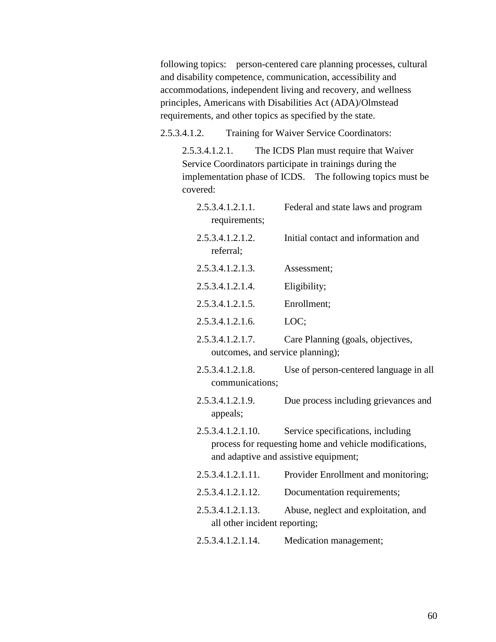following topics: person-centered care planning processes, cultural and disability competence, communication, accessibility and accommodations, independent living and recovery, and wellness principles, Americans with Disabilities Act (ADA)/Olmstead requirements, and other topics as specified by the state.

2.5.3.4.1.2. Training for Waiver Service Coordinators:

2.5.3.4.1.2.1. The ICDS Plan must require that Waiver Service Coordinators participate in trainings during the implementation phase of ICDS. The following topics must be covered:

| 2.5.3.4.1.2.1.1.<br>requirements;                    | Federal and state laws and program                                                                                                   |
|------------------------------------------------------|--------------------------------------------------------------------------------------------------------------------------------------|
| 2.5.3.4.1.2.1.2.<br>referral;                        | Initial contact and information and                                                                                                  |
| 2.5.3.4.1.2.1.3.                                     | Assessment;                                                                                                                          |
| 2.5.3.4.1.2.1.4.                                     | Eligibility;                                                                                                                         |
| 2.5.3.4.1.2.1.5.                                     | Enrollment;                                                                                                                          |
| 2.5.3.4.1.2.1.6.                                     | LOC;                                                                                                                                 |
| 2.5.3.4.1.2.1.7.<br>outcomes, and service planning); | Care Planning (goals, objectives,                                                                                                    |
| 2.5.3.4.1.2.1.8.<br>communications;                  | Use of person-centered language in all                                                                                               |
| 2.5.3.4.1.2.1.9.<br>appeals;                         | Due process including grievances and                                                                                                 |
| 2.5.3.4.1.2.1.10.                                    | Service specifications, including<br>process for requesting home and vehicle modifications,<br>and adaptive and assistive equipment; |
| 2.5.3.4.1.2.1.11.                                    | Provider Enrollment and monitoring;                                                                                                  |
| 2.5.3.4.1.2.1.12.                                    | Documentation requirements;                                                                                                          |
| 2.5.3.4.1.2.1.13.<br>all other incident reporting;   | Abuse, neglect and exploitation, and                                                                                                 |
| 2.5.3.4.1.2.1.14.                                    | Medication management;                                                                                                               |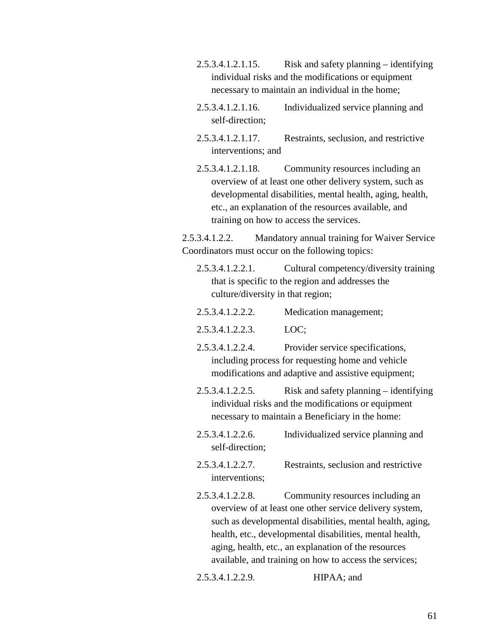- 2.5.3.4.1.2.1.15. Risk and safety planning identifying individual risks and the modifications or equipment necessary to maintain an individual in the home;
- 2.5.3.4.1.2.1.16. Individualized service planning and self-direction;
- 2.5.3.4.1.2.1.17. Restraints, seclusion, and restrictive interventions; and
- 2.5.3.4.1.2.1.18. Community resources including an overview of at least one other delivery system, such as developmental disabilities, mental health, aging, health, etc., an explanation of the resources available, and training on how to access the services.

2.5.3.4.1.2.2. Mandatory annual training for Waiver Service Coordinators must occur on the following topics:

- 2.5.3.4.1.2.2.1. Cultural competency/diversity training that is specific to the region and addresses the culture/diversity in that region;
- 2.5.3.4.1.2.2.2. Medication management;
- 2.5.3.4.1.2.2.3. LOC;
- 2.5.3.4.1.2.2.4. Provider service specifications, including process for requesting home and vehicle modifications and adaptive and assistive equipment;
- 2.5.3.4.1.2.2.5. Risk and safety planning identifying individual risks and the modifications or equipment necessary to maintain a Beneficiary in the home:
- 2.5.3.4.1.2.2.6. Individualized service planning and self-direction;
- 2.5.3.4.1.2.2.7. Restraints, seclusion and restrictive interventions;
- 2.5.3.4.1.2.2.8. Community resources including an overview of at least one other service delivery system, such as developmental disabilities, mental health, aging, health, etc., developmental disabilities, mental health, aging, health, etc., an explanation of the resources available, and training on how to access the services;

2.5.3.4.1.2.2.9. HIPAA; and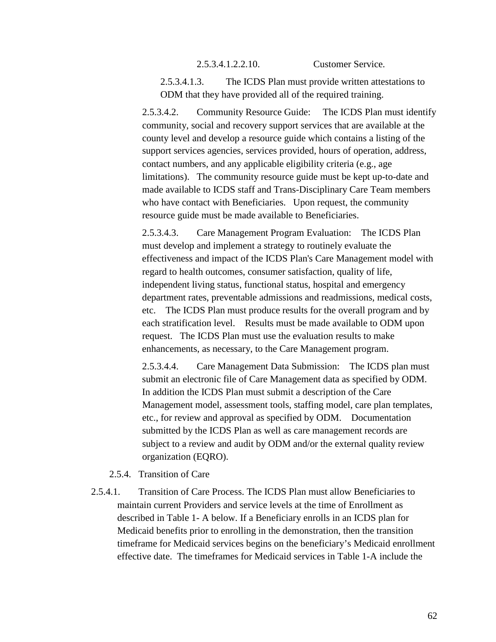2.5.3.4.1.2.2.10. Customer Service.

2.5.3.4.1.3. The ICDS Plan must provide written attestations to ODM that they have provided all of the required training.

2.5.3.4.2. Community Resource Guide: The ICDS Plan must identify community, social and recovery support services that are available at the county level and develop a resource guide which contains a listing of the support services agencies, services provided, hours of operation, address, contact numbers, and any applicable eligibility criteria (e.g., age limitations). The community resource guide must be kept up-to-date and made available to ICDS staff and Trans-Disciplinary Care Team members who have contact with Beneficiaries. Upon request, the community resource guide must be made available to Beneficiaries.

2.5.3.4.3. Care Management Program Evaluation: The ICDS Plan must develop and implement a strategy to routinely evaluate the effectiveness and impact of the ICDS Plan's Care Management model with regard to health outcomes, consumer satisfaction, quality of life, independent living status, functional status, hospital and emergency department rates, preventable admissions and readmissions, medical costs, etc. The ICDS Plan must produce results for the overall program and by each stratification level. Results must be made available to ODM upon request. The ICDS Plan must use the evaluation results to make enhancements, as necessary, to the Care Management program.

2.5.3.4.4. Care Management Data Submission: The ICDS plan must submit an electronic file of Care Management data as specified by ODM. In addition the ICDS Plan must submit a description of the Care Management model, assessment tools, staffing model, care plan templates, etc., for review and approval as specified by ODM. Documentation submitted by the ICDS Plan as well as care management records are subject to a review and audit by ODM and/or the external quality review organization (EQRO).

### 2.5.4. Transition of Care

2.5.4.1. Transition of Care Process. The ICDS Plan must allow Beneficiaries to maintain current Providers and service levels at the time of Enrollment as described in Table 1- A below. If a Beneficiary enrolls in an ICDS plan for Medicaid benefits prior to enrolling in the demonstration, then the transition timeframe for Medicaid services begins on the beneficiary's Medicaid enrollment effective date. The timeframes for Medicaid services in Table 1-A include the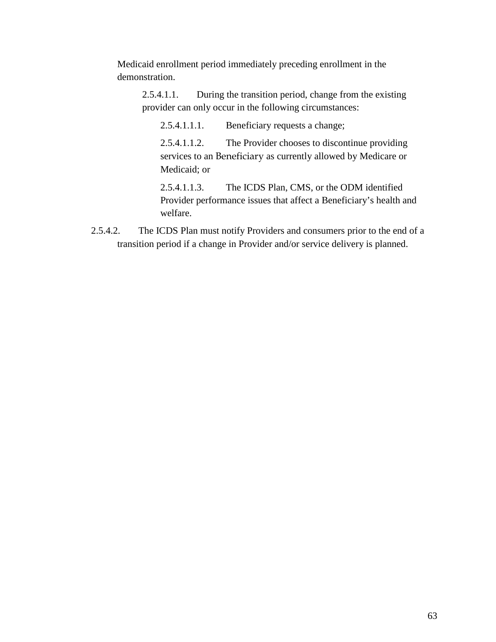Medicaid enrollment period immediately preceding enrollment in the demonstration.

2.5.4.1.1. During the transition period, change from the existing provider can only occur in the following circumstances:

2.5.4.1.1.1. Beneficiary requests a change;

2.5.4.1.1.2. The Provider chooses to discontinue providing services to an Beneficiary as currently allowed by Medicare or Medicaid; or

2.5.4.1.1.3. The ICDS Plan, CMS, or the ODM identified Provider performance issues that affect a Beneficiary's health and welfare.

2.5.4.2. The ICDS Plan must notify Providers and consumers prior to the end of a transition period if a change in Provider and/or service delivery is planned.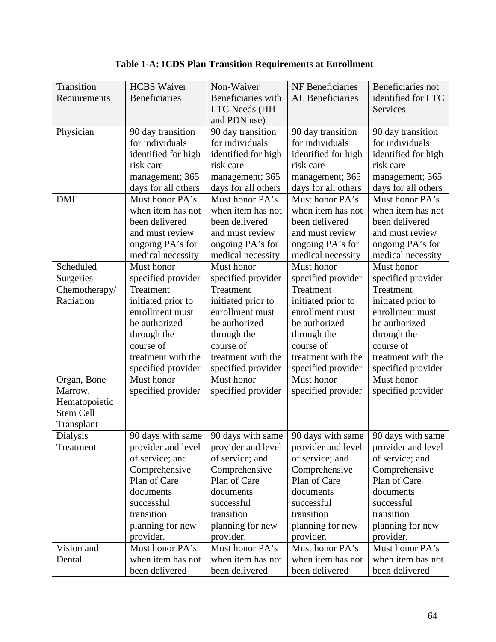|  |  | <b>Table 1-A: ICDS Plan Transition Requirements at Enrollment</b> |
|--|--|-------------------------------------------------------------------|
|--|--|-------------------------------------------------------------------|

| Transition      | <b>HCBS</b> Waiver            | Non-Waiver                    | NF Beneficiaries              | Beneficiaries not             |
|-----------------|-------------------------------|-------------------------------|-------------------------------|-------------------------------|
| Requirements    | Beneficiaries                 | Beneficiaries with            | AL Beneficiaries              | identified for LTC            |
|                 |                               | LTC Needs (HH                 |                               | Services                      |
|                 |                               | and PDN use)                  |                               |                               |
| Physician       | 90 day transition             | 90 day transition             | 90 day transition             | 90 day transition             |
|                 | for individuals               | for individuals               | for individuals               | for individuals               |
|                 | identified for high           | identified for high           | identified for high           | identified for high           |
|                 | risk care                     | risk care                     | risk care                     | risk care                     |
|                 | management; 365               | management; 365               | management; 365               | management; 365               |
|                 | days for all others           | days for all others           | days for all others           | days for all others           |
| <b>DME</b>      | Must honor PA's               | Must honor PA's               | Must honor PA's               | Must honor PA's               |
|                 | when item has not             | when item has not             | when item has not             | when item has not             |
|                 | been delivered                | been delivered                | been delivered                | been delivered                |
|                 | and must review               | and must review               | and must review               | and must review               |
|                 | ongoing PA's for              | ongoing PA's for              | ongoing PA's for              | ongoing PA's for              |
|                 | medical necessity             | medical necessity             | medical necessity             | medical necessity             |
| Scheduled       | Must honor                    | Must honor                    | Must honor                    | Must honor                    |
| Surgeries       | specified provider            | specified provider            | specified provider            | specified provider            |
| Chemotherapy/   | Treatment                     | Treatment                     | Treatment                     | Treatment                     |
| Radiation       | initiated prior to            | initiated prior to            | initiated prior to            | initiated prior to            |
|                 | enrollment must               | enrollment must               | enrollment must               | enrollment must               |
|                 | be authorized                 | be authorized                 | be authorized                 | be authorized                 |
|                 | through the                   | through the                   | through the                   | through the                   |
|                 | course of                     | course of                     | course of                     | course of                     |
|                 | treatment with the            | treatment with the            | treatment with the            | treatment with the            |
|                 | specified provider            | specified provider            | specified provider            | specified provider            |
| Organ, Bone     | Must honor                    | Must honor                    | Must honor                    | Must honor                    |
| Marrow,         | specified provider            | specified provider            | specified provider            | specified provider            |
| Hematopoietic   |                               |                               |                               |                               |
| Stem Cell       |                               |                               |                               |                               |
| Transplant      |                               |                               |                               |                               |
| <b>Dialysis</b> | 90 days with same             | 90 days with same             | 90 days with same             | 90 days with same             |
| Treatment       | provider and level            | provider and level            | provider and level            | provider and level            |
|                 | of service; and               | of service; and               | of service; and               | of service; and               |
|                 | Comprehensive                 | Comprehensive                 | Comprehensive                 | Comprehensive                 |
|                 | Plan of Care                  | Plan of Care                  | Plan of Care                  | Plan of Care                  |
|                 | documents                     | documents                     | documents                     | documents                     |
|                 | successful                    | successful<br>transition      | successful<br>transition      | successful<br>transition      |
|                 | transition                    |                               |                               |                               |
|                 | planning for new<br>provider. | planning for new<br>provider. | planning for new<br>provider. | planning for new<br>provider. |
| Vision and      | Must honor PA's               | Must honor PA's               | Must honor PA's               | Must honor PA's               |
| Dental          | when item has not             | when item has not             | when item has not             | when item has not             |
|                 |                               |                               |                               |                               |
|                 | been delivered                | been delivered                | been delivered                | been delivered                |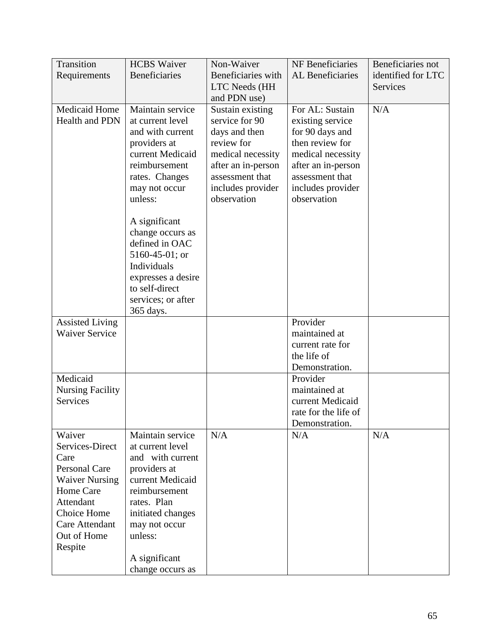| Transition              | <b>HCBS</b> Waiver                   | Non-Waiver                  | NF Beneficiaries                   | Beneficiaries not  |
|-------------------------|--------------------------------------|-----------------------------|------------------------------------|--------------------|
| Requirements            | <b>Beneficiaries</b>                 | Beneficiaries with          | AL Beneficiaries                   | identified for LTC |
|                         |                                      | <b>LTC</b> Needs (HH        |                                    | Services           |
|                         |                                      | and PDN use)                |                                    |                    |
| Medicaid Home           | Maintain service                     | Sustain existing            | For AL: Sustain                    | N/A                |
| Health and PDN          | at current level                     | service for 90              | existing service                   |                    |
|                         | and with current                     | days and then<br>review for | for 90 days and<br>then review for |                    |
|                         | providers at<br>current Medicaid     | medical necessity           | medical necessity                  |                    |
|                         | reimbursement                        | after an in-person          | after an in-person                 |                    |
|                         | rates. Changes                       | assessment that             | assessment that                    |                    |
|                         | may not occur                        | includes provider           | includes provider                  |                    |
|                         | unless:                              | observation                 | observation                        |                    |
|                         |                                      |                             |                                    |                    |
|                         | A significant                        |                             |                                    |                    |
|                         | change occurs as                     |                             |                                    |                    |
|                         | defined in OAC                       |                             |                                    |                    |
|                         | 5160-45-01; or                       |                             |                                    |                    |
|                         | Individuals                          |                             |                                    |                    |
|                         | expresses a desire<br>to self-direct |                             |                                    |                    |
|                         | services; or after                   |                             |                                    |                    |
|                         | 365 days.                            |                             |                                    |                    |
| <b>Assisted Living</b>  |                                      |                             | Provider                           |                    |
| <b>Waiver Service</b>   |                                      |                             | maintained at                      |                    |
|                         |                                      |                             | current rate for                   |                    |
|                         |                                      |                             | the life of                        |                    |
|                         |                                      |                             | Demonstration.                     |                    |
| Medicaid                |                                      |                             | Provider                           |                    |
| <b>Nursing Facility</b> |                                      |                             | maintained at                      |                    |
| Services                |                                      |                             | current Medicaid                   |                    |
|                         |                                      |                             | rate for the life of               |                    |
| Waiver                  | Maintain service                     | N/A                         | Demonstration.<br>N/A              | N/A                |
| Services-Direct         | at current level                     |                             |                                    |                    |
| Care                    | and with current                     |                             |                                    |                    |
| Personal Care           | providers at                         |                             |                                    |                    |
| <b>Waiver Nursing</b>   | current Medicaid                     |                             |                                    |                    |
| Home Care               | reimbursement                        |                             |                                    |                    |
| Attendant               | rates. Plan                          |                             |                                    |                    |
| Choice Home             | initiated changes                    |                             |                                    |                    |
| Care Attendant          | may not occur                        |                             |                                    |                    |
| Out of Home             | unless:                              |                             |                                    |                    |
| Respite                 |                                      |                             |                                    |                    |
|                         | A significant                        |                             |                                    |                    |
|                         | change occurs as                     |                             |                                    |                    |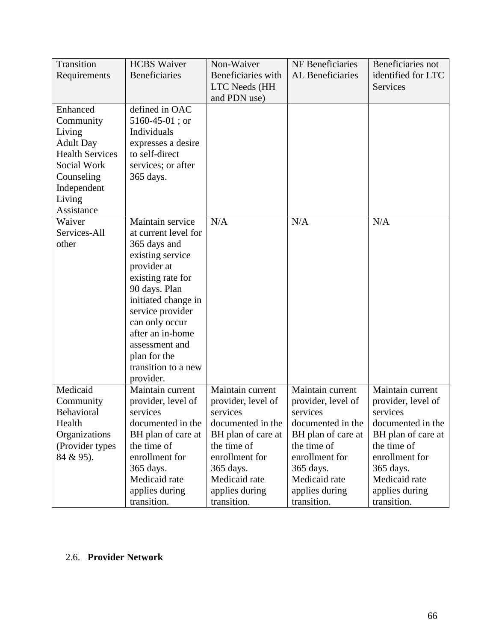| Transition             | <b>HCBS</b> Waiver    | Non-Waiver         | NF Beneficiaries   | Beneficiaries not  |
|------------------------|-----------------------|--------------------|--------------------|--------------------|
| Requirements           | <b>Beneficiaries</b>  | Beneficiaries with | AL Beneficiaries   | identified for LTC |
|                        |                       | LTC Needs (HH      |                    | <b>Services</b>    |
|                        |                       | and PDN use)       |                    |                    |
| Enhanced               | defined in OAC        |                    |                    |                    |
| Community              | $5160 - 45 - 01$ ; or |                    |                    |                    |
| Living                 | Individuals           |                    |                    |                    |
| <b>Adult Day</b>       | expresses a desire    |                    |                    |                    |
| <b>Health Services</b> | to self-direct        |                    |                    |                    |
| <b>Social Work</b>     | services; or after    |                    |                    |                    |
| Counseling             | 365 days.             |                    |                    |                    |
| Independent            |                       |                    |                    |                    |
| Living                 |                       |                    |                    |                    |
| Assistance             |                       |                    |                    |                    |
| Waiver                 | Maintain service      | N/A                | N/A                | N/A                |
| Services-All           | at current level for  |                    |                    |                    |
| other                  | 365 days and          |                    |                    |                    |
|                        | existing service      |                    |                    |                    |
|                        | provider at           |                    |                    |                    |
|                        | existing rate for     |                    |                    |                    |
|                        | 90 days. Plan         |                    |                    |                    |
|                        | initiated change in   |                    |                    |                    |
|                        | service provider      |                    |                    |                    |
|                        | can only occur        |                    |                    |                    |
|                        | after an in-home      |                    |                    |                    |
|                        | assessment and        |                    |                    |                    |
|                        | plan for the          |                    |                    |                    |
|                        | transition to a new   |                    |                    |                    |
|                        | provider.             |                    |                    |                    |
| Medicaid               | Maintain current      | Maintain current   | Maintain current   | Maintain current   |
| Community              | provider, level of    | provider, level of | provider, level of | provider, level of |
| Behavioral             | services              | services           | services           | services           |
| Health                 | documented in the     | documented in the  | documented in the  | documented in the  |
| Organizations          | BH plan of care at    | BH plan of care at | BH plan of care at | BH plan of care at |
| (Provider types        | the time of           | the time of        | the time of        | the time of        |
| 84 & 95).              | enrollment for        | enrollment for     | enrollment for     | enrollment for     |
|                        | 365 days.             | 365 days.          | 365 days.          | 365 days.          |
|                        | Medicaid rate         | Medicaid rate      | Medicaid rate      | Medicaid rate      |
|                        | applies during        | applies during     | applies during     | applies during     |
|                        | transition.           | transition.        | transition.        | transition.        |

# 2.6. **Provider Network**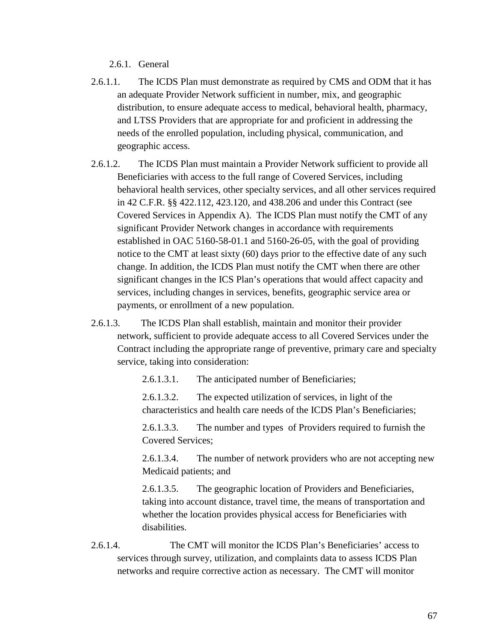#### 2.6.1. General

- 2.6.1.1. The ICDS Plan must demonstrate as required by CMS and ODM that it has an adequate Provider Network sufficient in number, mix, and geographic distribution, to ensure adequate access to medical, behavioral health, pharmacy, and LTSS Providers that are appropriate for and proficient in addressing the needs of the enrolled population, including physical, communication, and geographic access.
- 2.6.1.2. The ICDS Plan must maintain a Provider Network sufficient to provide all Beneficiaries with access to the full range of Covered Services, including behavioral health services, other specialty services, and all other services required in 42 C.F.R. §§ 422.112, 423.120, and 438.206 and under this Contract (see Covered Services in Appendix A). The ICDS Plan must notify the CMT of any significant Provider Network changes in accordance with requirements established in OAC 5160-58-01.1 and 5160-26-05, with the goal of providing notice to the CMT at least sixty (60) days prior to the effective date of any such change. In addition, the ICDS Plan must notify the CMT when there are other significant changes in the ICS Plan's operations that would affect capacity and services, including changes in services, benefits, geographic service area or payments, or enrollment of a new population.
- 2.6.1.3. The ICDS Plan shall establish, maintain and monitor their provider network, sufficient to provide adequate access to all Covered Services under the Contract including the appropriate range of preventive, primary care and specialty service, taking into consideration:
	- 2.6.1.3.1. The anticipated number of Beneficiaries;

2.6.1.3.2. The expected utilization of services, in light of the characteristics and health care needs of the ICDS Plan's Beneficiaries;

2.6.1.3.3. The number and types of Providers required to furnish the Covered Services;

2.6.1.3.4. The number of network providers who are not accepting new Medicaid patients; and

2.6.1.3.5. The geographic location of Providers and Beneficiaries, taking into account distance, travel time, the means of transportation and whether the location provides physical access for Beneficiaries with disabilities.

2.6.1.4. The CMT will monitor the ICDS Plan's Beneficiaries' access to services through survey, utilization, and complaints data to assess ICDS Plan networks and require corrective action as necessary. The CMT will monitor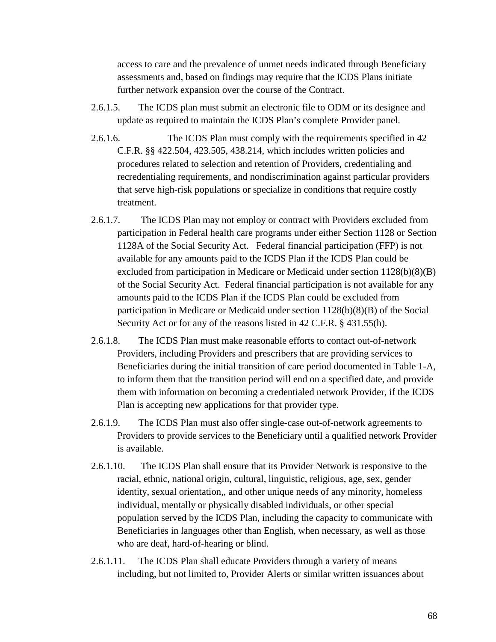access to care and the prevalence of unmet needs indicated through Beneficiary assessments and, based on findings may require that the ICDS Plans initiate further network expansion over the course of the Contract.

- 2.6.1.5. The ICDS plan must submit an electronic file to ODM or its designee and update as required to maintain the ICDS Plan's complete Provider panel.
- 2.6.1.6. The ICDS Plan must comply with the requirements specified in 42 C.F.R. §§ 422.504, 423.505, 438.214, which includes written policies and procedures related to selection and retention of Providers, credentialing and recredentialing requirements, and nondiscrimination against particular providers that serve high-risk populations or specialize in conditions that require costly treatment.
- 2.6.1.7. The ICDS Plan may not employ or contract with Providers excluded from participation in Federal health care programs under either Section 1128 or Section 1128A of the Social Security Act. Federal financial participation (FFP) is not available for any amounts paid to the ICDS Plan if the ICDS Plan could be excluded from participation in Medicare or Medicaid under section 1128(b)(8)(B) of the Social Security Act. Federal financial participation is not available for any amounts paid to the ICDS Plan if the ICDS Plan could be excluded from participation in Medicare or Medicaid under section 1128(b)(8)(B) of the Social Security Act or for any of the reasons listed in 42 C.F.R. § 431.55(h).
- 2.6.1.8. The ICDS Plan must make reasonable efforts to contact out-of-network Providers, including Providers and prescribers that are providing services to Beneficiaries during the initial transition of care period documented in Table 1-A, to inform them that the transition period will end on a specified date, and provide them with information on becoming a credentialed network Provider, if the ICDS Plan is accepting new applications for that provider type.
- 2.6.1.9. The ICDS Plan must also offer single-case out-of-network agreements to Providers to provide services to the Beneficiary until a qualified network Provider is available.
- 2.6.1.10. The ICDS Plan shall ensure that its Provider Network is responsive to the racial, ethnic, national origin, cultural, linguistic, religious, age, sex, gender identity, sexual orientation,, and other unique needs of any minority, homeless individual, mentally or physically disabled individuals, or other special population served by the ICDS Plan, including the capacity to communicate with Beneficiaries in languages other than English, when necessary, as well as those who are deaf, hard-of-hearing or blind.
- 2.6.1.11. The ICDS Plan shall educate Providers through a variety of means including, but not limited to, Provider Alerts or similar written issuances about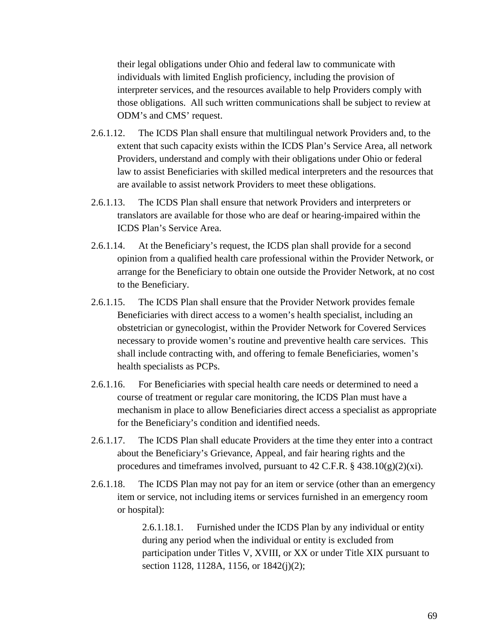their legal obligations under Ohio and federal law to communicate with individuals with limited English proficiency, including the provision of interpreter services, and the resources available to help Providers comply with those obligations. All such written communications shall be subject to review at ODM's and CMS' request.

- 2.6.1.12. The ICDS Plan shall ensure that multilingual network Providers and, to the extent that such capacity exists within the ICDS Plan's Service Area, all network Providers, understand and comply with their obligations under Ohio or federal law to assist Beneficiaries with skilled medical interpreters and the resources that are available to assist network Providers to meet these obligations.
- 2.6.1.13. The ICDS Plan shall ensure that network Providers and interpreters or translators are available for those who are deaf or hearing-impaired within the ICDS Plan's Service Area.
- 2.6.1.14. At the Beneficiary's request, the ICDS plan shall provide for a second opinion from a qualified health care professional within the Provider Network, or arrange for the Beneficiary to obtain one outside the Provider Network, at no cost to the Beneficiary.
- 2.6.1.15. The ICDS Plan shall ensure that the Provider Network provides female Beneficiaries with direct access to a women's health specialist, including an obstetrician or gynecologist, within the Provider Network for Covered Services necessary to provide women's routine and preventive health care services. This shall include contracting with, and offering to female Beneficiaries, women's health specialists as PCPs.
- 2.6.1.16. For Beneficiaries with special health care needs or determined to need a course of treatment or regular care monitoring, the ICDS Plan must have a mechanism in place to allow Beneficiaries direct access a specialist as appropriate for the Beneficiary's condition and identified needs.
- 2.6.1.17. The ICDS Plan shall educate Providers at the time they enter into a contract about the Beneficiary's Grievance, Appeal, and fair hearing rights and the procedures and timeframes involved, pursuant to  $42$  C.F.R. §  $438.10(g)(2)(xi)$ .
- 2.6.1.18. The ICDS Plan may not pay for an item or service (other than an emergency item or service, not including items or services furnished in an emergency room or hospital):

2.6.1.18.1. Furnished under the ICDS Plan by any individual or entity during any period when the individual or entity is excluded from participation under Titles V, XVIII, or XX or under Title XIX pursuant to section 1128, 1128A, 1156, or 1842(j)(2);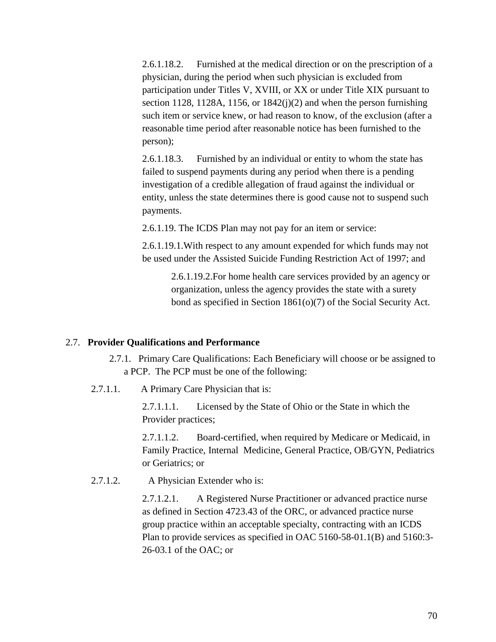2.6.1.18.2. Furnished at the medical direction or on the prescription of a physician, during the period when such physician is excluded from participation under Titles V, XVIII, or XX or under Title XIX pursuant to section 1128, 1128A, 1156, or  $1842(i)(2)$  and when the person furnishing such item or service knew, or had reason to know, of the exclusion (after a reasonable time period after reasonable notice has been furnished to the person);

2.6.1.18.3. Furnished by an individual or entity to whom the state has failed to suspend payments during any period when there is a pending investigation of a credible allegation of fraud against the individual or entity, unless the state determines there is good cause not to suspend such payments.

2.6.1.19. The ICDS Plan may not pay for an item or service:

2.6.1.19.1.With respect to any amount expended for which funds may not be used under the Assisted Suicide Funding Restriction Act of 1997; and

2.6.1.19.2.For home health care services provided by an agency or organization, unless the agency provides the state with a surety bond as specified in Section 1861(o)(7) of the Social Security Act.

#### 2.7. **Provider Qualifications and Performance**

- 2.7.1. Primary Care Qualifications: Each Beneficiary will choose or be assigned to a PCP. The PCP must be one of the following:
- 2.7.1.1. A Primary Care Physician that is:

2.7.1.1.1. Licensed by the State of Ohio or the State in which the Provider practices;

2.7.1.1.2. Board-certified, when required by Medicare or Medicaid, in Family Practice, Internal Medicine, General Practice, OB/GYN, Pediatrics or Geriatrics; or

2.7.1.2. A Physician Extender who is:

2.7.1.2.1. A Registered Nurse Practitioner or advanced practice nurse as defined in Section 4723.43 of the ORC, or advanced practice nurse group practice within an acceptable specialty, contracting with an ICDS Plan to provide services as specified in OAC 5160-58-01.1(B) and 5160:3- 26-03.1 of the OAC; or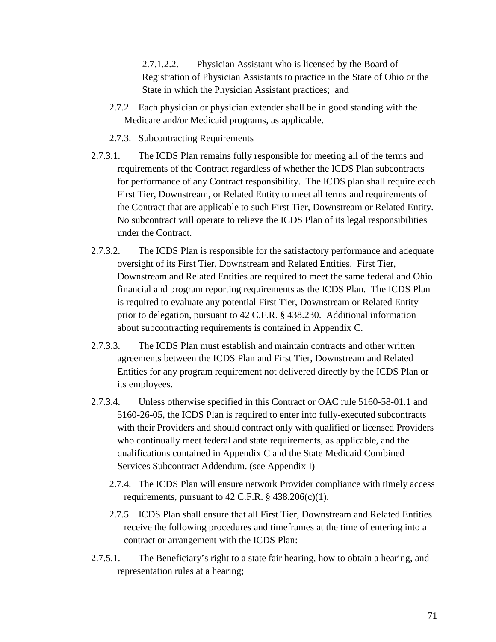2.7.1.2.2. Physician Assistant who is licensed by the Board of Registration of Physician Assistants to practice in the State of Ohio or the State in which the Physician Assistant practices; and

- 2.7.2. Each physician or physician extender shall be in good standing with the Medicare and/or Medicaid programs, as applicable.
- 2.7.3. Subcontracting Requirements
- 2.7.3.1. The ICDS Plan remains fully responsible for meeting all of the terms and requirements of the Contract regardless of whether the ICDS Plan subcontracts for performance of any Contract responsibility. The ICDS plan shall require each First Tier, Downstream, or Related Entity to meet all terms and requirements of the Contract that are applicable to such First Tier, Downstream or Related Entity. No subcontract will operate to relieve the ICDS Plan of its legal responsibilities under the Contract.
- 2.7.3.2. The ICDS Plan is responsible for the satisfactory performance and adequate oversight of its First Tier, Downstream and Related Entities. First Tier, Downstream and Related Entities are required to meet the same federal and Ohio financial and program reporting requirements as the ICDS Plan. The ICDS Plan is required to evaluate any potential First Tier, Downstream or Related Entity prior to delegation, pursuant to 42 C.F.R. § 438.230. Additional information about subcontracting requirements is contained in Appendix C.
- 2.7.3.3. The ICDS Plan must establish and maintain contracts and other written agreements between the ICDS Plan and First Tier, Downstream and Related Entities for any program requirement not delivered directly by the ICDS Plan or its employees.
- 2.7.3.4. Unless otherwise specified in this Contract or OAC rule 5160-58-01.1 and 5160-26-05, the ICDS Plan is required to enter into fully-executed subcontracts with their Providers and should contract only with qualified or licensed Providers who continually meet federal and state requirements, as applicable, and the qualifications contained in Appendix C and the State Medicaid Combined Services Subcontract Addendum. (see Appendix I)
	- 2.7.4. The ICDS Plan will ensure network Provider compliance with timely access requirements, pursuant to  $42$  C.F.R.  $\S$   $438.206(c)(1)$ .
	- 2.7.5. ICDS Plan shall ensure that all First Tier, Downstream and Related Entities receive the following procedures and timeframes at the time of entering into a contract or arrangement with the ICDS Plan:
- 2.7.5.1. The Beneficiary's right to a state fair hearing, how to obtain a hearing, and representation rules at a hearing;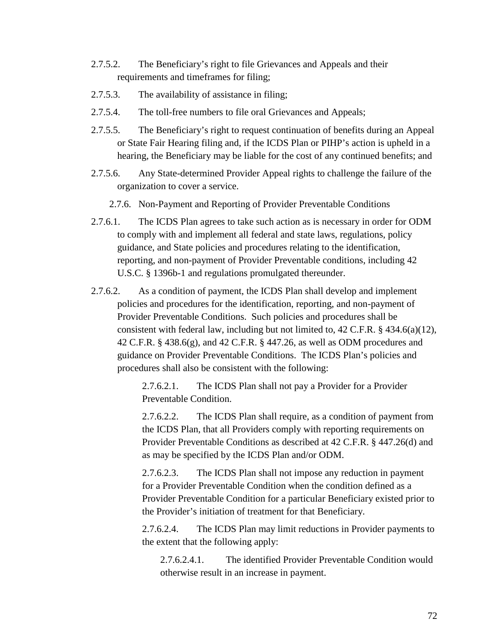- 2.7.5.2. The Beneficiary's right to file Grievances and Appeals and their requirements and timeframes for filing;
- 2.7.5.3. The availability of assistance in filing;
- 2.7.5.4. The toll-free numbers to file oral Grievances and Appeals;
- 2.7.5.5. The Beneficiary's right to request continuation of benefits during an Appeal or State Fair Hearing filing and, if the ICDS Plan or PIHP's action is upheld in a hearing, the Beneficiary may be liable for the cost of any continued benefits; and
- 2.7.5.6. Any State-determined Provider Appeal rights to challenge the failure of the organization to cover a service.
	- 2.7.6. Non-Payment and Reporting of Provider Preventable Conditions
- 2.7.6.1. The ICDS Plan agrees to take such action as is necessary in order for ODM to comply with and implement all federal and state laws, regulations, policy guidance, and State policies and procedures relating to the identification, reporting, and non-payment of Provider Preventable conditions, including 42 U.S.C. § 1396b-1 and regulations promulgated thereunder.
- 2.7.6.2. As a condition of payment, the ICDS Plan shall develop and implement policies and procedures for the identification, reporting, and non-payment of Provider Preventable Conditions. Such policies and procedures shall be consistent with federal law, including but not limited to, 42 C.F.R. § 434.6(a)(12), 42 C.F.R. § 438.6(g), and 42 C.F.R. § 447.26, as well as ODM procedures and guidance on Provider Preventable Conditions. The ICDS Plan's policies and procedures shall also be consistent with the following:

2.7.6.2.1. The ICDS Plan shall not pay a Provider for a Provider Preventable Condition.

2.7.6.2.2. The ICDS Plan shall require, as a condition of payment from the ICDS Plan, that all Providers comply with reporting requirements on Provider Preventable Conditions as described at 42 C.F.R. § 447.26(d) and as may be specified by the ICDS Plan and/or ODM.

2.7.6.2.3. The ICDS Plan shall not impose any reduction in payment for a Provider Preventable Condition when the condition defined as a Provider Preventable Condition for a particular Beneficiary existed prior to the Provider's initiation of treatment for that Beneficiary.

2.7.6.2.4. The ICDS Plan may limit reductions in Provider payments to the extent that the following apply:

2.7.6.2.4.1. The identified Provider Preventable Condition would otherwise result in an increase in payment.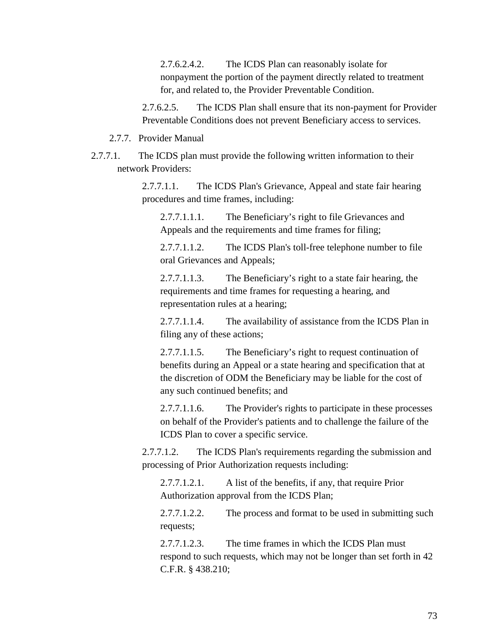2.7.6.2.4.2. The ICDS Plan can reasonably isolate for nonpayment the portion of the payment directly related to treatment for, and related to, the Provider Preventable Condition.

2.7.6.2.5. The ICDS Plan shall ensure that its non-payment for Provider Preventable Conditions does not prevent Beneficiary access to services.

- 2.7.7. Provider Manual
- 2.7.7.1. The ICDS plan must provide the following written information to their network Providers:

2.7.7.1.1. The ICDS Plan's Grievance, Appeal and state fair hearing procedures and time frames, including:

2.7.7.1.1.1. The Beneficiary's right to file Grievances and Appeals and the requirements and time frames for filing;

2.7.7.1.1.2. The ICDS Plan's toll-free telephone number to file oral Grievances and Appeals;

2.7.7.1.1.3. The Beneficiary's right to a state fair hearing, the requirements and time frames for requesting a hearing, and representation rules at a hearing;

2.7.7.1.1.4. The availability of assistance from the ICDS Plan in filing any of these actions;

2.7.7.1.1.5. The Beneficiary's right to request continuation of benefits during an Appeal or a state hearing and specification that at the discretion of ODM the Beneficiary may be liable for the cost of any such continued benefits; and

2.7.7.1.1.6. The Provider's rights to participate in these processes on behalf of the Provider's patients and to challenge the failure of the ICDS Plan to cover a specific service.

2.7.7.1.2. The ICDS Plan's requirements regarding the submission and processing of Prior Authorization requests including:

2.7.7.1.2.1. A list of the benefits, if any, that require Prior Authorization approval from the ICDS Plan;

2.7.7.1.2.2. The process and format to be used in submitting such requests;

2.7.7.1.2.3. The time frames in which the ICDS Plan must respond to such requests, which may not be longer than set forth in 42 C.F.R. § 438.210;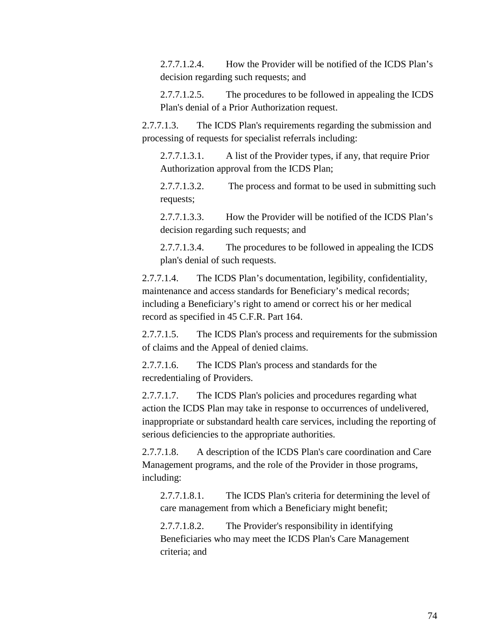2.7.7.1.2.4. How the Provider will be notified of the ICDS Plan's decision regarding such requests; and

2.7.7.1.2.5. The procedures to be followed in appealing the ICDS Plan's denial of a Prior Authorization request.

2.7.7.1.3. The ICDS Plan's requirements regarding the submission and processing of requests for specialist referrals including:

2.7.7.1.3.1. A list of the Provider types, if any, that require Prior Authorization approval from the ICDS Plan;

2.7.7.1.3.2. The process and format to be used in submitting such requests;

2.7.7.1.3.3. How the Provider will be notified of the ICDS Plan's decision regarding such requests; and

2.7.7.1.3.4. The procedures to be followed in appealing the ICDS plan's denial of such requests.

2.7.7.1.4. The ICDS Plan's documentation, legibility, confidentiality, maintenance and access standards for Beneficiary's medical records; including a Beneficiary's right to amend or correct his or her medical record as specified in 45 C.F.R. Part 164.

2.7.7.1.5. The ICDS Plan's process and requirements for the submission of claims and the Appeal of denied claims.

2.7.7.1.6. The ICDS Plan's process and standards for the recredentialing of Providers.

2.7.7.1.7. The ICDS Plan's policies and procedures regarding what action the ICDS Plan may take in response to occurrences of undelivered, inappropriate or substandard health care services, including the reporting of serious deficiencies to the appropriate authorities.

2.7.7.1.8. A description of the ICDS Plan's care coordination and Care Management programs, and the role of the Provider in those programs, including:

2.7.7.1.8.1. The ICDS Plan's criteria for determining the level of care management from which a Beneficiary might benefit;

2.7.7.1.8.2. The Provider's responsibility in identifying Beneficiaries who may meet the ICDS Plan's Care Management criteria; and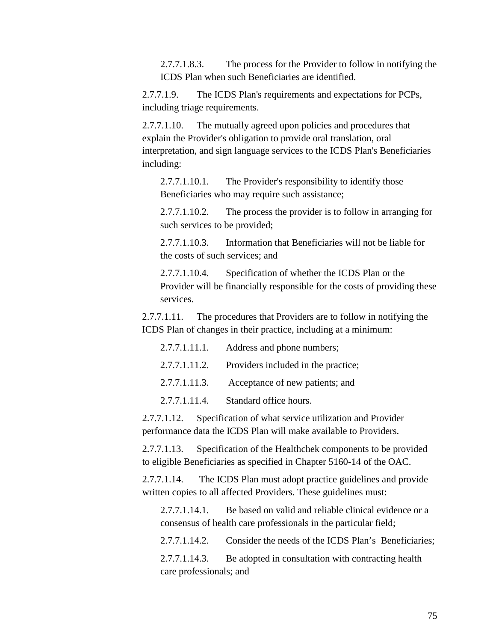2.7.7.1.8.3. The process for the Provider to follow in notifying the ICDS Plan when such Beneficiaries are identified.

2.7.7.1.9. The ICDS Plan's requirements and expectations for PCPs, including triage requirements.

2.7.7.1.10. The mutually agreed upon policies and procedures that explain the Provider's obligation to provide oral translation, oral interpretation, and sign language services to the ICDS Plan's Beneficiaries including:

2.7.7.1.10.1. The Provider's responsibility to identify those Beneficiaries who may require such assistance;

2.7.7.1.10.2. The process the provider is to follow in arranging for such services to be provided;

2.7.7.1.10.3. Information that Beneficiaries will not be liable for the costs of such services; and

2.7.7.1.10.4. Specification of whether the ICDS Plan or the Provider will be financially responsible for the costs of providing these services.

2.7.7.1.11. The procedures that Providers are to follow in notifying the ICDS Plan of changes in their practice, including at a minimum:

|               | 2.7.7.1.11.1. Address and phone numbers;          |
|---------------|---------------------------------------------------|
|               | 2.7.7.1.11.2. Providers included in the practice; |
| 2.7.7.1.11.3. | Acceptance of new patients; and                   |
|               | 2.7.7.1.11.4. Standard office hours.              |

2.7.7.1.12. Specification of what service utilization and Provider performance data the ICDS Plan will make available to Providers.

2.7.7.1.13. Specification of the Healthchek components to be provided to eligible Beneficiaries as specified in Chapter 5160-14 of the OAC.

2.7.7.1.14. The ICDS Plan must adopt practice guidelines and provide written copies to all affected Providers. These guidelines must:

2.7.7.1.14.1. Be based on valid and reliable clinical evidence or a consensus of health care professionals in the particular field;

2.7.7.1.14.2. Consider the needs of the ICDS Plan's Beneficiaries;

2.7.7.1.14.3. Be adopted in consultation with contracting health care professionals; and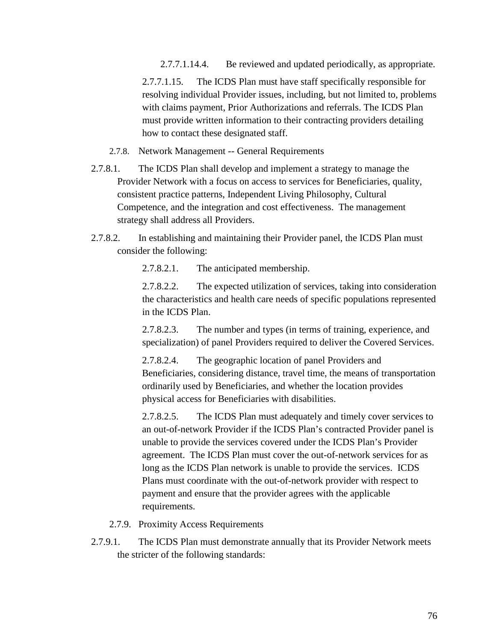2.7.7.1.14.4. Be reviewed and updated periodically, as appropriate.

2.7.7.1.15. The ICDS Plan must have staff specifically responsible for resolving individual Provider issues, including, but not limited to, problems with claims payment, Prior Authorizations and referrals. The ICDS Plan must provide written information to their contracting providers detailing how to contact these designated staff.

- 2.7.8. Network Management -- General Requirements
- 2.7.8.1. The ICDS Plan shall develop and implement a strategy to manage the Provider Network with a focus on access to services for Beneficiaries, quality, consistent practice patterns, Independent Living Philosophy, Cultural Competence, and the integration and cost effectiveness. The management strategy shall address all Providers.
- 2.7.8.2. In establishing and maintaining their Provider panel, the ICDS Plan must consider the following:

2.7.8.2.1. The anticipated membership.

2.7.8.2.2. The expected utilization of services, taking into consideration the characteristics and health care needs of specific populations represented in the ICDS Plan.

2.7.8.2.3. The number and types (in terms of training, experience, and specialization) of panel Providers required to deliver the Covered Services.

2.7.8.2.4. The geographic location of panel Providers and Beneficiaries, considering distance, travel time, the means of transportation ordinarily used by Beneficiaries, and whether the location provides physical access for Beneficiaries with disabilities.

2.7.8.2.5. The ICDS Plan must adequately and timely cover services to an out-of-network Provider if the ICDS Plan's contracted Provider panel is unable to provide the services covered under the ICDS Plan's Provider agreement. The ICDS Plan must cover the out-of-network services for as long as the ICDS Plan network is unable to provide the services. ICDS Plans must coordinate with the out-of-network provider with respect to payment and ensure that the provider agrees with the applicable requirements.

- 2.7.9. Proximity Access Requirements
- 2.7.9.1. The ICDS Plan must demonstrate annually that its Provider Network meets the stricter of the following standards: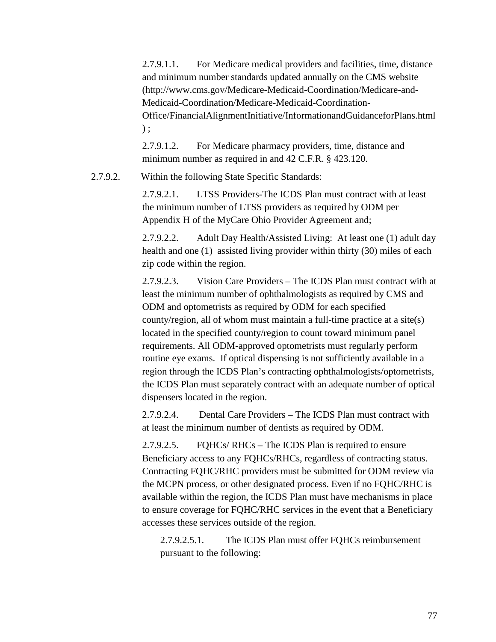2.7.9.1.1. For Medicare medical providers and facilities, time, distance and minimum number standards updated annually on the CMS website (http://www.cms.gov/Medicare-Medicaid-Coordination/Medicare-and-Medicaid-Coordination/Medicare-Medicaid-Coordination-Office/FinancialAlignmentInitiative/InformationandGuidanceforPlans.html  $)$ ;

2.7.9.1.2. For Medicare pharmacy providers, time, distance and minimum number as required in and 42 C.F.R. § 423.120.

2.7.9.2. Within the following State Specific Standards:

2.7.9.2.1. LTSS Providers-The ICDS Plan must contract with at least the minimum number of LTSS providers as required by ODM per Appendix H of the MyCare Ohio Provider Agreement and;

2.7.9.2.2. Adult Day Health/Assisted Living: At least one (1) adult day health and one (1) assisted living provider within thirty (30) miles of each zip code within the region.

2.7.9.2.3. Vision Care Providers *–* The ICDS Plan must contract with at least the minimum number of ophthalmologists as required by CMS and ODM and optometrists as required by ODM for each specified county/region, all of whom must maintain a full-time practice at a site(s) located in the specified county/region to count toward minimum panel requirements. All ODM-approved optometrists must regularly perform routine eye exams. If optical dispensing is not sufficiently available in a region through the ICDS Plan's contracting ophthalmologists/optometrists, the ICDS Plan must separately contract with an adequate number of optical dispensers located in the region.

2.7.9.2.4. Dental Care Providers – The ICDS Plan must contract with at least the minimum number of dentists as required by ODM.

2.7.9.2.5. FQHCs/ RHCs – The ICDS Plan is required to ensure Beneficiary access to any FQHCs/RHCs, regardless of contracting status. Contracting FQHC/RHC providers must be submitted for ODM review via the MCPN process, or other designated process. Even if no FQHC/RHC is available within the region, the ICDS Plan must have mechanisms in place to ensure coverage for FQHC/RHC services in the event that a Beneficiary accesses these services outside of the region.

2.7.9.2.5.1. The ICDS Plan must offer FQHCs reimbursement pursuant to the following: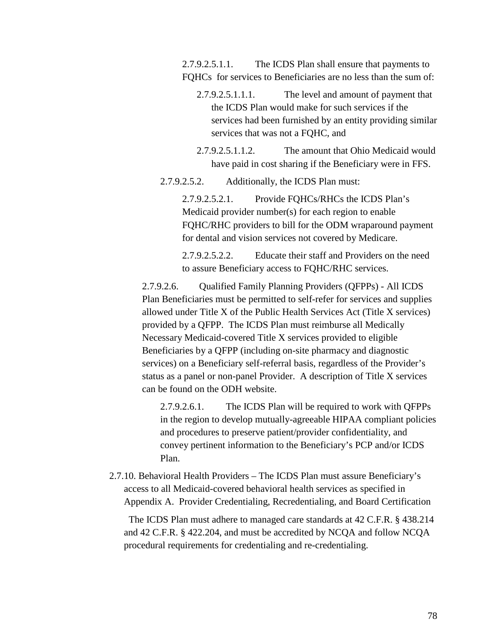2.7.9.2.5.1.1. The ICDS Plan shall ensure that payments to FQHCs for services to Beneficiaries are no less than the sum of:

- 2.7.9.2.5.1.1.1. The level and amount of payment that the ICDS Plan would make for such services if the services had been furnished by an entity providing similar services that was not a FQHC, and
- 2.7.9.2.5.1.1.2. The amount that Ohio Medicaid would have paid in cost sharing if the Beneficiary were in FFS.

2.7.9.2.5.2. Additionally, the ICDS Plan must:

2.7.9.2.5.2.1. Provide FQHCs/RHCs the ICDS Plan's Medicaid provider number(s) for each region to enable FQHC/RHC providers to bill for the ODM wraparound payment for dental and vision services not covered by Medicare.

2.7.9.2.5.2.2. Educate their staff and Providers on the need to assure Beneficiary access to FQHC/RHC services.

2.7.9.2.6. Qualified Family Planning Providers (QFPPs) *-* All ICDS Plan Beneficiaries must be permitted to self-refer for services and supplies allowed under Title X of the Public Health Services Act (Title X services) provided by a QFPP. The ICDS Plan must reimburse all Medically Necessary Medicaid-covered Title X services provided to eligible Beneficiaries by a QFPP (including on-site pharmacy and diagnostic services) on a Beneficiary self-referral basis, regardless of the Provider's status as a panel or non-panel Provider. A description of Title X services can be found on the ODH website.

2.7.9.2.6.1. The ICDS Plan will be required to work with QFPPs in the region to develop mutually-agreeable HIPAA compliant policies and procedures to preserve patient/provider confidentiality, and convey pertinent information to the Beneficiary's PCP and/or ICDS Plan.

2.7.10. Behavioral Health Providers *–* The ICDS Plan must assure Beneficiary's access to all Medicaid-covered behavioral health services as specified in Appendix A. Provider Credentialing, Recredentialing, and Board Certification

 The ICDS Plan must adhere to managed care standards at 42 C.F.R. § 438.214 and 42 C.F.R. § 422.204, and must be accredited by NCQA and follow NCQA procedural requirements for credentialing and re-credentialing.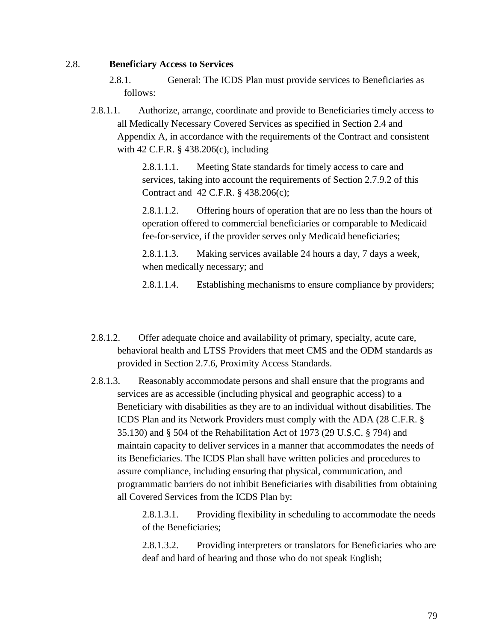# 2.8. **Beneficiary Access to Services**

- 2.8.1. General: The ICDS Plan must provide services to Beneficiaries as follows:
- 2.8.1.1. Authorize, arrange, coordinate and provide to Beneficiaries timely access to all Medically Necessary Covered Services as specified in Section 2.4 and Appendix A, in accordance with the requirements of the Contract and consistent with 42 C.F.R. § 438.206(c), including

2.8.1.1.1. Meeting State standards for timely access to care and services, taking into account the requirements of Section 2.7.9.2 of this Contract and 42 C.F.R. § 438.206(c);

2.8.1.1.2. Offering hours of operation that are no less than the hours of operation offered to commercial beneficiaries or comparable to Medicaid fee-for-service, if the provider serves only Medicaid beneficiaries;

2.8.1.1.3. Making services available 24 hours a day, 7 days a week, when medically necessary; and

2.8.1.1.4. Establishing mechanisms to ensure compliance by providers;

- 2.8.1.2. Offer adequate choice and availability of primary, specialty, acute care, behavioral health and LTSS Providers that meet CMS and the ODM standards as provided in Section 2.7.6, Proximity Access Standards.
- 2.8.1.3. Reasonably accommodate persons and shall ensure that the programs and services are as accessible (including physical and geographic access) to a Beneficiary with disabilities as they are to an individual without disabilities. The ICDS Plan and its Network Providers must comply with the ADA (28 C.F.R. § 35.130) and § 504 of the Rehabilitation Act of 1973 (29 U.S.C. § 794) and maintain capacity to deliver services in a manner that accommodates the needs of its Beneficiaries. The ICDS Plan shall have written policies and procedures to assure compliance, including ensuring that physical, communication, and programmatic barriers do not inhibit Beneficiaries with disabilities from obtaining all Covered Services from the ICDS Plan by:

2.8.1.3.1. Providing flexibility in scheduling to accommodate the needs of the Beneficiaries;

2.8.1.3.2. Providing interpreters or translators for Beneficiaries who are deaf and hard of hearing and those who do not speak English;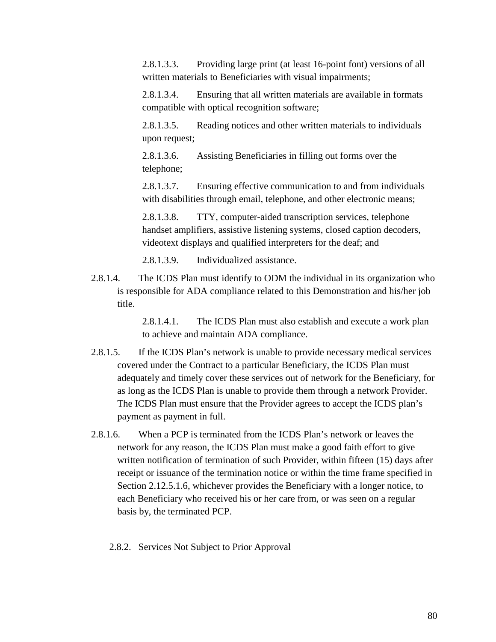2.8.1.3.3. Providing large print (at least 16-point font) versions of all written materials to Beneficiaries with visual impairments;

2.8.1.3.4. Ensuring that all written materials are available in formats compatible with optical recognition software;

2.8.1.3.5. Reading notices and other written materials to individuals upon request;

2.8.1.3.6. Assisting Beneficiaries in filling out forms over the telephone;

2.8.1.3.7. Ensuring effective communication to and from individuals with disabilities through email, telephone, and other electronic means;

2.8.1.3.8. TTY, computer-aided transcription services, telephone handset amplifiers, assistive listening systems, closed caption decoders, videotext displays and qualified interpreters for the deaf; and

2.8.1.3.9. Individualized assistance.

2.8.1.4. The ICDS Plan must identify to ODM the individual in its organization who is responsible for ADA compliance related to this Demonstration and his/her job title.

> 2.8.1.4.1. The ICDS Plan must also establish and execute a work plan to achieve and maintain ADA compliance.

- 2.8.1.5. If the ICDS Plan's network is unable to provide necessary medical services covered under the Contract to a particular Beneficiary, the ICDS Plan must adequately and timely cover these services out of network for the Beneficiary, for as long as the ICDS Plan is unable to provide them through a network Provider. The ICDS Plan must ensure that the Provider agrees to accept the ICDS plan's payment as payment in full.
- 2.8.1.6. When a PCP is terminated from the ICDS Plan's network or leaves the network for any reason, the ICDS Plan must make a good faith effort to give written notification of termination of such Provider, within fifteen (15) days after receipt or issuance of the termination notice or within the time frame specified in Section 2.12.5.1.6, whichever provides the Beneficiary with a longer notice, to each Beneficiary who received his or her care from, or was seen on a regular basis by, the terminated PCP.
	- 2.8.2. Services Not Subject to Prior Approval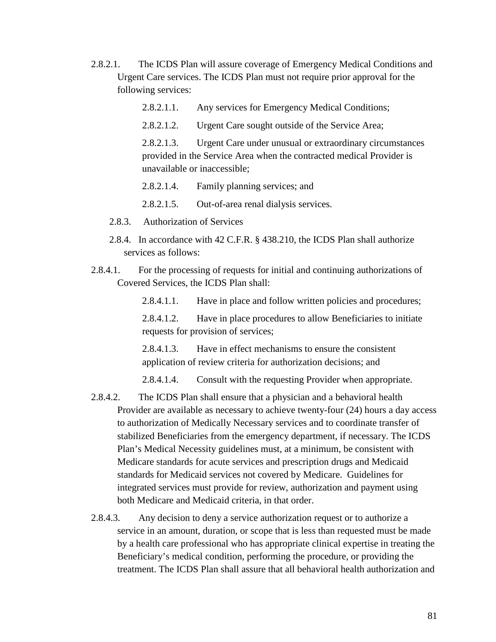- 2.8.2.1. The ICDS Plan will assure coverage of Emergency Medical Conditions and Urgent Care services. The ICDS Plan must not require prior approval for the following services:
	- 2.8.2.1.1. Any services for Emergency Medical Conditions;
	- 2.8.2.1.2. Urgent Care sought outside of the Service Area;

2.8.2.1.3. Urgent Care under unusual or extraordinary circumstances provided in the Service Area when the contracted medical Provider is unavailable or inaccessible;

- 2.8.2.1.4. Family planning services; and
- 2.8.2.1.5. Out-of-area renal dialysis services.
- 2.8.3. Authorization of Services
- 2.8.4. In accordance with 42 C.F.R. § 438.210, the ICDS Plan shall authorize services as follows:
- 2.8.4.1. For the processing of requests for initial and continuing authorizations of Covered Services, the ICDS Plan shall:
	- 2.8.4.1.1. Have in place and follow written policies and procedures;

2.8.4.1.2. Have in place procedures to allow Beneficiaries to initiate requests for provision of services;

2.8.4.1.3. Have in effect mechanisms to ensure the consistent application of review criteria for authorization decisions; and

2.8.4.1.4. Consult with the requesting Provider when appropriate.

- 2.8.4.2. The ICDS Plan shall ensure that a physician and a behavioral health Provider are available as necessary to achieve twenty-four (24) hours a day access to authorization of Medically Necessary services and to coordinate transfer of stabilized Beneficiaries from the emergency department, if necessary. The ICDS Plan's Medical Necessity guidelines must, at a minimum, be consistent with Medicare standards for acute services and prescription drugs and Medicaid standards for Medicaid services not covered by Medicare. Guidelines for integrated services must provide for review, authorization and payment using both Medicare and Medicaid criteria, in that order.
- 2.8.4.3. Any decision to deny a service authorization request or to authorize a service in an amount, duration, or scope that is less than requested must be made by a health care professional who has appropriate clinical expertise in treating the Beneficiary's medical condition, performing the procedure, or providing the treatment. The ICDS Plan shall assure that all behavioral health authorization and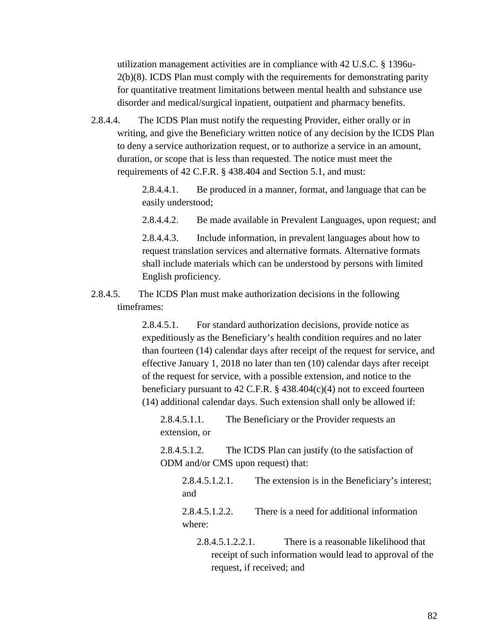utilization management activities are in compliance with 42 U.S.C. § 1396u-2(b)(8). ICDS Plan must comply with the requirements for demonstrating parity for quantitative treatment limitations between mental health and substance use disorder and medical/surgical inpatient, outpatient and pharmacy benefits.

2.8.4.4. The ICDS Plan must notify the requesting Provider, either orally or in writing, and give the Beneficiary written notice of any decision by the ICDS Plan to deny a service authorization request, or to authorize a service in an amount, duration, or scope that is less than requested. The notice must meet the requirements of 42 C.F.R. § 438.404 and Section 5.1, and must:

> 2.8.4.4.1. Be produced in a manner, format, and language that can be easily understood;

2.8.4.4.2. Be made available in Prevalent Languages, upon request; and

2.8.4.4.3. Include information, in prevalent languages about how to request translation services and alternative formats. Alternative formats shall include materials which can be understood by persons with limited English proficiency.

2.8.4.5. The ICDS Plan must make authorization decisions in the following timeframes:

> 2.8.4.5.1. For standard authorization decisions, provide notice as expeditiously as the Beneficiary's health condition requires and no later than fourteen (14) calendar days after receipt of the request for service, and effective January 1, 2018 no later than ten (10) calendar days after receipt of the request for service, with a possible extension, and notice to the beneficiary pursuant to 42 C.F.R.  $\S$  438.404(c)(4) not to exceed fourteen (14) additional calendar days. Such extension shall only be allowed if:

2.8.4.5.1.1. The Beneficiary or the Provider requests an extension, or

2.8.4.5.1.2. The ICDS Plan can justify (to the satisfaction of ODM and/or CMS upon request) that:

2.8.4.5.1.2.1. The extension is in the Beneficiary's interest; and 2.8.4.5.1.2.2. There is a need for additional information where:

2.8.4.5.1.2.2.1. There is a reasonable likelihood that receipt of such information would lead to approval of the request, if received; and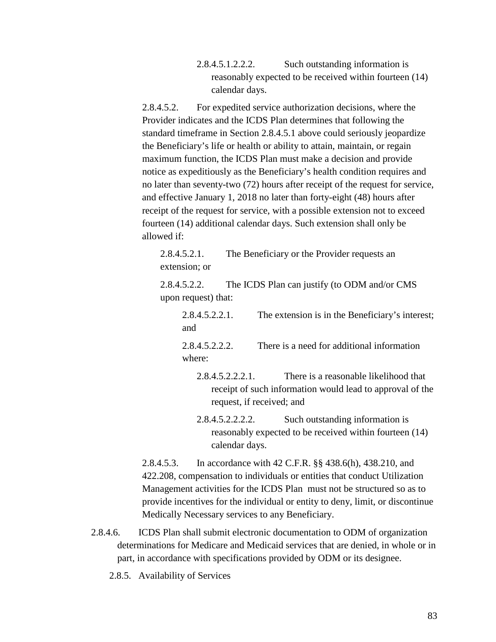2.8.4.5.1.2.2.2. Such outstanding information is reasonably expected to be received within fourteen (14) calendar days.

2.8.4.5.2. For expedited service authorization decisions, where the Provider indicates and the ICDS Plan determines that following the standard timeframe in Section 2.8.4.5.1 above could seriously jeopardize the Beneficiary's life or health or ability to attain, maintain, or regain maximum function, the ICDS Plan must make a decision and provide notice as expeditiously as the Beneficiary's health condition requires and no later than seventy-two (72) hours after receipt of the request for service, and effective January 1, 2018 no later than forty-eight (48) hours after receipt of the request for service, with a possible extension not to exceed fourteen (14) additional calendar days. Such extension shall only be allowed if:

2.8.4.5.2.1. The Beneficiary or the Provider requests an extension; or

2.8.4.5.2.2. The ICDS Plan can justify (to ODM and/or CMS upon request) that:

| 2.8.4.5.2.2.1.<br>and    | The extension is in the Beneficiary's interest; |
|--------------------------|-------------------------------------------------|
| 2.8.4.5.2.2.2.<br>where: | There is a need for additional information      |

2.8.4.5.2.2.2.1. There is a reasonable likelihood that receipt of such information would lead to approval of the request, if received; and

2.8.4.5.2.2.2.2. Such outstanding information is reasonably expected to be received within fourteen (14) calendar days.

2.8.4.5.3. In accordance with 42 C.F.R. §§ 438.6(h), 438.210, and 422.208, compensation to individuals or entities that conduct Utilization Management activities for the ICDS Plan must not be structured so as to provide incentives for the individual or entity to deny, limit, or discontinue Medically Necessary services to any Beneficiary.

- 2.8.4.6. ICDS Plan shall submit electronic documentation to ODM of organization determinations for Medicare and Medicaid services that are denied, in whole or in part, in accordance with specifications provided by ODM or its designee.
	- 2.8.5. Availability of Services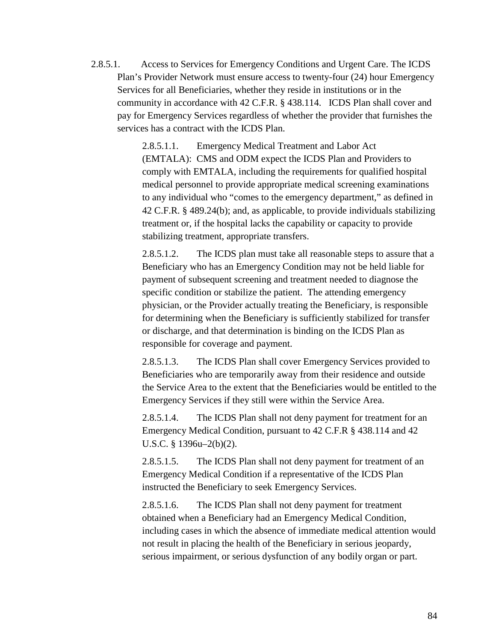2.8.5.1. Access to Services for Emergency Conditions and Urgent Care. The ICDS Plan's Provider Network must ensure access to twenty-four (24) hour Emergency Services for all Beneficiaries, whether they reside in institutions or in the community in accordance with 42 C.F.R. § 438.114. ICDS Plan shall cover and pay for Emergency Services regardless of whether the provider that furnishes the services has a contract with the ICDS Plan.

> 2.8.5.1.1. Emergency Medical Treatment and Labor Act (EMTALA): CMS and ODM expect the ICDS Plan and Providers to comply with EMTALA, including the requirements for qualified hospital medical personnel to provide appropriate medical screening examinations to any individual who "comes to the emergency department," as defined in 42 C.F.R. § 489.24(b); and, as applicable, to provide individuals stabilizing treatment or, if the hospital lacks the capability or capacity to provide stabilizing treatment, appropriate transfers.

> 2.8.5.1.2. The ICDS plan must take all reasonable steps to assure that a Beneficiary who has an Emergency Condition may not be held liable for payment of subsequent screening and treatment needed to diagnose the specific condition or stabilize the patient. The attending emergency physician, or the Provider actually treating the Beneficiary, is responsible for determining when the Beneficiary is sufficiently stabilized for transfer or discharge, and that determination is binding on the ICDS Plan as responsible for coverage and payment.

> 2.8.5.1.3. The ICDS Plan shall cover Emergency Services provided to Beneficiaries who are temporarily away from their residence and outside the Service Area to the extent that the Beneficiaries would be entitled to the Emergency Services if they still were within the Service Area.

2.8.5.1.4. The ICDS Plan shall not deny payment for treatment for an Emergency Medical Condition, pursuant to 42 C.F.R § 438.114 and 42 U.S.C. § 1396u–2(b)(2).

2.8.5.1.5. The ICDS Plan shall not deny payment for treatment of an Emergency Medical Condition if a representative of the ICDS Plan instructed the Beneficiary to seek Emergency Services.

2.8.5.1.6. The ICDS Plan shall not deny payment for treatment obtained when a Beneficiary had an Emergency Medical Condition, including cases in which the absence of immediate medical attention would not result in placing the health of the Beneficiary in serious jeopardy, serious impairment, or serious dysfunction of any bodily organ or part.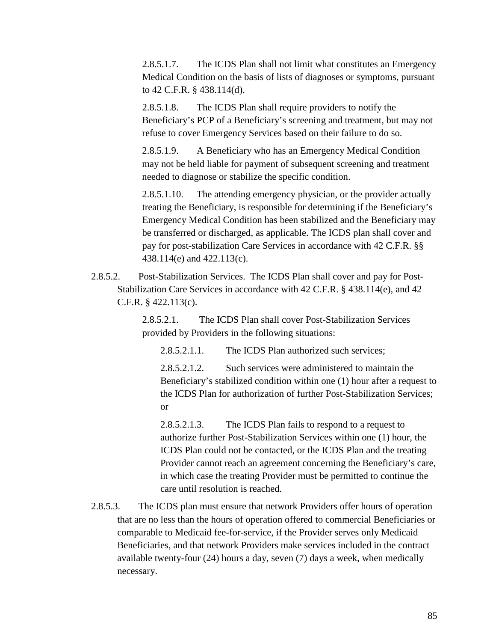2.8.5.1.7. The ICDS Plan shall not limit what constitutes an Emergency Medical Condition on the basis of lists of diagnoses or symptoms, pursuant to 42 C.F.R. § 438.114(d).

2.8.5.1.8. The ICDS Plan shall require providers to notify the Beneficiary's PCP of a Beneficiary's screening and treatment, but may not refuse to cover Emergency Services based on their failure to do so.

2.8.5.1.9. A Beneficiary who has an Emergency Medical Condition may not be held liable for payment of subsequent screening and treatment needed to diagnose or stabilize the specific condition.

2.8.5.1.10. The attending emergency physician, or the provider actually treating the Beneficiary, is responsible for determining if the Beneficiary's Emergency Medical Condition has been stabilized and the Beneficiary may be transferred or discharged, as applicable. The ICDS plan shall cover and pay for post-stabilization Care Services in accordance with 42 C.F.R. §§ 438.114(e) and 422.113(c).

2.8.5.2. Post-Stabilization Services. The ICDS Plan shall cover and pay for Post-Stabilization Care Services in accordance with 42 C.F.R. § 438.114(e), and 42 C.F.R. § 422.113(c).

> 2.8.5.2.1. The ICDS Plan shall cover Post-Stabilization Services provided by Providers in the following situations:

2.8.5.2.1.1. The ICDS Plan authorized such services;

2.8.5.2.1.2. Such services were administered to maintain the Beneficiary's stabilized condition within one (1) hour after a request to the ICDS Plan for authorization of further Post-Stabilization Services; or

2.8.5.2.1.3. The ICDS Plan fails to respond to a request to authorize further Post-Stabilization Services within one (1) hour, the ICDS Plan could not be contacted, or the ICDS Plan and the treating Provider cannot reach an agreement concerning the Beneficiary's care, in which case the treating Provider must be permitted to continue the care until resolution is reached.

2.8.5.3. The ICDS plan must ensure that network Providers offer hours of operation that are no less than the hours of operation offered to commercial Beneficiaries or comparable to Medicaid fee-for-service, if the Provider serves only Medicaid Beneficiaries, and that network Providers make services included in the contract available twenty-four (24) hours a day, seven (7) days a week, when medically necessary.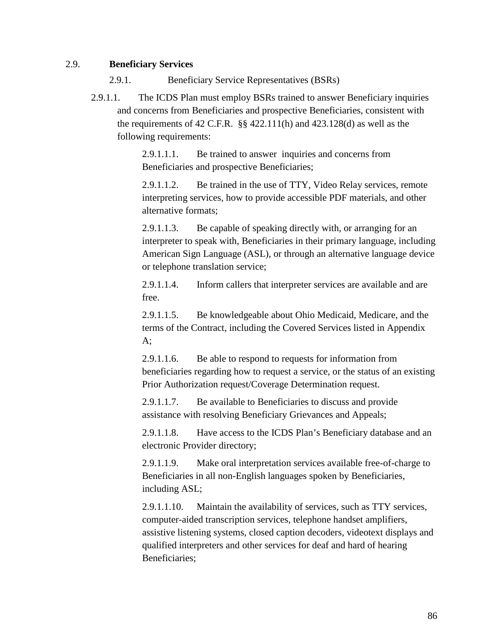# 2.9. **Beneficiary Services**

- 2.9.1. Beneficiary Service Representatives (BSRs)
- 2.9.1.1. The ICDS Plan must employ BSRs trained to answer Beneficiary inquiries and concerns from Beneficiaries and prospective Beneficiaries, consistent with the requirements of  $42$  C.F.R. §§  $422.111(h)$  and  $423.128(d)$  as well as the following requirements:

2.9.1.1.1. Be trained to answer inquiries and concerns from Beneficiaries and prospective Beneficiaries;

2.9.1.1.2. Be trained in the use of TTY, Video Relay services, remote interpreting services, how to provide accessible PDF materials, and other alternative formats;

2.9.1.1.3. Be capable of speaking directly with, or arranging for an interpreter to speak with, Beneficiaries in their primary language, including American Sign Language (ASL), or through an alternative language device or telephone translation service;

2.9.1.1.4. Inform callers that interpreter services are available and are free.

2.9.1.1.5. Be knowledgeable about Ohio Medicaid, Medicare, and the terms of the Contract, including the Covered Services listed in Appendix  $A$ ;

2.9.1.1.6. Be able to respond to requests for information from beneficiaries regarding how to request a service, or the status of an existing Prior Authorization request/Coverage Determination request.

2.9.1.1.7. Be available to Beneficiaries to discuss and provide assistance with resolving Beneficiary Grievances and Appeals;

2.9.1.1.8. Have access to the ICDS Plan's Beneficiary database and an electronic Provider directory;

2.9.1.1.9. Make oral interpretation services available free-of-charge to Beneficiaries in all non-English languages spoken by Beneficiaries, including ASL;

2.9.1.1.10. Maintain the availability of services, such as TTY services, computer-aided transcription services, telephone handset amplifiers, assistive listening systems, closed caption decoders, videotext displays and qualified interpreters and other services for deaf and hard of hearing Beneficiaries;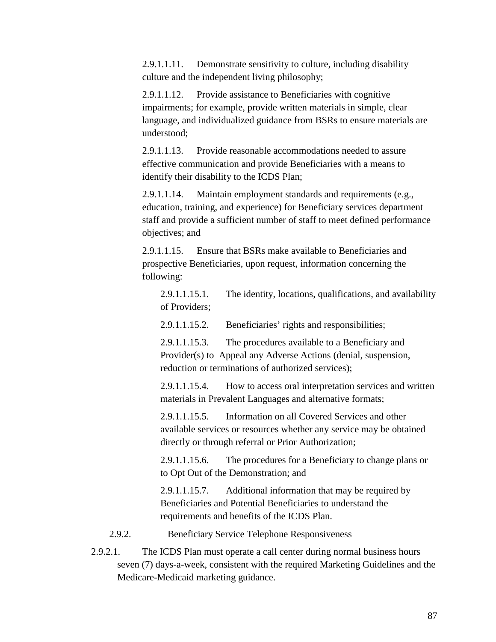2.9.1.1.11. Demonstrate sensitivity to culture, including disability culture and the independent living philosophy;

2.9.1.1.12. Provide assistance to Beneficiaries with cognitive impairments; for example, provide written materials in simple, clear language, and individualized guidance from BSRs to ensure materials are understood;

2.9.1.1.13. Provide reasonable accommodations needed to assure effective communication and provide Beneficiaries with a means to identify their disability to the ICDS Plan;

2.9.1.1.14. Maintain employment standards and requirements (e.g., education, training, and experience) for Beneficiary services department staff and provide a sufficient number of staff to meet defined performance objectives; and

2.9.1.1.15. Ensure that BSRs make available to Beneficiaries and prospective Beneficiaries, upon request, information concerning the following:

2.9.1.1.15.1. The identity, locations, qualifications, and availability of Providers;

2.9.1.1.15.2. Beneficiaries' rights and responsibilities;

2.9.1.1.15.3. The procedures available to a Beneficiary and Provider(s) to Appeal any Adverse Actions (denial, suspension, reduction or terminations of authorized services);

2.9.1.1.15.4. How to access oral interpretation services and written materials in Prevalent Languages and alternative formats;

2.9.1.1.15.5. Information on all Covered Services and other available services or resources whether any service may be obtained directly or through referral or Prior Authorization;

2.9.1.1.15.6. The procedures for a Beneficiary to change plans or to Opt Out of the Demonstration; and

2.9.1.1.15.7. Additional information that may be required by Beneficiaries and Potential Beneficiaries to understand the requirements and benefits of the ICDS Plan.

- 2.9.2. Beneficiary Service Telephone Responsiveness
- 2.9.2.1. The ICDS Plan must operate a call center during normal business hours seven (7) days-a-week, consistent with the required Marketing Guidelines and the Medicare-Medicaid marketing guidance.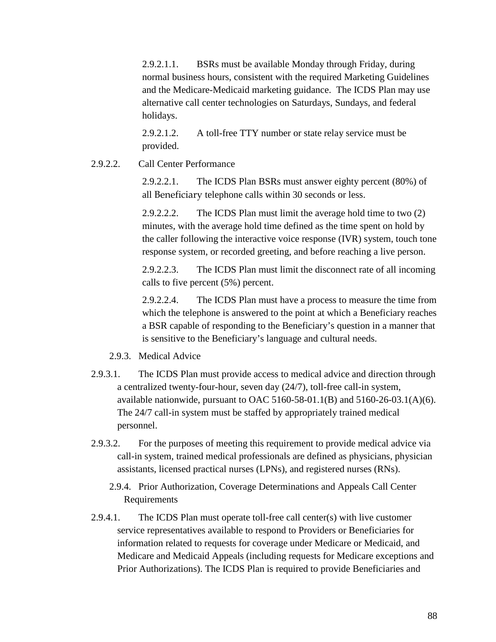2.9.2.1.1. BSRs must be available Monday through Friday, during normal business hours, consistent with the required Marketing Guidelines and the Medicare-Medicaid marketing guidance. The ICDS Plan may use alternative call center technologies on Saturdays, Sundays, and federal holidays.

2.9.2.1.2. A toll-free TTY number or state relay service must be provided.

2.9.2.2. Call Center Performance

2.9.2.2.1. The ICDS Plan BSRs must answer eighty percent (80%) of all Beneficiary telephone calls within 30 seconds or less.

2.9.2.2.2. The ICDS Plan must limit the average hold time to two (2) minutes, with the average hold time defined as the time spent on hold by the caller following the interactive voice response (IVR) system, touch tone response system, or recorded greeting, and before reaching a live person.

2.9.2.2.3. The ICDS Plan must limit the disconnect rate of all incoming calls to five percent (5%) percent.

2.9.2.2.4. The ICDS Plan must have a process to measure the time from which the telephone is answered to the point at which a Beneficiary reaches a BSR capable of responding to the Beneficiary's question in a manner that is sensitive to the Beneficiary's language and cultural needs.

- 2.9.3. Medical Advice
- 2.9.3.1. The ICDS Plan must provide access to medical advice and direction through a centralized twenty-four-hour, seven day (24/7), toll-free call-in system, available nationwide, pursuant to OAC  $5160-58-01.1(B)$  and  $5160-26-03.1(A)(6)$ . The 24/7 call-in system must be staffed by appropriately trained medical personnel.
- 2.9.3.2. For the purposes of meeting this requirement to provide medical advice via call-in system, trained medical professionals are defined as physicians, physician assistants, licensed practical nurses (LPNs), and registered nurses (RNs).
	- 2.9.4. Prior Authorization, Coverage Determinations and Appeals Call Center Requirements
- 2.9.4.1. The ICDS Plan must operate toll-free call center(s) with live customer service representatives available to respond to Providers or Beneficiaries for information related to requests for coverage under Medicare or Medicaid, and Medicare and Medicaid Appeals (including requests for Medicare exceptions and Prior Authorizations). The ICDS Plan is required to provide Beneficiaries and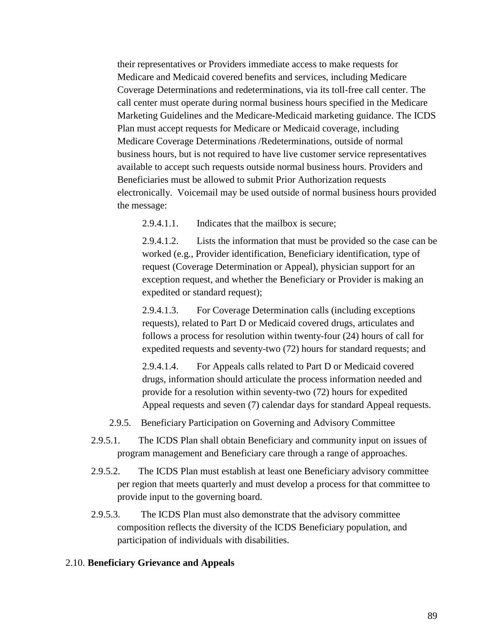their representatives or Providers immediate access to make requests for Medicare and Medicaid covered benefits and services, including Medicare Coverage Determinations and redeterminations, via its toll-free call center. The call center must operate during normal business hours specified in the Medicare Marketing Guidelines and the Medicare-Medicaid marketing guidance. The ICDS Plan must accept requests for Medicare or Medicaid coverage, including Medicare Coverage Determinations /Redeterminations, outside of normal business hours, but is not required to have live customer service representatives available to accept such requests outside normal business hours. Providers and Beneficiaries must be allowed to submit Prior Authorization requests electronically. Voicemail may be used outside of normal business hours provided the message:

2.9.4.1.1. Indicates that the mailbox is secure;

2.9.4.1.2. Lists the information that must be provided so the case can be worked (e.g., Provider identification, Beneficiary identification, type of request (Coverage Determination or Appeal), physician support for an exception request, and whether the Beneficiary or Provider is making an expedited or standard request);

2.9.4.1.3. For Coverage Determination calls (including exceptions requests), related to Part D or Medicaid covered drugs, articulates and follows a process for resolution within twenty-four (24) hours of call for expedited requests and seventy-two (72) hours for standard requests; and

2.9.4.1.4. For Appeals calls related to Part D or Medicaid covered drugs, information should articulate the process information needed and provide for a resolution within seventy-two (72) hours for expedited Appeal requests and seven (7) calendar days for standard Appeal requests.

- 2.9.5. Beneficiary Participation on Governing and Advisory Committee
- 2.9.5.1. The ICDS Plan shall obtain Beneficiary and community input on issues of program management and Beneficiary care through a range of approaches.
- 2.9.5.2. The ICDS Plan must establish at least one Beneficiary advisory committee per region that meets quarterly and must develop a process for that committee to provide input to the governing board.
- 2.9.5.3. The ICDS Plan must also demonstrate that the advisory committee composition reflects the diversity of the ICDS Beneficiary population, and participation of individuals with disabilities.

# 2.10. **Beneficiary Grievance and Appeals**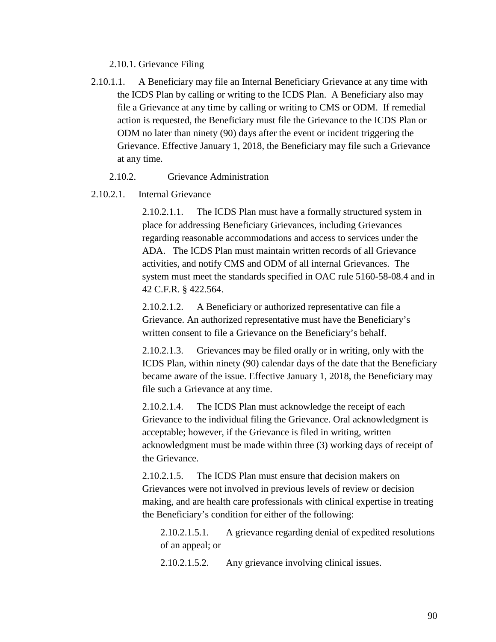## 2.10.1. Grievance Filing

2.10.1.1. A Beneficiary may file an Internal Beneficiary Grievance at any time with the ICDS Plan by calling or writing to the ICDS Plan. A Beneficiary also may file a Grievance at any time by calling or writing to CMS or ODM. If remedial action is requested, the Beneficiary must file the Grievance to the ICDS Plan or ODM no later than ninety (90) days after the event or incident triggering the Grievance. Effective January 1, 2018, the Beneficiary may file such a Grievance at any time.

## 2.10.2. Grievance Administration

## 2.10.2.1. Internal Grievance

2.10.2.1.1. The ICDS Plan must have a formally structured system in place for addressing Beneficiary Grievances, including Grievances regarding reasonable accommodations and access to services under the ADA. The ICDS Plan must maintain written records of all Grievance activities, and notify CMS and ODM of all internal Grievances. The system must meet the standards specified in OAC rule 5160-58-08.4 and in 42 C.F.R. § 422.564.

2.10.2.1.2. A Beneficiary or authorized representative can file a Grievance. An authorized representative must have the Beneficiary's written consent to file a Grievance on the Beneficiary's behalf.

2.10.2.1.3. Grievances may be filed orally or in writing, only with the ICDS Plan, within ninety (90) calendar days of the date that the Beneficiary became aware of the issue. Effective January 1, 2018, the Beneficiary may file such a Grievance at any time.

2.10.2.1.4. The ICDS Plan must acknowledge the receipt of each Grievance to the individual filing the Grievance. Oral acknowledgment is acceptable; however, if the Grievance is filed in writing, written acknowledgment must be made within three (3) working days of receipt of the Grievance.

2.10.2.1.5. The ICDS Plan must ensure that decision makers on Grievances were not involved in previous levels of review or decision making, and are health care professionals with clinical expertise in treating the Beneficiary's condition for either of the following:

2.10.2.1.5.1. A grievance regarding denial of expedited resolutions of an appeal; or

2.10.2.1.5.2. Any grievance involving clinical issues.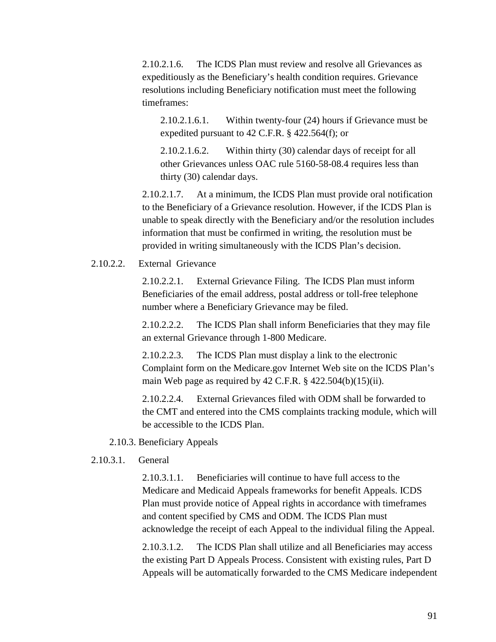2.10.2.1.6. The ICDS Plan must review and resolve all Grievances as expeditiously as the Beneficiary's health condition requires. Grievance resolutions including Beneficiary notification must meet the following timeframes:

2.10.2.1.6.1. Within twenty-four (24) hours if Grievance must be expedited pursuant to 42 C.F.R. § 422.564(f); or

2.10.2.1.6.2. Within thirty (30) calendar days of receipt for all other Grievances unless OAC rule 5160-58-08.4 requires less than thirty (30) calendar days.

2.10.2.1.7. At a minimum, the ICDS Plan must provide oral notification to the Beneficiary of a Grievance resolution. However, if the ICDS Plan is unable to speak directly with the Beneficiary and/or the resolution includes information that must be confirmed in writing, the resolution must be provided in writing simultaneously with the ICDS Plan's decision.

## 2.10.2.2. External Grievance

2.10.2.2.1. External Grievance Filing. The ICDS Plan must inform Beneficiaries of the email address, postal address or toll-free telephone number where a Beneficiary Grievance may be filed.

2.10.2.2.2. The ICDS Plan shall inform Beneficiaries that they may file an external Grievance through 1-800 Medicare.

2.10.2.2.3. The ICDS Plan must display a link to the electronic Complaint form on the Medicare.gov Internet Web site on the ICDS Plan's main Web page as required by 42 C.F.R. § 422.504(b)(15)(ii).

2.10.2.2.4. External Grievances filed with ODM shall be forwarded to the CMT and entered into the CMS complaints tracking module, which will be accessible to the ICDS Plan.

- 2.10.3. Beneficiary Appeals
- 2.10.3.1. General

2.10.3.1.1. Beneficiaries will continue to have full access to the Medicare and Medicaid Appeals frameworks for benefit Appeals. ICDS Plan must provide notice of Appeal rights in accordance with timeframes and content specified by CMS and ODM. The ICDS Plan must acknowledge the receipt of each Appeal to the individual filing the Appeal.

2.10.3.1.2. The ICDS Plan shall utilize and all Beneficiaries may access the existing Part D Appeals Process. Consistent with existing rules, Part D Appeals will be automatically forwarded to the CMS Medicare independent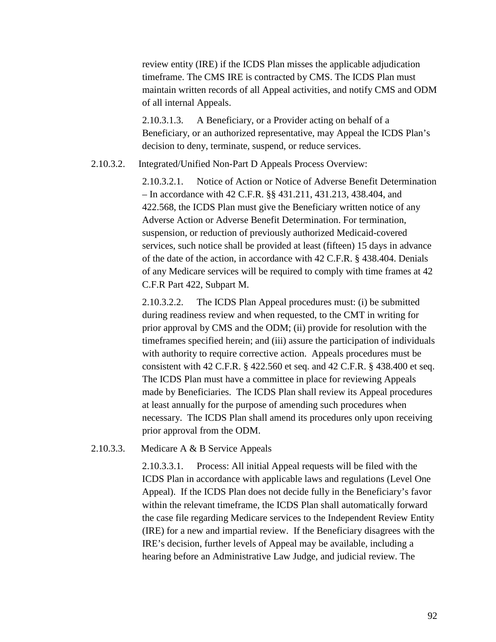review entity (IRE) if the ICDS Plan misses the applicable adjudication timeframe. The CMS IRE is contracted by CMS. The ICDS Plan must maintain written records of all Appeal activities, and notify CMS and ODM of all internal Appeals.

2.10.3.1.3. A Beneficiary, or a Provider acting on behalf of a Beneficiary, or an authorized representative, may Appeal the ICDS Plan's decision to deny, terminate, suspend, or reduce services.

#### 2.10.3.2. Integrated/Unified Non-Part D Appeals Process Overview:

2.10.3.2.1. Notice of Action or Notice of Adverse Benefit Determination – In accordance with 42 C.F.R. §§ 431.211, 431.213, 438.404, and 422.568, the ICDS Plan must give the Beneficiary written notice of any Adverse Action or Adverse Benefit Determination. For termination, suspension, or reduction of previously authorized Medicaid-covered services, such notice shall be provided at least (fifteen) 15 days in advance of the date of the action, in accordance with 42 C.F.R. § 438.404. Denials of any Medicare services will be required to comply with time frames at 42 C.F.R Part 422, Subpart M.

2.10.3.2.2. The ICDS Plan Appeal procedures must: (i) be submitted during readiness review and when requested, to the CMT in writing for prior approval by CMS and the ODM; (ii) provide for resolution with the timeframes specified herein; and (iii) assure the participation of individuals with authority to require corrective action. Appeals procedures must be consistent with 42 C.F.R. § 422.560 et seq. and 42 C.F.R. § 438.400 et seq. The ICDS Plan must have a committee in place for reviewing Appeals made by Beneficiaries. The ICDS Plan shall review its Appeal procedures at least annually for the purpose of amending such procedures when necessary. The ICDS Plan shall amend its procedures only upon receiving prior approval from the ODM.

## 2.10.3.3. Medicare A & B Service Appeals

2.10.3.3.1. Process: All initial Appeal requests will be filed with the ICDS Plan in accordance with applicable laws and regulations (Level One Appeal). If the ICDS Plan does not decide fully in the Beneficiary's favor within the relevant timeframe, the ICDS Plan shall automatically forward the case file regarding Medicare services to the Independent Review Entity (IRE) for a new and impartial review. If the Beneficiary disagrees with the IRE's decision, further levels of Appeal may be available, including a hearing before an Administrative Law Judge, and judicial review. The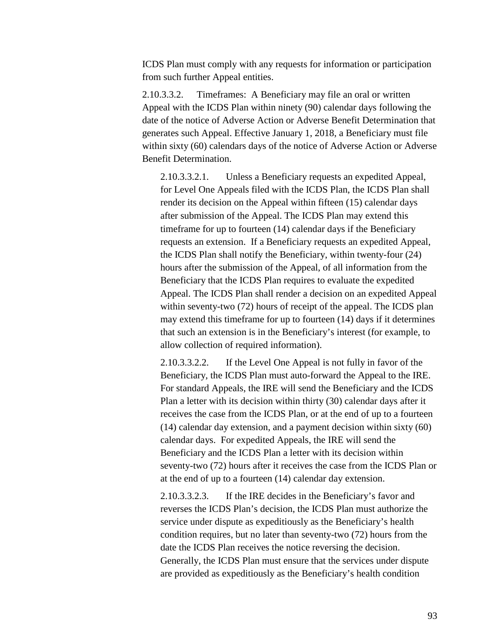ICDS Plan must comply with any requests for information or participation from such further Appeal entities.

2.10.3.3.2. Timeframes: A Beneficiary may file an oral or written Appeal with the ICDS Plan within ninety (90) calendar days following the date of the notice of Adverse Action or Adverse Benefit Determination that generates such Appeal. Effective January 1, 2018, a Beneficiary must file within sixty (60) calendars days of the notice of Adverse Action or Adverse Benefit Determination.

2.10.3.3.2.1. Unless a Beneficiary requests an expedited Appeal, for Level One Appeals filed with the ICDS Plan, the ICDS Plan shall render its decision on the Appeal within fifteen (15) calendar days after submission of the Appeal. The ICDS Plan may extend this timeframe for up to fourteen (14) calendar days if the Beneficiary requests an extension. If a Beneficiary requests an expedited Appeal, the ICDS Plan shall notify the Beneficiary, within twenty-four (24) hours after the submission of the Appeal, of all information from the Beneficiary that the ICDS Plan requires to evaluate the expedited Appeal. The ICDS Plan shall render a decision on an expedited Appeal within seventy-two (72) hours of receipt of the appeal. The ICDS plan may extend this timeframe for up to fourteen (14) days if it determines that such an extension is in the Beneficiary's interest (for example, to allow collection of required information).

2.10.3.3.2.2. If the Level One Appeal is not fully in favor of the Beneficiary, the ICDS Plan must auto-forward the Appeal to the IRE. For standard Appeals, the IRE will send the Beneficiary and the ICDS Plan a letter with its decision within thirty (30) calendar days after it receives the case from the ICDS Plan, or at the end of up to a fourteen (14) calendar day extension, and a payment decision within sixty (60) calendar days. For expedited Appeals, the IRE will send the Beneficiary and the ICDS Plan a letter with its decision within seventy-two (72) hours after it receives the case from the ICDS Plan or at the end of up to a fourteen (14) calendar day extension.

2.10.3.3.2.3. If the IRE decides in the Beneficiary's favor and reverses the ICDS Plan's decision, the ICDS Plan must authorize the service under dispute as expeditiously as the Beneficiary's health condition requires, but no later than seventy-two (72) hours from the date the ICDS Plan receives the notice reversing the decision. Generally, the ICDS Plan must ensure that the services under dispute are provided as expeditiously as the Beneficiary's health condition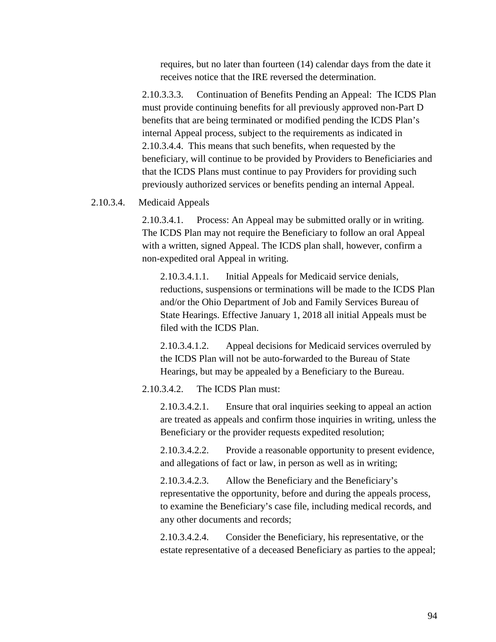requires, but no later than fourteen (14) calendar days from the date it receives notice that the IRE reversed the determination.

2.10.3.3.3. Continuation of Benefits Pending an Appeal: The ICDS Plan must provide continuing benefits for all previously approved non-Part D benefits that are being terminated or modified pending the ICDS Plan's internal Appeal process, subject to the requirements as indicated in 2.10.3.4.4. This means that such benefits, when requested by the beneficiary, will continue to be provided by Providers to Beneficiaries and that the ICDS Plans must continue to pay Providers for providing such previously authorized services or benefits pending an internal Appeal.

## 2.10.3.4. Medicaid Appeals

2.10.3.4.1. Process: An Appeal may be submitted orally or in writing. The ICDS Plan may not require the Beneficiary to follow an oral Appeal with a written, signed Appeal. The ICDS plan shall, however, confirm a non-expedited oral Appeal in writing.

2.10.3.4.1.1. Initial Appeals for Medicaid service denials, reductions, suspensions or terminations will be made to the ICDS Plan and/or the Ohio Department of Job and Family Services Bureau of State Hearings. Effective January 1, 2018 all initial Appeals must be filed with the ICDS Plan.

2.10.3.4.1.2. Appeal decisions for Medicaid services overruled by the ICDS Plan will not be auto-forwarded to the Bureau of State Hearings, but may be appealed by a Beneficiary to the Bureau.

# 2.10.3.4.2. The ICDS Plan must:

2.10.3.4.2.1. Ensure that oral inquiries seeking to appeal an action are treated as appeals and confirm those inquiries in writing, unless the Beneficiary or the provider requests expedited resolution;

2.10.3.4.2.2. Provide a reasonable opportunity to present evidence, and allegations of fact or law, in person as well as in writing;

2.10.3.4.2.3. Allow the Beneficiary and the Beneficiary's representative the opportunity, before and during the appeals process, to examine the Beneficiary's case file, including medical records, and any other documents and records;

2.10.3.4.2.4. Consider the Beneficiary, his representative, or the estate representative of a deceased Beneficiary as parties to the appeal;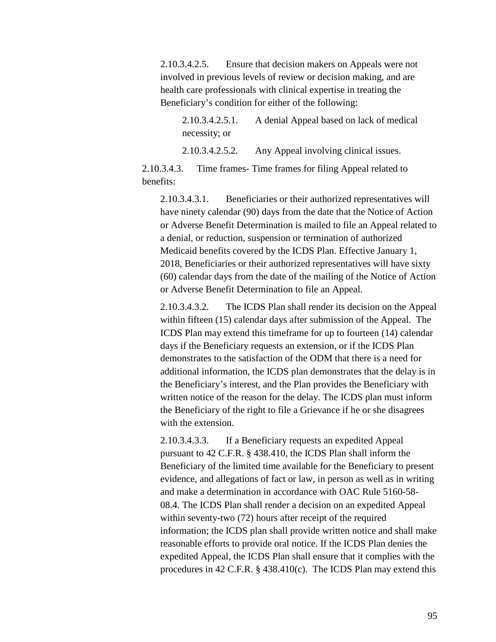2.10.3.4.2.5. Ensure that decision makers on Appeals were not involved in previous levels of review or decision making, and are health care professionals with clinical expertise in treating the Beneficiary's condition for either of the following:

2.10.3.4.2.5.1. A denial Appeal based on lack of medical necessity; or

2.10.3.4.2.5.2. Any Appeal involving clinical issues.

2.10.3.4.3. Time frames- Time frames for filing Appeal related to benefits:

2.10.3.4.3.1. Beneficiaries or their authorized representatives will have ninety calendar (90) days from the date that the Notice of Action or Adverse Benefit Determination is mailed to file an Appeal related to a denial, or reduction, suspension or termination of authorized Medicaid benefits covered by the ICDS Plan. Effective January 1, 2018, Beneficiaries or their authorized representatives will have sixty (60) calendar days from the date of the mailing of the Notice of Action or Adverse Benefit Determination to file an Appeal.

2.10.3.4.3.2. The ICDS Plan shall render its decision on the Appeal within fifteen (15) calendar days after submission of the Appeal. The ICDS Plan may extend this timeframe for up to fourteen (14) calendar days if the Beneficiary requests an extension, or if the ICDS Plan demonstrates to the satisfaction of the ODM that there is a need for additional information, the ICDS plan demonstrates that the delay is in the Beneficiary's interest, and the Plan provides the Beneficiary with written notice of the reason for the delay. The ICDS plan must inform the Beneficiary of the right to file a Grievance if he or she disagrees with the extension.

2.10.3.4.3.3. If a Beneficiary requests an expedited Appeal pursuant to 42 C.F.R. § 438.410, the ICDS Plan shall inform the Beneficiary of the limited time available for the Beneficiary to present evidence, and allegations of fact or law, in person as well as in writing and make a determination in accordance with OAC Rule 5160-58- 08.4. The ICDS Plan shall render a decision on an expedited Appeal within seventy-two (72) hours after receipt of the required information; the ICDS plan shall provide written notice and shall make reasonable efforts to provide oral notice. If the ICDS Plan denies the expedited Appeal, the ICDS Plan shall ensure that it complies with the procedures in 42 C.F.R. § 438.410(c). The ICDS Plan may extend this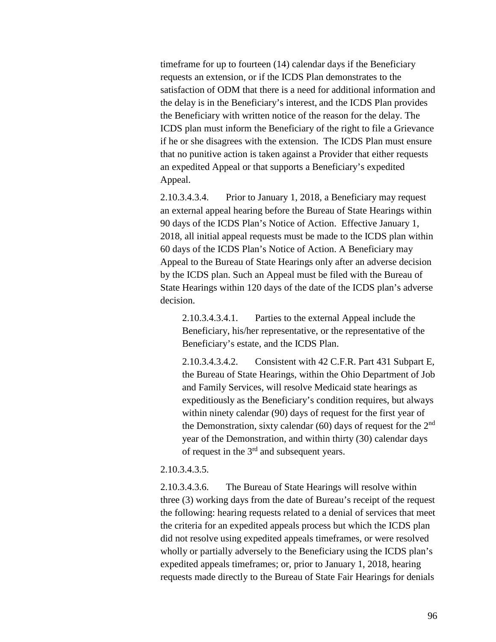timeframe for up to fourteen (14) calendar days if the Beneficiary requests an extension, or if the ICDS Plan demonstrates to the satisfaction of ODM that there is a need for additional information and the delay is in the Beneficiary's interest, and the ICDS Plan provides the Beneficiary with written notice of the reason for the delay. The ICDS plan must inform the Beneficiary of the right to file a Grievance if he or she disagrees with the extension. The ICDS Plan must ensure that no punitive action is taken against a Provider that either requests an expedited Appeal or that supports a Beneficiary's expedited Appeal.

2.10.3.4.3.4. Prior to January 1, 2018, a Beneficiary may request an external appeal hearing before the Bureau of State Hearings within 90 days of the ICDS Plan's Notice of Action. Effective January 1, 2018, all initial appeal requests must be made to the ICDS plan within 60 days of the ICDS Plan's Notice of Action. A Beneficiary may Appeal to the Bureau of State Hearings only after an adverse decision by the ICDS plan. Such an Appeal must be filed with the Bureau of State Hearings within 120 days of the date of the ICDS plan's adverse decision.

2.10.3.4.3.4.1. Parties to the external Appeal include the Beneficiary, his/her representative, or the representative of the Beneficiary's estate, and the ICDS Plan.

2.10.3.4.3.4.2. Consistent with 42 C.F.R. Part 431 Subpart E, the Bureau of State Hearings, within the Ohio Department of Job and Family Services, will resolve Medicaid state hearings as expeditiously as the Beneficiary's condition requires, but always within ninety calendar (90) days of request for the first year of the Demonstration, sixty calendar (60) days of request for the  $2<sup>nd</sup>$ year of the Demonstration, and within thirty (30) calendar days of request in the 3rd and subsequent years.

# 2.10.3.4.3.5.

2.10.3.4.3.6. The Bureau of State Hearings will resolve within three (3) working days from the date of Bureau's receipt of the request the following: hearing requests related to a denial of services that meet the criteria for an expedited appeals process but which the ICDS plan did not resolve using expedited appeals timeframes, or were resolved wholly or partially adversely to the Beneficiary using the ICDS plan's expedited appeals timeframes; or, prior to January 1, 2018, hearing requests made directly to the Bureau of State Fair Hearings for denials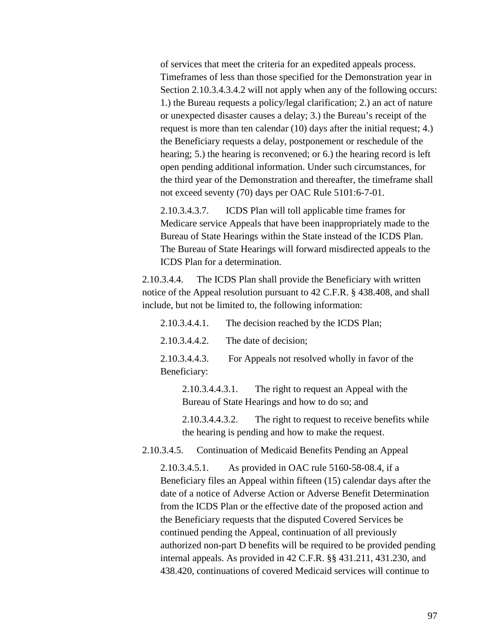of services that meet the criteria for an expedited appeals process. Timeframes of less than those specified for the Demonstration year in Section 2.10.3.4.3.4.2 will not apply when any of the following occurs: 1.) the Bureau requests a policy/legal clarification; 2.) an act of nature or unexpected disaster causes a delay; 3.) the Bureau's receipt of the request is more than ten calendar (10) days after the initial request; 4.) the Beneficiary requests a delay, postponement or reschedule of the hearing; 5.) the hearing is reconvened; or 6.) the hearing record is left open pending additional information. Under such circumstances, for the third year of the Demonstration and thereafter, the timeframe shall not exceed seventy (70) days per OAC Rule 5101:6-7-01.

2.10.3.4.3.7. ICDS Plan will toll applicable time frames for Medicare service Appeals that have been inappropriately made to the Bureau of State Hearings within the State instead of the ICDS Plan. The Bureau of State Hearings will forward misdirected appeals to the ICDS Plan for a determination.

2.10.3.4.4. The ICDS Plan shall provide the Beneficiary with written notice of the Appeal resolution pursuant to 42 C.F.R. § 438.408, and shall include, but not be limited to, the following information:

2.10.3.4.4.1. The decision reached by the ICDS Plan;

2.10.3.4.4.2. The date of decision;

2.10.3.4.4.3. For Appeals not resolved wholly in favor of the Beneficiary:

2.10.3.4.4.3.1. The right to request an Appeal with the Bureau of State Hearings and how to do so; and

2.10.3.4.4.3.2. The right to request to receive benefits while the hearing is pending and how to make the request.

2.10.3.4.5. Continuation of Medicaid Benefits Pending an Appeal

2.10.3.4.5.1. As provided in OAC rule 5160-58-08.4, if a Beneficiary files an Appeal within fifteen (15) calendar days after the date of a notice of Adverse Action or Adverse Benefit Determination from the ICDS Plan or the effective date of the proposed action and the Beneficiary requests that the disputed Covered Services be continued pending the Appeal, continuation of all previously authorized non-part D benefits will be required to be provided pending internal appeals. As provided in 42 C.F.R. §§ 431.211, 431.230, and 438.420, continuations of covered Medicaid services will continue to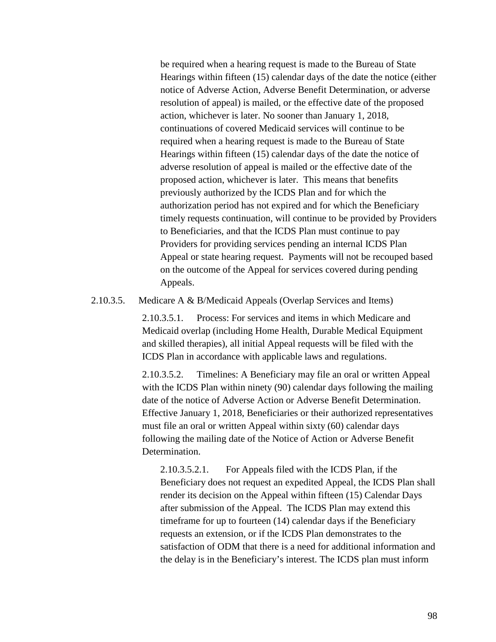be required when a hearing request is made to the Bureau of State Hearings within fifteen (15) calendar days of the date the notice (either notice of Adverse Action, Adverse Benefit Determination, or adverse resolution of appeal) is mailed, or the effective date of the proposed action, whichever is later. No sooner than January 1, 2018, continuations of covered Medicaid services will continue to be required when a hearing request is made to the Bureau of State Hearings within fifteen (15) calendar days of the date the notice of adverse resolution of appeal is mailed or the effective date of the proposed action, whichever is later. This means that benefits previously authorized by the ICDS Plan and for which the authorization period has not expired and for which the Beneficiary timely requests continuation, will continue to be provided by Providers to Beneficiaries, and that the ICDS Plan must continue to pay Providers for providing services pending an internal ICDS Plan Appeal or state hearing request. Payments will not be recouped based on the outcome of the Appeal for services covered during pending Appeals.

#### 2.10.3.5. Medicare A & B/Medicaid Appeals (Overlap Services and Items)

2.10.3.5.1. Process: For services and items in which Medicare and Medicaid overlap (including Home Health, Durable Medical Equipment and skilled therapies), all initial Appeal requests will be filed with the ICDS Plan in accordance with applicable laws and regulations.

2.10.3.5.2. Timelines: A Beneficiary may file an oral or written Appeal with the ICDS Plan within ninety (90) calendar days following the mailing date of the notice of Adverse Action or Adverse Benefit Determination. Effective January 1, 2018, Beneficiaries or their authorized representatives must file an oral or written Appeal within sixty (60) calendar days following the mailing date of the Notice of Action or Adverse Benefit Determination.

2.10.3.5.2.1. For Appeals filed with the ICDS Plan, if the Beneficiary does not request an expedited Appeal, the ICDS Plan shall render its decision on the Appeal within fifteen (15) Calendar Days after submission of the Appeal. The ICDS Plan may extend this timeframe for up to fourteen (14) calendar days if the Beneficiary requests an extension, or if the ICDS Plan demonstrates to the satisfaction of ODM that there is a need for additional information and the delay is in the Beneficiary's interest. The ICDS plan must inform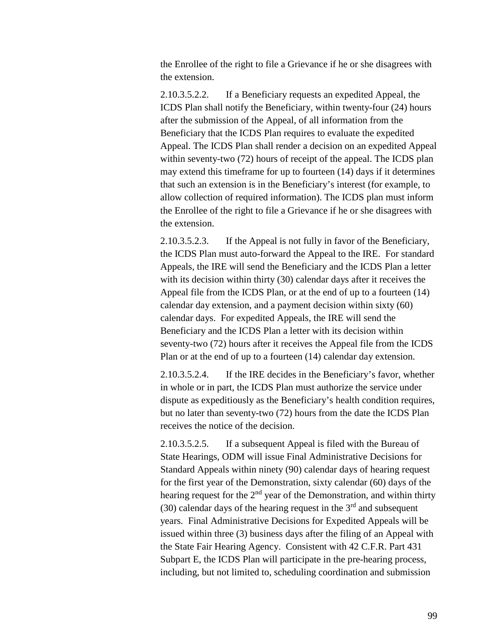the Enrollee of the right to file a Grievance if he or she disagrees with the extension.

2.10.3.5.2.2. If a Beneficiary requests an expedited Appeal, the ICDS Plan shall notify the Beneficiary, within twenty-four (24) hours after the submission of the Appeal, of all information from the Beneficiary that the ICDS Plan requires to evaluate the expedited Appeal. The ICDS Plan shall render a decision on an expedited Appeal within seventy-two (72) hours of receipt of the appeal. The ICDS plan may extend this timeframe for up to fourteen (14) days if it determines that such an extension is in the Beneficiary's interest (for example, to allow collection of required information). The ICDS plan must inform the Enrollee of the right to file a Grievance if he or she disagrees with the extension.

2.10.3.5.2.3. If the Appeal is not fully in favor of the Beneficiary, the ICDS Plan must auto-forward the Appeal to the IRE. For standard Appeals, the IRE will send the Beneficiary and the ICDS Plan a letter with its decision within thirty (30) calendar days after it receives the Appeal file from the ICDS Plan, or at the end of up to a fourteen (14) calendar day extension, and a payment decision within sixty (60) calendar days. For expedited Appeals, the IRE will send the Beneficiary and the ICDS Plan a letter with its decision within seventy-two (72) hours after it receives the Appeal file from the ICDS Plan or at the end of up to a fourteen (14) calendar day extension.

2.10.3.5.2.4. If the IRE decides in the Beneficiary's favor, whether in whole or in part, the ICDS Plan must authorize the service under dispute as expeditiously as the Beneficiary's health condition requires, but no later than seventy-two (72) hours from the date the ICDS Plan receives the notice of the decision.

2.10.3.5.2.5. If a subsequent Appeal is filed with the Bureau of State Hearings, ODM will issue Final Administrative Decisions for Standard Appeals within ninety (90) calendar days of hearing request for the first year of the Demonstration, sixty calendar (60) days of the hearing request for the  $2<sup>nd</sup>$  year of the Demonstration, and within thirty (30) calendar days of the hearing request in the  $3<sup>rd</sup>$  and subsequent years. Final Administrative Decisions for Expedited Appeals will be issued within three (3) business days after the filing of an Appeal with the State Fair Hearing Agency. Consistent with 42 C.F.R. Part 431 Subpart E, the ICDS Plan will participate in the pre-hearing process, including, but not limited to, scheduling coordination and submission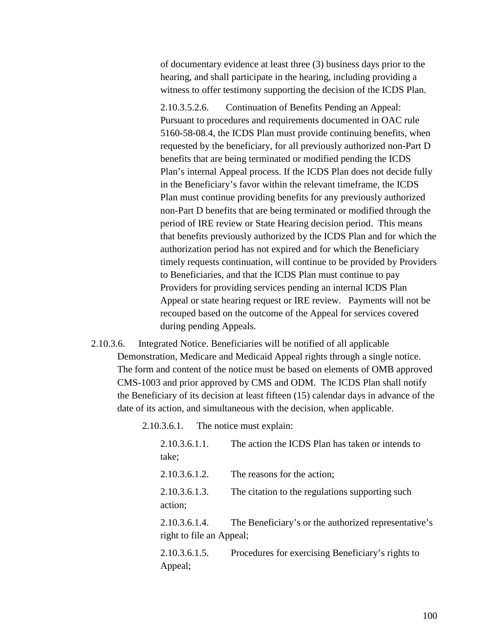of documentary evidence at least three (3) business days prior to the hearing, and shall participate in the hearing, including providing a witness to offer testimony supporting the decision of the ICDS Plan.

2.10.3.5.2.6. Continuation of Benefits Pending an Appeal: Pursuant to procedures and requirements documented in OAC rule 5160-58-08.4, the ICDS Plan must provide continuing benefits, when requested by the beneficiary, for all previously authorized non-Part D benefits that are being terminated or modified pending the ICDS Plan's internal Appeal process. If the ICDS Plan does not decide fully in the Beneficiary's favor within the relevant timeframe, the ICDS Plan must continue providing benefits for any previously authorized non-Part D benefits that are being terminated or modified through the period of IRE review or State Hearing decision period. This means that benefits previously authorized by the ICDS Plan and for which the authorization period has not expired and for which the Beneficiary timely requests continuation, will continue to be provided by Providers to Beneficiaries, and that the ICDS Plan must continue to pay Providers for providing services pending an internal ICDS Plan Appeal or state hearing request or IRE review. Payments will not be recouped based on the outcome of the Appeal for services covered during pending Appeals.

2.10.3.6. Integrated Notice. Beneficiaries will be notified of all applicable Demonstration, Medicare and Medicaid Appeal rights through a single notice. The form and content of the notice must be based on elements of OMB approved CMS-1003 and prior approved by CMS and ODM. The ICDS Plan shall notify the Beneficiary of its decision at least fifteen (15) calendar days in advance of the date of its action, and simultaneous with the decision, when applicable.

2.10.3.6.1. The notice must explain:

| 2.10.3.6.1.1.<br>take;                    | The action the ICDS Plan has taken or intends to     |
|-------------------------------------------|------------------------------------------------------|
| 2.10.3.6.1.2.                             | The reasons for the action;                          |
| 2.10.3.6.1.3.<br>action;                  | The citation to the regulations supporting such      |
| 2.10.3.6.1.4.<br>right to file an Appeal; | The Beneficiary's or the authorized representative's |
| 2.10.3.6.1.5.<br>Appeal;                  | Procedures for exercising Beneficiary's rights to    |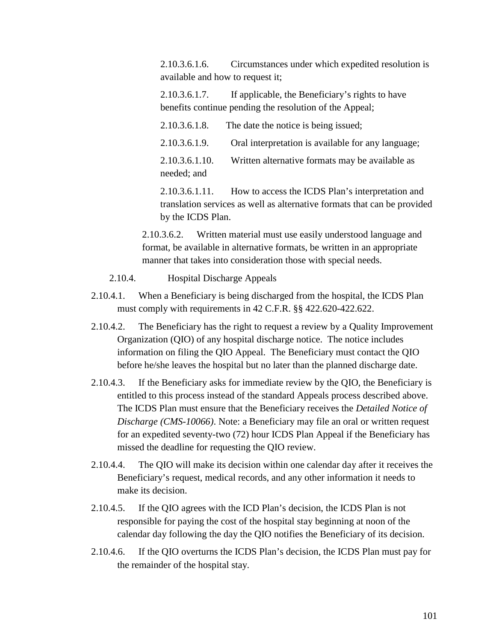2.10.3.6.1.6. Circumstances under which expedited resolution is available and how to request it;

2.10.3.6.1.7. If applicable, the Beneficiary's rights to have benefits continue pending the resolution of the Appeal;

2.10.3.6.1.8. The date the notice is being issued; 2.10.3.6.1.9. Oral interpretation is available for any language; 2.10.3.6.1.10. Written alternative formats may be available as

needed; and

2.10.3.6.1.11. How to access the ICDS Plan's interpretation and translation services as well as alternative formats that can be provided by the ICDS Plan.

2.10.3.6.2. Written material must use easily understood language and format, be available in alternative formats, be written in an appropriate manner that takes into consideration those with special needs.

- 2.10.4. Hospital Discharge Appeals
- 2.10.4.1. When a Beneficiary is being discharged from the hospital, the ICDS Plan must comply with requirements in 42 C.F.R. §§ 422.620-422.622.
- 2.10.4.2. The Beneficiary has the right to request a review by a Quality Improvement Organization (QIO) of any hospital discharge notice. The notice includes information on filing the QIO Appeal. The Beneficiary must contact the QIO before he/she leaves the hospital but no later than the planned discharge date.
- 2.10.4.3. If the Beneficiary asks for immediate review by the QIO, the Beneficiary is entitled to this process instead of the standard Appeals process described above. The ICDS Plan must ensure that the Beneficiary receives the *Detailed Notice of Discharge (CMS-10066)*. Note: a Beneficiary may file an oral or written request for an expedited seventy-two (72) hour ICDS Plan Appeal if the Beneficiary has missed the deadline for requesting the QIO review.
- 2.10.4.4. The QIO will make its decision within one calendar day after it receives the Beneficiary's request, medical records, and any other information it needs to make its decision.
- 2.10.4.5. If the QIO agrees with the ICD Plan's decision, the ICDS Plan is not responsible for paying the cost of the hospital stay beginning at noon of the calendar day following the day the QIO notifies the Beneficiary of its decision.
- 2.10.4.6. If the QIO overturns the ICDS Plan's decision, the ICDS Plan must pay for the remainder of the hospital stay.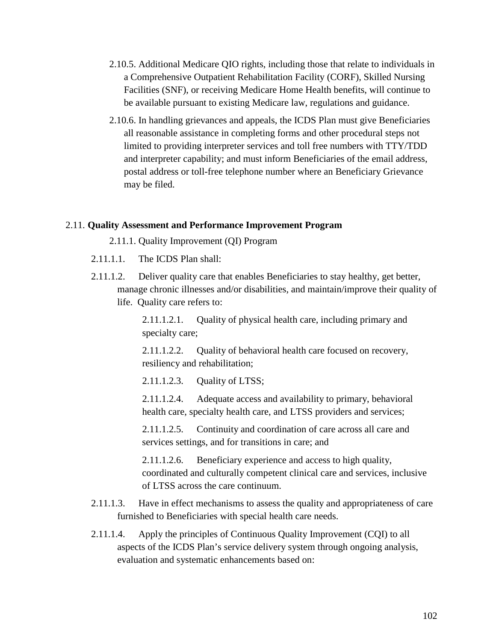- 2.10.5. Additional Medicare QIO rights, including those that relate to individuals in a Comprehensive Outpatient Rehabilitation Facility (CORF), Skilled Nursing Facilities (SNF), or receiving Medicare Home Health benefits, will continue to be available pursuant to existing Medicare law, regulations and guidance.
- 2.10.6. In handling grievances and appeals, the ICDS Plan must give Beneficiaries all reasonable assistance in completing forms and other procedural steps not limited to providing interpreter services and toll free numbers with TTY/TDD and interpreter capability; and must inform Beneficiaries of the email address, postal address or toll-free telephone number where an Beneficiary Grievance may be filed.

## 2.11. **Quality Assessment and Performance Improvement Program**

2.11.1. Quality Improvement (QI) Program

- 2.11.1.1. The ICDS Plan shall:
- 2.11.1.2. Deliver quality care that enables Beneficiaries to stay healthy, get better, manage chronic illnesses and/or disabilities, and maintain/improve their quality of life. Quality care refers to:

2.11.1.2.1. Quality of physical health care, including primary and specialty care;

2.11.1.2.2. Quality of behavioral health care focused on recovery, resiliency and rehabilitation;

2.11.1.2.3. Quality of LTSS;

2.11.1.2.4. Adequate access and availability to primary, behavioral health care, specialty health care, and LTSS providers and services;

2.11.1.2.5. Continuity and coordination of care across all care and services settings, and for transitions in care; and

2.11.1.2.6. Beneficiary experience and access to high quality, coordinated and culturally competent clinical care and services, inclusive of LTSS across the care continuum.

- 2.11.1.3. Have in effect mechanisms to assess the quality and appropriateness of care furnished to Beneficiaries with special health care needs.
- 2.11.1.4. Apply the principles of Continuous Quality Improvement (CQI) to all aspects of the ICDS Plan's service delivery system through ongoing analysis, evaluation and systematic enhancements based on: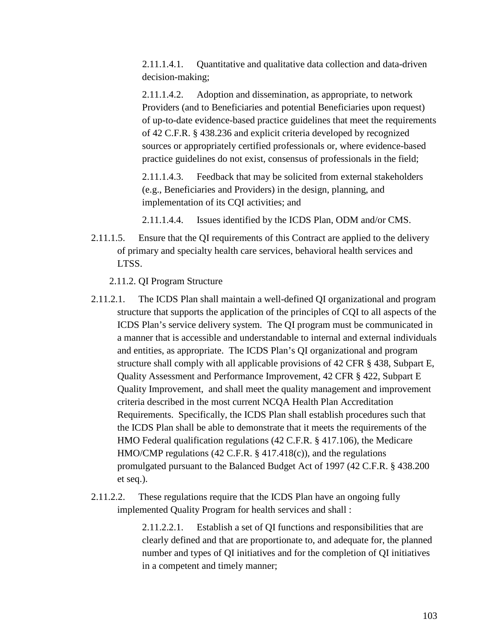2.11.1.4.1. Quantitative and qualitative data collection and data-driven decision-making;

2.11.1.4.2. Adoption and dissemination, as appropriate, to network Providers (and to Beneficiaries and potential Beneficiaries upon request) of up-to-date evidence-based practice guidelines that meet the requirements of 42 C.F.R. § 438.236 and explicit criteria developed by recognized sources or appropriately certified professionals or, where evidence-based practice guidelines do not exist, consensus of professionals in the field;

2.11.1.4.3. Feedback that may be solicited from external stakeholders (e.g., Beneficiaries and Providers) in the design, planning, and implementation of its CQI activities; and

2.11.1.4.4. Issues identified by the ICDS Plan, ODM and/or CMS.

- 2.11.1.5. Ensure that the QI requirements of this Contract are applied to the delivery of primary and specialty health care services, behavioral health services and LTSS.
	- 2.11.2. QI Program Structure
- 2.11.2.1. The ICDS Plan shall maintain a well-defined QI organizational and program structure that supports the application of the principles of CQI to all aspects of the ICDS Plan's service delivery system. The QI program must be communicated in a manner that is accessible and understandable to internal and external individuals and entities, as appropriate. The ICDS Plan's QI organizational and program structure shall comply with all applicable provisions of 42 CFR § 438, Subpart E, Quality Assessment and Performance Improvement, 42 CFR § 422, Subpart E Quality Improvement, and shall meet the quality management and improvement criteria described in the most current NCQA Health Plan Accreditation Requirements. Specifically, the ICDS Plan shall establish procedures such that the ICDS Plan shall be able to demonstrate that it meets the requirements of the HMO Federal qualification regulations (42 C.F.R. § 417.106), the Medicare HMO/CMP regulations (42 C.F.R. § 417.418(c)), and the regulations promulgated pursuant to the Balanced Budget Act of 1997 (42 C.F.R. § 438.200 et seq.).
- 2.11.2.2. These regulations require that the ICDS Plan have an ongoing fully implemented Quality Program for health services and shall :

2.11.2.2.1. Establish a set of QI functions and responsibilities that are clearly defined and that are proportionate to, and adequate for, the planned number and types of QI initiatives and for the completion of QI initiatives in a competent and timely manner;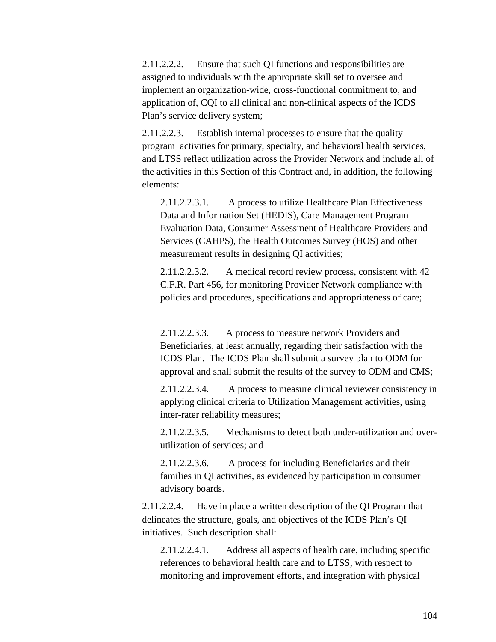2.11.2.2.2. Ensure that such QI functions and responsibilities are assigned to individuals with the appropriate skill set to oversee and implement an organization-wide, cross-functional commitment to, and application of, CQI to all clinical and non-clinical aspects of the ICDS Plan's service delivery system;

2.11.2.2.3. Establish internal processes to ensure that the quality program activities for primary, specialty, and behavioral health services, and LTSS reflect utilization across the Provider Network and include all of the activities in this Section of this Contract and, in addition, the following elements:

2.11.2.2.3.1. A process to utilize Healthcare Plan Effectiveness Data and Information Set (HEDIS), Care Management Program Evaluation Data, Consumer Assessment of Healthcare Providers and Services (CAHPS), the Health Outcomes Survey (HOS) and other measurement results in designing QI activities;

2.11.2.2.3.2. A medical record review process, consistent with 42 C.F.R. Part 456, for monitoring Provider Network compliance with policies and procedures, specifications and appropriateness of care;

2.11.2.2.3.3. A process to measure network Providers and Beneficiaries, at least annually, regarding their satisfaction with the ICDS Plan. The ICDS Plan shall submit a survey plan to ODM for approval and shall submit the results of the survey to ODM and CMS;

2.11.2.2.3.4. A process to measure clinical reviewer consistency in applying clinical criteria to Utilization Management activities, using inter-rater reliability measures;

2.11.2.2.3.5. Mechanisms to detect both under-utilization and overutilization of services; and

2.11.2.2.3.6. A process for including Beneficiaries and their families in QI activities, as evidenced by participation in consumer advisory boards.

2.11.2.2.4. Have in place a written description of the QI Program that delineates the structure, goals, and objectives of the ICDS Plan's QI initiatives. Such description shall:

2.11.2.2.4.1. Address all aspects of health care, including specific references to behavioral health care and to LTSS, with respect to monitoring and improvement efforts, and integration with physical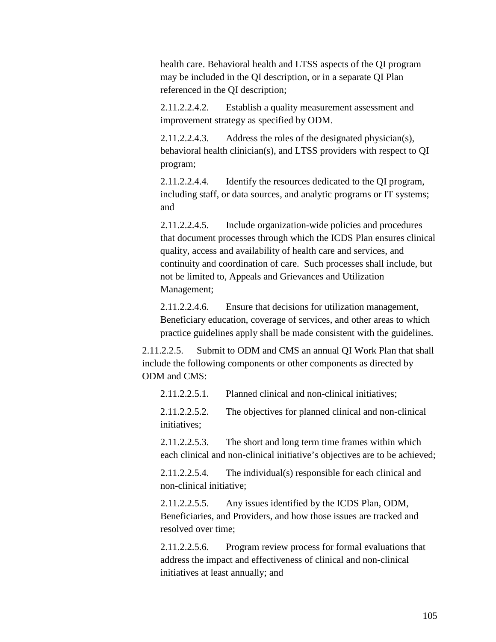health care. Behavioral health and LTSS aspects of the QI program may be included in the QI description, or in a separate QI Plan referenced in the QI description;

2.11.2.2.4.2. Establish a quality measurement assessment and improvement strategy as specified by ODM.

2.11.2.2.4.3. Address the roles of the designated physician(s), behavioral health clinician(s), and LTSS providers with respect to QI program;

2.11.2.2.4.4. Identify the resources dedicated to the QI program, including staff, or data sources, and analytic programs or IT systems; and

2.11.2.2.4.5. Include organization-wide policies and procedures that document processes through which the ICDS Plan ensures clinical quality, access and availability of health care and services, and continuity and coordination of care. Such processes shall include, but not be limited to, Appeals and Grievances and Utilization Management;

2.11.2.2.4.6. Ensure that decisions for utilization management, Beneficiary education, coverage of services, and other areas to which practice guidelines apply shall be made consistent with the guidelines.

2.11.2.2.5. Submit to ODM and CMS an annual QI Work Plan that shall include the following components or other components as directed by ODM and CMS:

2.11.2.2.5.1. Planned clinical and non-clinical initiatives;

2.11.2.2.5.2. The objectives for planned clinical and non-clinical initiatives;

2.11.2.2.5.3. The short and long term time frames within which each clinical and non-clinical initiative's objectives are to be achieved;

2.11.2.2.5.4. The individual(s) responsible for each clinical and non-clinical initiative;

2.11.2.2.5.5. Any issues identified by the ICDS Plan, ODM, Beneficiaries, and Providers, and how those issues are tracked and resolved over time;

2.11.2.2.5.6. Program review process for formal evaluations that address the impact and effectiveness of clinical and non-clinical initiatives at least annually; and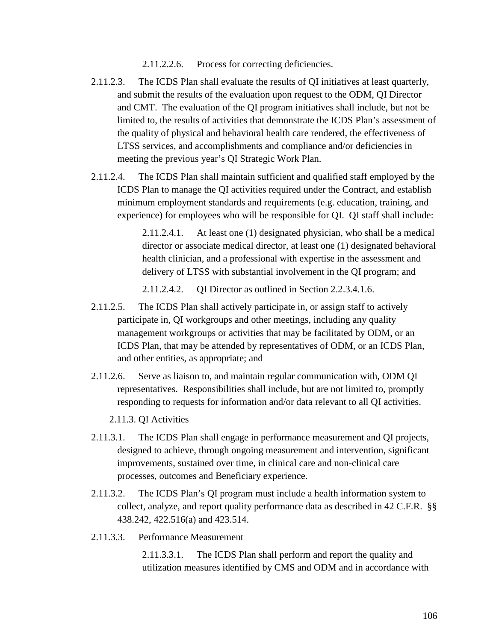2.11.2.2.6. Process for correcting deficiencies.

- 2.11.2.3. The ICDS Plan shall evaluate the results of QI initiatives at least quarterly, and submit the results of the evaluation upon request to the ODM, QI Director and CMT. The evaluation of the QI program initiatives shall include, but not be limited to, the results of activities that demonstrate the ICDS Plan's assessment of the quality of physical and behavioral health care rendered, the effectiveness of LTSS services, and accomplishments and compliance and/or deficiencies in meeting the previous year's QI Strategic Work Plan.
- 2.11.2.4. The ICDS Plan shall maintain sufficient and qualified staff employed by the ICDS Plan to manage the QI activities required under the Contract, and establish minimum employment standards and requirements (e.g. education, training, and experience) for employees who will be responsible for QI. QI staff shall include:

2.11.2.4.1. At least one (1) designated physician, who shall be a medical director or associate medical director, at least one (1) designated behavioral health clinician, and a professional with expertise in the assessment and delivery of LTSS with substantial involvement in the QI program; and

2.11.2.4.2. QI Director as outlined in Section 2.2.3.4.1.6.

- 2.11.2.5. The ICDS Plan shall actively participate in, or assign staff to actively participate in, QI workgroups and other meetings, including any quality management workgroups or activities that may be facilitated by ODM, or an ICDS Plan, that may be attended by representatives of ODM, or an ICDS Plan, and other entities, as appropriate; and
- 2.11.2.6. Serve as liaison to, and maintain regular communication with, ODM QI representatives. Responsibilities shall include, but are not limited to, promptly responding to requests for information and/or data relevant to all QI activities.

2.11.3. QI Activities

- 2.11.3.1. The ICDS Plan shall engage in performance measurement and QI projects, designed to achieve, through ongoing measurement and intervention, significant improvements, sustained over time, in clinical care and non-clinical care processes, outcomes and Beneficiary experience.
- 2.11.3.2. The ICDS Plan's QI program must include a health information system to collect, analyze, and report quality performance data as described in 42 C.F.R. §§ 438.242, 422.516(a) and 423.514.
- 2.11.3.3. Performance Measurement

2.11.3.3.1. The ICDS Plan shall perform and report the quality and utilization measures identified by CMS and ODM and in accordance with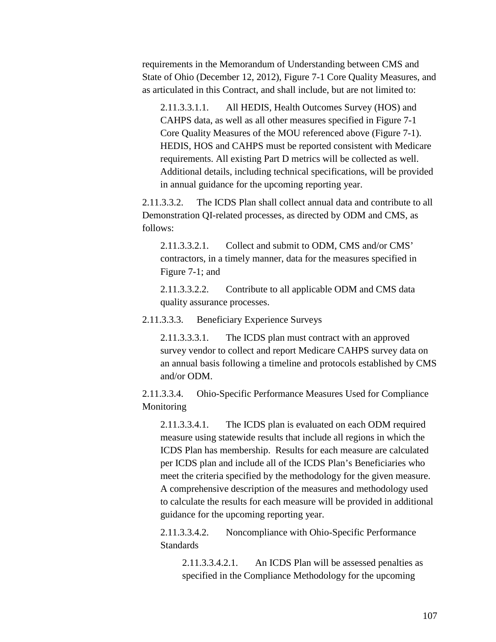requirements in the Memorandum of Understanding between CMS and State of Ohio (December 12, 2012), Figure 7-1 Core Quality Measures, and as articulated in this Contract, and shall include, but are not limited to:

2.11.3.3.1.1. All HEDIS, Health Outcomes Survey (HOS) and CAHPS data, as well as all other measures specified in Figure 7-1 Core Quality Measures of the MOU referenced above (Figure 7-1). HEDIS, HOS and CAHPS must be reported consistent with Medicare requirements. All existing Part D metrics will be collected as well. Additional details, including technical specifications, will be provided in annual guidance for the upcoming reporting year.

2.11.3.3.2. The ICDS Plan shall collect annual data and contribute to all Demonstration QI-related processes, as directed by ODM and CMS, as follows:

2.11.3.3.2.1. Collect and submit to ODM, CMS and/or CMS' contractors, in a timely manner, data for the measures specified in Figure 7-1; and

2.11.3.3.2.2. Contribute to all applicable ODM and CMS data quality assurance processes.

2.11.3.3.3. Beneficiary Experience Surveys

2.11.3.3.3.1. The ICDS plan must contract with an approved survey vendor to collect and report Medicare CAHPS survey data on an annual basis following a timeline and protocols established by CMS and/or ODM.

2.11.3.3.4. Ohio-Specific Performance Measures Used for Compliance Monitoring

2.11.3.3.4.1. The ICDS plan is evaluated on each ODM required measure using statewide results that include all regions in which the ICDS Plan has membership. Results for each measure are calculated per ICDS plan and include all of the ICDS Plan's Beneficiaries who meet the criteria specified by the methodology for the given measure. A comprehensive description of the measures and methodology used to calculate the results for each measure will be provided in additional guidance for the upcoming reporting year.

2.11.3.3.4.2. Noncompliance with Ohio-Specific Performance **Standards** 

2.11.3.3.4.2.1. An ICDS Plan will be assessed penalties as specified in the Compliance Methodology for the upcoming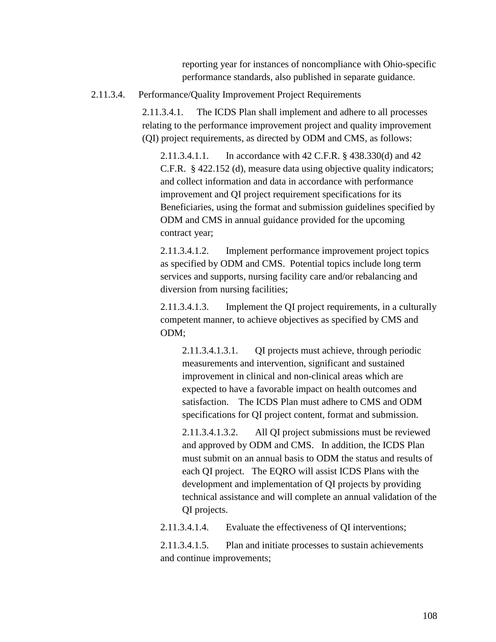reporting year for instances of noncompliance with Ohio-specific performance standards, also published in separate guidance.

#### 2.11.3.4. Performance/Quality Improvement Project Requirements

2.11.3.4.1. The ICDS Plan shall implement and adhere to all processes relating to the performance improvement project and quality improvement (QI) project requirements, as directed by ODM and CMS, as follows:

2.11.3.4.1.1. In accordance with 42 C.F.R. § 438.330(d) and 42 C.F.R. § 422.152 (d), measure data using objective quality indicators; and collect information and data in accordance with performance improvement and QI project requirement specifications for its Beneficiaries, using the format and submission guidelines specified by ODM and CMS in annual guidance provided for the upcoming contract year;

2.11.3.4.1.2. Implement performance improvement project topics as specified by ODM and CMS. Potential topics include long term services and supports, nursing facility care and/or rebalancing and diversion from nursing facilities;

2.11.3.4.1.3. Implement the QI project requirements, in a culturally competent manner, to achieve objectives as specified by CMS and ODM;

2.11.3.4.1.3.1. QI projects must achieve, through periodic measurements and intervention, significant and sustained improvement in clinical and non-clinical areas which are expected to have a favorable impact on health outcomes and satisfaction. The ICDS Plan must adhere to CMS and ODM specifications for QI project content, format and submission.

2.11.3.4.1.3.2. All QI project submissions must be reviewed and approved by ODM and CMS. In addition, the ICDS Plan must submit on an annual basis to ODM the status and results of each QI project. The EQRO will assist ICDS Plans with the development and implementation of QI projects by providing technical assistance and will complete an annual validation of the QI projects.

2.11.3.4.1.4. Evaluate the effectiveness of QI interventions;

2.11.3.4.1.5. Plan and initiate processes to sustain achievements and continue improvements;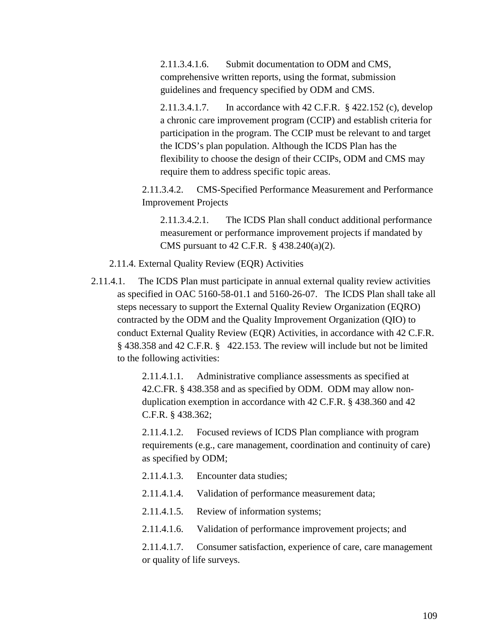2.11.3.4.1.6. Submit documentation to ODM and CMS, comprehensive written reports, using the format, submission guidelines and frequency specified by ODM and CMS.

2.11.3.4.1.7. In accordance with 42 C.F.R. § 422.152 (c), develop a chronic care improvement program (CCIP) and establish criteria for participation in the program. The CCIP must be relevant to and target the ICDS's plan population. Although the ICDS Plan has the flexibility to choose the design of their CCIPs, ODM and CMS may require them to address specific topic areas.

2.11.3.4.2. CMS-Specified Performance Measurement and Performance Improvement Projects

2.11.3.4.2.1. The ICDS Plan shall conduct additional performance measurement or performance improvement projects if mandated by CMS pursuant to 42 C.F.R. § 438.240(a)(2).

2.11.4. External Quality Review (EQR) Activities

2.11.4.1. The ICDS Plan must participate in annual external quality review activities as specified in OAC 5160-58-01.1 and 5160-26-07. The ICDS Plan shall take all steps necessary to support the External Quality Review Organization (EQRO) contracted by the ODM and the Quality Improvement Organization (QIO) to conduct External Quality Review (EQR) Activities, in accordance with 42 C.F.R. § 438.358 and 42 C.F.R. § 422.153. The review will include but not be limited to the following activities:

> 2.11.4.1.1. Administrative compliance assessments as specified at 42.C.FR. § 438.358 and as specified by ODM. ODM may allow nonduplication exemption in accordance with 42 C.F.R. § 438.360 and 42 C.F.R. § 438.362;

2.11.4.1.2. Focused reviews of ICDS Plan compliance with program requirements (e.g., care management, coordination and continuity of care) as specified by ODM;

- 2.11.4.1.3. Encounter data studies;
- 2.11.4.1.4. Validation of performance measurement data;
- 2.11.4.1.5. Review of information systems;
- 2.11.4.1.6. Validation of performance improvement projects; and

2.11.4.1.7. Consumer satisfaction, experience of care, care management or quality of life surveys.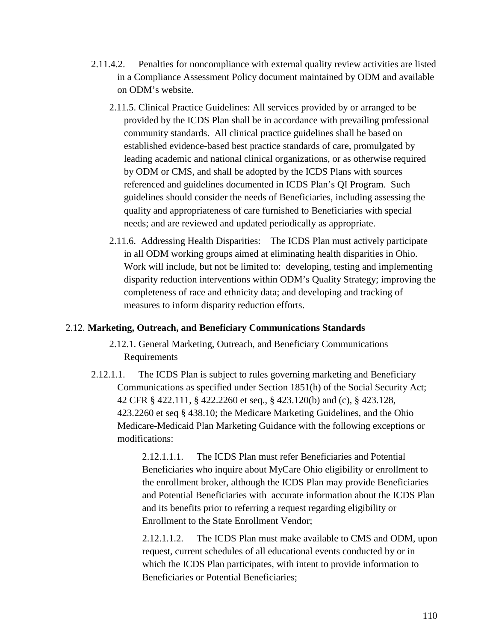- 2.11.4.2. Penalties for noncompliance with external quality review activities are listed in a Compliance Assessment Policy document maintained by ODM and available on ODM's website.
	- 2.11.5. Clinical Practice Guidelines: All services provided by or arranged to be provided by the ICDS Plan shall be in accordance with prevailing professional community standards. All clinical practice guidelines shall be based on established evidence-based best practice standards of care, promulgated by leading academic and national clinical organizations, or as otherwise required by ODM or CMS, and shall be adopted by the ICDS Plans with sources referenced and guidelines documented in ICDS Plan's QI Program. Such guidelines should consider the needs of Beneficiaries, including assessing the quality and appropriateness of care furnished to Beneficiaries with special needs; and are reviewed and updated periodically as appropriate.
	- 2.11.6. Addressing Health Disparities: The ICDS Plan must actively participate in all ODM working groups aimed at eliminating health disparities in Ohio. Work will include, but not be limited to: developing, testing and implementing disparity reduction interventions within ODM's Quality Strategy; improving the completeness of race and ethnicity data; and developing and tracking of measures to inform disparity reduction efforts.

# 2.12. **Marketing, Outreach, and Beneficiary Communications Standards**

- 2.12.1. General Marketing, Outreach, and Beneficiary Communications Requirements
- 2.12.1.1. The ICDS Plan is subject to rules governing marketing and Beneficiary Communications as specified under Section 1851(h) of the Social Security Act; 42 CFR § 422.111, § 422.2260 et seq., § 423.120(b) and (c), § 423.128, 423.2260 et seq § 438.10; the Medicare Marketing Guidelines, and the Ohio Medicare-Medicaid Plan Marketing Guidance with the following exceptions or modifications:

2.12.1.1.1. The ICDS Plan must refer Beneficiaries and Potential Beneficiaries who inquire about MyCare Ohio eligibility or enrollment to the enrollment broker, although the ICDS Plan may provide Beneficiaries and Potential Beneficiaries with accurate information about the ICDS Plan and its benefits prior to referring a request regarding eligibility or Enrollment to the State Enrollment Vendor;

2.12.1.1.2. The ICDS Plan must make available to CMS and ODM, upon request, current schedules of all educational events conducted by or in which the ICDS Plan participates, with intent to provide information to Beneficiaries or Potential Beneficiaries;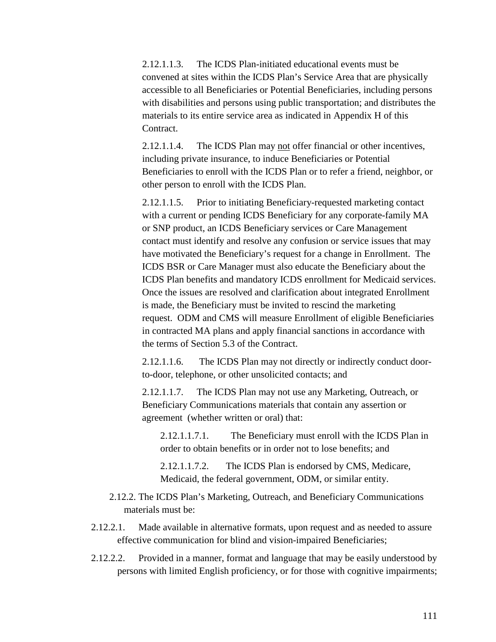2.12.1.1.3. The ICDS Plan-initiated educational events must be convened at sites within the ICDS Plan's Service Area that are physically accessible to all Beneficiaries or Potential Beneficiaries, including persons with disabilities and persons using public transportation; and distributes the materials to its entire service area as indicated in Appendix H of this Contract.

2.12.1.1.4. The ICDS Plan may not offer financial or other incentives, including private insurance, to induce Beneficiaries or Potential Beneficiaries to enroll with the ICDS Plan or to refer a friend, neighbor, or other person to enroll with the ICDS Plan.

2.12.1.1.5. Prior to initiating Beneficiary-requested marketing contact with a current or pending ICDS Beneficiary for any corporate-family MA or SNP product, an ICDS Beneficiary services or Care Management contact must identify and resolve any confusion or service issues that may have motivated the Beneficiary's request for a change in Enrollment. The ICDS BSR or Care Manager must also educate the Beneficiary about the ICDS Plan benefits and mandatory ICDS enrollment for Medicaid services. Once the issues are resolved and clarification about integrated Enrollment is made, the Beneficiary must be invited to rescind the marketing request. ODM and CMS will measure Enrollment of eligible Beneficiaries in contracted MA plans and apply financial sanctions in accordance with the terms of Section 5.3 of the Contract.

2.12.1.1.6. The ICDS Plan may not directly or indirectly conduct doorto-door, telephone, or other unsolicited contacts; and

2.12.1.1.7. The ICDS Plan may not use any Marketing, Outreach, or Beneficiary Communications materials that contain any assertion or agreement (whether written or oral) that:

2.12.1.1.7.1. The Beneficiary must enroll with the ICDS Plan in order to obtain benefits or in order not to lose benefits; and

2.12.1.1.7.2. The ICDS Plan is endorsed by CMS, Medicare, Medicaid, the federal government, ODM, or similar entity.

- 2.12.2. The ICDS Plan's Marketing, Outreach, and Beneficiary Communications materials must be:
- 2.12.2.1. Made available in alternative formats, upon request and as needed to assure effective communication for blind and vision-impaired Beneficiaries;
- 2.12.2.2. Provided in a manner, format and language that may be easily understood by persons with limited English proficiency, or for those with cognitive impairments;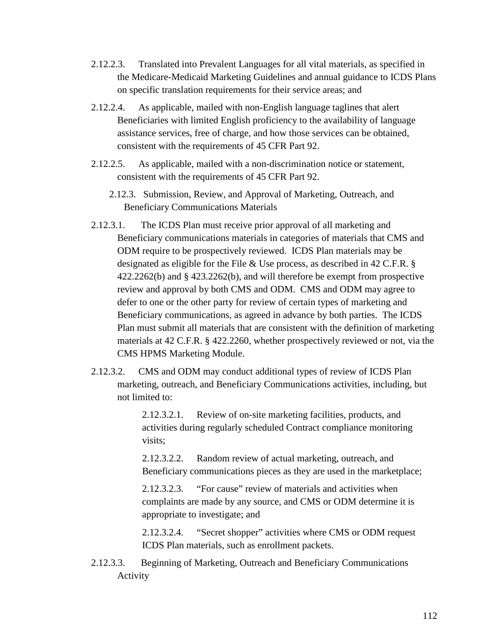- 2.12.2.3. Translated into Prevalent Languages for all vital materials, as specified in the Medicare-Medicaid Marketing Guidelines and annual guidance to ICDS Plans on specific translation requirements for their service areas; and
- 2.12.2.4. As applicable, mailed with non-English language taglines that alert Beneficiaries with limited English proficiency to the availability of language assistance services, free of charge, and how those services can be obtained, consistent with the requirements of 45 CFR Part 92.
- 2.12.2.5. As applicable, mailed with a non-discrimination notice or statement, consistent with the requirements of 45 CFR Part 92.
	- 2.12.3. Submission, Review, and Approval of Marketing, Outreach, and Beneficiary Communications Materials
- 2.12.3.1. The ICDS Plan must receive prior approval of all marketing and Beneficiary communications materials in categories of materials that CMS and ODM require to be prospectively reviewed. ICDS Plan materials may be designated as eligible for the File & Use process, as described in 42 C.F.R. § 422.2262(b) and § 423.2262(b), and will therefore be exempt from prospective review and approval by both CMS and ODM. CMS and ODM may agree to defer to one or the other party for review of certain types of marketing and Beneficiary communications, as agreed in advance by both parties. The ICDS Plan must submit all materials that are consistent with the definition of marketing materials at 42 C.F.R. § 422.2260, whether prospectively reviewed or not, via the CMS HPMS Marketing Module.
- 2.12.3.2. CMS and ODM may conduct additional types of review of ICDS Plan marketing, outreach, and Beneficiary Communications activities, including, but not limited to:

2.12.3.2.1. Review of on-site marketing facilities, products, and activities during regularly scheduled Contract compliance monitoring visits;

2.12.3.2.2. Random review of actual marketing, outreach, and Beneficiary communications pieces as they are used in the marketplace;

2.12.3.2.3. "For cause" review of materials and activities when complaints are made by any source, and CMS or ODM determine it is appropriate to investigate; and

2.12.3.2.4. "Secret shopper" activities where CMS or ODM request ICDS Plan materials, such as enrollment packets.

2.12.3.3. Beginning of Marketing, Outreach and Beneficiary Communications Activity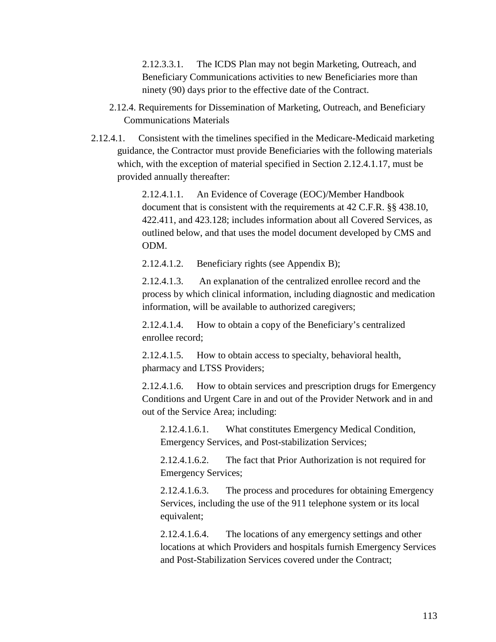2.12.3.3.1. The ICDS Plan may not begin Marketing, Outreach, and Beneficiary Communications activities to new Beneficiaries more than ninety (90) days prior to the effective date of the Contract.

- 2.12.4. Requirements for Dissemination of Marketing, Outreach, and Beneficiary Communications Materials
- 2.12.4.1. Consistent with the timelines specified in the Medicare-Medicaid marketing guidance, the Contractor must provide Beneficiaries with the following materials which, with the exception of material specified in Section 2.12.4.1.17, must be provided annually thereafter:

2.12.4.1.1. An Evidence of Coverage (EOC)/Member Handbook document that is consistent with the requirements at 42 C.F.R. §§ 438.10, 422.411, and 423.128; includes information about all Covered Services, as outlined below, and that uses the model document developed by CMS and ODM.

2.12.4.1.2. Beneficiary rights (see Appendix B);

2.12.4.1.3. An explanation of the centralized enrollee record and the process by which clinical information, including diagnostic and medication information, will be available to authorized caregivers;

2.12.4.1.4. How to obtain a copy of the Beneficiary's centralized enrollee record;

2.12.4.1.5. How to obtain access to specialty, behavioral health, pharmacy and LTSS Providers;

2.12.4.1.6. How to obtain services and prescription drugs for Emergency Conditions and Urgent Care in and out of the Provider Network and in and out of the Service Area; including:

2.12.4.1.6.1. What constitutes Emergency Medical Condition, Emergency Services, and Post-stabilization Services;

2.12.4.1.6.2. The fact that Prior Authorization is not required for Emergency Services;

2.12.4.1.6.3. The process and procedures for obtaining Emergency Services, including the use of the 911 telephone system or its local equivalent;

2.12.4.1.6.4. The locations of any emergency settings and other locations at which Providers and hospitals furnish Emergency Services and Post-Stabilization Services covered under the Contract;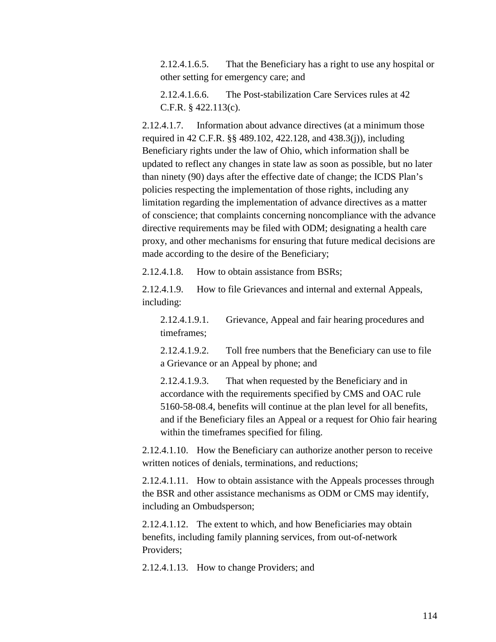2.12.4.1.6.5. That the Beneficiary has a right to use any hospital or other setting for emergency care; and

2.12.4.1.6.6. The Post-stabilization Care Services rules at 42 C.F.R. § 422.113(c).

2.12.4.1.7. Information about advance directives (at a minimum those required in 42 C.F.R. §§ 489.102, 422.128, and 438.3(j)), including Beneficiary rights under the law of Ohio, which information shall be updated to reflect any changes in state law as soon as possible, but no later than ninety (90) days after the effective date of change; the ICDS Plan's policies respecting the implementation of those rights, including any limitation regarding the implementation of advance directives as a matter of conscience; that complaints concerning noncompliance with the advance directive requirements may be filed with ODM; designating a health care proxy, and other mechanisms for ensuring that future medical decisions are made according to the desire of the Beneficiary;

2.12.4.1.8. How to obtain assistance from BSRs;

2.12.4.1.9. How to file Grievances and internal and external Appeals, including:

2.12.4.1.9.1. Grievance, Appeal and fair hearing procedures and timeframes;

2.12.4.1.9.2. Toll free numbers that the Beneficiary can use to file a Grievance or an Appeal by phone; and

2.12.4.1.9.3. That when requested by the Beneficiary and in accordance with the requirements specified by CMS and OAC rule 5160-58-08.4, benefits will continue at the plan level for all benefits, and if the Beneficiary files an Appeal or a request for Ohio fair hearing within the timeframes specified for filing.

2.12.4.1.10. How the Beneficiary can authorize another person to receive written notices of denials, terminations, and reductions;

2.12.4.1.11. How to obtain assistance with the Appeals processes through the BSR and other assistance mechanisms as ODM or CMS may identify, including an Ombudsperson;

2.12.4.1.12. The extent to which, and how Beneficiaries may obtain benefits, including family planning services, from out-of-network Providers;

2.12.4.1.13. How to change Providers; and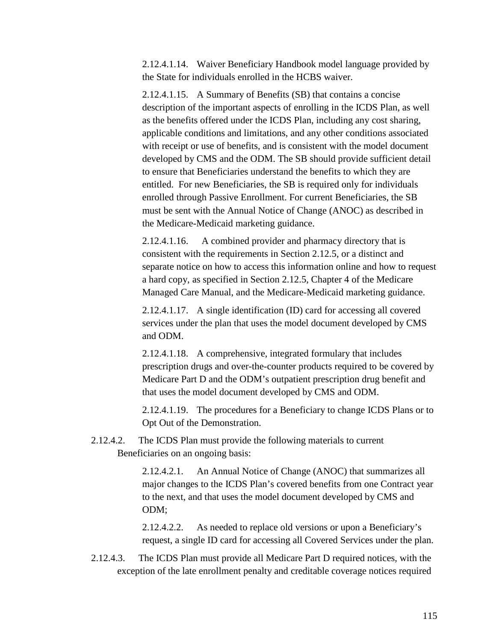2.12.4.1.14. Waiver Beneficiary Handbook model language provided by the State for individuals enrolled in the HCBS waiver.

2.12.4.1.15. A Summary of Benefits (SB) that contains a concise description of the important aspects of enrolling in the ICDS Plan, as well as the benefits offered under the ICDS Plan, including any cost sharing, applicable conditions and limitations, and any other conditions associated with receipt or use of benefits, and is consistent with the model document developed by CMS and the ODM. The SB should provide sufficient detail to ensure that Beneficiaries understand the benefits to which they are entitled. For new Beneficiaries, the SB is required only for individuals enrolled through Passive Enrollment. For current Beneficiaries, the SB must be sent with the Annual Notice of Change (ANOC) as described in the Medicare-Medicaid marketing guidance.

2.12.4.1.16. A combined provider and pharmacy directory that is consistent with the requirements in Section 2.12.5, or a distinct and separate notice on how to access this information online and how to request a hard copy, as specified in Section 2.12.5, Chapter 4 of the Medicare Managed Care Manual, and the Medicare-Medicaid marketing guidance.

2.12.4.1.17. A single identification (ID) card for accessing all covered services under the plan that uses the model document developed by CMS and ODM.

2.12.4.1.18. A comprehensive, integrated formulary that includes prescription drugs and over-the-counter products required to be covered by Medicare Part D and the ODM's outpatient prescription drug benefit and that uses the model document developed by CMS and ODM.

2.12.4.1.19. The procedures for a Beneficiary to change ICDS Plans or to Opt Out of the Demonstration.

2.12.4.2. The ICDS Plan must provide the following materials to current Beneficiaries on an ongoing basis:

> 2.12.4.2.1. An Annual Notice of Change (ANOC) that summarizes all major changes to the ICDS Plan's covered benefits from one Contract year to the next, and that uses the model document developed by CMS and ODM;

> 2.12.4.2.2. As needed to replace old versions or upon a Beneficiary's request, a single ID card for accessing all Covered Services under the plan.

2.12.4.3. The ICDS Plan must provide all Medicare Part D required notices, with the exception of the late enrollment penalty and creditable coverage notices required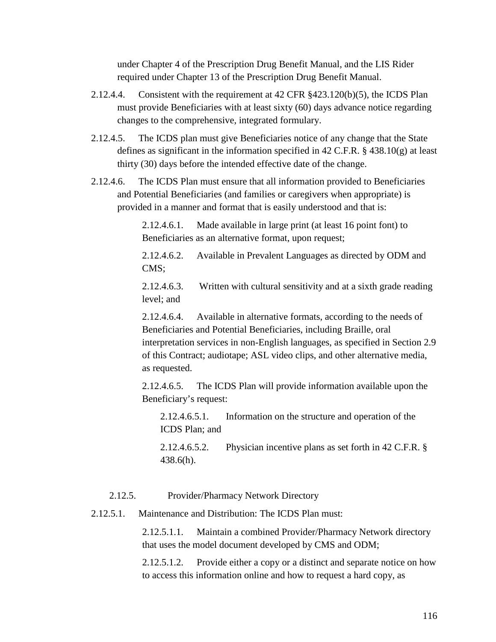under Chapter 4 of the Prescription Drug Benefit Manual, and the LIS Rider required under Chapter 13 of the Prescription Drug Benefit Manual.

- 2.12.4.4. Consistent with the requirement at 42 CFR §423.120(b)(5), the ICDS Plan must provide Beneficiaries with at least sixty (60) days advance notice regarding changes to the comprehensive, integrated formulary.
- 2.12.4.5. The ICDS plan must give Beneficiaries notice of any change that the State defines as significant in the information specified in 42 C.F.R.  $\S$  438.10(g) at least thirty (30) days before the intended effective date of the change.
- 2.12.4.6. The ICDS Plan must ensure that all information provided to Beneficiaries and Potential Beneficiaries (and families or caregivers when appropriate) is provided in a manner and format that is easily understood and that is:

2.12.4.6.1. Made available in large print (at least 16 point font) to Beneficiaries as an alternative format, upon request;

2.12.4.6.2. Available in Prevalent Languages as directed by ODM and CMS;

2.12.4.6.3. Written with cultural sensitivity and at a sixth grade reading level; and

2.12.4.6.4. Available in alternative formats, according to the needs of Beneficiaries and Potential Beneficiaries, including Braille, oral interpretation services in non-English languages, as specified in Section 2.9 of this Contract; audiotape; ASL video clips, and other alternative media, as requested.

2.12.4.6.5. The ICDS Plan will provide information available upon the Beneficiary's request:

2.12.4.6.5.1. Information on the structure and operation of the ICDS Plan; and

2.12.4.6.5.2. Physician incentive plans as set forth in 42 C.F.R. § 438.6(h).

2.12.5. Provider/Pharmacy Network Directory

2.12.5.1. Maintenance and Distribution: The ICDS Plan must:

2.12.5.1.1. Maintain a combined Provider/Pharmacy Network directory that uses the model document developed by CMS and ODM;

2.12.5.1.2. Provide either a copy or a distinct and separate notice on how to access this information online and how to request a hard copy, as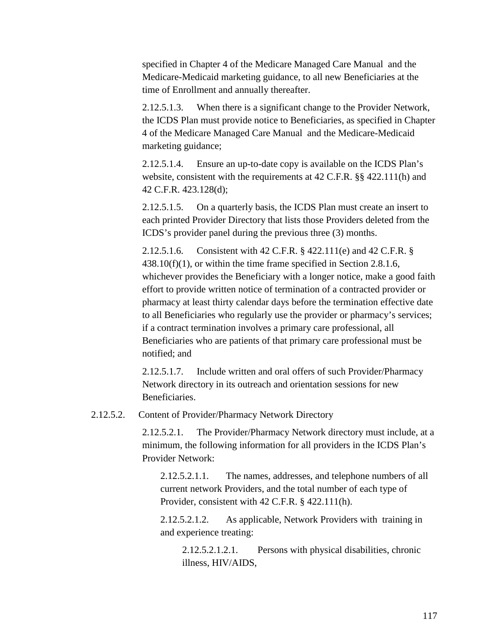specified in Chapter 4 of the Medicare Managed Care Manual and the Medicare-Medicaid marketing guidance, to all new Beneficiaries at the time of Enrollment and annually thereafter.

2.12.5.1.3. When there is a significant change to the Provider Network, the ICDS Plan must provide notice to Beneficiaries, as specified in Chapter 4 of the Medicare Managed Care Manual and the Medicare-Medicaid marketing guidance;

2.12.5.1.4. Ensure an up-to-date copy is available on the ICDS Plan's website, consistent with the requirements at 42 C.F.R. §§ 422.111(h) and 42 C.F.R. 423.128(d);

2.12.5.1.5. On a quarterly basis, the ICDS Plan must create an insert to each printed Provider Directory that lists those Providers deleted from the ICDS's provider panel during the previous three (3) months.

2.12.5.1.6. Consistent with 42 C.F.R. § 422.111(e) and 42 C.F.R. §  $438.10(f)(1)$ , or within the time frame specified in Section 2.8.1.6, whichever provides the Beneficiary with a longer notice, make a good faith effort to provide written notice of termination of a contracted provider or pharmacy at least thirty calendar days before the termination effective date to all Beneficiaries who regularly use the provider or pharmacy's services; if a contract termination involves a primary care professional, all Beneficiaries who are patients of that primary care professional must be notified; and

2.12.5.1.7. Include written and oral offers of such Provider/Pharmacy Network directory in its outreach and orientation sessions for new Beneficiaries.

2.12.5.2. Content of Provider/Pharmacy Network Directory

2.12.5.2.1. The Provider/Pharmacy Network directory must include, at a minimum, the following information for all providers in the ICDS Plan's Provider Network:

2.12.5.2.1.1. The names, addresses, and telephone numbers of all current network Providers, and the total number of each type of Provider, consistent with 42 C.F.R. § 422.111(h).

2.12.5.2.1.2. As applicable, Network Providers with training in and experience treating:

2.12.5.2.1.2.1. Persons with physical disabilities, chronic illness, HIV/AIDS,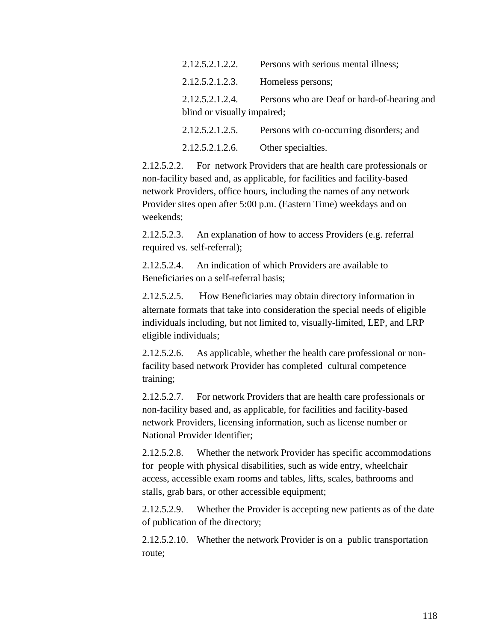| 2.12.5.2.1.2.2.                                | Persons with serious mental illness;        |
|------------------------------------------------|---------------------------------------------|
| 2.12.5.2.1.2.3.                                | Homeless persons;                           |
| 2.12.5.2.1.2.4.<br>blind or visually impaired; | Persons who are Deaf or hard-of-hearing and |
| 2.12.5.2.1.2.5.                                | Persons with co-occurring disorders; and    |
| 2.12.5.2.1.2.6.                                | Other specialties.                          |

2.12.5.2.2. For network Providers that are health care professionals or non-facility based and, as applicable, for facilities and facility-based network Providers, office hours, including the names of any network Provider sites open after 5:00 p.m. (Eastern Time) weekdays and on weekends;

2.12.5.2.3. An explanation of how to access Providers (e.g. referral required vs. self-referral);

2.12.5.2.4. An indication of which Providers are available to Beneficiaries on a self-referral basis;

2.12.5.2.5. How Beneficiaries may obtain directory information in alternate formats that take into consideration the special needs of eligible individuals including, but not limited to, visually-limited, LEP, and LRP eligible individuals;

2.12.5.2.6. As applicable, whether the health care professional or nonfacility based network Provider has completed cultural competence training;

2.12.5.2.7. For network Providers that are health care professionals or non-facility based and, as applicable, for facilities and facility-based network Providers, licensing information, such as license number or National Provider Identifier;

2.12.5.2.8. Whether the network Provider has specific accommodations for people with physical disabilities, such as wide entry, wheelchair access, accessible exam rooms and tables, lifts, scales, bathrooms and stalls, grab bars, or other accessible equipment;

2.12.5.2.9. Whether the Provider is accepting new patients as of the date of publication of the directory;

2.12.5.2.10. Whether the network Provider is on a public transportation route;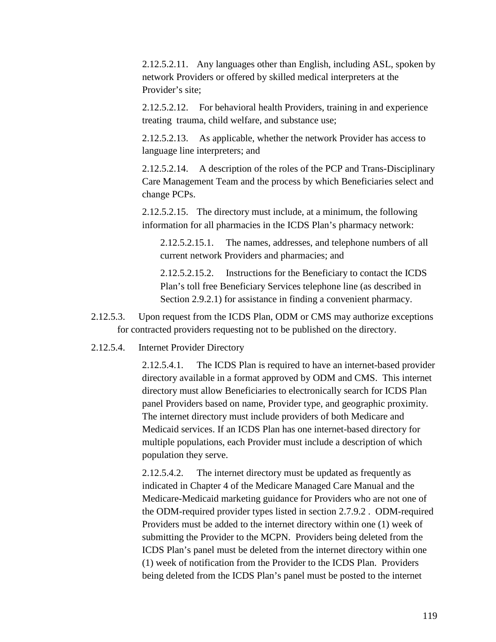2.12.5.2.11. Any languages other than English, including ASL, spoken by network Providers or offered by skilled medical interpreters at the Provider's site;

2.12.5.2.12. For behavioral health Providers, training in and experience treating trauma, child welfare, and substance use;

2.12.5.2.13. As applicable, whether the network Provider has access to language line interpreters; and

2.12.5.2.14. A description of the roles of the PCP and Trans-Disciplinary Care Management Team and the process by which Beneficiaries select and change PCPs.

2.12.5.2.15. The directory must include, at a minimum, the following information for all pharmacies in the ICDS Plan's pharmacy network:

2.12.5.2.15.1. The names, addresses, and telephone numbers of all current network Providers and pharmacies; and

2.12.5.2.15.2. Instructions for the Beneficiary to contact the ICDS Plan's toll free Beneficiary Services telephone line (as described in Section 2.9.2.1) for assistance in finding a convenient pharmacy.

- 2.12.5.3. Upon request from the ICDS Plan, ODM or CMS may authorize exceptions for contracted providers requesting not to be published on the directory.
- 2.12.5.4. Internet Provider Directory

2.12.5.4.1. The ICDS Plan is required to have an internet-based provider directory available in a format approved by ODM and CMS. This internet directory must allow Beneficiaries to electronically search for ICDS Plan panel Providers based on name, Provider type, and geographic proximity. The internet directory must include providers of both Medicare and Medicaid services. If an ICDS Plan has one internet-based directory for multiple populations, each Provider must include a description of which population they serve.

2.12.5.4.2. The internet directory must be updated as frequently as indicated in Chapter 4 of the Medicare Managed Care Manual and the Medicare-Medicaid marketing guidance for Providers who are not one of the ODM-required provider types listed in section 2.7.9.2 . ODM-required Providers must be added to the internet directory within one (1) week of submitting the Provider to the MCPN. Providers being deleted from the ICDS Plan's panel must be deleted from the internet directory within one (1) week of notification from the Provider to the ICDS Plan.Providers being deleted from the ICDS Plan's panel must be posted to the internet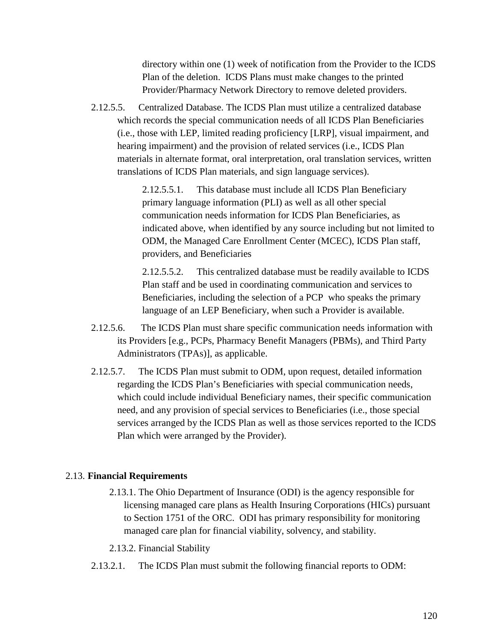directory within one (1) week of notification from the Provider to the ICDS Plan of the deletion. ICDS Plans must make changes to the printed Provider/Pharmacy Network Directory to remove deleted providers.

2.12.5.5. Centralized Database. The ICDS Plan must utilize a centralized database which records the special communication needs of all ICDS Plan Beneficiaries (i.e., those with LEP, limited reading proficiency [LRP], visual impairment, and hearing impairment) and the provision of related services (i.e., ICDS Plan materials in alternate format, oral interpretation, oral translation services, written translations of ICDS Plan materials, and sign language services).

> 2.12.5.5.1. This database must include all ICDS Plan Beneficiary primary language information (PLI) as well as all other special communication needs information for ICDS Plan Beneficiaries, as indicated above, when identified by any source including but not limited to ODM, the Managed Care Enrollment Center (MCEC), ICDS Plan staff, providers, and Beneficiaries

2.12.5.5.2. This centralized database must be readily available to ICDS Plan staff and be used in coordinating communication and services to Beneficiaries, including the selection of a PCP who speaks the primary language of an LEP Beneficiary, when such a Provider is available.

- 2.12.5.6. The ICDS Plan must share specific communication needs information with its Providers [e.g., PCPs, Pharmacy Benefit Managers (PBMs), and Third Party Administrators (TPAs)], as applicable.
- 2.12.5.7. The ICDS Plan must submit to ODM, upon request, detailed information regarding the ICDS Plan's Beneficiaries with special communication needs, which could include individual Beneficiary names, their specific communication need, and any provision of special services to Beneficiaries (i.e., those special services arranged by the ICDS Plan as well as those services reported to the ICDS Plan which were arranged by the Provider).

### 2.13. **Financial Requirements**

- 2.13.1. The Ohio Department of Insurance (ODI) is the agency responsible for licensing managed care plans as Health Insuring Corporations (HICs) pursuant to Section 1751 of the ORC. ODI has primary responsibility for monitoring managed care plan for financial viability, solvency, and stability.
- 2.13.2. Financial Stability
- 2.13.2.1. The ICDS Plan must submit the following financial reports to ODM: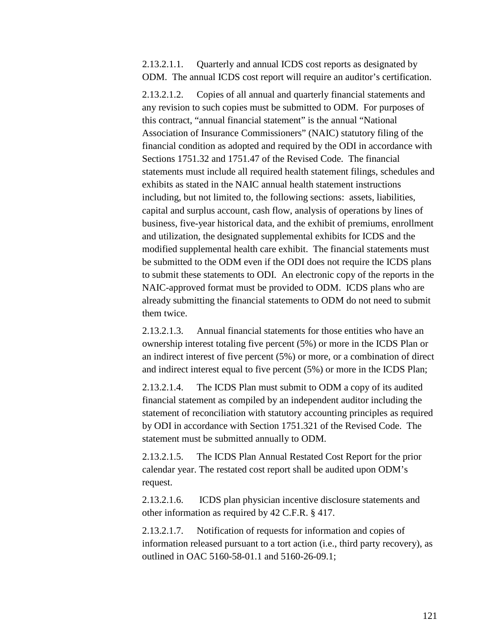2.13.2.1.1. Quarterly and annual ICDS cost reports as designated by ODM. The annual ICDS cost report will require an auditor's certification.

2.13.2.1.2. Copies of all annual and quarterly financial statements and any revision to such copies must be submitted to ODM. For purposes of this contract, "annual financial statement" is the annual "National Association of Insurance Commissioners" (NAIC) statutory filing of the financial condition as adopted and required by the ODI in accordance with Sections 1751.32 and 1751.47 of the Revised Code. The financial statements must include all required health statement filings, schedules and exhibits as stated in the NAIC annual health statement instructions including, but not limited to, the following sections: assets, liabilities, capital and surplus account, cash flow, analysis of operations by lines of business, five-year historical data, and the exhibit of premiums, enrollment and utilization, the designated supplemental exhibits for ICDS and the modified supplemental health care exhibit. The financial statements must be submitted to the ODM even if the ODI does not require the ICDS plans to submit these statements to ODI. An electronic copy of the reports in the NAIC-approved format must be provided to ODM. ICDS plans who are already submitting the financial statements to ODM do not need to submit them twice.

2.13.2.1.3. Annual financial statements for those entities who have an ownership interest totaling five percent (5%) or more in the ICDS Plan or an indirect interest of five percent (5%) or more, or a combination of direct and indirect interest equal to five percent (5%) or more in the ICDS Plan;

2.13.2.1.4. The ICDS Plan must submit to ODM a copy of its audited financial statement as compiled by an independent auditor including the statement of reconciliation with statutory accounting principles as required by ODI in accordance with Section 1751.321 of the Revised Code. The statement must be submitted annually to ODM.

2.13.2.1.5. The ICDS Plan Annual Restated Cost Report for the prior calendar year. The restated cost report shall be audited upon ODM's request.

2.13.2.1.6. ICDS plan physician incentive disclosure statements and other information as required by 42 C.F.R. § 417.

2.13.2.1.7. Notification of requests for information and copies of information released pursuant to a tort action (i.e., third party recovery), as outlined in OAC 5160-58-01.1 and 5160-26-09.1;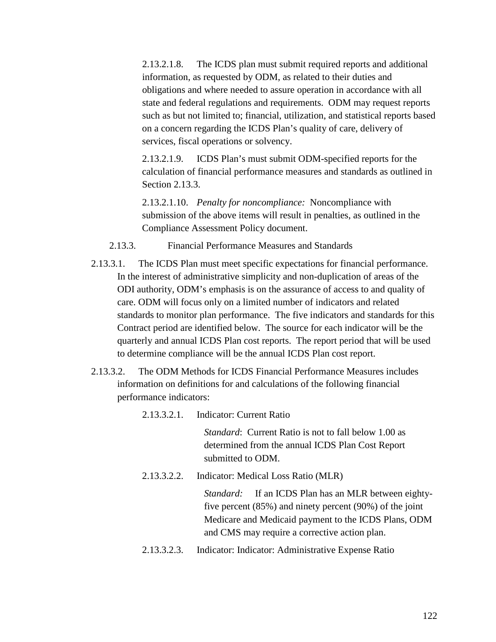2.13.2.1.8. The ICDS plan must submit required reports and additional information, as requested by ODM, as related to their duties and obligations and where needed to assure operation in accordance with all state and federal regulations and requirements. ODM may request reports such as but not limited to; financial, utilization, and statistical reports based on a concern regarding the ICDS Plan's quality of care, delivery of services, fiscal operations or solvency.

2.13.2.1.9. ICDS Plan's must submit ODM-specified reports for the calculation of financial performance measures and standards as outlined in Section 2.13.3.

2.13.2.1.10. *Penalty for noncompliance:* Noncompliance with submission of the above items will result in penalties, as outlined in the Compliance Assessment Policy document.

- 2.13.3. Financial Performance Measures and Standards
- 2.13.3.1. The ICDS Plan must meet specific expectations for financial performance. In the interest of administrative simplicity and non-duplication of areas of the ODI authority, ODM's emphasis is on the assurance of access to and quality of care. ODM will focus only on a limited number of indicators and related standards to monitor plan performance. The five indicators and standards for this Contract period are identified below. The source for each indicator will be the quarterly and annual ICDS Plan cost reports. The report period that will be used to determine compliance will be the annual ICDS Plan cost report.
- 2.13.3.2. The ODM Methods for ICDS Financial Performance Measures includes information on definitions for and calculations of the following financial performance indicators:
	- 2.13.3.2.1. Indicator: Current Ratio

*Standard*: Current Ratio is not to fall below 1.00 as determined from the annual ICDS Plan Cost Report submitted to ODM.

2.13.3.2.2. Indicator: Medical Loss Ratio (MLR)

*Standard:* If an ICDS Plan has an MLR between eightyfive percent (85%) and ninety percent (90%) of the joint Medicare and Medicaid payment to the ICDS Plans, ODM and CMS may require a corrective action plan.

2.13.3.2.3. Indicator: Indicator: Administrative Expense Ratio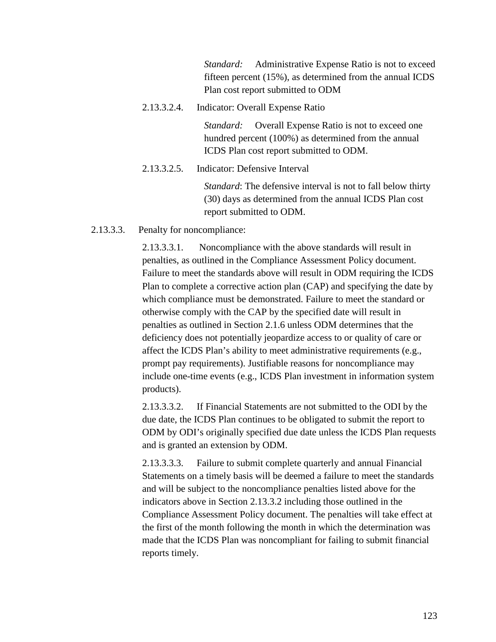*Standard:* Administrative Expense Ratio is not to exceed fifteen percent (15%), as determined from the annual ICDS Plan cost report submitted to ODM

2.13.3.2.4. Indicator: Overall Expense Ratio

*Standard:* Overall Expense Ratio is not to exceed one hundred percent (100%) as determined from the annual ICDS Plan cost report submitted to ODM.

2.13.3.2.5. Indicator: Defensive Interval

*Standard*: The defensive interval is not to fall below thirty (30) days as determined from the annual ICDS Plan cost report submitted to ODM.

2.13.3.3. Penalty for noncompliance:

2.13.3.3.1. Noncompliance with the above standards will result in penalties, as outlined in the Compliance Assessment Policy document. Failure to meet the standards above will result in ODM requiring the ICDS Plan to complete a corrective action plan (CAP) and specifying the date by which compliance must be demonstrated. Failure to meet the standard or otherwise comply with the CAP by the specified date will result in penalties as outlined in Section 2.1.6 unless ODM determines that the deficiency does not potentially jeopardize access to or quality of care or affect the ICDS Plan's ability to meet administrative requirements (e.g., prompt pay requirements). Justifiable reasons for noncompliance may include one-time events (e.g., ICDS Plan investment in information system products).

2.13.3.3.2. If Financial Statements are not submitted to the ODI by the due date, the ICDS Plan continues to be obligated to submit the report to ODM by ODI's originally specified due date unless the ICDS Plan requests and is granted an extension by ODM.

2.13.3.3.3. Failure to submit complete quarterly and annual Financial Statements on a timely basis will be deemed a failure to meet the standards and will be subject to the noncompliance penalties listed above for the indicators above in Section 2.13.3.2 including those outlined in the Compliance Assessment Policy document. The penalties will take effect at the first of the month following the month in which the determination was made that the ICDS Plan was noncompliant for failing to submit financial reports timely.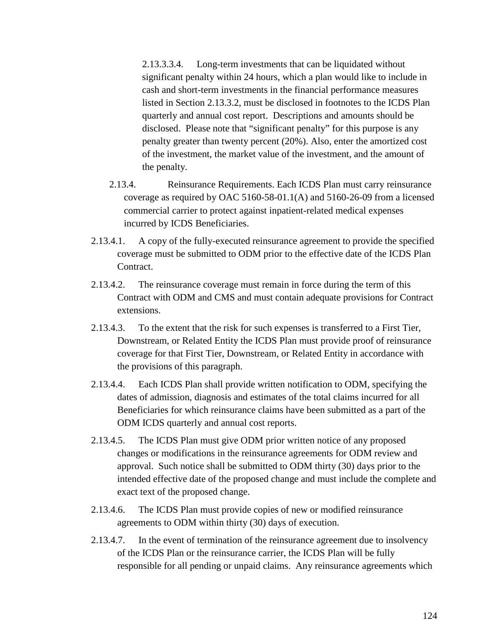2.13.3.3.4. Long-term investments that can be liquidated without significant penalty within 24 hours, which a plan would like to include in cash and short-term investments in the financial performance measures listed in Section 2.13.3.2, must be disclosed in footnotes to the ICDS Plan quarterly and annual cost report. Descriptions and amounts should be disclosed. Please note that "significant penalty" for this purpose is any penalty greater than twenty percent (20%). Also, enter the amortized cost of the investment, the market value of the investment, and the amount of the penalty.

- 2.13.4. Reinsurance Requirements. Each ICDS Plan must carry reinsurance coverage as required by OAC 5160-58-01.1(A) and 5160-26-09 from a licensed commercial carrier to protect against inpatient-related medical expenses incurred by ICDS Beneficiaries.
- 2.13.4.1. A copy of the fully-executed reinsurance agreement to provide the specified coverage must be submitted to ODM prior to the effective date of the ICDS Plan Contract.
- 2.13.4.2. The reinsurance coverage must remain in force during the term of this Contract with ODM and CMS and must contain adequate provisions for Contract extensions.
- 2.13.4.3. To the extent that the risk for such expenses is transferred to a First Tier, Downstream, or Related Entity the ICDS Plan must provide proof of reinsurance coverage for that First Tier, Downstream, or Related Entity in accordance with the provisions of this paragraph.
- 2.13.4.4. Each ICDS Plan shall provide written notification to ODM, specifying the dates of admission, diagnosis and estimates of the total claims incurred for all Beneficiaries for which reinsurance claims have been submitted as a part of the ODM ICDS quarterly and annual cost reports.
- 2.13.4.5. The ICDS Plan must give ODM prior written notice of any proposed changes or modifications in the reinsurance agreements for ODM review and approval. Such notice shall be submitted to ODM thirty (30) days prior to the intended effective date of the proposed change and must include the complete and exact text of the proposed change.
- 2.13.4.6. The ICDS Plan must provide copies of new or modified reinsurance agreements to ODM within thirty (30) days of execution.
- 2.13.4.7. In the event of termination of the reinsurance agreement due to insolvency of the ICDS Plan or the reinsurance carrier, the ICDS Plan will be fully responsible for all pending or unpaid claims. Any reinsurance agreements which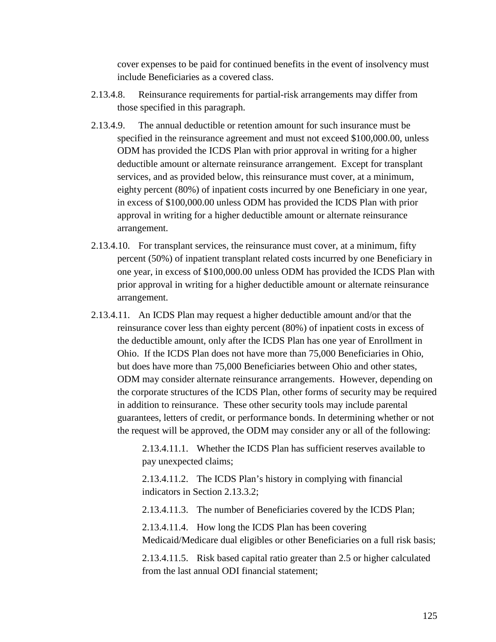cover expenses to be paid for continued benefits in the event of insolvency must include Beneficiaries as a covered class.

- 2.13.4.8. Reinsurance requirements for partial-risk arrangements may differ from those specified in this paragraph.
- 2.13.4.9. The annual deductible or retention amount for such insurance must be specified in the reinsurance agreement and must not exceed \$100,000.00, unless ODM has provided the ICDS Plan with prior approval in writing for a higher deductible amount or alternate reinsurance arrangement. Except for transplant services, and as provided below, this reinsurance must cover, at a minimum, eighty percent (80%) of inpatient costs incurred by one Beneficiary in one year, in excess of \$100,000.00 unless ODM has provided the ICDS Plan with prior approval in writing for a higher deductible amount or alternate reinsurance arrangement.
- 2.13.4.10. For transplant services, the reinsurance must cover, at a minimum, fifty percent (50%) of inpatient transplant related costs incurred by one Beneficiary in one year, in excess of \$100,000.00 unless ODM has provided the ICDS Plan with prior approval in writing for a higher deductible amount or alternate reinsurance arrangement.
- 2.13.4.11. An ICDS Plan may request a higher deductible amount and/or that the reinsurance cover less than eighty percent (80%) of inpatient costs in excess of the deductible amount, only after the ICDS Plan has one year of Enrollment in Ohio. If the ICDS Plan does not have more than 75,000 Beneficiaries in Ohio, but does have more than 75,000 Beneficiaries between Ohio and other states, ODM may consider alternate reinsurance arrangements. However, depending on the corporate structures of the ICDS Plan, other forms of security may be required in addition to reinsurance. These other security tools may include parental guarantees, letters of credit, or performance bonds. In determining whether or not the request will be approved, the ODM may consider any or all of the following:

2.13.4.11.1. Whether the ICDS Plan has sufficient reserves available to pay unexpected claims;

2.13.4.11.2. The ICDS Plan's history in complying with financial indicators in Section 2.13.3.2;

2.13.4.11.3. The number of Beneficiaries covered by the ICDS Plan;

2.13.4.11.4. How long the ICDS Plan has been covering Medicaid/Medicare dual eligibles or other Beneficiaries on a full risk basis;

2.13.4.11.5. Risk based capital ratio greater than 2.5 or higher calculated from the last annual ODI financial statement;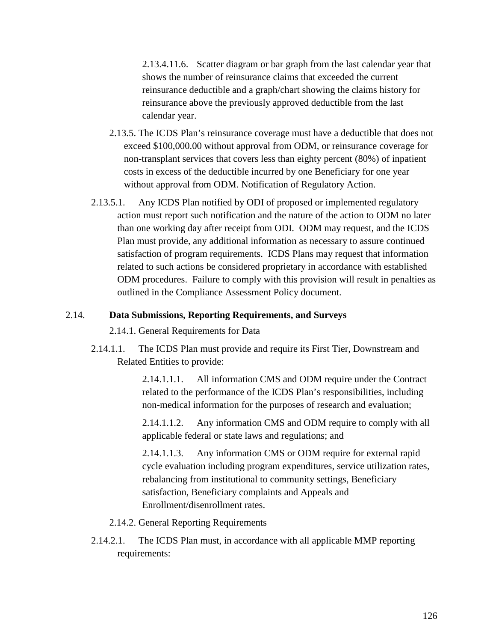2.13.4.11.6. Scatter diagram or bar graph from the last calendar year that shows the number of reinsurance claims that exceeded the current reinsurance deductible and a graph/chart showing the claims history for reinsurance above the previously approved deductible from the last calendar year.

- 2.13.5. The ICDS Plan's reinsurance coverage must have a deductible that does not exceed \$100,000.00 without approval from ODM, or reinsurance coverage for non-transplant services that covers less than eighty percent (80%) of inpatient costs in excess of the deductible incurred by one Beneficiary for one year without approval from ODM. Notification of Regulatory Action.
- 2.13.5.1. Any ICDS Plan notified by ODI of proposed or implemented regulatory action must report such notification and the nature of the action to ODM no later than one working day after receipt from ODI. ODM may request, and the ICDS Plan must provide, any additional information as necessary to assure continued satisfaction of program requirements. ICDS Plans may request that information related to such actions be considered proprietary in accordance with established ODM procedures. Failure to comply with this provision will result in penalties as outlined in the Compliance Assessment Policy document.

### 2.14. **Data Submissions, Reporting Requirements, and Surveys**

2.14.1. General Requirements for Data

2.14.1.1. The ICDS Plan must provide and require its First Tier, Downstream and Related Entities to provide:

> 2.14.1.1.1. All information CMS and ODM require under the Contract related to the performance of the ICDS Plan's responsibilities, including non-medical information for the purposes of research and evaluation;

> 2.14.1.1.2. Any information CMS and ODM require to comply with all applicable federal or state laws and regulations; and

> 2.14.1.1.3. Any information CMS or ODM require for external rapid cycle evaluation including program expenditures, service utilization rates, rebalancing from institutional to community settings, Beneficiary satisfaction, Beneficiary complaints and Appeals and Enrollment/disenrollment rates.

- 2.14.2. General Reporting Requirements
- 2.14.2.1. The ICDS Plan must, in accordance with all applicable MMP reporting requirements: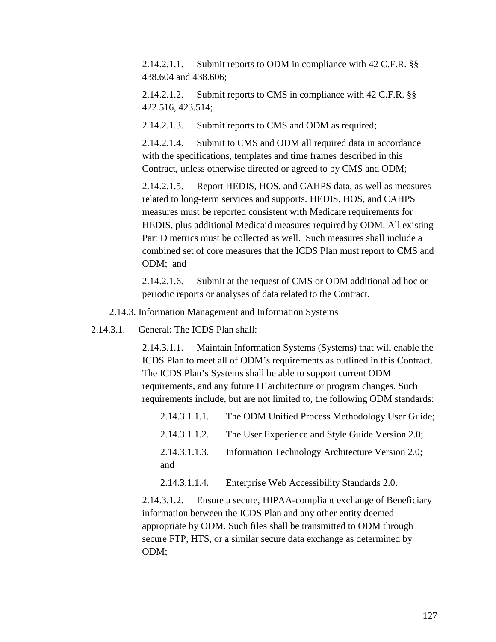2.14.2.1.1. Submit reports to ODM in compliance with 42 C.F.R. §§ 438.604 and 438.606;

2.14.2.1.2. Submit reports to CMS in compliance with 42 C.F.R. §§ 422.516, 423.514;

2.14.2.1.3. Submit reports to CMS and ODM as required;

2.14.2.1.4. Submit to CMS and ODM all required data in accordance with the specifications, templates and time frames described in this Contract, unless otherwise directed or agreed to by CMS and ODM;

2.14.2.1.5. Report HEDIS, HOS, and CAHPS data, as well as measures related to long-term services and supports. HEDIS, HOS, and CAHPS measures must be reported consistent with Medicare requirements for HEDIS, plus additional Medicaid measures required by ODM. All existing Part D metrics must be collected as well. Such measures shall include a combined set of core measures that the ICDS Plan must report to CMS and ODM; and

2.14.2.1.6. Submit at the request of CMS or ODM additional ad hoc or periodic reports or analyses of data related to the Contract.

2.14.3. Information Management and Information Systems

2.14.3.1. General: The ICDS Plan shall:

2.14.3.1.1. Maintain Information Systems (Systems) that will enable the ICDS Plan to meet all of ODM's requirements as outlined in this Contract. The ICDS Plan's Systems shall be able to support current ODM requirements, and any future IT architecture or program changes. Such requirements include, but are not limited to, the following ODM standards:

| 2.14.3.1.1.1. | The ODM Unified Process Methodology User Guide;                |
|---------------|----------------------------------------------------------------|
|               | 2.14.3.1.1.2. The User Experience and Style Guide Version 2.0; |
|               | 2.14.3.1.1.3. Information Technology Architecture Version 2.0; |
| and           |                                                                |

2.14.3.1.1.4. Enterprise Web Accessibility Standards 2.0.

2.14.3.1.2. Ensure a secure, HIPAA-compliant exchange of Beneficiary information between the ICDS Plan and any other entity deemed appropriate by ODM. Such files shall be transmitted to ODM through secure FTP, HTS, or a similar secure data exchange as determined by ODM;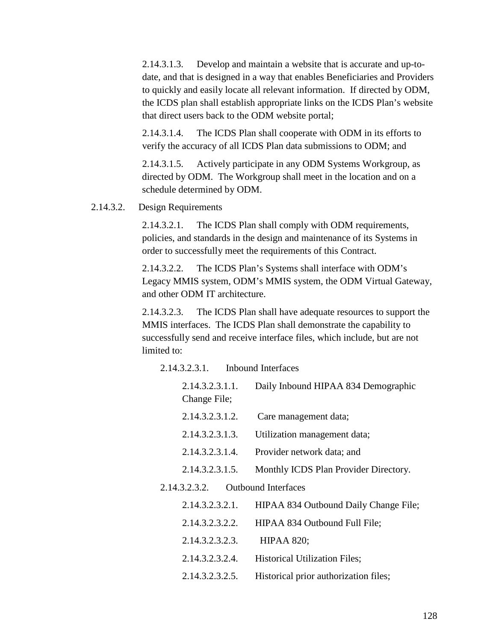2.14.3.1.3. Develop and maintain a website that is accurate and up-todate, and that is designed in a way that enables Beneficiaries and Providers to quickly and easily locate all relevant information. If directed by ODM, the ICDS plan shall establish appropriate links on the ICDS Plan's website that direct users back to the ODM website portal;

2.14.3.1.4. The ICDS Plan shall cooperate with ODM in its efforts to verify the accuracy of all ICDS Plan data submissions to ODM; and

2.14.3.1.5. Actively participate in any ODM Systems Workgroup, as directed by ODM. The Workgroup shall meet in the location and on a schedule determined by ODM.

2.14.3.2. Design Requirements

2.14.3.2.1. The ICDS Plan shall comply with ODM requirements, policies, and standards in the design and maintenance of its Systems in order to successfully meet the requirements of this Contract.

2.14.3.2.2. The ICDS Plan's Systems shall interface with ODM's Legacy MMIS system, ODM's MMIS system, the ODM Virtual Gateway, and other ODM IT architecture.

2.14.3.2.3. The ICDS Plan shall have adequate resources to support the MMIS interfaces. The ICDS Plan shall demonstrate the capability to successfully send and receive interface files, which include, but are not limited to:

### 2.14.3.2.3.1. Inbound Interfaces

| 2.14.3.2.3.1.1.<br>Change File; | Daily Inbound HIPAA 834 Demographic   |
|---------------------------------|---------------------------------------|
| 2.14.3.2.3.1.2.                 | Care management data;                 |
| 2.14.3.2.3.1.3.                 | Utilization management data;          |
| 2.14.3.2.3.1.4.                 | Provider network data; and            |
| 2.14.3.2.3.1.5.                 | Monthly ICDS Plan Provider Directory. |
| 2.14.3.2.3.2.                   | <b>Outbound Interfaces</b>            |

| 2.14.3.2.3.2.1. | HIPAA 834 Outbound Daily Change File; |
|-----------------|---------------------------------------|
| 2.14.3.2.3.2.2. | HIPAA 834 Outbound Full File;         |
| 2.14.3.2.3.2.3. | <b>HIPAA 820;</b>                     |
| 2.14.3.2.3.2.4. | <b>Historical Utilization Files;</b>  |
| 2.14.3.2.3.2.5. | Historical prior authorization files; |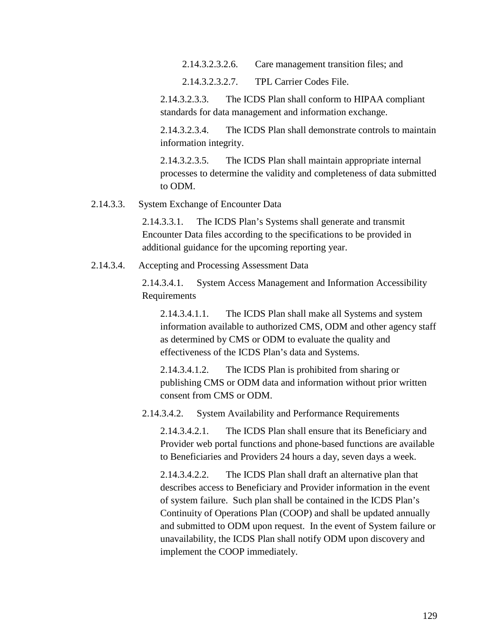2.14.3.2.3.2.6. Care management transition files; and

2.14.3.2.3.2.7. TPL Carrier Codes File.

2.14.3.2.3.3. The ICDS Plan shall conform to HIPAA compliant standards for data management and information exchange.

2.14.3.2.3.4. The ICDS Plan shall demonstrate controls to maintain information integrity.

2.14.3.2.3.5. The ICDS Plan shall maintain appropriate internal processes to determine the validity and completeness of data submitted to ODM.

2.14.3.3. System Exchange of Encounter Data

2.14.3.3.1. The ICDS Plan's Systems shall generate and transmit Encounter Data files according to the specifications to be provided in additional guidance for the upcoming reporting year.

2.14.3.4. Accepting and Processing Assessment Data

2.14.3.4.1. System Access Management and Information Accessibility Requirements

2.14.3.4.1.1. The ICDS Plan shall make all Systems and system information available to authorized CMS, ODM and other agency staff as determined by CMS or ODM to evaluate the quality and effectiveness of the ICDS Plan's data and Systems.

2.14.3.4.1.2. The ICDS Plan is prohibited from sharing or publishing CMS or ODM data and information without prior written consent from CMS or ODM.

2.14.3.4.2. System Availability and Performance Requirements

2.14.3.4.2.1. The ICDS Plan shall ensure that its Beneficiary and Provider web portal functions and phone-based functions are available to Beneficiaries and Providers 24 hours a day, seven days a week.

2.14.3.4.2.2. The ICDS Plan shall draft an alternative plan that describes access to Beneficiary and Provider information in the event of system failure. Such plan shall be contained in the ICDS Plan's Continuity of Operations Plan (COOP) and shall be updated annually and submitted to ODM upon request. In the event of System failure or unavailability, the ICDS Plan shall notify ODM upon discovery and implement the COOP immediately.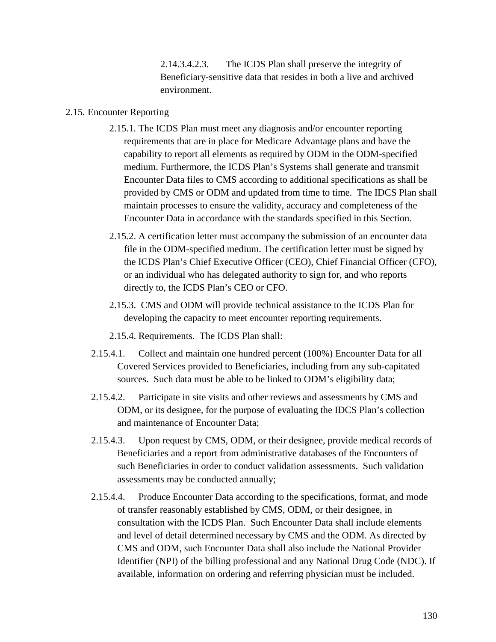2.14.3.4.2.3. The ICDS Plan shall preserve the integrity of Beneficiary-sensitive data that resides in both a live and archived environment.

- 2.15. Encounter Reporting
	- 2.15.1. The ICDS Plan must meet any diagnosis and/or encounter reporting requirements that are in place for Medicare Advantage plans and have the capability to report all elements as required by ODM in the ODM-specified medium. Furthermore, the ICDS Plan's Systems shall generate and transmit Encounter Data files to CMS according to additional specifications as shall be provided by CMS or ODM and updated from time to time. The IDCS Plan shall maintain processes to ensure the validity, accuracy and completeness of the Encounter Data in accordance with the standards specified in this Section.
	- 2.15.2. A certification letter must accompany the submission of an encounter data file in the ODM-specified medium. The certification letter must be signed by the ICDS Plan's Chief Executive Officer (CEO), Chief Financial Officer (CFO), or an individual who has delegated authority to sign for, and who reports directly to, the ICDS Plan's CEO or CFO.
	- 2.15.3. CMS and ODM will provide technical assistance to the ICDS Plan for developing the capacity to meet encounter reporting requirements.
	- 2.15.4. Requirements. The ICDS Plan shall:
	- 2.15.4.1. Collect and maintain one hundred percent (100%) Encounter Data for all Covered Services provided to Beneficiaries, including from any sub-capitated sources. Such data must be able to be linked to ODM's eligibility data;
	- 2.15.4.2. Participate in site visits and other reviews and assessments by CMS and ODM, or its designee, for the purpose of evaluating the IDCS Plan's collection and maintenance of Encounter Data;
	- 2.15.4.3. Upon request by CMS, ODM, or their designee, provide medical records of Beneficiaries and a report from administrative databases of the Encounters of such Beneficiaries in order to conduct validation assessments. Such validation assessments may be conducted annually;
	- 2.15.4.4. Produce Encounter Data according to the specifications, format, and mode of transfer reasonably established by CMS, ODM, or their designee, in consultation with the ICDS Plan. Such Encounter Data shall include elements and level of detail determined necessary by CMS and the ODM. As directed by CMS and ODM, such Encounter Data shall also include the National Provider Identifier (NPI) of the billing professional and any National Drug Code (NDC). If available, information on ordering and referring physician must be included.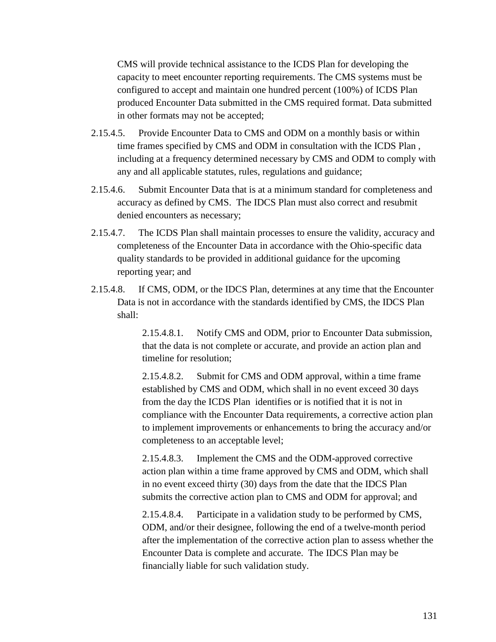CMS will provide technical assistance to the ICDS Plan for developing the capacity to meet encounter reporting requirements. The CMS systems must be configured to accept and maintain one hundred percent (100%) of ICDS Plan produced Encounter Data submitted in the CMS required format. Data submitted in other formats may not be accepted;

- 2.15.4.5. Provide Encounter Data to CMS and ODM on a monthly basis or within time frames specified by CMS and ODM in consultation with the ICDS Plan , including at a frequency determined necessary by CMS and ODM to comply with any and all applicable statutes, rules, regulations and guidance;
- 2.15.4.6. Submit Encounter Data that is at a minimum standard for completeness and accuracy as defined by CMS. The IDCS Plan must also correct and resubmit denied encounters as necessary;
- 2.15.4.7. The ICDS Plan shall maintain processes to ensure the validity, accuracy and completeness of the Encounter Data in accordance with the Ohio-specific data quality standards to be provided in additional guidance for the upcoming reporting year; and
- 2.15.4.8. If CMS, ODM, or the IDCS Plan, determines at any time that the Encounter Data is not in accordance with the standards identified by CMS, the IDCS Plan shall:

2.15.4.8.1. Notify CMS and ODM, prior to Encounter Data submission, that the data is not complete or accurate, and provide an action plan and timeline for resolution;

2.15.4.8.2. Submit for CMS and ODM approval, within a time frame established by CMS and ODM, which shall in no event exceed 30 days from the day the ICDS Plan identifies or is notified that it is not in compliance with the Encounter Data requirements, a corrective action plan to implement improvements or enhancements to bring the accuracy and/or completeness to an acceptable level;

2.15.4.8.3. Implement the CMS and the ODM-approved corrective action plan within a time frame approved by CMS and ODM, which shall in no event exceed thirty (30) days from the date that the IDCS Plan submits the corrective action plan to CMS and ODM for approval; and

2.15.4.8.4. Participate in a validation study to be performed by CMS, ODM, and/or their designee, following the end of a twelve-month period after the implementation of the corrective action plan to assess whether the Encounter Data is complete and accurate. The IDCS Plan may be financially liable for such validation study.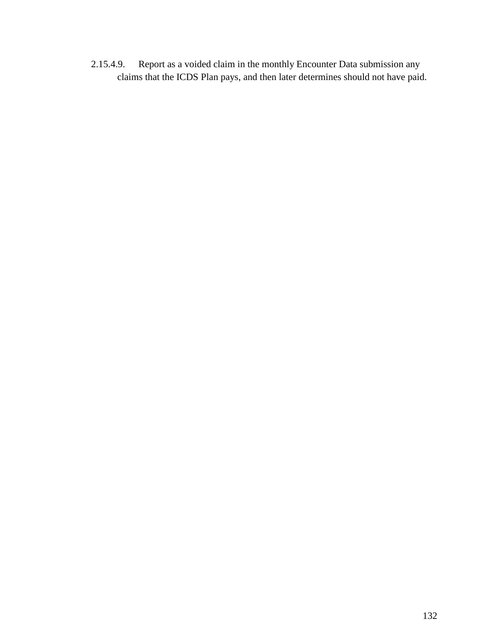2.15.4.9. Report as a voided claim in the monthly Encounter Data submission any claims that the ICDS Plan pays, and then later determines should not have paid.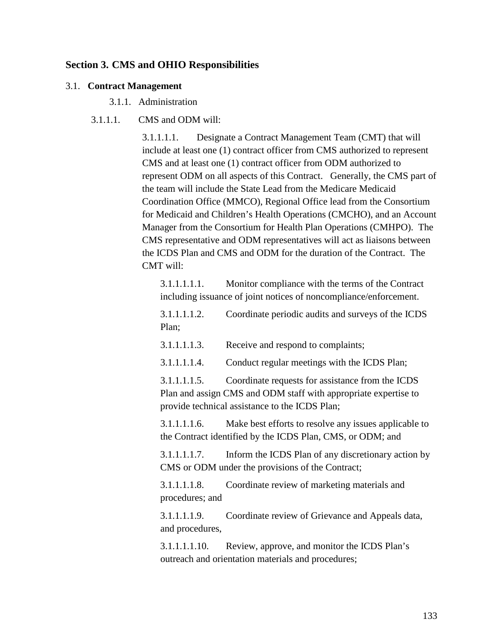# **Section 3. CMS and OHIO Responsibilities**

#### 3.1. **Contract Management**

- 3.1.1. Administration
- 3.1.1.1. CMS and ODM will:

3.1.1.1.1. Designate a Contract Management Team (CMT) that will include at least one (1) contract officer from CMS authorized to represent CMS and at least one (1) contract officer from ODM authorized to represent ODM on all aspects of this Contract. Generally, the CMS part of the team will include the State Lead from the Medicare Medicaid Coordination Office (MMCO), Regional Office lead from the Consortium for Medicaid and Children's Health Operations (CMCHO), and an Account Manager from the Consortium for Health Plan Operations (CMHPO). The CMS representative and ODM representatives will act as liaisons between the ICDS Plan and CMS and ODM for the duration of the Contract. The CMT will:

3.1.1.1.1.1. Monitor compliance with the terms of the Contract including issuance of joint notices of noncompliance/enforcement.

3.1.1.1.1.2. Coordinate periodic audits and surveys of the ICDS Plan;

3.1.1.1.1.3. Receive and respond to complaints;

3.1.1.1.1.4. Conduct regular meetings with the ICDS Plan;

3.1.1.1.1.5. Coordinate requests for assistance from the ICDS Plan and assign CMS and ODM staff with appropriate expertise to provide technical assistance to the ICDS Plan;

3.1.1.1.1.6. Make best efforts to resolve any issues applicable to the Contract identified by the ICDS Plan, CMS, or ODM; and

3.1.1.1.1.7. Inform the ICDS Plan of any discretionary action by CMS or ODM under the provisions of the Contract;

3.1.1.1.1.8. Coordinate review of marketing materials and procedures; and

3.1.1.1.1.9. Coordinate review of Grievance and Appeals data, and procedures,

3.1.1.1.1.10. Review, approve, and monitor the ICDS Plan's outreach and orientation materials and procedures;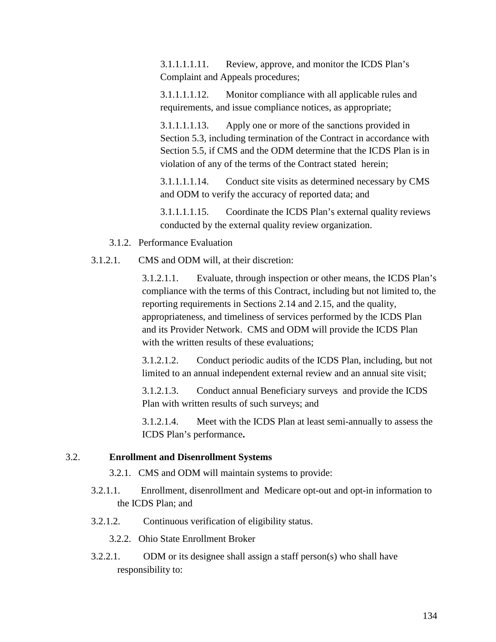3.1.1.1.1.11. Review, approve, and monitor the ICDS Plan's Complaint and Appeals procedures;

3.1.1.1.1.12. Monitor compliance with all applicable rules and requirements, and issue compliance notices, as appropriate;

3.1.1.1.1.13. Apply one or more of the sanctions provided in Section 5.3, including termination of the Contract in accordance with Section 5.5, if CMS and the ODM determine that the ICDS Plan is in violation of any of the terms of the Contract stated herein;

3.1.1.1.1.14. Conduct site visits as determined necessary by CMS and ODM to verify the accuracy of reported data; and

3.1.1.1.1.15. Coordinate the ICDS Plan's external quality reviews conducted by the external quality review organization.

- 3.1.2. Performance Evaluation
- 3.1.2.1. CMS and ODM will, at their discretion:

3.1.2.1.1. Evaluate, through inspection or other means, the ICDS Plan's compliance with the terms of this Contract, including but not limited to, the reporting requirements in Sections 2.14 and 2.15, and the quality, appropriateness, and timeliness of services performed by the ICDS Plan and its Provider Network. CMS and ODM will provide the ICDS Plan with the written results of these evaluations;

3.1.2.1.2. Conduct periodic audits of the ICDS Plan, including, but not limited to an annual independent external review and an annual site visit;

3.1.2.1.3. Conduct annual Beneficiary surveys and provide the ICDS Plan with written results of such surveys; and

3.1.2.1.4. Meet with the ICDS Plan at least semi-annually to assess the ICDS Plan's performance**.**

# 3.2. **Enrollment and Disenrollment Systems**

- 3.2.1. CMS and ODM will maintain systems to provide:
- 3.2.1.1. Enrollment, disenrollment and Medicare opt-out and opt-in information to the ICDS Plan; and
- 3.2.1.2. Continuous verification of eligibility status.
	- 3.2.2. Ohio State Enrollment Broker
- 3.2.2.1. ODM or its designee shall assign a staff person(s) who shall have responsibility to: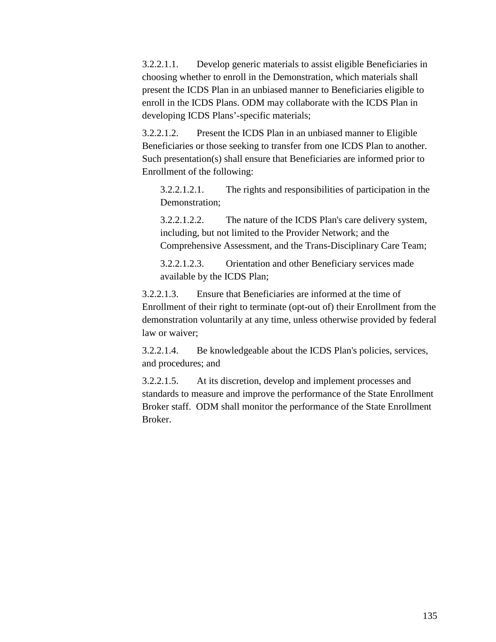3.2.2.1.1. Develop generic materials to assist eligible Beneficiaries in choosing whether to enroll in the Demonstration, which materials shall present the ICDS Plan in an unbiased manner to Beneficiaries eligible to enroll in the ICDS Plans. ODM may collaborate with the ICDS Plan in developing ICDS Plans'-specific materials;

3.2.2.1.2. Present the ICDS Plan in an unbiased manner to Eligible Beneficiaries or those seeking to transfer from one ICDS Plan to another. Such presentation(s) shall ensure that Beneficiaries are informed prior to Enrollment of the following:

3.2.2.1.2.1. The rights and responsibilities of participation in the Demonstration;

3.2.2.1.2.2. The nature of the ICDS Plan's care delivery system, including, but not limited to the Provider Network; and the Comprehensive Assessment, and the Trans-Disciplinary Care Team;

3.2.2.1.2.3. Orientation and other Beneficiary services made available by the ICDS Plan;

3.2.2.1.3. Ensure that Beneficiaries are informed at the time of Enrollment of their right to terminate (opt-out of) their Enrollment from the demonstration voluntarily at any time, unless otherwise provided by federal law or waiver;

3.2.2.1.4. Be knowledgeable about the ICDS Plan's policies, services, and procedures; and

3.2.2.1.5. At its discretion, develop and implement processes and standards to measure and improve the performance of the State Enrollment Broker staff. ODM shall monitor the performance of the State Enrollment Broker.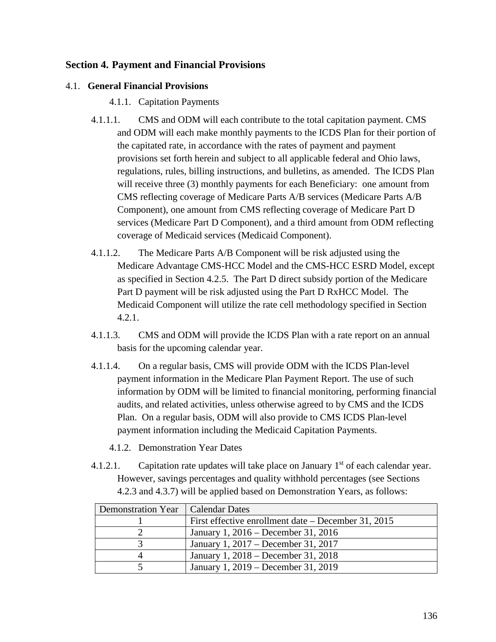# **Section 4. Payment and Financial Provisions**

## 4.1. **General Financial Provisions**

- 4.1.1. Capitation Payments
- 4.1.1.1. CMS and ODM will each contribute to the total capitation payment. CMS and ODM will each make monthly payments to the ICDS Plan for their portion of the capitated rate, in accordance with the rates of payment and payment provisions set forth herein and subject to all applicable federal and Ohio laws, regulations, rules, billing instructions, and bulletins, as amended. The ICDS Plan will receive three (3) monthly payments for each Beneficiary: one amount from CMS reflecting coverage of Medicare Parts A/B services (Medicare Parts A/B Component), one amount from CMS reflecting coverage of Medicare Part D services (Medicare Part D Component), and a third amount from ODM reflecting coverage of Medicaid services (Medicaid Component).
- 4.1.1.2. The Medicare Parts A/B Component will be risk adjusted using the Medicare Advantage CMS-HCC Model and the CMS-HCC ESRD Model, except as specified in Section 4.2.5. The Part D direct subsidy portion of the Medicare Part D payment will be risk adjusted using the Part D RxHCC Model. The Medicaid Component will utilize the rate cell methodology specified in Section 4.2.1.
- 4.1.1.3. CMS and ODM will provide the ICDS Plan with a rate report on an annual basis for the upcoming calendar year.
- 4.1.1.4. On a regular basis, CMS will provide ODM with the ICDS Plan-level payment information in the Medicare Plan Payment Report. The use of such information by ODM will be limited to financial monitoring, performing financial audits, and related activities, unless otherwise agreed to by CMS and the ICDS Plan. On a regular basis, ODM will also provide to CMS ICDS Plan-level payment information including the Medicaid Capitation Payments.
	- 4.1.2. Demonstration Year Dates
- 4.1.2.1. Capitation rate updates will take place on January  $1<sup>st</sup>$  of each calendar year. However, savings percentages and quality withhold percentages (see Sections 4.2.3 and 4.3.7) will be applied based on Demonstration Years, as follows:

| Demonstration Year   Calendar Dates |                                                     |
|-------------------------------------|-----------------------------------------------------|
|                                     | First effective enrollment date – December 31, 2015 |
|                                     | January 1, 2016 – December 31, 2016                 |
|                                     | January 1, 2017 – December 31, 2017                 |
|                                     | January 1, 2018 – December 31, 2018                 |
|                                     | January 1, 2019 – December 31, 2019                 |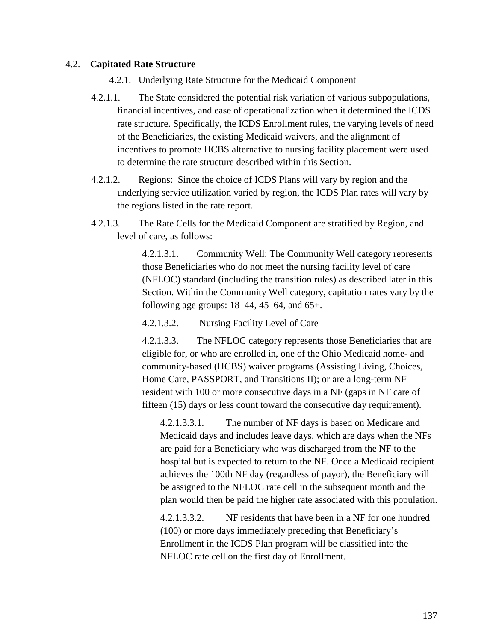### 4.2. **Capitated Rate Structure**

- 4.2.1. Underlying Rate Structure for the Medicaid Component
- 4.2.1.1. The State considered the potential risk variation of various subpopulations, financial incentives, and ease of operationalization when it determined the ICDS rate structure. Specifically, the ICDS Enrollment rules, the varying levels of need of the Beneficiaries, the existing Medicaid waivers, and the alignment of incentives to promote HCBS alternative to nursing facility placement were used to determine the rate structure described within this Section.
- 4.2.1.2. Regions: Since the choice of ICDS Plans will vary by region and the underlying service utilization varied by region, the ICDS Plan rates will vary by the regions listed in the rate report.
- 4.2.1.3. The Rate Cells for the Medicaid Component are stratified by Region, and level of care, as follows:

4.2.1.3.1. Community Well: The Community Well category represents those Beneficiaries who do not meet the nursing facility level of care (NFLOC) standard (including the transition rules) as described later in this Section. Within the Community Well category, capitation rates vary by the following age groups:  $18-44$ ,  $45-64$ , and  $65+$ .

4.2.1.3.2. Nursing Facility Level of Care

4.2.1.3.3. The NFLOC category represents those Beneficiaries that are eligible for, or who are enrolled in, one of the Ohio Medicaid home- and community-based (HCBS) waiver programs (Assisting Living, Choices, Home Care, PASSPORT, and Transitions II); or are a long-term NF resident with 100 or more consecutive days in a NF (gaps in NF care of fifteen (15) days or less count toward the consecutive day requirement).

4.2.1.3.3.1. The number of NF days is based on Medicare and Medicaid days and includes leave days, which are days when the NFs are paid for a Beneficiary who was discharged from the NF to the hospital but is expected to return to the NF. Once a Medicaid recipient achieves the 100th NF day (regardless of payor), the Beneficiary will be assigned to the NFLOC rate cell in the subsequent month and the plan would then be paid the higher rate associated with this population.

4.2.1.3.3.2. NF residents that have been in a NF for one hundred (100) or more days immediately preceding that Beneficiary's Enrollment in the ICDS Plan program will be classified into the NFLOC rate cell on the first day of Enrollment.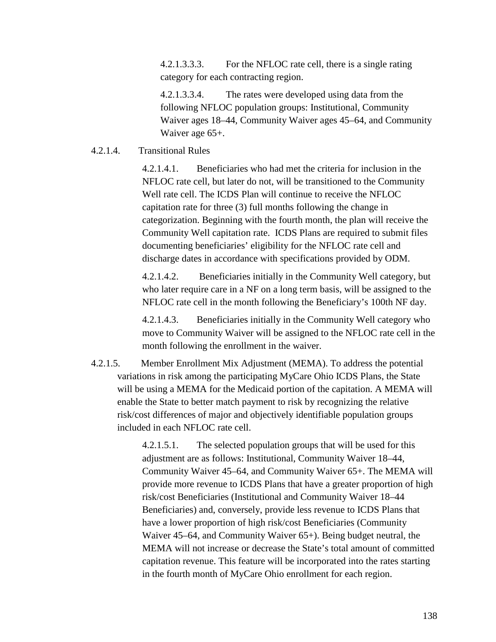4.2.1.3.3.3. For the NFLOC rate cell, there is a single rating category for each contracting region.

4.2.1.3.3.4. The rates were developed using data from the following NFLOC population groups: Institutional, Community Waiver ages 18–44, Community Waiver ages 45–64, and Community Waiver age 65+.

### 4.2.1.4. Transitional Rules

4.2.1.4.1. Beneficiaries who had met the criteria for inclusion in the NFLOC rate cell, but later do not, will be transitioned to the Community Well rate cell. The ICDS Plan will continue to receive the NFLOC capitation rate for three (3) full months following the change in categorization. Beginning with the fourth month, the plan will receive the Community Well capitation rate. ICDS Plans are required to submit files documenting beneficiaries' eligibility for the NFLOC rate cell and discharge dates in accordance with specifications provided by ODM.

4.2.1.4.2. Beneficiaries initially in the Community Well category, but who later require care in a NF on a long term basis, will be assigned to the NFLOC rate cell in the month following the Beneficiary's 100th NF day.

4.2.1.4.3. Beneficiaries initially in the Community Well category who move to Community Waiver will be assigned to the NFLOC rate cell in the month following the enrollment in the waiver.

4.2.1.5. Member Enrollment Mix Adjustment (MEMA). To address the potential variations in risk among the participating MyCare Ohio ICDS Plans, the State will be using a MEMA for the Medicaid portion of the capitation. A MEMA will enable the State to better match payment to risk by recognizing the relative risk/cost differences of major and objectively identifiable population groups included in each NFLOC rate cell.

> 4.2.1.5.1. The selected population groups that will be used for this adjustment are as follows: Institutional, Community Waiver 18–44, Community Waiver 45–64, and Community Waiver 65+. The MEMA will provide more revenue to ICDS Plans that have a greater proportion of high risk/cost Beneficiaries (Institutional and Community Waiver 18–44 Beneficiaries) and, conversely, provide less revenue to ICDS Plans that have a lower proportion of high risk/cost Beneficiaries (Community Waiver 45–64, and Community Waiver 65+). Being budget neutral, the MEMA will not increase or decrease the State's total amount of committed capitation revenue. This feature will be incorporated into the rates starting in the fourth month of MyCare Ohio enrollment for each region.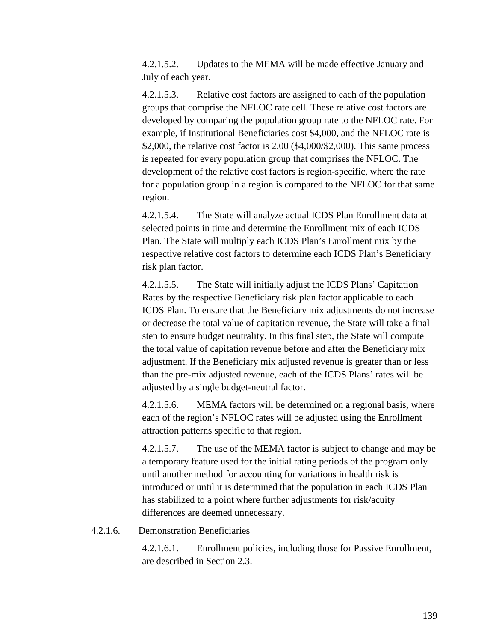4.2.1.5.2. Updates to the MEMA will be made effective January and July of each year.

4.2.1.5.3. Relative cost factors are assigned to each of the population groups that comprise the NFLOC rate cell. These relative cost factors are developed by comparing the population group rate to the NFLOC rate. For example, if Institutional Beneficiaries cost \$4,000, and the NFLOC rate is \$2,000, the relative cost factor is 2.00 (\$4,000/\$2,000). This same process is repeated for every population group that comprises the NFLOC. The development of the relative cost factors is region-specific, where the rate for a population group in a region is compared to the NFLOC for that same region.

4.2.1.5.4. The State will analyze actual ICDS Plan Enrollment data at selected points in time and determine the Enrollment mix of each ICDS Plan. The State will multiply each ICDS Plan's Enrollment mix by the respective relative cost factors to determine each ICDS Plan's Beneficiary risk plan factor.

4.2.1.5.5. The State will initially adjust the ICDS Plans' Capitation Rates by the respective Beneficiary risk plan factor applicable to each ICDS Plan. To ensure that the Beneficiary mix adjustments do not increase or decrease the total value of capitation revenue, the State will take a final step to ensure budget neutrality. In this final step, the State will compute the total value of capitation revenue before and after the Beneficiary mix adjustment. If the Beneficiary mix adjusted revenue is greater than or less than the pre-mix adjusted revenue, each of the ICDS Plans' rates will be adjusted by a single budget-neutral factor.

4.2.1.5.6. MEMA factors will be determined on a regional basis, where each of the region's NFLOC rates will be adjusted using the Enrollment attraction patterns specific to that region.

4.2.1.5.7. The use of the MEMA factor is subject to change and may be a temporary feature used for the initial rating periods of the program only until another method for accounting for variations in health risk is introduced or until it is determined that the population in each ICDS Plan has stabilized to a point where further adjustments for risk/acuity differences are deemed unnecessary.

4.2.1.6. Demonstration Beneficiaries

4.2.1.6.1. Enrollment policies, including those for Passive Enrollment, are described in Section 2.3.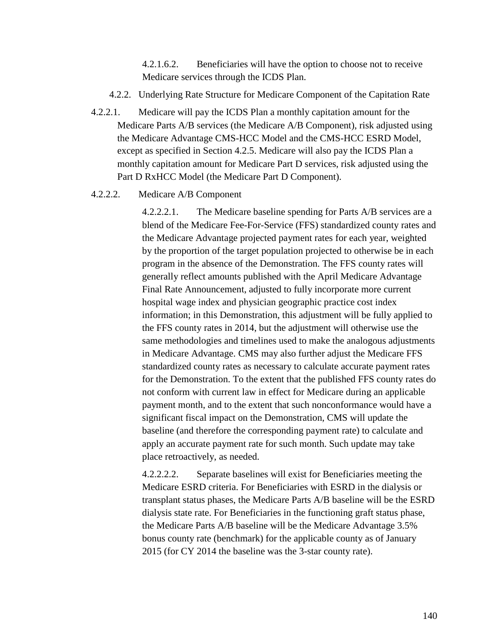4.2.1.6.2. Beneficiaries will have the option to choose not to receive Medicare services through the ICDS Plan.

- 4.2.2. Underlying Rate Structure for Medicare Component of the Capitation Rate
- 4.2.2.1. Medicare will pay the ICDS Plan a monthly capitation amount for the Medicare Parts A/B services (the Medicare A/B Component), risk adjusted using the Medicare Advantage CMS-HCC Model and the CMS-HCC ESRD Model, except as specified in Section 4.2.5. Medicare will also pay the ICDS Plan a monthly capitation amount for Medicare Part D services, risk adjusted using the Part D RxHCC Model (the Medicare Part D Component).
- 4.2.2.2. Medicare A/B Component

4.2.2.2.1. The Medicare baseline spending for Parts A/B services are a blend of the Medicare Fee-For-Service (FFS) standardized county rates and the Medicare Advantage projected payment rates for each year, weighted by the proportion of the target population projected to otherwise be in each program in the absence of the Demonstration. The FFS county rates will generally reflect amounts published with the April Medicare Advantage Final Rate Announcement, adjusted to fully incorporate more current hospital wage index and physician geographic practice cost index information; in this Demonstration, this adjustment will be fully applied to the FFS county rates in 2014, but the adjustment will otherwise use the same methodologies and timelines used to make the analogous adjustments in Medicare Advantage. CMS may also further adjust the Medicare FFS standardized county rates as necessary to calculate accurate payment rates for the Demonstration. To the extent that the published FFS county rates do not conform with current law in effect for Medicare during an applicable payment month, and to the extent that such nonconformance would have a significant fiscal impact on the Demonstration, CMS will update the baseline (and therefore the corresponding payment rate) to calculate and apply an accurate payment rate for such month. Such update may take place retroactively, as needed.

4.2.2.2.2. Separate baselines will exist for Beneficiaries meeting the Medicare ESRD criteria. For Beneficiaries with ESRD in the dialysis or transplant status phases, the Medicare Parts A/B baseline will be the ESRD dialysis state rate. For Beneficiaries in the functioning graft status phase, the Medicare Parts A/B baseline will be the Medicare Advantage 3.5% bonus county rate (benchmark) for the applicable county as of January 2015 (for CY 2014 the baseline was the 3-star county rate).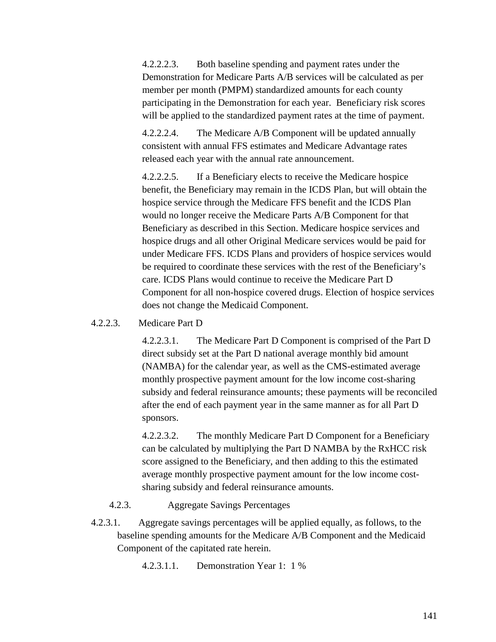4.2.2.2.3. Both baseline spending and payment rates under the Demonstration for Medicare Parts A/B services will be calculated as per member per month (PMPM) standardized amounts for each county participating in the Demonstration for each year. Beneficiary risk scores will be applied to the standardized payment rates at the time of payment.

4.2.2.2.4. The Medicare A/B Component will be updated annually consistent with annual FFS estimates and Medicare Advantage rates released each year with the annual rate announcement.

4.2.2.2.5. If a Beneficiary elects to receive the Medicare hospice benefit, the Beneficiary may remain in the ICDS Plan, but will obtain the hospice service through the Medicare FFS benefit and the ICDS Plan would no longer receive the Medicare Parts A/B Component for that Beneficiary as described in this Section. Medicare hospice services and hospice drugs and all other Original Medicare services would be paid for under Medicare FFS. ICDS Plans and providers of hospice services would be required to coordinate these services with the rest of the Beneficiary's care. ICDS Plans would continue to receive the Medicare Part D Component for all non-hospice covered drugs. Election of hospice services does not change the Medicaid Component.

### 4.2.2.3. Medicare Part D

4.2.2.3.1. The Medicare Part D Component is comprised of the Part D direct subsidy set at the Part D national average monthly bid amount (NAMBA) for the calendar year, as well as the CMS-estimated average monthly prospective payment amount for the low income cost-sharing subsidy and federal reinsurance amounts; these payments will be reconciled after the end of each payment year in the same manner as for all Part D sponsors.

4.2.2.3.2. The monthly Medicare Part D Component for a Beneficiary can be calculated by multiplying the Part D NAMBA by the RxHCC risk score assigned to the Beneficiary, and then adding to this the estimated average monthly prospective payment amount for the low income costsharing subsidy and federal reinsurance amounts.

## 4.2.3. Aggregate Savings Percentages

- 4.2.3.1. Aggregate savings percentages will be applied equally, as follows, to the baseline spending amounts for the Medicare A/B Component and the Medicaid Component of the capitated rate herein.
	- 4.2.3.1.1. Demonstration Year 1: 1 %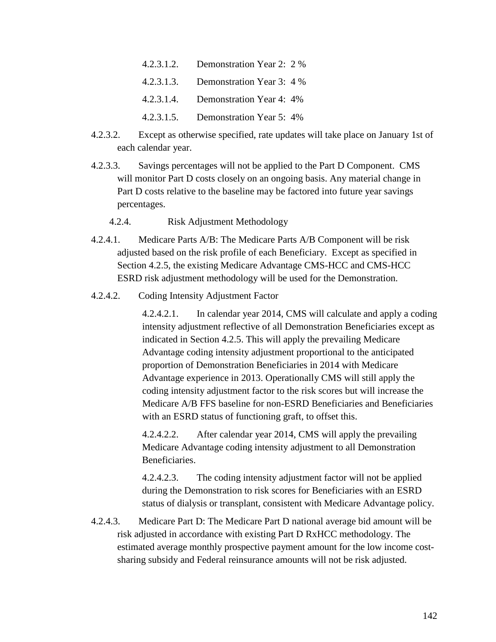- 4.2.3.1.2. Demonstration Year 2: 2 %
- 4.2.3.1.3. Demonstration Year 3: 4 %
- 4.2.3.1.4. Demonstration Year 4: 4%
- 4.2.3.1.5. Demonstration Year 5: 4%
- 4.2.3.2. Except as otherwise specified, rate updates will take place on January 1st of each calendar year.
- 4.2.3.3. Savings percentages will not be applied to the Part D Component. CMS will monitor Part D costs closely on an ongoing basis. Any material change in Part D costs relative to the baseline may be factored into future year savings percentages.
	- 4.2.4. Risk Adjustment Methodology
- 4.2.4.1. Medicare Parts A/B: The Medicare Parts A/B Component will be risk adjusted based on the risk profile of each Beneficiary. Except as specified in Section 4.2.5, the existing Medicare Advantage CMS-HCC and CMS-HCC ESRD risk adjustment methodology will be used for the Demonstration.
- 4.2.4.2. Coding Intensity Adjustment Factor

4.2.4.2.1. In calendar year 2014, CMS will calculate and apply a coding intensity adjustment reflective of all Demonstration Beneficiaries except as indicated in Section 4.2.5. This will apply the prevailing Medicare Advantage coding intensity adjustment proportional to the anticipated proportion of Demonstration Beneficiaries in 2014 with Medicare Advantage experience in 2013. Operationally CMS will still apply the coding intensity adjustment factor to the risk scores but will increase the Medicare A/B FFS baseline for non-ESRD Beneficiaries and Beneficiaries with an ESRD status of functioning graft, to offset this.

4.2.4.2.2. After calendar year 2014, CMS will apply the prevailing Medicare Advantage coding intensity adjustment to all Demonstration Beneficiaries.

4.2.4.2.3. The coding intensity adjustment factor will not be applied during the Demonstration to risk scores for Beneficiaries with an ESRD status of dialysis or transplant, consistent with Medicare Advantage policy.

4.2.4.3. Medicare Part D: The Medicare Part D national average bid amount will be risk adjusted in accordance with existing Part D RxHCC methodology. The estimated average monthly prospective payment amount for the low income costsharing subsidy and Federal reinsurance amounts will not be risk adjusted.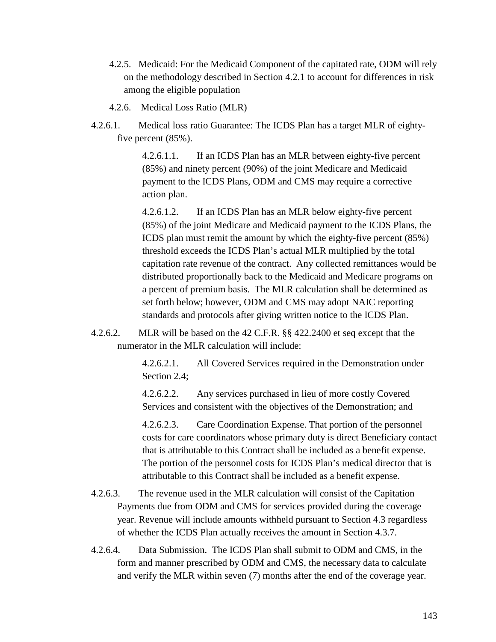- 4.2.5. Medicaid: For the Medicaid Component of the capitated rate, ODM will rely on the methodology described in Section 4.2.1 to account for differences in risk among the eligible population
- 4.2.6. Medical Loss Ratio (MLR)
- 4.2.6.1. Medical loss ratio Guarantee: The ICDS Plan has a target MLR of eightyfive percent (85%).

4.2.6.1.1. If an ICDS Plan has an MLR between eighty-five percent (85%) and ninety percent (90%) of the joint Medicare and Medicaid payment to the ICDS Plans, ODM and CMS may require a corrective action plan.

4.2.6.1.2. If an ICDS Plan has an MLR below eighty-five percent (85%) of the joint Medicare and Medicaid payment to the ICDS Plans, the ICDS plan must remit the amount by which the eighty-five percent (85%) threshold exceeds the ICDS Plan's actual MLR multiplied by the total capitation rate revenue of the contract. Any collected remittances would be distributed proportionally back to the Medicaid and Medicare programs on a percent of premium basis. The MLR calculation shall be determined as set forth below; however, ODM and CMS may adopt NAIC reporting standards and protocols after giving written notice to the ICDS Plan.

4.2.6.2. MLR will be based on the 42 C.F.R. §§ 422.2400 et seq except that the numerator in the MLR calculation will include:

> 4.2.6.2.1. All Covered Services required in the Demonstration under Section 2.4;

4.2.6.2.2. Any services purchased in lieu of more costly Covered Services and consistent with the objectives of the Demonstration; and

4.2.6.2.3. Care Coordination Expense. That portion of the personnel costs for care coordinators whose primary duty is direct Beneficiary contact that is attributable to this Contract shall be included as a benefit expense. The portion of the personnel costs for ICDS Plan's medical director that is attributable to this Contract shall be included as a benefit expense.

- 4.2.6.3. The revenue used in the MLR calculation will consist of the Capitation Payments due from ODM and CMS for services provided during the coverage year. Revenue will include amounts withheld pursuant to Section 4.3 regardless of whether the ICDS Plan actually receives the amount in Section 4.3.7.
- 4.2.6.4. Data Submission. The ICDS Plan shall submit to ODM and CMS, in the form and manner prescribed by ODM and CMS, the necessary data to calculate and verify the MLR within seven (7) months after the end of the coverage year.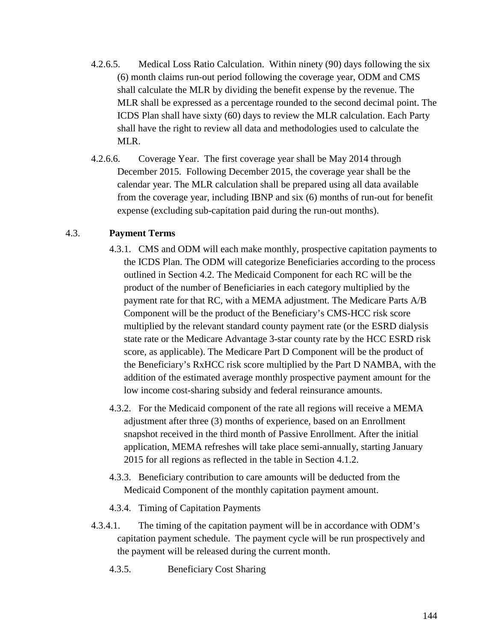- 4.2.6.5. Medical Loss Ratio Calculation. Within ninety (90) days following the six (6) month claims run-out period following the coverage year, ODM and CMS shall calculate the MLR by dividing the benefit expense by the revenue. The MLR shall be expressed as a percentage rounded to the second decimal point. The ICDS Plan shall have sixty (60) days to review the MLR calculation. Each Party shall have the right to review all data and methodologies used to calculate the MLR.
- 4.2.6.6. Coverage Year. The first coverage year shall be May 2014 through December 2015. Following December 2015, the coverage year shall be the calendar year. The MLR calculation shall be prepared using all data available from the coverage year, including IBNP and six (6) months of run-out for benefit expense (excluding sub-capitation paid during the run-out months).

## 4.3. **Payment Terms**

- 4.3.1. CMS and ODM will each make monthly, prospective capitation payments to the ICDS Plan. The ODM will categorize Beneficiaries according to the process outlined in Section 4.2. The Medicaid Component for each RC will be the product of the number of Beneficiaries in each category multiplied by the payment rate for that RC, with a MEMA adjustment. The Medicare Parts A/B Component will be the product of the Beneficiary's CMS-HCC risk score multiplied by the relevant standard county payment rate (or the ESRD dialysis state rate or the Medicare Advantage 3-star county rate by the HCC ESRD risk score, as applicable). The Medicare Part D Component will be the product of the Beneficiary's RxHCC risk score multiplied by the Part D NAMBA, with the addition of the estimated average monthly prospective payment amount for the low income cost-sharing subsidy and federal reinsurance amounts.
- 4.3.2. For the Medicaid component of the rate all regions will receive a MEMA adjustment after three (3) months of experience, based on an Enrollment snapshot received in the third month of Passive Enrollment. After the initial application, MEMA refreshes will take place semi-annually, starting January 2015 for all regions as reflected in the table in Section 4.1.2.
- 4.3.3. Beneficiary contribution to care amounts will be deducted from the Medicaid Component of the monthly capitation payment amount.
- 4.3.4. Timing of Capitation Payments
- 4.3.4.1. The timing of the capitation payment will be in accordance with ODM's capitation payment schedule. The payment cycle will be run prospectively and the payment will be released during the current month.
	- 4.3.5. Beneficiary Cost Sharing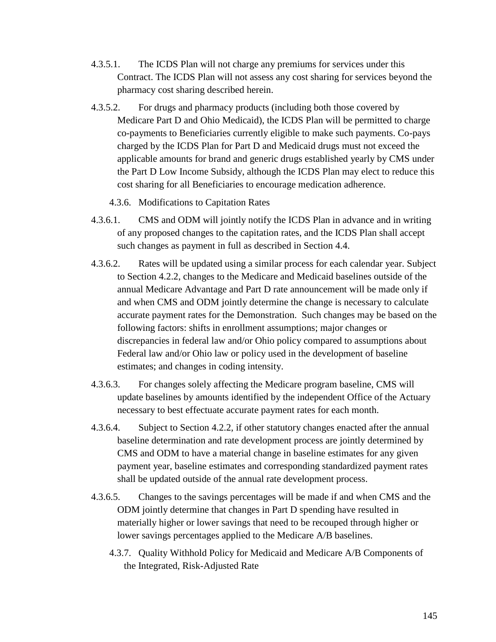- 4.3.5.1. The ICDS Plan will not charge any premiums for services under this Contract. The ICDS Plan will not assess any cost sharing for services beyond the pharmacy cost sharing described herein.
- 4.3.5.2. For drugs and pharmacy products (including both those covered by Medicare Part D and Ohio Medicaid), the ICDS Plan will be permitted to charge co-payments to Beneficiaries currently eligible to make such payments. Co-pays charged by the ICDS Plan for Part D and Medicaid drugs must not exceed the applicable amounts for brand and generic drugs established yearly by CMS under the Part D Low Income Subsidy, although the ICDS Plan may elect to reduce this cost sharing for all Beneficiaries to encourage medication adherence.
	- 4.3.6. Modifications to Capitation Rates
- 4.3.6.1. CMS and ODM will jointly notify the ICDS Plan in advance and in writing of any proposed changes to the capitation rates, and the ICDS Plan shall accept such changes as payment in full as described in Section 4.4.
- 4.3.6.2. Rates will be updated using a similar process for each calendar year. Subject to Section 4.2.2, changes to the Medicare and Medicaid baselines outside of the annual Medicare Advantage and Part D rate announcement will be made only if and when CMS and ODM jointly determine the change is necessary to calculate accurate payment rates for the Demonstration. Such changes may be based on the following factors: shifts in enrollment assumptions; major changes or discrepancies in federal law and/or Ohio policy compared to assumptions about Federal law and/or Ohio law or policy used in the development of baseline estimates; and changes in coding intensity.
- 4.3.6.3. For changes solely affecting the Medicare program baseline, CMS will update baselines by amounts identified by the independent Office of the Actuary necessary to best effectuate accurate payment rates for each month.
- 4.3.6.4. Subject to Section 4.2.2, if other statutory changes enacted after the annual baseline determination and rate development process are jointly determined by CMS and ODM to have a material change in baseline estimates for any given payment year, baseline estimates and corresponding standardized payment rates shall be updated outside of the annual rate development process.
- 4.3.6.5. Changes to the savings percentages will be made if and when CMS and the ODM jointly determine that changes in Part D spending have resulted in materially higher or lower savings that need to be recouped through higher or lower savings percentages applied to the Medicare A/B baselines.
	- 4.3.7. Quality Withhold Policy for Medicaid and Medicare A/B Components of the Integrated, Risk-Adjusted Rate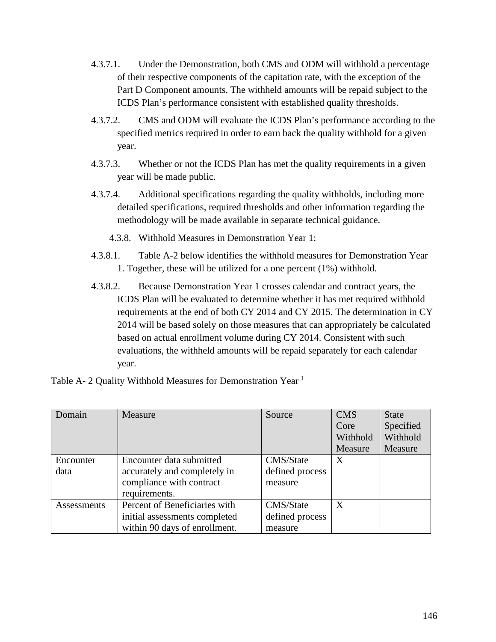- 4.3.7.1. Under the Demonstration, both CMS and ODM will withhold a percentage of their respective components of the capitation rate, with the exception of the Part D Component amounts. The withheld amounts will be repaid subject to the ICDS Plan's performance consistent with established quality thresholds.
- 4.3.7.2. CMS and ODM will evaluate the ICDS Plan's performance according to the specified metrics required in order to earn back the quality withhold for a given year.
- 4.3.7.3. Whether or not the ICDS Plan has met the quality requirements in a given year will be made public.
- 4.3.7.4. Additional specifications regarding the quality withholds, including more detailed specifications, required thresholds and other information regarding the methodology will be made available in separate technical guidance.
	- 4.3.8. Withhold Measures in Demonstration Year 1:
- 4.3.8.1. Table A-2 below identifies the withhold measures for Demonstration Year 1. Together, these will be utilized for a one percent (1%) withhold.
- 4.3.8.2. Because Demonstration Year 1 crosses calendar and contract years, the ICDS Plan will be evaluated to determine whether it has met required withhold requirements at the end of both CY 2014 and CY 2015. The determination in CY 2014 will be based solely on those measures that can appropriately be calculated based on actual enrollment volume during CY 2014. Consistent with such evaluations, the withheld amounts will be repaid separately for each calendar year.

| Domain      | Measure                       | Source          | <b>CMS</b> | <b>State</b> |
|-------------|-------------------------------|-----------------|------------|--------------|
|             |                               |                 | Core       | Specified    |
|             |                               |                 | Withhold   | Withhold     |
|             |                               |                 | Measure    | Measure      |
| Encounter   | Encounter data submitted      | CMS/State       | X          |              |
| data        | accurately and completely in  | defined process |            |              |
|             | compliance with contract      | measure         |            |              |
|             | requirements.                 |                 |            |              |
| Assessments | Percent of Beneficiaries with | CMS/State       | X          |              |
|             | initial assessments completed | defined process |            |              |
|             | within 90 days of enrollment. | measure         |            |              |

|  | Table A-2 Quality Withhold Measures for Demonstration Year <sup>1</sup> |  |  |  |
|--|-------------------------------------------------------------------------|--|--|--|
|--|-------------------------------------------------------------------------|--|--|--|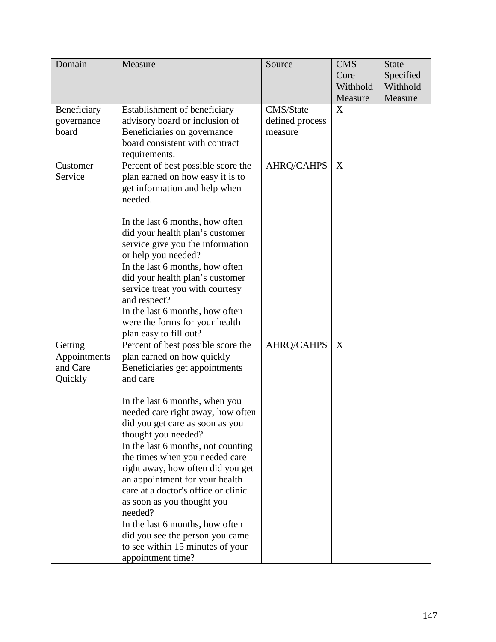| Domain       | Measure                                                                                                                                                                                                                                                                                                                                                                                                                                                                                                                                                                                                                                                                                                                                                                                                                                                                                          | Source            | <b>CMS</b> | <b>State</b> |
|--------------|--------------------------------------------------------------------------------------------------------------------------------------------------------------------------------------------------------------------------------------------------------------------------------------------------------------------------------------------------------------------------------------------------------------------------------------------------------------------------------------------------------------------------------------------------------------------------------------------------------------------------------------------------------------------------------------------------------------------------------------------------------------------------------------------------------------------------------------------------------------------------------------------------|-------------------|------------|--------------|
|              |                                                                                                                                                                                                                                                                                                                                                                                                                                                                                                                                                                                                                                                                                                                                                                                                                                                                                                  |                   | Core       | Specified    |
|              |                                                                                                                                                                                                                                                                                                                                                                                                                                                                                                                                                                                                                                                                                                                                                                                                                                                                                                  |                   | Withhold   | Withhold     |
|              |                                                                                                                                                                                                                                                                                                                                                                                                                                                                                                                                                                                                                                                                                                                                                                                                                                                                                                  |                   | Measure    | Measure      |
| Beneficiary  | Establishment of beneficiary                                                                                                                                                                                                                                                                                                                                                                                                                                                                                                                                                                                                                                                                                                                                                                                                                                                                     | CMS/State         | X          |              |
| governance   | advisory board or inclusion of                                                                                                                                                                                                                                                                                                                                                                                                                                                                                                                                                                                                                                                                                                                                                                                                                                                                   | defined process   |            |              |
| board        | Beneficiaries on governance                                                                                                                                                                                                                                                                                                                                                                                                                                                                                                                                                                                                                                                                                                                                                                                                                                                                      | measure           |            |              |
|              | board consistent with contract                                                                                                                                                                                                                                                                                                                                                                                                                                                                                                                                                                                                                                                                                                                                                                                                                                                                   |                   |            |              |
|              | requirements.                                                                                                                                                                                                                                                                                                                                                                                                                                                                                                                                                                                                                                                                                                                                                                                                                                                                                    |                   |            |              |
| Customer     | Percent of best possible score the                                                                                                                                                                                                                                                                                                                                                                                                                                                                                                                                                                                                                                                                                                                                                                                                                                                               | <b>AHRQ/CAHPS</b> | X          |              |
| Service      | plan earned on how easy it is to                                                                                                                                                                                                                                                                                                                                                                                                                                                                                                                                                                                                                                                                                                                                                                                                                                                                 |                   |            |              |
|              |                                                                                                                                                                                                                                                                                                                                                                                                                                                                                                                                                                                                                                                                                                                                                                                                                                                                                                  |                   |            |              |
|              |                                                                                                                                                                                                                                                                                                                                                                                                                                                                                                                                                                                                                                                                                                                                                                                                                                                                                                  |                   |            |              |
|              |                                                                                                                                                                                                                                                                                                                                                                                                                                                                                                                                                                                                                                                                                                                                                                                                                                                                                                  |                   |            |              |
|              |                                                                                                                                                                                                                                                                                                                                                                                                                                                                                                                                                                                                                                                                                                                                                                                                                                                                                                  |                   |            |              |
|              |                                                                                                                                                                                                                                                                                                                                                                                                                                                                                                                                                                                                                                                                                                                                                                                                                                                                                                  |                   |            |              |
|              |                                                                                                                                                                                                                                                                                                                                                                                                                                                                                                                                                                                                                                                                                                                                                                                                                                                                                                  |                   |            |              |
|              |                                                                                                                                                                                                                                                                                                                                                                                                                                                                                                                                                                                                                                                                                                                                                                                                                                                                                                  |                   |            |              |
|              |                                                                                                                                                                                                                                                                                                                                                                                                                                                                                                                                                                                                                                                                                                                                                                                                                                                                                                  |                   |            |              |
|              |                                                                                                                                                                                                                                                                                                                                                                                                                                                                                                                                                                                                                                                                                                                                                                                                                                                                                                  |                   |            |              |
|              |                                                                                                                                                                                                                                                                                                                                                                                                                                                                                                                                                                                                                                                                                                                                                                                                                                                                                                  |                   |            |              |
|              |                                                                                                                                                                                                                                                                                                                                                                                                                                                                                                                                                                                                                                                                                                                                                                                                                                                                                                  |                   |            |              |
|              |                                                                                                                                                                                                                                                                                                                                                                                                                                                                                                                                                                                                                                                                                                                                                                                                                                                                                                  |                   |            |              |
|              |                                                                                                                                                                                                                                                                                                                                                                                                                                                                                                                                                                                                                                                                                                                                                                                                                                                                                                  |                   |            |              |
| Getting      | Percent of best possible score the                                                                                                                                                                                                                                                                                                                                                                                                                                                                                                                                                                                                                                                                                                                                                                                                                                                               | <b>AHRQ/CAHPS</b> | X          |              |
| Appointments | plan earned on how quickly                                                                                                                                                                                                                                                                                                                                                                                                                                                                                                                                                                                                                                                                                                                                                                                                                                                                       |                   |            |              |
| and Care     | Beneficiaries get appointments                                                                                                                                                                                                                                                                                                                                                                                                                                                                                                                                                                                                                                                                                                                                                                                                                                                                   |                   |            |              |
| Quickly      | and care                                                                                                                                                                                                                                                                                                                                                                                                                                                                                                                                                                                                                                                                                                                                                                                                                                                                                         |                   |            |              |
|              |                                                                                                                                                                                                                                                                                                                                                                                                                                                                                                                                                                                                                                                                                                                                                                                                                                                                                                  |                   |            |              |
|              |                                                                                                                                                                                                                                                                                                                                                                                                                                                                                                                                                                                                                                                                                                                                                                                                                                                                                                  |                   |            |              |
|              |                                                                                                                                                                                                                                                                                                                                                                                                                                                                                                                                                                                                                                                                                                                                                                                                                                                                                                  |                   |            |              |
|              |                                                                                                                                                                                                                                                                                                                                                                                                                                                                                                                                                                                                                                                                                                                                                                                                                                                                                                  |                   |            |              |
|              |                                                                                                                                                                                                                                                                                                                                                                                                                                                                                                                                                                                                                                                                                                                                                                                                                                                                                                  |                   |            |              |
|              |                                                                                                                                                                                                                                                                                                                                                                                                                                                                                                                                                                                                                                                                                                                                                                                                                                                                                                  |                   |            |              |
|              |                                                                                                                                                                                                                                                                                                                                                                                                                                                                                                                                                                                                                                                                                                                                                                                                                                                                                                  |                   |            |              |
|              |                                                                                                                                                                                                                                                                                                                                                                                                                                                                                                                                                                                                                                                                                                                                                                                                                                                                                                  |                   |            |              |
|              |                                                                                                                                                                                                                                                                                                                                                                                                                                                                                                                                                                                                                                                                                                                                                                                                                                                                                                  |                   |            |              |
|              |                                                                                                                                                                                                                                                                                                                                                                                                                                                                                                                                                                                                                                                                                                                                                                                                                                                                                                  |                   |            |              |
|              |                                                                                                                                                                                                                                                                                                                                                                                                                                                                                                                                                                                                                                                                                                                                                                                                                                                                                                  |                   |            |              |
|              |                                                                                                                                                                                                                                                                                                                                                                                                                                                                                                                                                                                                                                                                                                                                                                                                                                                                                                  |                   |            |              |
|              |                                                                                                                                                                                                                                                                                                                                                                                                                                                                                                                                                                                                                                                                                                                                                                                                                                                                                                  |                   |            |              |
|              |                                                                                                                                                                                                                                                                                                                                                                                                                                                                                                                                                                                                                                                                                                                                                                                                                                                                                                  |                   |            |              |
|              |                                                                                                                                                                                                                                                                                                                                                                                                                                                                                                                                                                                                                                                                                                                                                                                                                                                                                                  |                   |            |              |
|              | get information and help when<br>needed.<br>In the last 6 months, how often<br>did your health plan's customer<br>service give you the information<br>or help you needed?<br>In the last 6 months, how often<br>did your health plan's customer<br>service treat you with courtesy<br>and respect?<br>In the last 6 months, how often<br>were the forms for your health<br>plan easy to fill out?<br>In the last 6 months, when you<br>needed care right away, how often<br>did you get care as soon as you<br>thought you needed?<br>In the last 6 months, not counting<br>the times when you needed care<br>right away, how often did you get<br>an appointment for your health<br>care at a doctor's office or clinic<br>as soon as you thought you<br>needed?<br>In the last 6 months, how often<br>did you see the person you came<br>to see within 15 minutes of your<br>appointment time? |                   |            |              |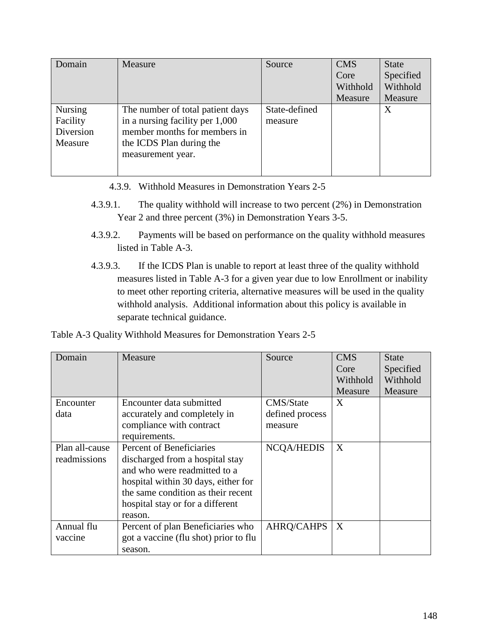| Domain         | Measure                          | Source        | <b>CMS</b> | <b>State</b> |
|----------------|----------------------------------|---------------|------------|--------------|
|                |                                  |               | Core       | Specified    |
|                |                                  |               | Withhold   | Withhold     |
|                |                                  |               | Measure    | Measure      |
| <b>Nursing</b> | The number of total patient days | State-defined |            | X            |
| Facility       | in a nursing facility per 1,000  | measure       |            |              |
| Diversion      | member months for members in     |               |            |              |
| Measure        | the ICDS Plan during the         |               |            |              |
|                | measurement year.                |               |            |              |
|                |                                  |               |            |              |

- 4.3.9. Withhold Measures in Demonstration Years 2-5
- 4.3.9.1. The quality withhold will increase to two percent (2%) in Demonstration Year 2 and three percent (3%) in Demonstration Years 3-5.
- 4.3.9.2. Payments will be based on performance on the quality withhold measures listed in Table A-3.
- 4.3.9.3. If the ICDS Plan is unable to report at least three of the quality withhold measures listed in Table A-3 for a given year due to low Enrollment or inability to meet other reporting criteria, alternative measures will be used in the quality withhold analysis. Additional information about this policy is available in separate technical guidance.

Table A-3 Quality Withhold Measures for Demonstration Years 2-5

| Domain         | Measure                               | Source            | <b>CMS</b><br>Core<br>Withhold | <b>State</b><br>Specified<br>Withhold |
|----------------|---------------------------------------|-------------------|--------------------------------|---------------------------------------|
|                |                                       |                   | Measure                        | Measure                               |
| Encounter      | Encounter data submitted              | CMS/State         | X                              |                                       |
| data           | accurately and completely in          | defined process   |                                |                                       |
|                | compliance with contract              | measure           |                                |                                       |
|                | requirements.                         |                   |                                |                                       |
| Plan all-cause | Percent of Beneficiaries              | <b>NCQA/HEDIS</b> | X                              |                                       |
| readmissions   | discharged from a hospital stay       |                   |                                |                                       |
|                | and who were readmitted to a          |                   |                                |                                       |
|                | hospital within 30 days, either for   |                   |                                |                                       |
|                | the same condition as their recent    |                   |                                |                                       |
|                | hospital stay or for a different      |                   |                                |                                       |
|                | reason.                               |                   |                                |                                       |
| Annual flu     | Percent of plan Beneficiaries who     | <b>AHRQ/CAHPS</b> | X                              |                                       |
| vaccine        | got a vaccine (flu shot) prior to flu |                   |                                |                                       |
|                | season.                               |                   |                                |                                       |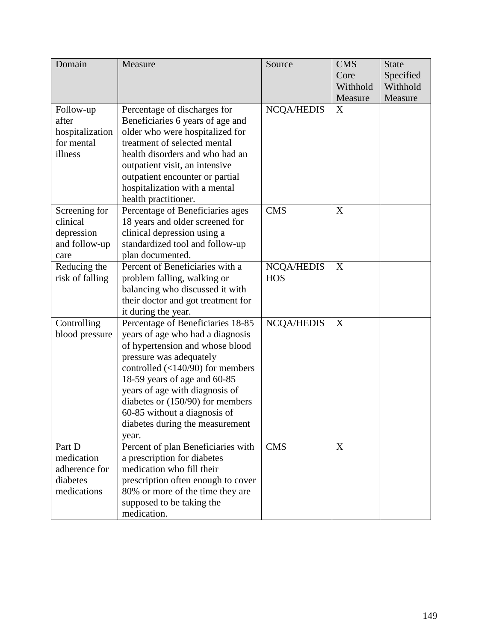| Domain          | Measure                                           | Source            | <b>CMS</b><br>Core<br>Withhold | <b>State</b><br>Specified<br>Withhold |
|-----------------|---------------------------------------------------|-------------------|--------------------------------|---------------------------------------|
|                 |                                                   |                   | Measure                        | Measure                               |
| Follow-up       | Percentage of discharges for                      | NCQA/HEDIS        | X                              |                                       |
| after           | Beneficiaries 6 years of age and                  |                   |                                |                                       |
| hospitalization | older who were hospitalized for                   |                   |                                |                                       |
| for mental      | treatment of selected mental                      |                   |                                |                                       |
| illness         | health disorders and who had an                   |                   |                                |                                       |
|                 | outpatient visit, an intensive                    |                   |                                |                                       |
|                 | outpatient encounter or partial                   |                   |                                |                                       |
|                 | hospitalization with a mental                     |                   |                                |                                       |
|                 | health practitioner.                              |                   |                                |                                       |
| Screening for   | Percentage of Beneficiaries ages                  | <b>CMS</b>        | X                              |                                       |
| clinical        | 18 years and older screened for                   |                   |                                |                                       |
| depression      | clinical depression using a                       |                   |                                |                                       |
| and follow-up   | standardized tool and follow-up                   |                   |                                |                                       |
| care            | plan documented.                                  |                   |                                |                                       |
| Reducing the    | Percent of Beneficiaries with a                   | <b>NCQA/HEDIS</b> | X                              |                                       |
| risk of falling | problem falling, walking or                       | <b>HOS</b>        |                                |                                       |
|                 | balancing who discussed it with                   |                   |                                |                                       |
|                 | their doctor and got treatment for                |                   |                                |                                       |
|                 | it during the year.                               |                   |                                |                                       |
| Controlling     | Percentage of Beneficiaries 18-85                 | <b>NCQA/HEDIS</b> | X                              |                                       |
| blood pressure  | years of age who had a diagnosis                  |                   |                                |                                       |
|                 | of hypertension and whose blood                   |                   |                                |                                       |
|                 | pressure was adequately                           |                   |                                |                                       |
|                 | controlled $(\langle 140/90 \rangle)$ for members |                   |                                |                                       |
|                 | 18-59 years of age and 60-85                      |                   |                                |                                       |
|                 | years of age with diagnosis of                    |                   |                                |                                       |
|                 | diabetes or (150/90) for members                  |                   |                                |                                       |
|                 | 60-85 without a diagnosis of                      |                   |                                |                                       |
|                 | diabetes during the measurement                   |                   |                                |                                       |
|                 | year.                                             |                   |                                |                                       |
| Part D          | Percent of plan Beneficiaries with                | <b>CMS</b>        | $\boldsymbol{X}$               |                                       |
| medication      | a prescription for diabetes                       |                   |                                |                                       |
| adherence for   | medication who fill their                         |                   |                                |                                       |
| diabetes        | prescription often enough to cover                |                   |                                |                                       |
| medications     | 80% or more of the time they are                  |                   |                                |                                       |
|                 | supposed to be taking the                         |                   |                                |                                       |
|                 | medication.                                       |                   |                                |                                       |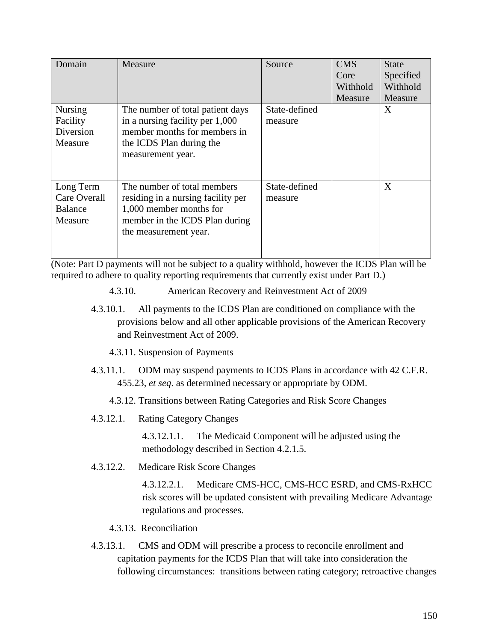| Domain                                             | Measure                                                                                                                                                 | Source                   | <b>CMS</b><br>Core<br>Withhold<br>Measure | <b>State</b><br>Specified<br>Withhold<br>Measure |
|----------------------------------------------------|---------------------------------------------------------------------------------------------------------------------------------------------------------|--------------------------|-------------------------------------------|--------------------------------------------------|
| <b>Nursing</b><br>Facility<br>Diversion<br>Measure | The number of total patient days<br>in a nursing facility per 1,000<br>member months for members in<br>the ICDS Plan during the<br>measurement year.    | State-defined<br>measure |                                           | X                                                |
| Long Term<br>Care Overall<br>Balance<br>Measure    | The number of total members<br>residing in a nursing facility per<br>1,000 member months for<br>member in the ICDS Plan during<br>the measurement year. | State-defined<br>measure |                                           | X                                                |

(Note: Part D payments will not be subject to a quality withhold, however the ICDS Plan will be required to adhere to quality reporting requirements that currently exist under Part D.)

- 4.3.10. American Recovery and Reinvestment Act of 2009
- 4.3.10.1. All payments to the ICDS Plan are conditioned on compliance with the provisions below and all other applicable provisions of the American Recovery and Reinvestment Act of 2009.
	- 4.3.11. Suspension of Payments
- 4.3.11.1. ODM may suspend payments to ICDS Plans in accordance with 42 C.F.R. 455.23, *et seq*. as determined necessary or appropriate by ODM.
	- 4.3.12. Transitions between Rating Categories and Risk Score Changes
- 4.3.12.1. Rating Category Changes

4.3.12.1.1. The Medicaid Component will be adjusted using the methodology described in Section 4.2.1.5.

4.3.12.2. Medicare Risk Score Changes

4.3.12.2.1. Medicare CMS-HCC, CMS-HCC ESRD, and CMS-RxHCC risk scores will be updated consistent with prevailing Medicare Advantage regulations and processes.

- 4.3.13. Reconciliation
- 4.3.13.1. CMS and ODM will prescribe a process to reconcile enrollment and capitation payments for the ICDS Plan that will take into consideration the following circumstances: transitions between rating category; retroactive changes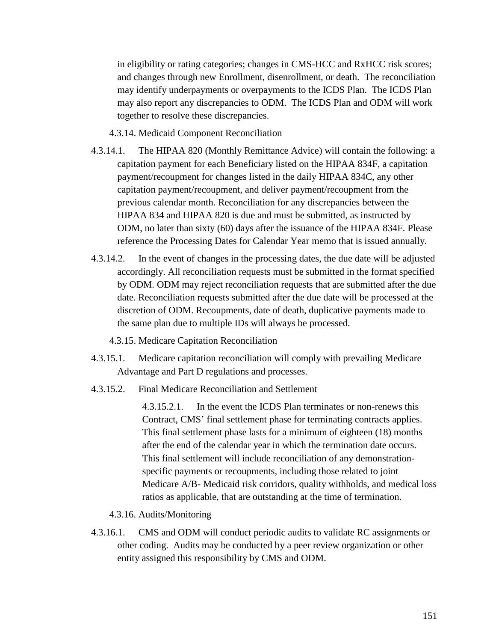in eligibility or rating categories; changes in CMS-HCC and RxHCC risk scores; and changes through new Enrollment, disenrollment, or death. The reconciliation may identify underpayments or overpayments to the ICDS Plan. The ICDS Plan may also report any discrepancies to ODM. The ICDS Plan and ODM will work together to resolve these discrepancies.

- 4.3.14. Medicaid Component Reconciliation
- 4.3.14.1. The HIPAA 820 (Monthly Remittance Advice) will contain the following: a capitation payment for each Beneficiary listed on the HIPAA 834F, a capitation payment/recoupment for changes listed in the daily HIPAA 834C, any other capitation payment/recoupment, and deliver payment/recoupment from the previous calendar month. Reconciliation for any discrepancies between the HIPAA 834 and HIPAA 820 is due and must be submitted, as instructed by ODM, no later than sixty (60) days after the issuance of the HIPAA 834F. Please reference the Processing Dates for Calendar Year memo that is issued annually.
- 4.3.14.2. In the event of changes in the processing dates, the due date will be adjusted accordingly. All reconciliation requests must be submitted in the format specified by ODM. ODM may reject reconciliation requests that are submitted after the due date. Reconciliation requests submitted after the due date will be processed at the discretion of ODM. Recoupments, date of death, duplicative payments made to the same plan due to multiple IDs will always be processed.
	- 4.3.15. Medicare Capitation Reconciliation
- 4.3.15.1. Medicare capitation reconciliation will comply with prevailing Medicare Advantage and Part D regulations and processes.
- 4.3.15.2. Final Medicare Reconciliation and Settlement

4.3.15.2.1. In the event the ICDS Plan terminates or non-renews this Contract, CMS' final settlement phase for terminating contracts applies. This final settlement phase lasts for a minimum of eighteen (18) months after the end of the calendar year in which the termination date occurs. This final settlement will include reconciliation of any demonstrationspecific payments or recoupments, including those related to joint Medicare A/B- Medicaid risk corridors, quality withholds, and medical loss ratios as applicable, that are outstanding at the time of termination.

4.3.16. Audits/Monitoring

4.3.16.1. CMS and ODM will conduct periodic audits to validate RC assignments or other coding. Audits may be conducted by a peer review organization or other entity assigned this responsibility by CMS and ODM.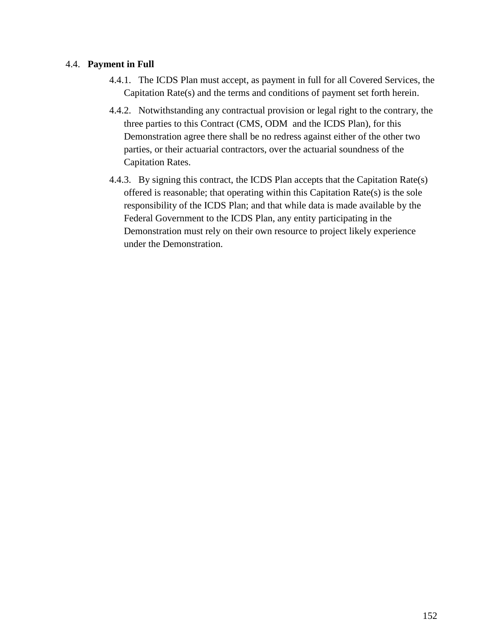#### 4.4. **Payment in Full**

- 4.4.1. The ICDS Plan must accept, as payment in full for all Covered Services, the Capitation Rate(s) and the terms and conditions of payment set forth herein.
- 4.4.2. Notwithstanding any contractual provision or legal right to the contrary, the three parties to this Contract (CMS, ODM and the ICDS Plan), for this Demonstration agree there shall be no redress against either of the other two parties, or their actuarial contractors, over the actuarial soundness of the Capitation Rates.
- 4.4.3. By signing this contract, the ICDS Plan accepts that the Capitation Rate(s) offered is reasonable; that operating within this Capitation Rate(s) is the sole responsibility of the ICDS Plan; and that while data is made available by the Federal Government to the ICDS Plan, any entity participating in the Demonstration must rely on their own resource to project likely experience under the Demonstration.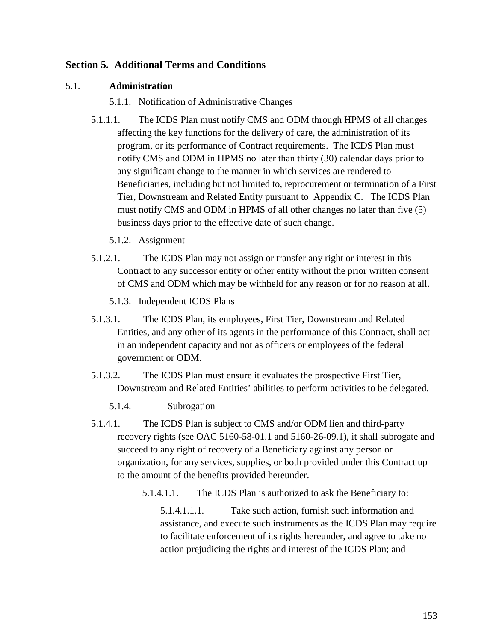# **Section 5. Additional Terms and Conditions**

#### 5.1. **Administration**

- 5.1.1. Notification of Administrative Changes
- 5.1.1.1. The ICDS Plan must notify CMS and ODM through HPMS of all changes affecting the key functions for the delivery of care, the administration of its program, or its performance of Contract requirements. The ICDS Plan must notify CMS and ODM in HPMS no later than thirty (30) calendar days prior to any significant change to the manner in which services are rendered to Beneficiaries, including but not limited to, reprocurement or termination of a First Tier, Downstream and Related Entity pursuant to Appendix C. The ICDS Plan must notify CMS and ODM in HPMS of all other changes no later than five (5) business days prior to the effective date of such change.
	- 5.1.2. Assignment
- 5.1.2.1. The ICDS Plan may not assign or transfer any right or interest in this Contract to any successor entity or other entity without the prior written consent of CMS and ODM which may be withheld for any reason or for no reason at all.
	- 5.1.3. Independent ICDS Plans
- 5.1.3.1. The ICDS Plan, its employees, First Tier, Downstream and Related Entities, and any other of its agents in the performance of this Contract, shall act in an independent capacity and not as officers or employees of the federal government or ODM.
- 5.1.3.2. The ICDS Plan must ensure it evaluates the prospective First Tier, Downstream and Related Entities' abilities to perform activities to be delegated.
	- 5.1.4. Subrogation
- 5.1.4.1. The ICDS Plan is subject to CMS and/or ODM lien and third-party recovery rights (see OAC 5160-58-01.1 and 5160-26-09.1), it shall subrogate and succeed to any right of recovery of a Beneficiary against any person or organization, for any services, supplies, or both provided under this Contract up to the amount of the benefits provided hereunder.
	- 5.1.4.1.1. The ICDS Plan is authorized to ask the Beneficiary to:

5.1.4.1.1.1. Take such action, furnish such information and assistance, and execute such instruments as the ICDS Plan may require to facilitate enforcement of its rights hereunder, and agree to take no action prejudicing the rights and interest of the ICDS Plan; and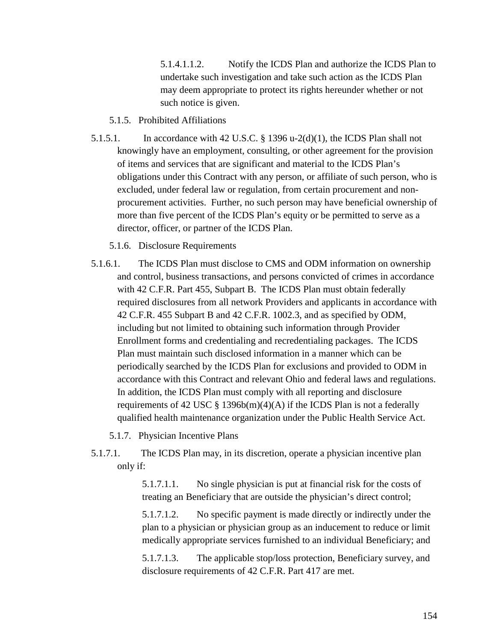5.1.4.1.1.2. Notify the ICDS Plan and authorize the ICDS Plan to undertake such investigation and take such action as the ICDS Plan may deem appropriate to protect its rights hereunder whether or not such notice is given.

- 5.1.5. Prohibited Affiliations
- 5.1.5.1. In accordance with 42 U.S.C. § 1396 u-2(d)(1), the ICDS Plan shall not knowingly have an employment, consulting, or other agreement for the provision of items and services that are significant and material to the ICDS Plan's obligations under this Contract with any person, or affiliate of such person, who is excluded, under federal law or regulation, from certain procurement and nonprocurement activities. Further, no such person may have beneficial ownership of more than five percent of the ICDS Plan's equity or be permitted to serve as a director, officer, or partner of the ICDS Plan.
	- 5.1.6. Disclosure Requirements
- 5.1.6.1. The ICDS Plan must disclose to CMS and ODM information on ownership and control, business transactions, and persons convicted of crimes in accordance with 42 C.F.R. Part 455, Subpart B. The ICDS Plan must obtain federally required disclosures from all network Providers and applicants in accordance with 42 C.F.R. 455 Subpart B and 42 C.F.R. 1002.3, and as specified by ODM, including but not limited to obtaining such information through Provider Enrollment forms and credentialing and recredentialing packages. The ICDS Plan must maintain such disclosed information in a manner which can be periodically searched by the ICDS Plan for exclusions and provided to ODM in accordance with this Contract and relevant Ohio and federal laws and regulations. In addition, the ICDS Plan must comply with all reporting and disclosure requirements of 42 USC  $\S$  1396b(m)(4)(A) if the ICDS Plan is not a federally qualified health maintenance organization under the Public Health Service Act.
	- 5.1.7. Physician Incentive Plans
- 5.1.7.1. The ICDS Plan may, in its discretion, operate a physician incentive plan only if:

5.1.7.1.1. No single physician is put at financial risk for the costs of treating an Beneficiary that are outside the physician's direct control;

5.1.7.1.2. No specific payment is made directly or indirectly under the plan to a physician or physician group as an inducement to reduce or limit medically appropriate services furnished to an individual Beneficiary; and

5.1.7.1.3. The applicable stop/loss protection, Beneficiary survey, and disclosure requirements of 42 C.F.R. Part 417 are met.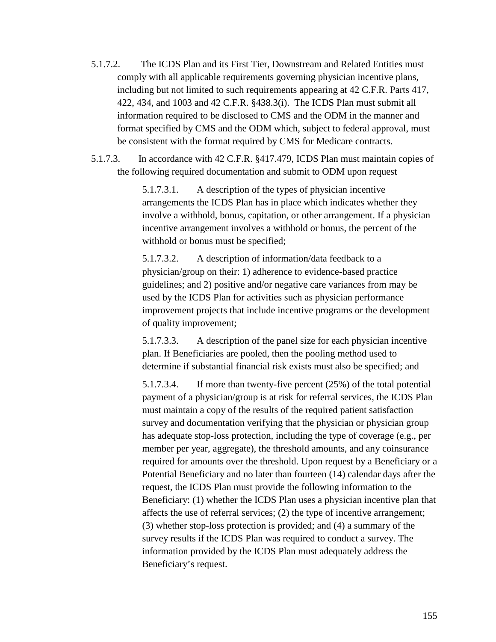- 5.1.7.2. The ICDS Plan and its First Tier, Downstream and Related Entities must comply with all applicable requirements governing physician incentive plans, including but not limited to such requirements appearing at 42 C.F.R. Parts 417, 422, 434, and 1003 and 42 C.F.R. §438.3(i). The ICDS Plan must submit all information required to be disclosed to CMS and the ODM in the manner and format specified by CMS and the ODM which, subject to federal approval, must be consistent with the format required by CMS for Medicare contracts.
- 5.1.7.3. In accordance with 42 C.F.R. §417.479, ICDS Plan must maintain copies of the following required documentation and submit to ODM upon request

5.1.7.3.1. A description of the types of physician incentive arrangements the ICDS Plan has in place which indicates whether they involve a withhold, bonus, capitation, or other arrangement. If a physician incentive arrangement involves a withhold or bonus, the percent of the withhold or bonus must be specified;

5.1.7.3.2. A description of information/data feedback to a physician/group on their: 1) adherence to evidence-based practice guidelines; and 2) positive and/or negative care variances from may be used by the ICDS Plan for activities such as physician performance improvement projects that include incentive programs or the development of quality improvement;

5.1.7.3.3. A description of the panel size for each physician incentive plan. If Beneficiaries are pooled, then the pooling method used to determine if substantial financial risk exists must also be specified; and

5.1.7.3.4. If more than twenty-five percent (25%) of the total potential payment of a physician/group is at risk for referral services, the ICDS Plan must maintain a copy of the results of the required patient satisfaction survey and documentation verifying that the physician or physician group has adequate stop-loss protection, including the type of coverage (e.g., per member per year, aggregate), the threshold amounts, and any coinsurance required for amounts over the threshold. Upon request by a Beneficiary or a Potential Beneficiary and no later than fourteen (14) calendar days after the request, the ICDS Plan must provide the following information to the Beneficiary: (1) whether the ICDS Plan uses a physician incentive plan that affects the use of referral services; (2) the type of incentive arrangement; (3) whether stop-loss protection is provided; and (4) a summary of the survey results if the ICDS Plan was required to conduct a survey. The information provided by the ICDS Plan must adequately address the Beneficiary's request.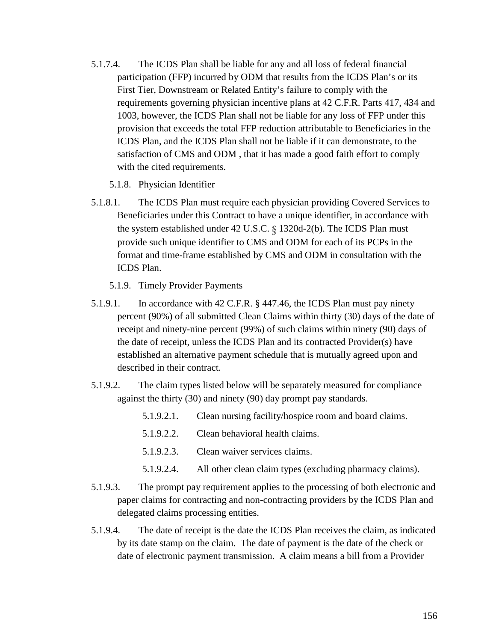- 5.1.7.4. The ICDS Plan shall be liable for any and all loss of federal financial participation (FFP) incurred by ODM that results from the ICDS Plan's or its First Tier, Downstream or Related Entity's failure to comply with the requirements governing physician incentive plans at 42 C.F.R. Parts 417, 434 and 1003, however, the ICDS Plan shall not be liable for any loss of FFP under this provision that exceeds the total FFP reduction attributable to Beneficiaries in the ICDS Plan, and the ICDS Plan shall not be liable if it can demonstrate, to the satisfaction of CMS and ODM , that it has made a good faith effort to comply with the cited requirements.
	- 5.1.8. Physician Identifier
- 5.1.8.1. The ICDS Plan must require each physician providing Covered Services to Beneficiaries under this Contract to have a unique identifier, in accordance with the system established under 42 U.S.C. § 1320d-2(b). The ICDS Plan must provide such unique identifier to CMS and ODM for each of its PCPs in the format and time-frame established by CMS and ODM in consultation with the ICDS Plan.
	- 5.1.9. Timely Provider Payments
- 5.1.9.1. In accordance with 42 C.F.R. § 447.46, the ICDS Plan must pay ninety percent (90%) of all submitted Clean Claims within thirty (30) days of the date of receipt and ninety-nine percent (99%) of such claims within ninety (90) days of the date of receipt, unless the ICDS Plan and its contracted Provider(s) have established an alternative payment schedule that is mutually agreed upon and described in their contract.
- 5.1.9.2. The claim types listed below will be separately measured for compliance against the thirty (30) and ninety (90) day prompt pay standards.
	- 5.1.9.2.1. Clean nursing facility/hospice room and board claims.
	- 5.1.9.2.2. Clean behavioral health claims.
	- 5.1.9.2.3. Clean waiver services claims.
	- 5.1.9.2.4. All other clean claim types (excluding pharmacy claims).
- 5.1.9.3. The prompt pay requirement applies to the processing of both electronic and paper claims for contracting and non-contracting providers by the ICDS Plan and delegated claims processing entities.
- 5.1.9.4. The date of receipt is the date the ICDS Plan receives the claim, as indicated by its date stamp on the claim. The date of payment is the date of the check or date of electronic payment transmission. A claim means a bill from a Provider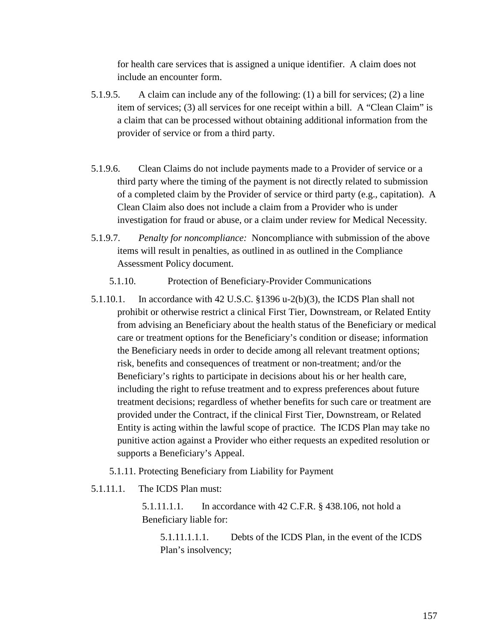for health care services that is assigned a unique identifier. A claim does not include an encounter form.

- 5.1.9.5. A claim can include any of the following: (1) a bill for services; (2) a line item of services; (3) all services for one receipt within a bill. A "Clean Claim" is a claim that can be processed without obtaining additional information from the provider of service or from a third party.
- 5.1.9.6. Clean Claims do not include payments made to a Provider of service or a third party where the timing of the payment is not directly related to submission of a completed claim by the Provider of service or third party (e.g., capitation). A Clean Claim also does not include a claim from a Provider who is under investigation for fraud or abuse, or a claim under review for Medical Necessity.
- 5.1.9.7. *Penalty for noncompliance:* Noncompliance with submission of the above items will result in penalties, as outlined in as outlined in the Compliance Assessment Policy document.
	- 5.1.10. Protection of Beneficiary-Provider Communications
- 5.1.10.1. In accordance with 42 U.S.C. §1396 u-2(b)(3), the ICDS Plan shall not prohibit or otherwise restrict a clinical First Tier, Downstream, or Related Entity from advising an Beneficiary about the health status of the Beneficiary or medical care or treatment options for the Beneficiary's condition or disease; information the Beneficiary needs in order to decide among all relevant treatment options; risk, benefits and consequences of treatment or non-treatment; and/or the Beneficiary's rights to participate in decisions about his or her health care, including the right to refuse treatment and to express preferences about future treatment decisions; regardless of whether benefits for such care or treatment are provided under the Contract, if the clinical First Tier, Downstream, or Related Entity is acting within the lawful scope of practice. The ICDS Plan may take no punitive action against a Provider who either requests an expedited resolution or supports a Beneficiary's Appeal.
	- 5.1.11. Protecting Beneficiary from Liability for Payment
- 5.1.11.1. The ICDS Plan must:

5.1.11.1.1. In accordance with 42 C.F.R. § 438.106, not hold a Beneficiary liable for:

5.1.11.1.1.1. Debts of the ICDS Plan, in the event of the ICDS Plan's insolvency;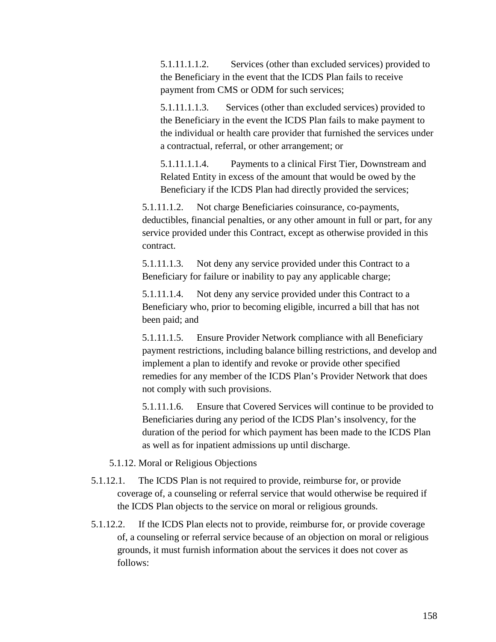5.1.11.1.1.2. Services (other than excluded services) provided to the Beneficiary in the event that the ICDS Plan fails to receive payment from CMS or ODM for such services;

5.1.11.1.1.3. Services (other than excluded services) provided to the Beneficiary in the event the ICDS Plan fails to make payment to the individual or health care provider that furnished the services under a contractual, referral, or other arrangement; or

5.1.11.1.1.4. Payments to a clinical First Tier, Downstream and Related Entity in excess of the amount that would be owed by the Beneficiary if the ICDS Plan had directly provided the services;

5.1.11.1.2. Not charge Beneficiaries coinsurance, co-payments, deductibles, financial penalties, or any other amount in full or part, for any service provided under this Contract, except as otherwise provided in this contract.

5.1.11.1.3. Not deny any service provided under this Contract to a Beneficiary for failure or inability to pay any applicable charge;

5.1.11.1.4. Not deny any service provided under this Contract to a Beneficiary who, prior to becoming eligible, incurred a bill that has not been paid; and

5.1.11.1.5. Ensure Provider Network compliance with all Beneficiary payment restrictions, including balance billing restrictions, and develop and implement a plan to identify and revoke or provide other specified remedies for any member of the ICDS Plan's Provider Network that does not comply with such provisions.

5.1.11.1.6. Ensure that Covered Services will continue to be provided to Beneficiaries during any period of the ICDS Plan's insolvency, for the duration of the period for which payment has been made to the ICDS Plan as well as for inpatient admissions up until discharge.

- 5.1.12. Moral or Religious Objections
- 5.1.12.1. The ICDS Plan is not required to provide, reimburse for, or provide coverage of, a counseling or referral service that would otherwise be required if the ICDS Plan objects to the service on moral or religious grounds.
- 5.1.12.2. If the ICDS Plan elects not to provide, reimburse for, or provide coverage of, a counseling or referral service because of an objection on moral or religious grounds, it must furnish information about the services it does not cover as follows: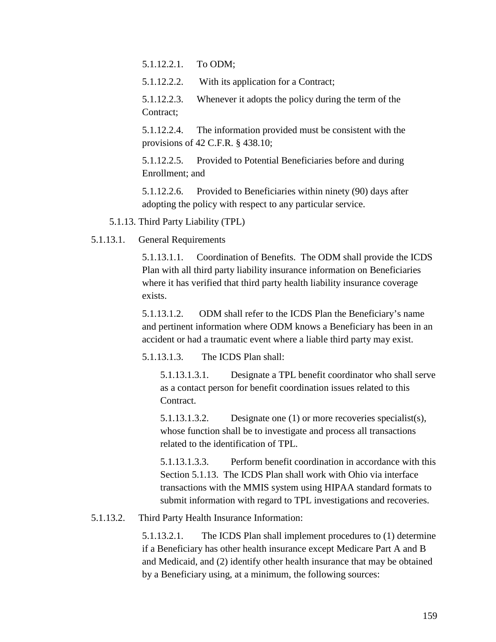5.1.12.2.1. To ODM;

5.1.12.2.2. With its application for a Contract;

5.1.12.2.3. Whenever it adopts the policy during the term of the Contract;

5.1.12.2.4. The information provided must be consistent with the provisions of 42 C.F.R. § 438.10;

5.1.12.2.5. Provided to Potential Beneficiaries before and during Enrollment; and

5.1.12.2.6. Provided to Beneficiaries within ninety (90) days after adopting the policy with respect to any particular service.

5.1.13. Third Party Liability (TPL)

5.1.13.1. General Requirements

5.1.13.1.1. Coordination of Benefits. The ODM shall provide the ICDS Plan with all third party liability insurance information on Beneficiaries where it has verified that third party health liability insurance coverage exists.

5.1.13.1.2. ODM shall refer to the ICDS Plan the Beneficiary's name and pertinent information where ODM knows a Beneficiary has been in an accident or had a traumatic event where a liable third party may exist.

5.1.13.1.3. The ICDS Plan shall:

5.1.13.1.3.1. Designate a TPL benefit coordinator who shall serve as a contact person for benefit coordination issues related to this Contract.

5.1.13.1.3.2. Designate one (1) or more recoveries specialist(s), whose function shall be to investigate and process all transactions related to the identification of TPL.

5.1.13.1.3.3. Perform benefit coordination in accordance with this Section 5.1.13. The ICDS Plan shall work with Ohio via interface transactions with the MMIS system using HIPAA standard formats to submit information with regard to TPL investigations and recoveries.

#### 5.1.13.2. Third Party Health Insurance Information:

5.1.13.2.1. The ICDS Plan shall implement procedures to (1) determine if a Beneficiary has other health insurance except Medicare Part A and B and Medicaid, and (2) identify other health insurance that may be obtained by a Beneficiary using, at a minimum, the following sources: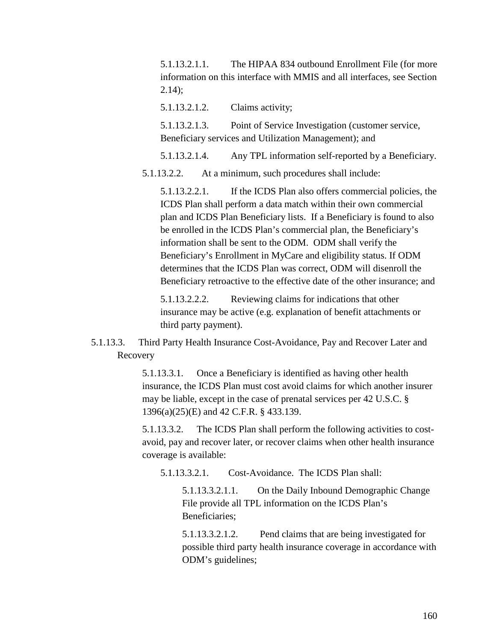5.1.13.2.1.1. The HIPAA 834 outbound Enrollment File (for more information on this interface with MMIS and all interfaces, see Section 2.14);

5.1.13.2.1.2. Claims activity;

5.1.13.2.1.3. Point of Service Investigation (customer service, Beneficiary services and Utilization Management); and

5.1.13.2.1.4. Any TPL information self-reported by a Beneficiary.

5.1.13.2.2. At a minimum, such procedures shall include:

5.1.13.2.2.1. If the ICDS Plan also offers commercial policies, the ICDS Plan shall perform a data match within their own commercial plan and ICDS Plan Beneficiary lists. If a Beneficiary is found to also be enrolled in the ICDS Plan's commercial plan, the Beneficiary's information shall be sent to the ODM. ODM shall verify the Beneficiary's Enrollment in MyCare and eligibility status. If ODM determines that the ICDS Plan was correct, ODM will disenroll the Beneficiary retroactive to the effective date of the other insurance; and

5.1.13.2.2.2. Reviewing claims for indications that other insurance may be active (e.g. explanation of benefit attachments or third party payment).

# 5.1.13.3. Third Party Health Insurance Cost-Avoidance, Pay and Recover Later and Recovery

5.1.13.3.1. Once a Beneficiary is identified as having other health insurance, the ICDS Plan must cost avoid claims for which another insurer may be liable, except in the case of prenatal services per 42 U.S.C. § 1396(a)(25)(E) and 42 C.F.R. § 433.139.

5.1.13.3.2. The ICDS Plan shall perform the following activities to costavoid, pay and recover later, or recover claims when other health insurance coverage is available:

5.1.13.3.2.1. Cost-Avoidance. The ICDS Plan shall:

5.1.13.3.2.1.1. On the Daily Inbound Demographic Change File provide all TPL information on the ICDS Plan's Beneficiaries;

5.1.13.3.2.1.2. Pend claims that are being investigated for possible third party health insurance coverage in accordance with ODM's guidelines;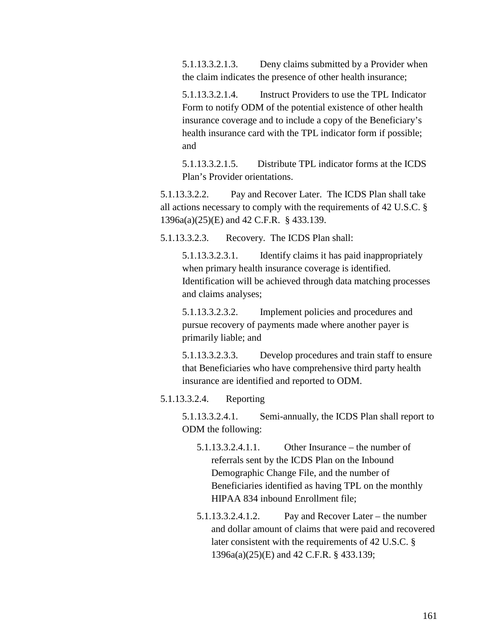5.1.13.3.2.1.3. Deny claims submitted by a Provider when the claim indicates the presence of other health insurance;

5.1.13.3.2.1.4. Instruct Providers to use the TPL Indicator Form to notify ODM of the potential existence of other health insurance coverage and to include a copy of the Beneficiary's health insurance card with the TPL indicator form if possible; and

5.1.13.3.2.1.5. Distribute TPL indicator forms at the ICDS Plan's Provider orientations.

5.1.13.3.2.2. Pay and Recover Later. The ICDS Plan shall take all actions necessary to comply with the requirements of 42 U.S.C. § 1396a(a)(25)(E) and 42 C.F.R. § 433.139.

5.1.13.3.2.3. Recovery. The ICDS Plan shall:

5.1.13.3.2.3.1. Identify claims it has paid inappropriately when primary health insurance coverage is identified. Identification will be achieved through data matching processes and claims analyses;

5.1.13.3.2.3.2. Implement policies and procedures and pursue recovery of payments made where another payer is primarily liable; and

5.1.13.3.2.3.3. Develop procedures and train staff to ensure that Beneficiaries who have comprehensive third party health insurance are identified and reported to ODM.

#### 5.1.13.3.2.4. Reporting

5.1.13.3.2.4.1. Semi-annually, the ICDS Plan shall report to ODM the following:

- 5.1.13.3.2.4.1.1. Other Insurance the number of referrals sent by the ICDS Plan on the Inbound Demographic Change File, and the number of Beneficiaries identified as having TPL on the monthly HIPAA 834 inbound Enrollment file;
- 5.1.13.3.2.4.1.2. Pay and Recover Later the number and dollar amount of claims that were paid and recovered later consistent with the requirements of 42 U.S.C. § 1396a(a)(25)(E) and 42 C.F.R. § 433.139;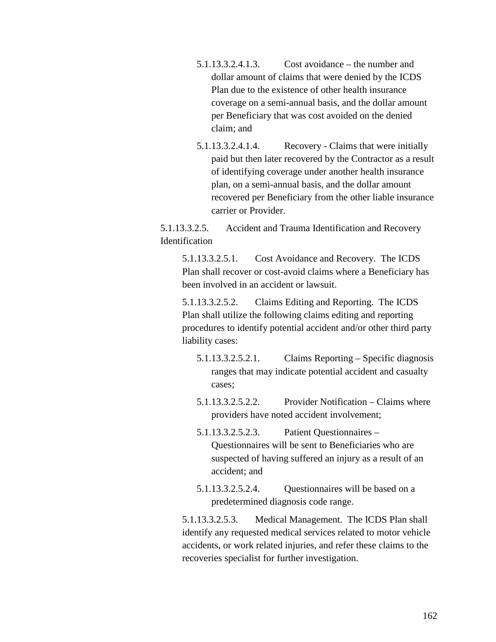- 5.1.13.3.2.4.1.3. Cost avoidance the number and dollar amount of claims that were denied by the ICDS Plan due to the existence of other health insurance coverage on a semi-annual basis, and the dollar amount per Beneficiary that was cost avoided on the denied claim; and
- 5.1.13.3.2.4.1.4. Recovery Claims that were initially paid but then later recovered by the Contractor as a result of identifying coverage under another health insurance plan, on a semi-annual basis, and the dollar amount recovered per Beneficiary from the other liable insurance carrier or Provider.

5.1.13.3.2.5. Accident and Trauma Identification and Recovery Identification

5.1.13.3.2.5.1. Cost Avoidance and Recovery. The ICDS Plan shall recover or cost-avoid claims where a Beneficiary has been involved in an accident or lawsuit.

5.1.13.3.2.5.2. Claims Editing and Reporting. The ICDS Plan shall utilize the following claims editing and reporting procedures to identify potential accident and/or other third party liability cases:

- 5.1.13.3.2.5.2.1. Claims Reporting Specific diagnosis ranges that may indicate potential accident and casualty cases;
- 5.1.13.3.2.5.2.2. Provider Notification Claims where providers have noted accident involvement;
- 5.1.13.3.2.5.2.3. Patient Questionnaires Questionnaires will be sent to Beneficiaries who are suspected of having suffered an injury as a result of an accident; and
- 5.1.13.3.2.5.2.4. Questionnaires will be based on a predetermined diagnosis code range.

5.1.13.3.2.5.3. Medical Management. The ICDS Plan shall identify any requested medical services related to motor vehicle accidents, or work related injuries, and refer these claims to the recoveries specialist for further investigation.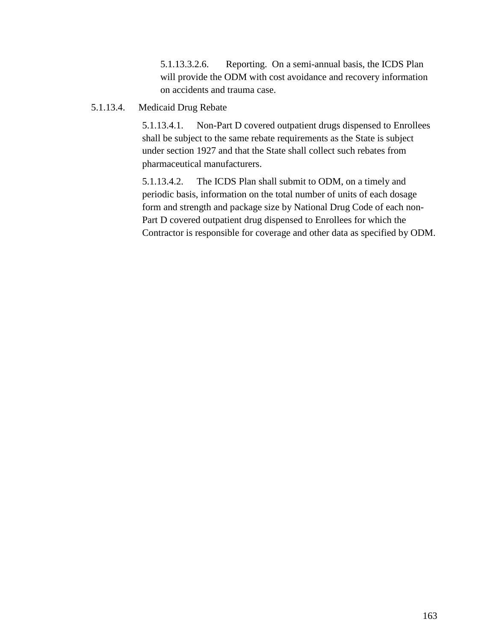5.1.13.3.2.6. Reporting. On a semi-annual basis, the ICDS Plan will provide the ODM with cost avoidance and recovery information on accidents and trauma case.

#### 5.1.13.4. Medicaid Drug Rebate

5.1.13.4.1. Non-Part D covered outpatient drugs dispensed to Enrollees shall be subject to the same rebate requirements as the State is subject under section 1927 and that the State shall collect such rebates from pharmaceutical manufacturers.

5.1.13.4.2. The ICDS Plan shall submit to ODM, on a timely and periodic basis, information on the total number of units of each dosage form and strength and package size by National Drug Code of each non-Part D covered outpatient drug dispensed to Enrollees for which the Contractor is responsible for coverage and other data as specified by ODM.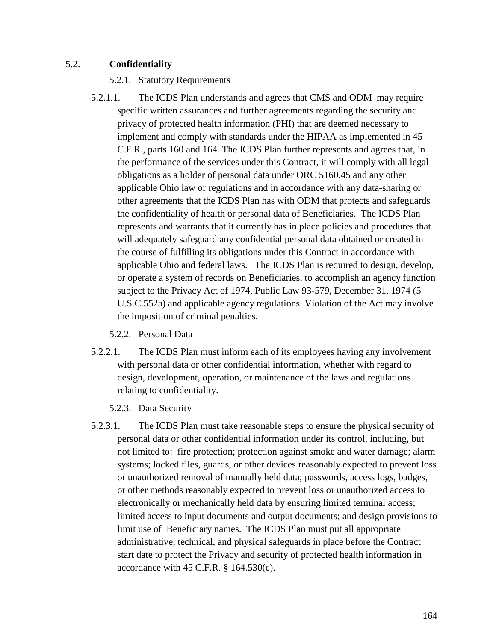## 5.2. **Confidentiality**

- 5.2.1. Statutory Requirements
- 5.2.1.1. The ICDS Plan understands and agrees that CMS and ODM may require specific written assurances and further agreements regarding the security and privacy of protected health information (PHI) that are deemed necessary to implement and comply with standards under the HIPAA as implemented in 45 C.F.R., parts 160 and 164. The ICDS Plan further represents and agrees that, in the performance of the services under this Contract, it will comply with all legal obligations as a holder of personal data under ORC 5160.45 and any other applicable Ohio law or regulations and in accordance with any data-sharing or other agreements that the ICDS Plan has with ODM that protects and safeguards the confidentiality of health or personal data of Beneficiaries. The ICDS Plan represents and warrants that it currently has in place policies and procedures that will adequately safeguard any confidential personal data obtained or created in the course of fulfilling its obligations under this Contract in accordance with applicable Ohio and federal laws. The ICDS Plan is required to design, develop, or operate a system of records on Beneficiaries, to accomplish an agency function subject to the Privacy Act of 1974, Public Law 93-579, December 31, 1974 (5 U.S.C.552a) and applicable agency regulations. Violation of the Act may involve the imposition of criminal penalties.
	- 5.2.2. Personal Data
- 5.2.2.1. The ICDS Plan must inform each of its employees having any involvement with personal data or other confidential information, whether with regard to design, development, operation, or maintenance of the laws and regulations relating to confidentiality.
	- 5.2.3. Data Security
- 5.2.3.1. The ICDS Plan must take reasonable steps to ensure the physical security of personal data or other confidential information under its control, including, but not limited to: fire protection; protection against smoke and water damage; alarm systems; locked files, guards, or other devices reasonably expected to prevent loss or unauthorized removal of manually held data; passwords, access logs, badges, or other methods reasonably expected to prevent loss or unauthorized access to electronically or mechanically held data by ensuring limited terminal access; limited access to input documents and output documents; and design provisions to limit use of Beneficiary names. The ICDS Plan must put all appropriate administrative, technical, and physical safeguards in place before the Contract start date to protect the Privacy and security of protected health information in accordance with 45 C.F.R.  $\S$  164.530(c).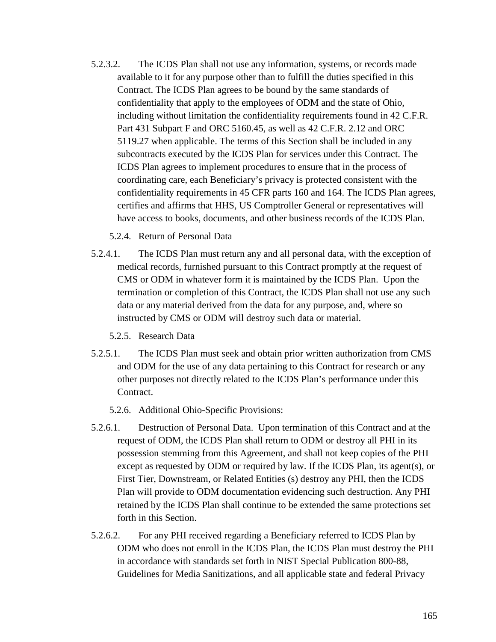- 5.2.3.2. The ICDS Plan shall not use any information, systems, or records made available to it for any purpose other than to fulfill the duties specified in this Contract. The ICDS Plan agrees to be bound by the same standards of confidentiality that apply to the employees of ODM and the state of Ohio, including without limitation the confidentiality requirements found in 42 C.F.R. Part 431 Subpart F and ORC 5160.45, as well as 42 C.F.R. 2.12 and ORC 5119.27 when applicable. The terms of this Section shall be included in any subcontracts executed by the ICDS Plan for services under this Contract. The ICDS Plan agrees to implement procedures to ensure that in the process of coordinating care, each Beneficiary's privacy is protected consistent with the confidentiality requirements in 45 CFR parts 160 and 164. The ICDS Plan agrees, certifies and affirms that HHS, US Comptroller General or representatives will have access to books, documents, and other business records of the ICDS Plan.
	- 5.2.4. Return of Personal Data
- 5.2.4.1. The ICDS Plan must return any and all personal data, with the exception of medical records, furnished pursuant to this Contract promptly at the request of CMS or ODM in whatever form it is maintained by the ICDS Plan. Upon the termination or completion of this Contract, the ICDS Plan shall not use any such data or any material derived from the data for any purpose, and, where so instructed by CMS or ODM will destroy such data or material.
	- 5.2.5. Research Data
- 5.2.5.1. The ICDS Plan must seek and obtain prior written authorization from CMS and ODM for the use of any data pertaining to this Contract for research or any other purposes not directly related to the ICDS Plan's performance under this Contract.
	- 5.2.6. Additional Ohio-Specific Provisions:
- 5.2.6.1. Destruction of Personal Data. Upon termination of this Contract and at the request of ODM, the ICDS Plan shall return to ODM or destroy all PHI in its possession stemming from this Agreement, and shall not keep copies of the PHI except as requested by ODM or required by law. If the ICDS Plan, its agent(s), or First Tier, Downstream, or Related Entities (s) destroy any PHI, then the ICDS Plan will provide to ODM documentation evidencing such destruction. Any PHI retained by the ICDS Plan shall continue to be extended the same protections set forth in this Section.
- 5.2.6.2. For any PHI received regarding a Beneficiary referred to ICDS Plan by ODM who does not enroll in the ICDS Plan, the ICDS Plan must destroy the PHI in accordance with standards set forth in NIST Special Publication 800-88, Guidelines for Media Sanitizations, and all applicable state and federal Privacy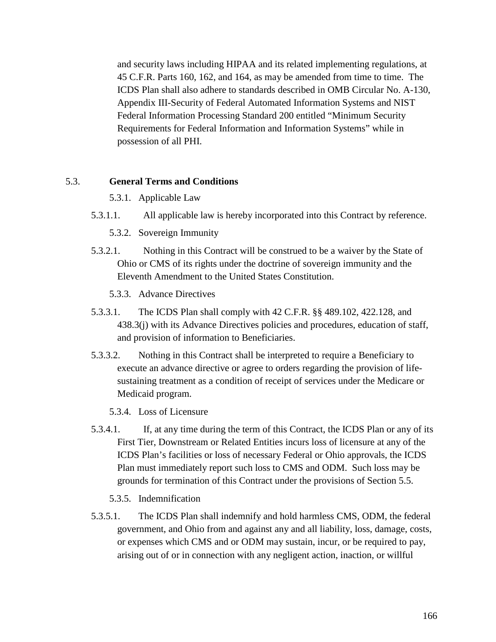and security laws including HIPAA and its related implementing regulations, at 45 C.F.R. Parts 160, 162, and 164, as may be amended from time to time. The ICDS Plan shall also adhere to standards described in OMB Circular No. A-130, Appendix III-Security of Federal Automated Information Systems and NIST Federal Information Processing Standard 200 entitled "Minimum Security Requirements for Federal Information and Information Systems" while in possession of all PHI.

## 5.3. **General Terms and Conditions**

- 5.3.1. Applicable Law
- 5.3.1.1. All applicable law is hereby incorporated into this Contract by reference.
	- 5.3.2. Sovereign Immunity
- 5.3.2.1. Nothing in this Contract will be construed to be a waiver by the State of Ohio or CMS of its rights under the doctrine of sovereign immunity and the Eleventh Amendment to the United States Constitution.
	- 5.3.3. Advance Directives
- 5.3.3.1. The ICDS Plan shall comply with 42 C.F.R. §§ 489.102, 422.128, and 438.3(j) with its Advance Directives policies and procedures, education of staff, and provision of information to Beneficiaries.
- 5.3.3.2. Nothing in this Contract shall be interpreted to require a Beneficiary to execute an advance directive or agree to orders regarding the provision of lifesustaining treatment as a condition of receipt of services under the Medicare or Medicaid program.
	- 5.3.4. Loss of Licensure
- 5.3.4.1. If, at any time during the term of this Contract, the ICDS Plan or any of its First Tier, Downstream or Related Entities incurs loss of licensure at any of the ICDS Plan's facilities or loss of necessary Federal or Ohio approvals, the ICDS Plan must immediately report such loss to CMS and ODM. Such loss may be grounds for termination of this Contract under the provisions of Section 5.5.
	- 5.3.5. Indemnification
- 5.3.5.1. The ICDS Plan shall indemnify and hold harmless CMS, ODM, the federal government, and Ohio from and against any and all liability, loss, damage, costs, or expenses which CMS and or ODM may sustain, incur, or be required to pay, arising out of or in connection with any negligent action, inaction, or willful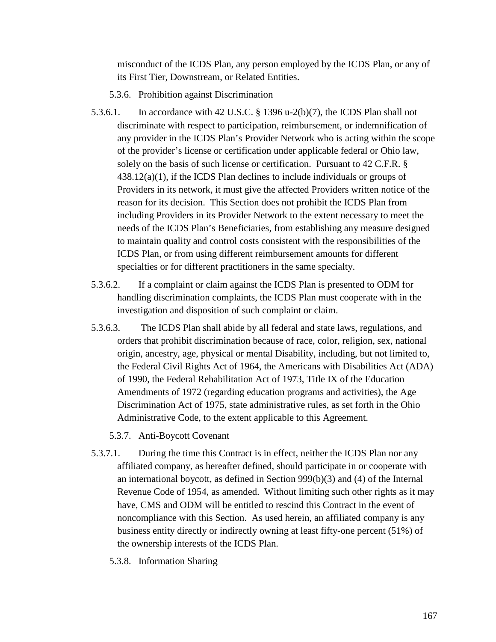misconduct of the ICDS Plan, any person employed by the ICDS Plan, or any of its First Tier, Downstream, or Related Entities.

- 5.3.6. Prohibition against Discrimination
- 5.3.6.1. In accordance with 42 U.S.C. § 1396 u-2(b)(7), the ICDS Plan shall not discriminate with respect to participation, reimbursement, or indemnification of any provider in the ICDS Plan's Provider Network who is acting within the scope of the provider's license or certification under applicable federal or Ohio law, solely on the basis of such license or certification. Pursuant to 42 C.F.R. §  $438.12(a)(1)$ , if the ICDS Plan declines to include individuals or groups of Providers in its network, it must give the affected Providers written notice of the reason for its decision. This Section does not prohibit the ICDS Plan from including Providers in its Provider Network to the extent necessary to meet the needs of the ICDS Plan's Beneficiaries, from establishing any measure designed to maintain quality and control costs consistent with the responsibilities of the ICDS Plan, or from using different reimbursement amounts for different specialties or for different practitioners in the same specialty.
- 5.3.6.2. If a complaint or claim against the ICDS Plan is presented to ODM for handling discrimination complaints, the ICDS Plan must cooperate with in the investigation and disposition of such complaint or claim.
- 5.3.6.3. The ICDS Plan shall abide by all federal and state laws, regulations, and orders that prohibit discrimination because of race, color, religion, sex, national origin, ancestry, age, physical or mental Disability, including, but not limited to, the Federal Civil Rights Act of 1964, the Americans with Disabilities Act (ADA) of 1990, the Federal Rehabilitation Act of 1973, Title IX of the Education Amendments of 1972 (regarding education programs and activities), the Age Discrimination Act of 1975, state administrative rules, as set forth in the Ohio Administrative Code, to the extent applicable to this Agreement.
	- 5.3.7. Anti-Boycott Covenant
- 5.3.7.1. During the time this Contract is in effect, neither the ICDS Plan nor any affiliated company, as hereafter defined, should participate in or cooperate with an international boycott, as defined in Section 999(b)(3) and (4) of the Internal Revenue Code of 1954, as amended. Without limiting such other rights as it may have, CMS and ODM will be entitled to rescind this Contract in the event of noncompliance with this Section. As used herein, an affiliated company is any business entity directly or indirectly owning at least fifty-one percent (51%) of the ownership interests of the ICDS Plan.
	- 5.3.8. Information Sharing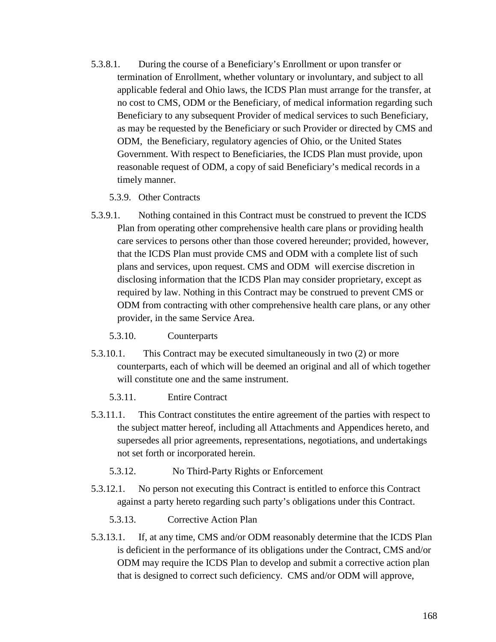- 5.3.8.1. During the course of a Beneficiary's Enrollment or upon transfer or termination of Enrollment, whether voluntary or involuntary, and subject to all applicable federal and Ohio laws, the ICDS Plan must arrange for the transfer, at no cost to CMS, ODM or the Beneficiary, of medical information regarding such Beneficiary to any subsequent Provider of medical services to such Beneficiary, as may be requested by the Beneficiary or such Provider or directed by CMS and ODM, the Beneficiary, regulatory agencies of Ohio, or the United States Government. With respect to Beneficiaries, the ICDS Plan must provide, upon reasonable request of ODM, a copy of said Beneficiary's medical records in a timely manner.
	- 5.3.9. Other Contracts
- 5.3.9.1. Nothing contained in this Contract must be construed to prevent the ICDS Plan from operating other comprehensive health care plans or providing health care services to persons other than those covered hereunder; provided, however, that the ICDS Plan must provide CMS and ODM with a complete list of such plans and services, upon request. CMS and ODM will exercise discretion in disclosing information that the ICDS Plan may consider proprietary, except as required by law. Nothing in this Contract may be construed to prevent CMS or ODM from contracting with other comprehensive health care plans, or any other provider, in the same Service Area.
	- 5.3.10. Counterparts
- 5.3.10.1. This Contract may be executed simultaneously in two (2) or more counterparts, each of which will be deemed an original and all of which together will constitute one and the same instrument.
	- 5.3.11. Entire Contract
- 5.3.11.1. This Contract constitutes the entire agreement of the parties with respect to the subject matter hereof, including all Attachments and Appendices hereto, and supersedes all prior agreements, representations, negotiations, and undertakings not set forth or incorporated herein.
	- 5.3.12. No Third-Party Rights or Enforcement
- 5.3.12.1. No person not executing this Contract is entitled to enforce this Contract against a party hereto regarding such party's obligations under this Contract.
	- 5.3.13. Corrective Action Plan
- 5.3.13.1. If, at any time, CMS and/or ODM reasonably determine that the ICDS Plan is deficient in the performance of its obligations under the Contract, CMS and/or ODM may require the ICDS Plan to develop and submit a corrective action plan that is designed to correct such deficiency. CMS and/or ODM will approve,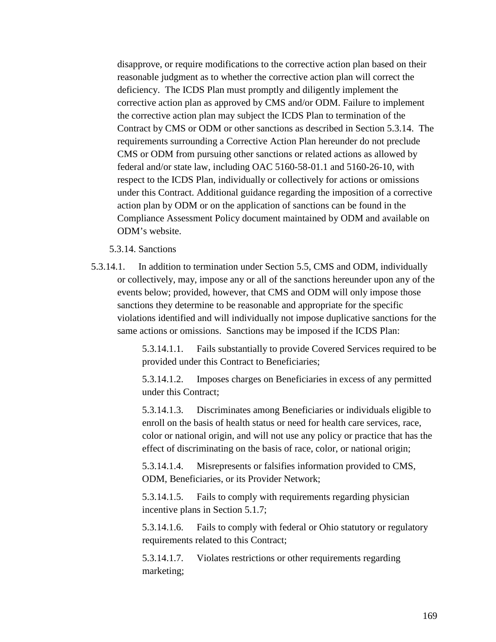disapprove, or require modifications to the corrective action plan based on their reasonable judgment as to whether the corrective action plan will correct the deficiency. The ICDS Plan must promptly and diligently implement the corrective action plan as approved by CMS and/or ODM. Failure to implement the corrective action plan may subject the ICDS Plan to termination of the Contract by CMS or ODM or other sanctions as described in Section 5.3.14. The requirements surrounding a Corrective Action Plan hereunder do not preclude CMS or ODM from pursuing other sanctions or related actions as allowed by federal and/or state law, including OAC 5160-58-01.1 and 5160-26-10, with respect to the ICDS Plan, individually or collectively for actions or omissions under this Contract. Additional guidance regarding the imposition of a corrective action plan by ODM or on the application of sanctions can be found in the Compliance Assessment Policy document maintained by ODM and available on ODM's website.

5.3.14. Sanctions

5.3.14.1. In addition to termination under Section 5.5, CMS and ODM, individually or collectively, may, impose any or all of the sanctions hereunder upon any of the events below; provided, however, that CMS and ODM will only impose those sanctions they determine to be reasonable and appropriate for the specific violations identified and will individually not impose duplicative sanctions for the same actions or omissions. Sanctions may be imposed if the ICDS Plan:

> 5.3.14.1.1. Fails substantially to provide Covered Services required to be provided under this Contract to Beneficiaries;

5.3.14.1.2. Imposes charges on Beneficiaries in excess of any permitted under this Contract;

5.3.14.1.3. Discriminates among Beneficiaries or individuals eligible to enroll on the basis of health status or need for health care services, race, color or national origin, and will not use any policy or practice that has the effect of discriminating on the basis of race, color, or national origin;

5.3.14.1.4. Misrepresents or falsifies information provided to CMS, ODM, Beneficiaries, or its Provider Network;

5.3.14.1.5. Fails to comply with requirements regarding physician incentive plans in Section 5.1.7;

5.3.14.1.6. Fails to comply with federal or Ohio statutory or regulatory requirements related to this Contract;

5.3.14.1.7. Violates restrictions or other requirements regarding marketing;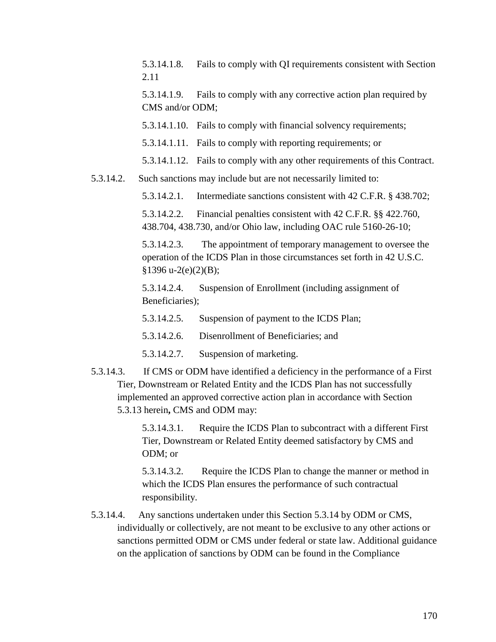5.3.14.1.8. Fails to comply with QI requirements consistent with Section 2.11

5.3.14.1.9. Fails to comply with any corrective action plan required by CMS and/or ODM;

5.3.14.1.10. Fails to comply with financial solvency requirements;

5.3.14.1.11. Fails to comply with reporting requirements; or

5.3.14.1.12. Fails to comply with any other requirements of this Contract.

5.3.14.2. Such sanctions may include but are not necessarily limited to:

5.3.14.2.1. Intermediate sanctions consistent with 42 C.F.R. § 438.702;

5.3.14.2.2. Financial penalties consistent with 42 C.F.R. §§ 422.760, 438.704, 438.730, and/or Ohio law, including OAC rule 5160-26-10;

5.3.14.2.3. The appointment of temporary management to oversee the operation of the ICDS Plan in those circumstances set forth in 42 U.S.C.  $§1396 u-2(e)(2)(B);$ 

5.3.14.2.4. Suspension of Enrollment (including assignment of Beneficiaries);

- 5.3.14.2.5. Suspension of payment to the ICDS Plan;
- 5.3.14.2.6. Disenrollment of Beneficiaries; and
- 5.3.14.2.7. Suspension of marketing.
- 5.3.14.3. If CMS or ODM have identified a deficiency in the performance of a First Tier, Downstream or Related Entity and the ICDS Plan has not successfully implemented an approved corrective action plan in accordance with Section 5.3.13 herein**,** CMS and ODM may:

5.3.14.3.1. Require the ICDS Plan to subcontract with a different First Tier, Downstream or Related Entity deemed satisfactory by CMS and ODM; or

5.3.14.3.2. Require the ICDS Plan to change the manner or method in which the ICDS Plan ensures the performance of such contractual responsibility.

5.3.14.4. Any sanctions undertaken under this Section 5.3.14 by ODM or CMS, individually or collectively, are not meant to be exclusive to any other actions or sanctions permitted ODM or CMS under federal or state law. Additional guidance on the application of sanctions by ODM can be found in the Compliance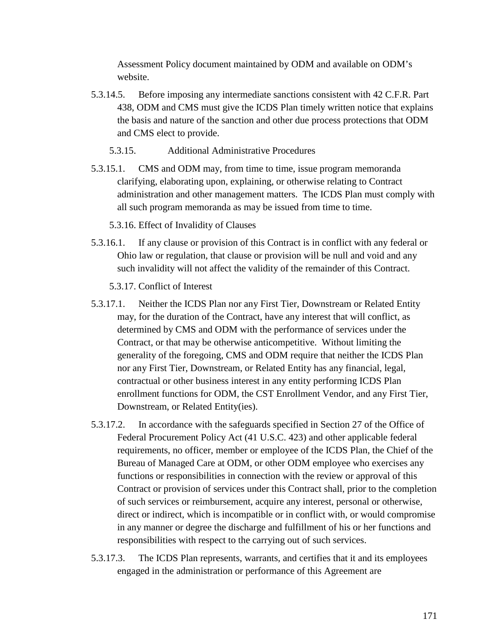Assessment Policy document maintained by ODM and available on ODM's website.

- 5.3.14.5. Before imposing any intermediate sanctions consistent with 42 C.F.R. Part 438, ODM and CMS must give the ICDS Plan timely written notice that explains the basis and nature of the sanction and other due process protections that ODM and CMS elect to provide.
	- 5.3.15. Additional Administrative Procedures
- 5.3.15.1. CMS and ODM may, from time to time, issue program memoranda clarifying, elaborating upon, explaining, or otherwise relating to Contract administration and other management matters. The ICDS Plan must comply with all such program memoranda as may be issued from time to time.
	- 5.3.16. Effect of Invalidity of Clauses
- 5.3.16.1. If any clause or provision of this Contract is in conflict with any federal or Ohio law or regulation, that clause or provision will be null and void and any such invalidity will not affect the validity of the remainder of this Contract.
	- 5.3.17. Conflict of Interest
- 5.3.17.1. Neither the ICDS Plan nor any First Tier, Downstream or Related Entity may, for the duration of the Contract, have any interest that will conflict, as determined by CMS and ODM with the performance of services under the Contract, or that may be otherwise anticompetitive. Without limiting the generality of the foregoing, CMS and ODM require that neither the ICDS Plan nor any First Tier, Downstream, or Related Entity has any financial, legal, contractual or other business interest in any entity performing ICDS Plan enrollment functions for ODM, the CST Enrollment Vendor, and any First Tier, Downstream, or Related Entity(ies).
- 5.3.17.2. In accordance with the safeguards specified in Section 27 of the Office of Federal Procurement Policy Act (41 U.S.C. 423) and other applicable federal requirements, no officer, member or employee of the ICDS Plan, the Chief of the Bureau of Managed Care at ODM, or other ODM employee who exercises any functions or responsibilities in connection with the review or approval of this Contract or provision of services under this Contract shall, prior to the completion of such services or reimbursement, acquire any interest, personal or otherwise, direct or indirect, which is incompatible or in conflict with, or would compromise in any manner or degree the discharge and fulfillment of his or her functions and responsibilities with respect to the carrying out of such services.
- 5.3.17.3. The ICDS Plan represents, warrants, and certifies that it and its employees engaged in the administration or performance of this Agreement are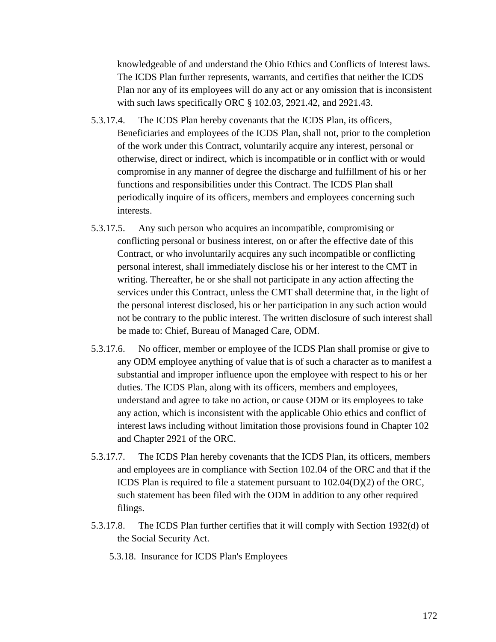knowledgeable of and understand the Ohio Ethics and Conflicts of Interest laws. The ICDS Plan further represents, warrants, and certifies that neither the ICDS Plan nor any of its employees will do any act or any omission that is inconsistent with such laws specifically ORC § 102.03, 2921.42, and 2921.43.

- 5.3.17.4. The ICDS Plan hereby covenants that the ICDS Plan, its officers, Beneficiaries and employees of the ICDS Plan, shall not, prior to the completion of the work under this Contract, voluntarily acquire any interest, personal or otherwise, direct or indirect, which is incompatible or in conflict with or would compromise in any manner of degree the discharge and fulfillment of his or her functions and responsibilities under this Contract. The ICDS Plan shall periodically inquire of its officers, members and employees concerning such interests.
- 5.3.17.5. Any such person who acquires an incompatible, compromising or conflicting personal or business interest, on or after the effective date of this Contract, or who involuntarily acquires any such incompatible or conflicting personal interest, shall immediately disclose his or her interest to the CMT in writing. Thereafter, he or she shall not participate in any action affecting the services under this Contract, unless the CMT shall determine that, in the light of the personal interest disclosed, his or her participation in any such action would not be contrary to the public interest. The written disclosure of such interest shall be made to: Chief, Bureau of Managed Care, ODM.
- 5.3.17.6. No officer, member or employee of the ICDS Plan shall promise or give to any ODM employee anything of value that is of such a character as to manifest a substantial and improper influence upon the employee with respect to his or her duties. The ICDS Plan, along with its officers, members and employees, understand and agree to take no action, or cause ODM or its employees to take any action, which is inconsistent with the applicable Ohio ethics and conflict of interest laws including without limitation those provisions found in Chapter 102 and Chapter 2921 of the ORC.
- 5.3.17.7. The ICDS Plan hereby covenants that the ICDS Plan, its officers, members and employees are in compliance with Section 102.04 of the ORC and that if the ICDS Plan is required to file a statement pursuant to 102.04(D)(2) of the ORC, such statement has been filed with the ODM in addition to any other required filings.
- 5.3.17.8. The ICDS Plan further certifies that it will comply with Section 1932(d) of the Social Security Act.
	- 5.3.18. Insurance for ICDS Plan's Employees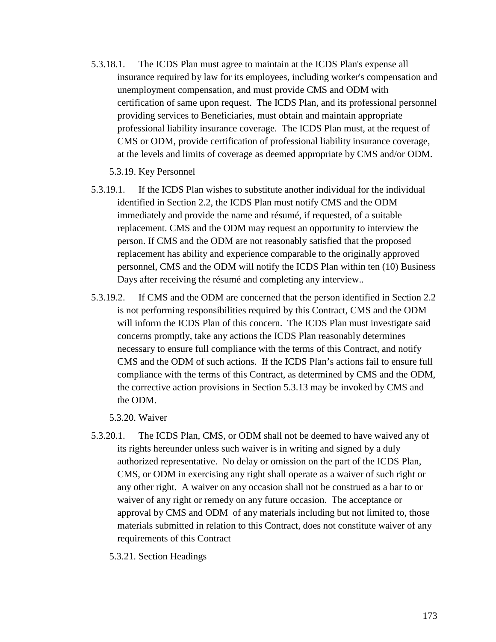5.3.18.1. The ICDS Plan must agree to maintain at the ICDS Plan's expense all insurance required by law for its employees, including worker's compensation and unemployment compensation, and must provide CMS and ODM with certification of same upon request. The ICDS Plan, and its professional personnel providing services to Beneficiaries, must obtain and maintain appropriate professional liability insurance coverage. The ICDS Plan must, at the request of CMS or ODM, provide certification of professional liability insurance coverage, at the levels and limits of coverage as deemed appropriate by CMS and/or ODM.

5.3.19. Key Personnel

- 5.3.19.1. If the ICDS Plan wishes to substitute another individual for the individual identified in Section 2.2, the ICDS Plan must notify CMS and the ODM immediately and provide the name and résumé, if requested, of a suitable replacement. CMS and the ODM may request an opportunity to interview the person. If CMS and the ODM are not reasonably satisfied that the proposed replacement has ability and experience comparable to the originally approved personnel, CMS and the ODM will notify the ICDS Plan within ten (10) Business Days after receiving the résumé and completing any interview..
- 5.3.19.2. If CMS and the ODM are concerned that the person identified in Section 2.2 is not performing responsibilities required by this Contract, CMS and the ODM will inform the ICDS Plan of this concern. The ICDS Plan must investigate said concerns promptly, take any actions the ICDS Plan reasonably determines necessary to ensure full compliance with the terms of this Contract, and notify CMS and the ODM of such actions. If the ICDS Plan's actions fail to ensure full compliance with the terms of this Contract, as determined by CMS and the ODM, the corrective action provisions in Section 5.3.13 may be invoked by CMS and the ODM.

5.3.20. Waiver

5.3.20.1. The ICDS Plan, CMS, or ODM shall not be deemed to have waived any of its rights hereunder unless such waiver is in writing and signed by a duly authorized representative. No delay or omission on the part of the ICDS Plan, CMS, or ODM in exercising any right shall operate as a waiver of such right or any other right. A waiver on any occasion shall not be construed as a bar to or waiver of any right or remedy on any future occasion. The acceptance or approval by CMS and ODM of any materials including but not limited to, those materials submitted in relation to this Contract, does not constitute waiver of any requirements of this Contract

5.3.21. Section Headings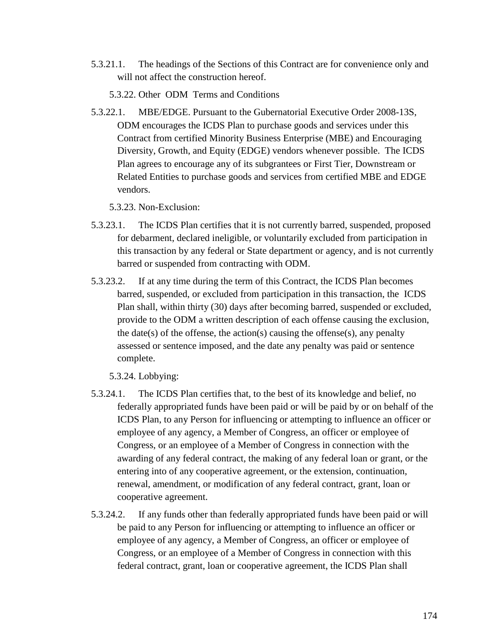- 5.3.21.1. The headings of the Sections of this Contract are for convenience only and will not affect the construction hereof.
	- 5.3.22. Other ODM Terms and Conditions
- 5.3.22.1. MBE/EDGE. Pursuant to the Gubernatorial Executive Order 2008-13S, ODM encourages the ICDS Plan to purchase goods and services under this Contract from certified Minority Business Enterprise (MBE) and Encouraging Diversity, Growth, and Equity (EDGE) vendors whenever possible. The ICDS Plan agrees to encourage any of its subgrantees or First Tier, Downstream or Related Entities to purchase goods and services from certified MBE and EDGE vendors.

5.3.23. Non-Exclusion:

- 5.3.23.1. The ICDS Plan certifies that it is not currently barred, suspended, proposed for debarment, declared ineligible, or voluntarily excluded from participation in this transaction by any federal or State department or agency, and is not currently barred or suspended from contracting with ODM.
- 5.3.23.2. If at any time during the term of this Contract, the ICDS Plan becomes barred, suspended, or excluded from participation in this transaction, the ICDS Plan shall, within thirty (30) days after becoming barred, suspended or excluded, provide to the ODM a written description of each offense causing the exclusion, the date(s) of the offense, the action(s) causing the offense(s), any penalty assessed or sentence imposed, and the date any penalty was paid or sentence complete.

5.3.24. Lobbying:

- 5.3.24.1. The ICDS Plan certifies that, to the best of its knowledge and belief, no federally appropriated funds have been paid or will be paid by or on behalf of the ICDS Plan, to any Person for influencing or attempting to influence an officer or employee of any agency, a Member of Congress, an officer or employee of Congress, or an employee of a Member of Congress in connection with the awarding of any federal contract, the making of any federal loan or grant, or the entering into of any cooperative agreement, or the extension, continuation, renewal, amendment, or modification of any federal contract, grant, loan or cooperative agreement.
- 5.3.24.2. If any funds other than federally appropriated funds have been paid or will be paid to any Person for influencing or attempting to influence an officer or employee of any agency, a Member of Congress, an officer or employee of Congress, or an employee of a Member of Congress in connection with this federal contract, grant, loan or cooperative agreement, the ICDS Plan shall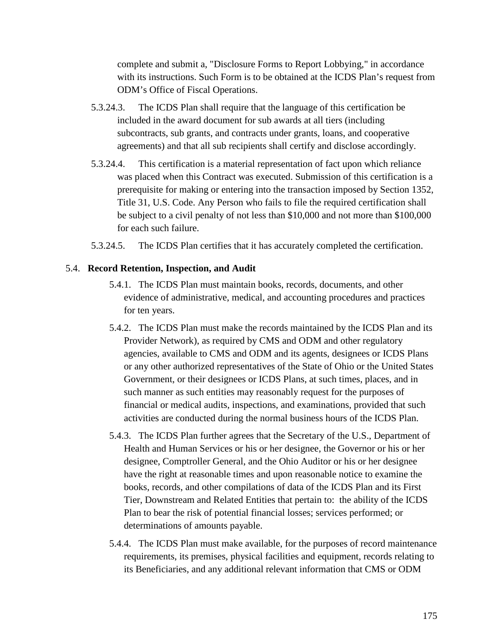complete and submit a, "Disclosure Forms to Report Lobbying," in accordance with its instructions. Such Form is to be obtained at the ICDS Plan's request from ODM's Office of Fiscal Operations.

- 5.3.24.3. The ICDS Plan shall require that the language of this certification be included in the award document for sub awards at all tiers (including subcontracts, sub grants, and contracts under grants, loans, and cooperative agreements) and that all sub recipients shall certify and disclose accordingly.
- 5.3.24.4. This certification is a material representation of fact upon which reliance was placed when this Contract was executed. Submission of this certification is a prerequisite for making or entering into the transaction imposed by Section 1352, Title 31, U.S. Code. Any Person who fails to file the required certification shall be subject to a civil penalty of not less than \$10,000 and not more than \$100,000 for each such failure.
- 5.3.24.5. The ICDS Plan certifies that it has accurately completed the certification.

#### 5.4. **Record Retention, Inspection, and Audit**

- 5.4.1. The ICDS Plan must maintain books, records, documents, and other evidence of administrative, medical, and accounting procedures and practices for ten years.
- 5.4.2. The ICDS Plan must make the records maintained by the ICDS Plan and its Provider Network), as required by CMS and ODM and other regulatory agencies, available to CMS and ODM and its agents, designees or ICDS Plans or any other authorized representatives of the State of Ohio or the United States Government, or their designees or ICDS Plans, at such times, places, and in such manner as such entities may reasonably request for the purposes of financial or medical audits, inspections, and examinations, provided that such activities are conducted during the normal business hours of the ICDS Plan.
- 5.4.3. The ICDS Plan further agrees that the Secretary of the U.S., Department of Health and Human Services or his or her designee, the Governor or his or her designee, Comptroller General, and the Ohio Auditor or his or her designee have the right at reasonable times and upon reasonable notice to examine the books, records, and other compilations of data of the ICDS Plan and its First Tier, Downstream and Related Entities that pertain to: the ability of the ICDS Plan to bear the risk of potential financial losses; services performed; or determinations of amounts payable.
- 5.4.4. The ICDS Plan must make available, for the purposes of record maintenance requirements, its premises, physical facilities and equipment, records relating to its Beneficiaries, and any additional relevant information that CMS or ODM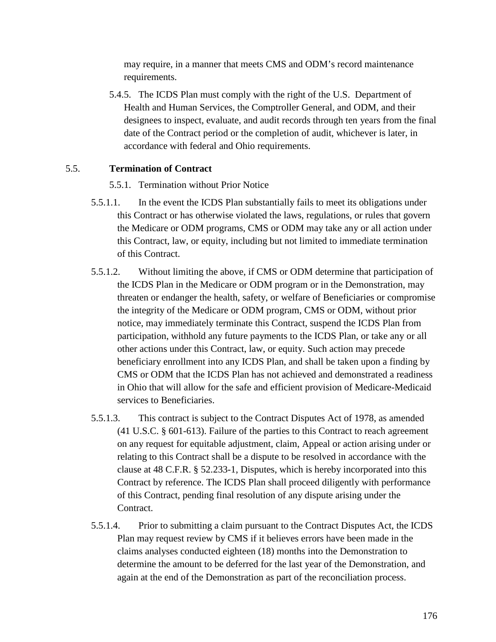may require, in a manner that meets CMS and ODM's record maintenance requirements.

5.4.5. The ICDS Plan must comply with the right of the U.S. Department of Health and Human Services, the Comptroller General, and ODM, and their designees to inspect, evaluate, and audit records through ten years from the final date of the Contract period or the completion of audit, whichever is later, in accordance with federal and Ohio requirements.

# 5.5. **Termination of Contract**

- 5.5.1. Termination without Prior Notice
- 5.5.1.1. In the event the ICDS Plan substantially fails to meet its obligations under this Contract or has otherwise violated the laws, regulations, or rules that govern the Medicare or ODM programs, CMS or ODM may take any or all action under this Contract, law, or equity, including but not limited to immediate termination of this Contract.
- 5.5.1.2. Without limiting the above, if CMS or ODM determine that participation of the ICDS Plan in the Medicare or ODM program or in the Demonstration, may threaten or endanger the health, safety, or welfare of Beneficiaries or compromise the integrity of the Medicare or ODM program, CMS or ODM, without prior notice, may immediately terminate this Contract, suspend the ICDS Plan from participation, withhold any future payments to the ICDS Plan, or take any or all other actions under this Contract, law, or equity. Such action may precede beneficiary enrollment into any ICDS Plan, and shall be taken upon a finding by CMS or ODM that the ICDS Plan has not achieved and demonstrated a readiness in Ohio that will allow for the safe and efficient provision of Medicare-Medicaid services to Beneficiaries.
- 5.5.1.3. This contract is subject to the Contract Disputes Act of 1978, as amended (41 U.S.C. § 601-613). Failure of the parties to this Contract to reach agreement on any request for equitable adjustment, claim, Appeal or action arising under or relating to this Contract shall be a dispute to be resolved in accordance with the clause at 48 C.F.R. § 52.233-1, Disputes, which is hereby incorporated into this Contract by reference. The ICDS Plan shall proceed diligently with performance of this Contract, pending final resolution of any dispute arising under the Contract.
- 5.5.1.4. Prior to submitting a claim pursuant to the Contract Disputes Act, the ICDS Plan may request review by CMS if it believes errors have been made in the claims analyses conducted eighteen (18) months into the Demonstration to determine the amount to be deferred for the last year of the Demonstration, and again at the end of the Demonstration as part of the reconciliation process.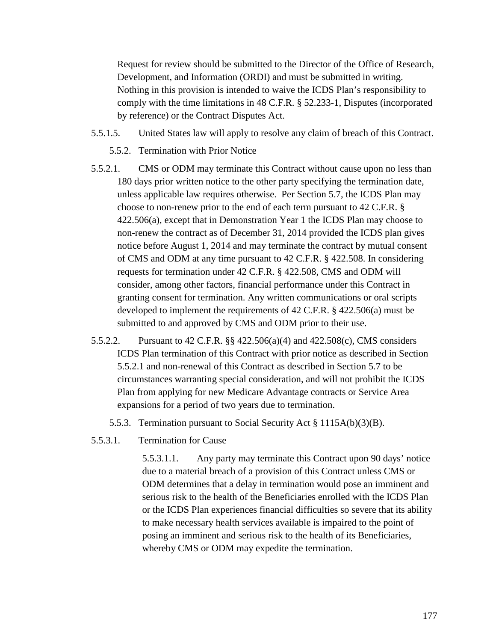Request for review should be submitted to the Director of the Office of Research, Development, and Information (ORDI) and must be submitted in writing. Nothing in this provision is intended to waive the ICDS Plan's responsibility to comply with the time limitations in 48 C.F.R. § 52.233-1, Disputes (incorporated by reference) or the Contract Disputes Act.

- 5.5.1.5. United States law will apply to resolve any claim of breach of this Contract.
	- 5.5.2. Termination with Prior Notice
- 5.5.2.1. CMS or ODM may terminate this Contract without cause upon no less than 180 days prior written notice to the other party specifying the termination date, unless applicable law requires otherwise. Per Section 5.7, the ICDS Plan may choose to non-renew prior to the end of each term pursuant to 42 C.F.R. § 422.506(a), except that in Demonstration Year 1 the ICDS Plan may choose to non-renew the contract as of December 31, 2014 provided the ICDS plan gives notice before August 1, 2014 and may terminate the contract by mutual consent of CMS and ODM at any time pursuant to 42 C.F.R. § 422.508. In considering requests for termination under 42 C.F.R. § 422.508, CMS and ODM will consider, among other factors, financial performance under this Contract in granting consent for termination. Any written communications or oral scripts developed to implement the requirements of 42 C.F.R. § 422.506(a) must be submitted to and approved by CMS and ODM prior to their use.
- 5.5.2.2. Pursuant to 42 C.F.R. §§ 422.506(a)(4) and 422.508(c), CMS considers ICDS Plan termination of this Contract with prior notice as described in Section 5.5.2.1 and non-renewal of this Contract as described in Section 5.7 to be circumstances warranting special consideration, and will not prohibit the ICDS Plan from applying for new Medicare Advantage contracts or Service Area expansions for a period of two years due to termination.
	- 5.5.3. Termination pursuant to Social Security Act § 1115A(b)(3)(B).
- 5.5.3.1. Termination for Cause

5.5.3.1.1. Any party may terminate this Contract upon 90 days' notice due to a material breach of a provision of this Contract unless CMS or ODM determines that a delay in termination would pose an imminent and serious risk to the health of the Beneficiaries enrolled with the ICDS Plan or the ICDS Plan experiences financial difficulties so severe that its ability to make necessary health services available is impaired to the point of posing an imminent and serious risk to the health of its Beneficiaries, whereby CMS or ODM may expedite the termination.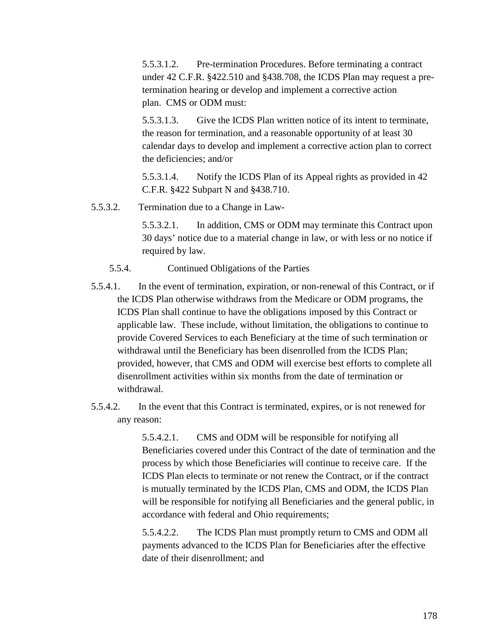5.5.3.1.2. Pre-termination Procedures. Before terminating a contract under 42 C.F.R. §422.510 and §438.708, the ICDS Plan may request a pretermination hearing or develop and implement a corrective action plan. CMS or ODM must:

5.5.3.1.3. Give the ICDS Plan written notice of its intent to terminate, the reason for termination, and a reasonable opportunity of at least 30 calendar days to develop and implement a corrective action plan to correct the deficiencies; and/or

5.5.3.1.4. Notify the ICDS Plan of its Appeal rights as provided in 42 C.F.R. §422 Subpart N and §438.710.

5.5.3.2. Termination due to a Change in Law-

5.5.3.2.1. In addition, CMS or ODM may terminate this Contract upon 30 days' notice due to a material change in law, or with less or no notice if required by law.

- 5.5.4. Continued Obligations of the Parties
- 5.5.4.1. In the event of termination, expiration, or non-renewal of this Contract, or if the ICDS Plan otherwise withdraws from the Medicare or ODM programs, the ICDS Plan shall continue to have the obligations imposed by this Contract or applicable law. These include, without limitation, the obligations to continue to provide Covered Services to each Beneficiary at the time of such termination or withdrawal until the Beneficiary has been disenrolled from the ICDS Plan; provided, however, that CMS and ODM will exercise best efforts to complete all disenrollment activities within six months from the date of termination or withdrawal.
- 5.5.4.2. In the event that this Contract is terminated, expires, or is not renewed for any reason:

5.5.4.2.1. CMS and ODM will be responsible for notifying all Beneficiaries covered under this Contract of the date of termination and the process by which those Beneficiaries will continue to receive care. If the ICDS Plan elects to terminate or not renew the Contract, or if the contract is mutually terminated by the ICDS Plan, CMS and ODM, the ICDS Plan will be responsible for notifying all Beneficiaries and the general public, in accordance with federal and Ohio requirements;

5.5.4.2.2. The ICDS Plan must promptly return to CMS and ODM all payments advanced to the ICDS Plan for Beneficiaries after the effective date of their disenrollment; and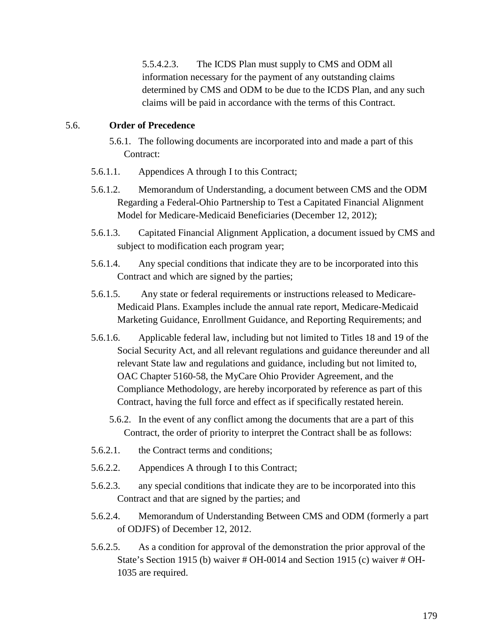5.5.4.2.3. The ICDS Plan must supply to CMS and ODM all information necessary for the payment of any outstanding claims determined by CMS and ODM to be due to the ICDS Plan, and any such claims will be paid in accordance with the terms of this Contract.

#### 5.6. **Order of Precedence**

- 5.6.1. The following documents are incorporated into and made a part of this Contract:
- 5.6.1.1. Appendices A through I to this Contract;
- 5.6.1.2. Memorandum of Understanding, a document between CMS and the ODM Regarding a Federal-Ohio Partnership to Test a Capitated Financial Alignment Model for Medicare-Medicaid Beneficiaries (December 12, 2012);
- 5.6.1.3. Capitated Financial Alignment Application, a document issued by CMS and subject to modification each program year;
- 5.6.1.4. Any special conditions that indicate they are to be incorporated into this Contract and which are signed by the parties;
- 5.6.1.5. Any state or federal requirements or instructions released to Medicare-Medicaid Plans. Examples include the annual rate report, Medicare-Medicaid Marketing Guidance, Enrollment Guidance, and Reporting Requirements; and
- 5.6.1.6. Applicable federal law, including but not limited to Titles 18 and 19 of the Social Security Act, and all relevant regulations and guidance thereunder and all relevant State law and regulations and guidance, including but not limited to, OAC Chapter 5160-58, the MyCare Ohio Provider Agreement, and the Compliance Methodology, are hereby incorporated by reference as part of this Contract, having the full force and effect as if specifically restated herein.
	- 5.6.2. In the event of any conflict among the documents that are a part of this Contract, the order of priority to interpret the Contract shall be as follows:
- 5.6.2.1. the Contract terms and conditions;
- 5.6.2.2. Appendices A through I to this Contract;
- 5.6.2.3. any special conditions that indicate they are to be incorporated into this Contract and that are signed by the parties; and
- 5.6.2.4. Memorandum of Understanding Between CMS and ODM (formerly a part of ODJFS) of December 12, 2012.
- 5.6.2.5. As a condition for approval of the demonstration the prior approval of the State's Section 1915 (b) waiver # OH-0014 and Section 1915 (c) waiver # OH-1035 are required.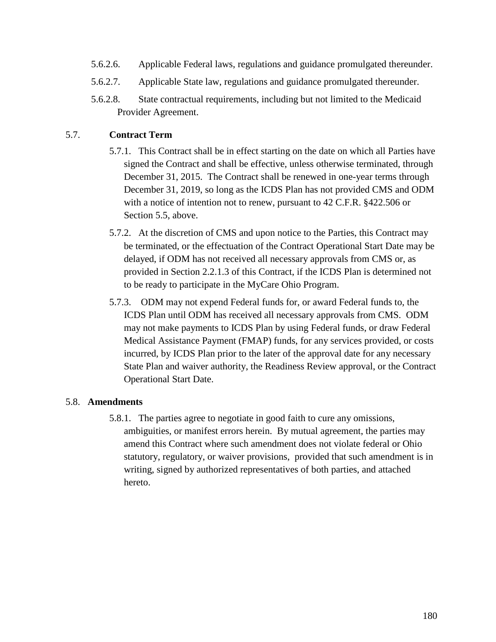- 5.6.2.6. Applicable Federal laws, regulations and guidance promulgated thereunder.
- 5.6.2.7. Applicable State law, regulations and guidance promulgated thereunder.
- 5.6.2.8. State contractual requirements, including but not limited to the Medicaid Provider Agreement.

## 5.7. **Contract Term**

- 5.7.1. This Contract shall be in effect starting on the date on which all Parties have signed the Contract and shall be effective, unless otherwise terminated, through December 31, 2015. The Contract shall be renewed in one-year terms through December 31, 2019, so long as the ICDS Plan has not provided CMS and ODM with a notice of intention not to renew, pursuant to 42 C.F.R. §422.506 or Section 5.5, above.
- 5.7.2. At the discretion of CMS and upon notice to the Parties, this Contract may be terminated, or the effectuation of the Contract Operational Start Date may be delayed, if ODM has not received all necessary approvals from CMS or, as provided in Section 2.2.1.3 of this Contract, if the ICDS Plan is determined not to be ready to participate in the MyCare Ohio Program.
- 5.7.3. ODM may not expend Federal funds for, or award Federal funds to, the ICDS Plan until ODM has received all necessary approvals from CMS. ODM may not make payments to ICDS Plan by using Federal funds, or draw Federal Medical Assistance Payment (FMAP) funds, for any services provided, or costs incurred, by ICDS Plan prior to the later of the approval date for any necessary State Plan and waiver authority, the Readiness Review approval, or the Contract Operational Start Date.

## 5.8. **Amendments**

5.8.1. The parties agree to negotiate in good faith to cure any omissions, ambiguities, or manifest errors herein. By mutual agreement, the parties may amend this Contract where such amendment does not violate federal or Ohio statutory, regulatory, or waiver provisions, provided that such amendment is in writing, signed by authorized representatives of both parties, and attached hereto.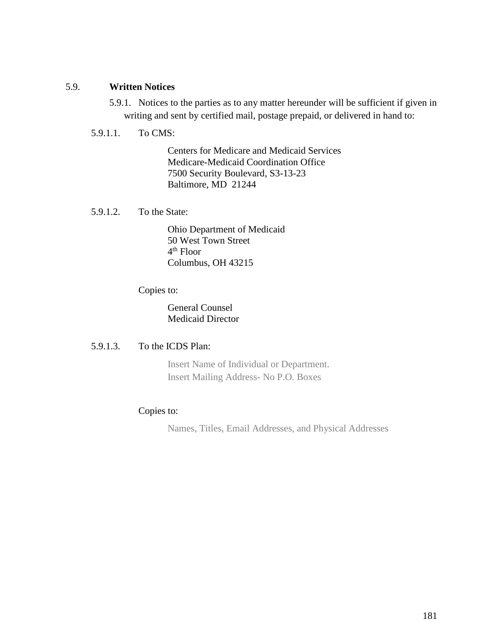#### 5.9. **Written Notices**

- 5.9.1. Notices to the parties as to any matter hereunder will be sufficient if given in writing and sent by certified mail, postage prepaid, or delivered in hand to:
- 5.9.1.1. To CMS:

Centers for Medicare and Medicaid Services Medicare-Medicaid Coordination Office 7500 Security Boulevard, S3-13-23 Baltimore, MD 21244

5.9.1.2. To the State:

Ohio Department of Medicaid 50 West Town Street  $4<sup>th</sup>$  Floor Columbus, OH 43215

#### Copies to:

General Counsel Medicaid Director

#### 5.9.1.3. To the ICDS Plan:

Insert Name of Individual or Department. Insert Mailing Address- No P.O. Boxes

#### Copies to:

Names, Titles, Email Addresses, and Physical Addresses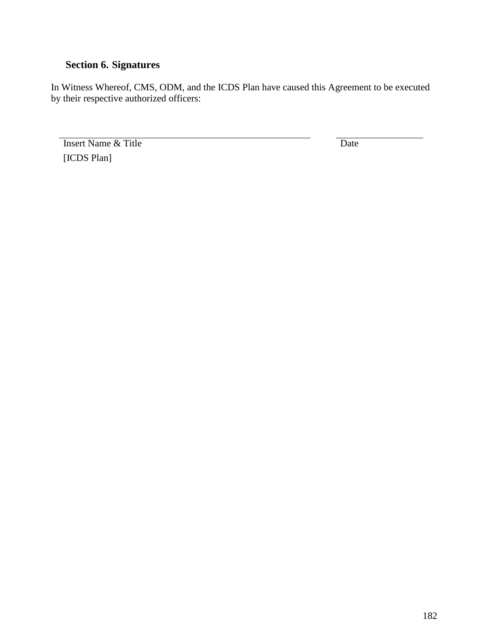# **Section 6. Signatures**

In Witness Whereof, CMS, ODM, and the ICDS Plan have caused this Agreement to be executed by their respective authorized officers:

Insert Name & Title Date [ICDS Plan]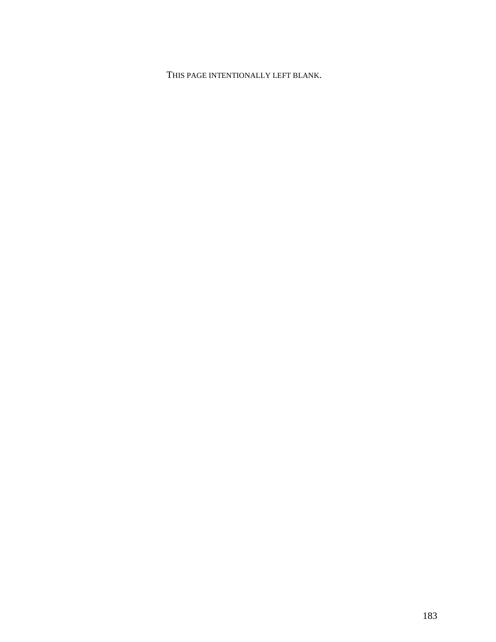THIS PAGE INTENTIONALLY LEFT BLANK.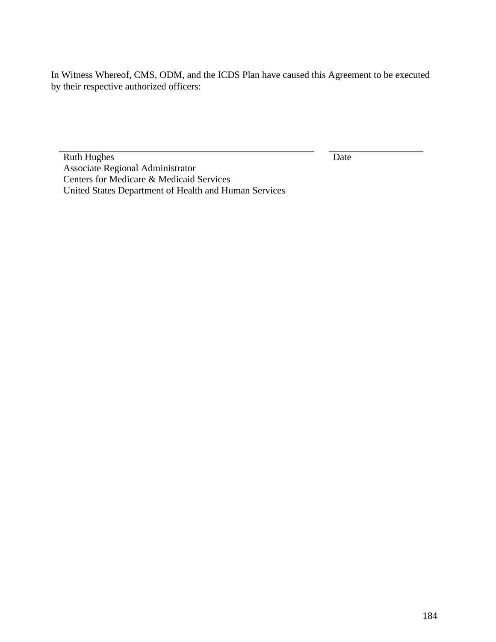In Witness Whereof, CMS, ODM, and the ICDS Plan have caused this Agreement to be executed by their respective authorized officers:

Ruth Hughes Associate Regional Administrator Centers for Medicare & Medicaid Services United States Department of Health and Human Services

Date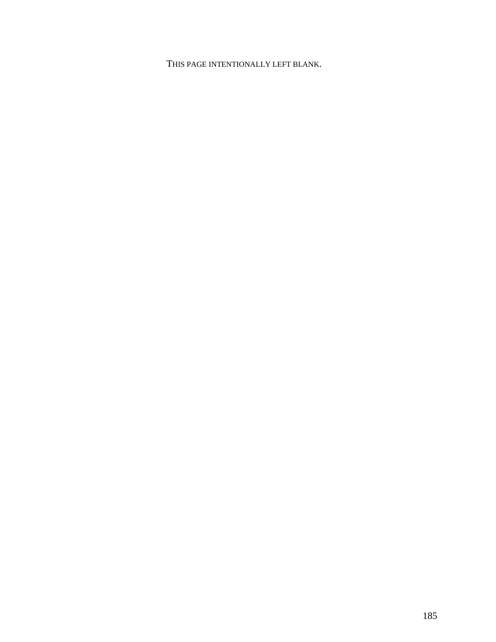THIS PAGE INTENTIONALLY LEFT BLANK.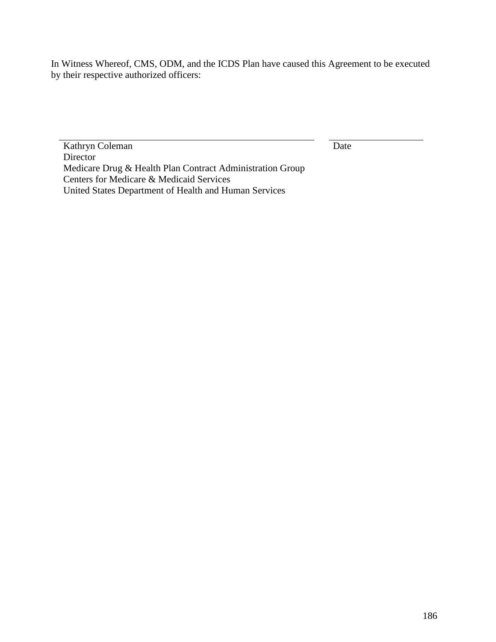In Witness Whereof, CMS, ODM, and the ICDS Plan have caused this Agreement to be executed by their respective authorized officers:

Date

Kathryn Coleman Director Medicare Drug & Health Plan Contract Administration Group Centers for Medicare & Medicaid Services United States Department of Health and Human Services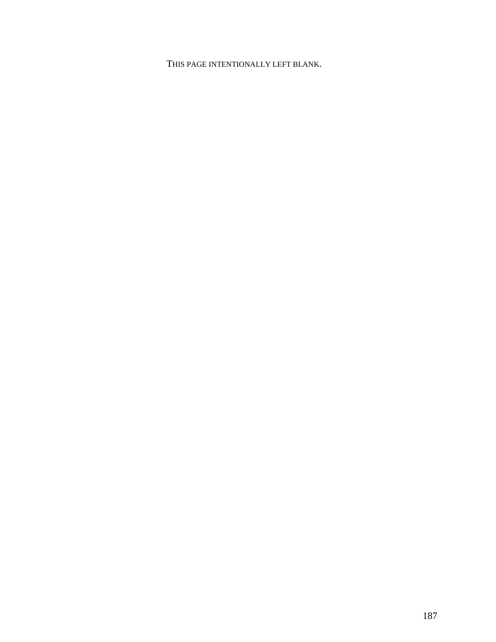THIS PAGE INTENTIONALLY LEFT BLANK.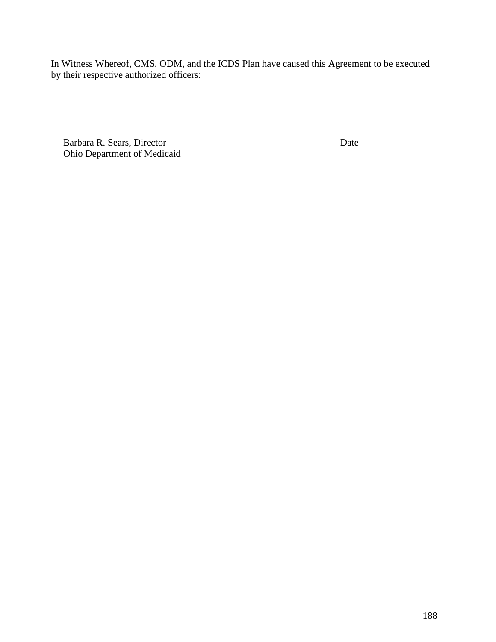In Witness Whereof, CMS, ODM, and the ICDS Plan have caused this Agreement to be executed by their respective authorized officers:

Barbara R. Sears, Director Ohio Department of Medicaid Date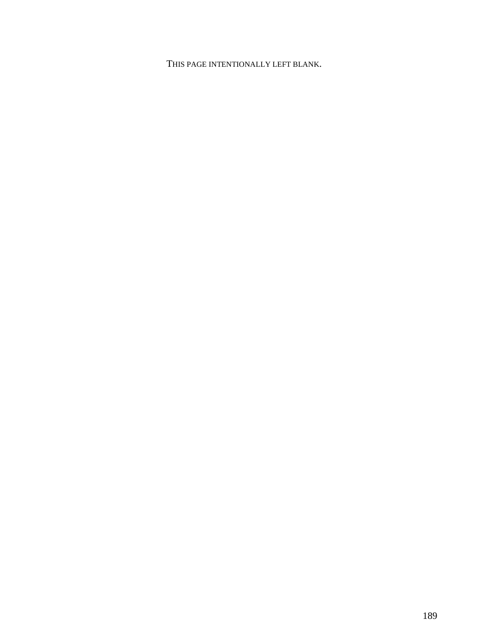THIS PAGE INTENTIONALLY LEFT BLANK.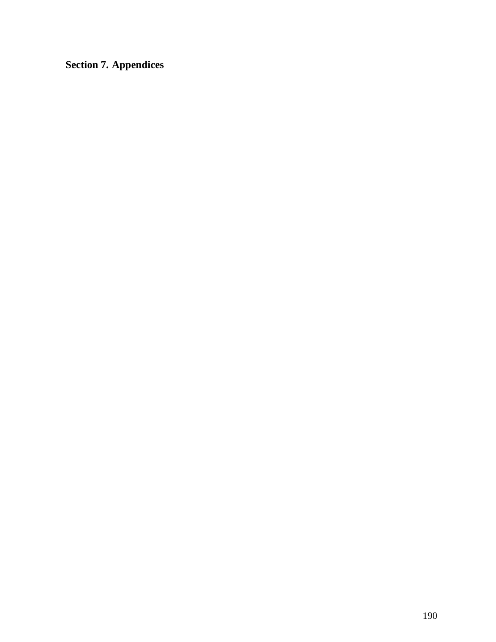**Section 7. Appendices**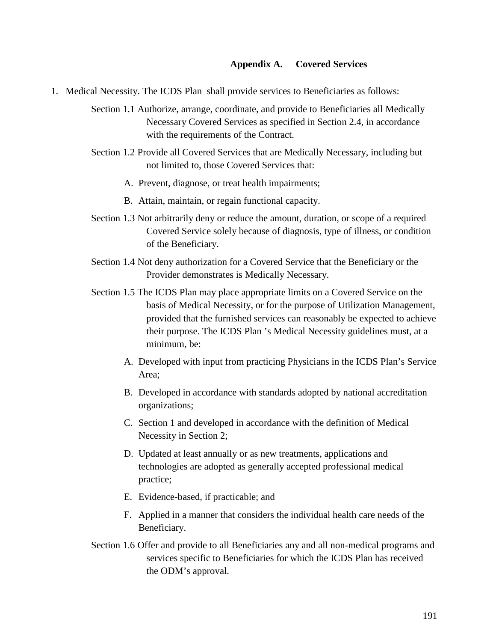#### **Appendix A. Covered Services**

- 1. Medical Necessity. The ICDS Plan shall provide services to Beneficiaries as follows:
	- Section 1.1 Authorize, arrange, coordinate, and provide to Beneficiaries all Medically Necessary Covered Services as specified in Section 2.4, in accordance with the requirements of the Contract.
	- Section 1.2 Provide all Covered Services that are Medically Necessary, including but not limited to, those Covered Services that:
		- A. Prevent, diagnose, or treat health impairments;
		- B. Attain, maintain, or regain functional capacity.
	- Section 1.3 Not arbitrarily deny or reduce the amount, duration, or scope of a required Covered Service solely because of diagnosis, type of illness, or condition of the Beneficiary.
	- Section 1.4 Not deny authorization for a Covered Service that the Beneficiary or the Provider demonstrates is Medically Necessary.
	- Section 1.5 The ICDS Plan may place appropriate limits on a Covered Service on the basis of Medical Necessity, or for the purpose of Utilization Management, provided that the furnished services can reasonably be expected to achieve their purpose. The ICDS Plan 's Medical Necessity guidelines must, at a minimum, be:
		- A. Developed with input from practicing Physicians in the ICDS Plan's Service Area;
		- B. Developed in accordance with standards adopted by national accreditation organizations;
		- C. Section 1 and developed in accordance with the definition of Medical Necessity in Section 2;
		- D. Updated at least annually or as new treatments, applications and technologies are adopted as generally accepted professional medical practice;
		- E. Evidence-based, if practicable; and
		- F. Applied in a manner that considers the individual health care needs of the Beneficiary.
	- Section 1.6 Offer and provide to all Beneficiaries any and all non-medical programs and services specific to Beneficiaries for which the ICDS Plan has received the ODM's approval.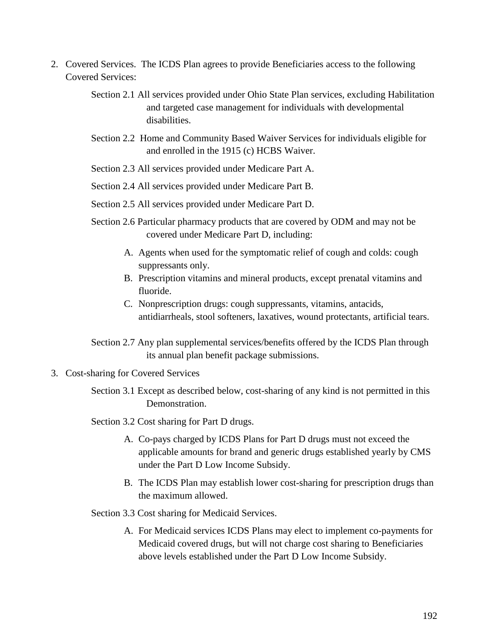- 2. Covered Services. The ICDS Plan agrees to provide Beneficiaries access to the following Covered Services:
	- Section 2.1 All services provided under Ohio State Plan services, excluding Habilitation and targeted case management for individuals with developmental disabilities.
	- Section 2.2 Home and Community Based Waiver Services for individuals eligible for and enrolled in the 1915 (c) HCBS Waiver.
	- Section 2.3 All services provided under Medicare Part A.
	- Section 2.4 All services provided under Medicare Part B.
	- Section 2.5 All services provided under Medicare Part D.
	- Section 2.6 Particular pharmacy products that are covered by ODM and may not be covered under Medicare Part D, including:
		- A. Agents when used for the symptomatic relief of cough and colds: cough suppressants only.
		- B. Prescription vitamins and mineral products, except prenatal vitamins and fluoride.
		- C. Nonprescription drugs: cough suppressants, vitamins, antacids, antidiarrheals, stool softeners, laxatives, wound protectants, artificial tears.
	- Section 2.7 Any plan supplemental services/benefits offered by the ICDS Plan through its annual plan benefit package submissions.
- 3. Cost-sharing for Covered Services
	- Section 3.1 Except as described below, cost-sharing of any kind is not permitted in this Demonstration.
	- Section 3.2 Cost sharing for Part D drugs.
		- A. Co-pays charged by ICDS Plans for Part D drugs must not exceed the applicable amounts for brand and generic drugs established yearly by CMS under the Part D Low Income Subsidy.
		- B. The ICDS Plan may establish lower cost-sharing for prescription drugs than the maximum allowed.
	- Section 3.3 Cost sharing for Medicaid Services.
		- A. For Medicaid services ICDS Plans may elect to implement co-payments for Medicaid covered drugs, but will not charge cost sharing to Beneficiaries above levels established under the Part D Low Income Subsidy.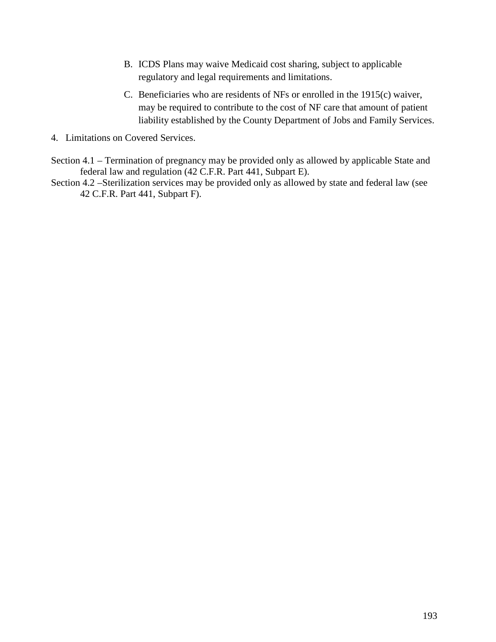- B. ICDS Plans may waive Medicaid cost sharing, subject to applicable regulatory and legal requirements and limitations.
- C. Beneficiaries who are residents of NFs or enrolled in the 1915(c) waiver, may be required to contribute to the cost of NF care that amount of patient liability established by the County Department of Jobs and Family Services.
- 4. Limitations on Covered Services.
- Section 4.1 Termination of pregnancy may be provided only as allowed by applicable State and federal law and regulation (42 C.F.R. Part 441, Subpart E).
- Section 4.2 –Sterilization services may be provided only as allowed by state and federal law (see 42 C.F.R. Part 441, Subpart F).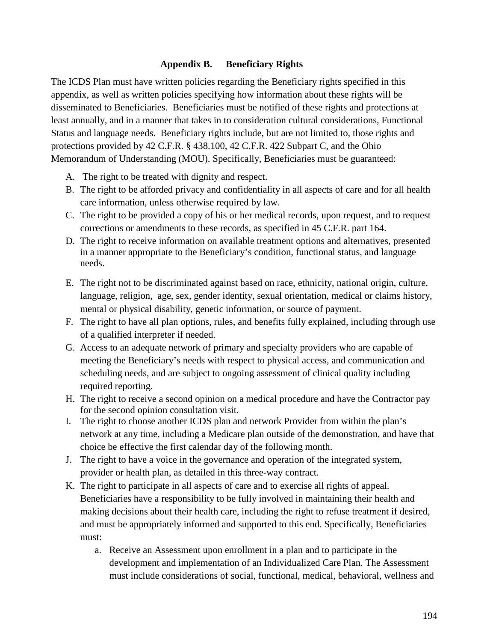#### **Appendix B. Beneficiary Rights**

The ICDS Plan must have written policies regarding the Beneficiary rights specified in this appendix, as well as written policies specifying how information about these rights will be disseminated to Beneficiaries. Beneficiaries must be notified of these rights and protections at least annually, and in a manner that takes in to consideration cultural considerations, Functional Status and language needs. Beneficiary rights include, but are not limited to, those rights and protections provided by 42 C.F.R. § 438.100, 42 C.F.R. 422 Subpart C, and the Ohio Memorandum of Understanding (MOU). Specifically, Beneficiaries must be guaranteed:

- A. The right to be treated with dignity and respect.
- B. The right to be afforded privacy and confidentiality in all aspects of care and for all health care information, unless otherwise required by law.
- C. The right to be provided a copy of his or her medical records, upon request, and to request corrections or amendments to these records, as specified in 45 C.F.R. part 164.
- D. The right to receive information on available treatment options and alternatives, presented in a manner appropriate to the Beneficiary's condition, functional status, and language needs.
- E. The right not to be discriminated against based on race, ethnicity, national origin, culture, language, religion, age, sex, gender identity, sexual orientation, medical or claims history, mental or physical disability, genetic information, or source of payment.
- F. The right to have all plan options, rules, and benefits fully explained, including through use of a qualified interpreter if needed.
- G. Access to an adequate network of primary and specialty providers who are capable of meeting the Beneficiary's needs with respect to physical access, and communication and scheduling needs, and are subject to ongoing assessment of clinical quality including required reporting.
- H. The right to receive a second opinion on a medical procedure and have the Contractor pay for the second opinion consultation visit.
- I. The right to choose another ICDS plan and network Provider from within the plan's network at any time, including a Medicare plan outside of the demonstration, and have that choice be effective the first calendar day of the following month.
- J. The right to have a voice in the governance and operation of the integrated system, provider or health plan, as detailed in this three-way contract.
- K. The right to participate in all aspects of care and to exercise all rights of appeal. Beneficiaries have a responsibility to be fully involved in maintaining their health and making decisions about their health care, including the right to refuse treatment if desired, and must be appropriately informed and supported to this end. Specifically, Beneficiaries must:
	- a. Receive an Assessment upon enrollment in a plan and to participate in the development and implementation of an Individualized Care Plan. The Assessment must include considerations of social, functional, medical, behavioral, wellness and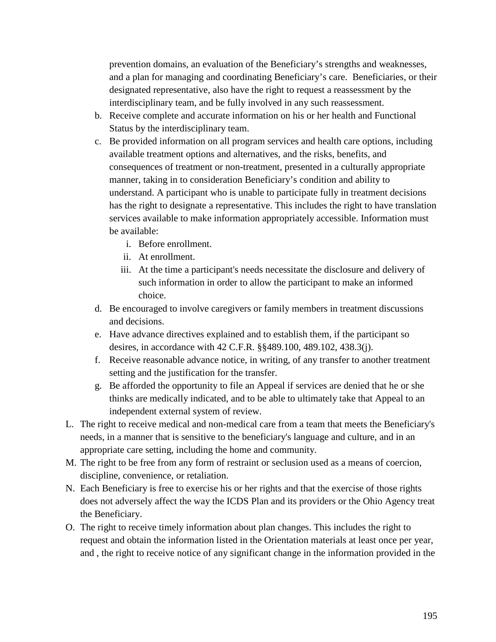prevention domains, an evaluation of the Beneficiary's strengths and weaknesses, and a plan for managing and coordinating Beneficiary's care. Beneficiaries, or their designated representative, also have the right to request a reassessment by the interdisciplinary team, and be fully involved in any such reassessment.

- b. Receive complete and accurate information on his or her health and Functional Status by the interdisciplinary team.
- c. Be provided information on all program services and health care options, including available treatment options and alternatives, and the risks, benefits, and consequences of treatment or non-treatment, presented in a culturally appropriate manner, taking in to consideration Beneficiary's condition and ability to understand. A participant who is unable to participate fully in treatment decisions has the right to designate a representative. This includes the right to have translation services available to make information appropriately accessible. Information must be available:
	- i. Before enrollment.
	- ii. At enrollment.
	- iii. At the time a participant's needs necessitate the disclosure and delivery of such information in order to allow the participant to make an informed choice.
- d. Be encouraged to involve caregivers or family members in treatment discussions and decisions.
- e. Have advance directives explained and to establish them, if the participant so desires, in accordance with 42 C.F.R. §§489.100, 489.102, 438.3(j).
- f. Receive reasonable advance notice, in writing, of any transfer to another treatment setting and the justification for the transfer.
- g. Be afforded the opportunity to file an Appeal if services are denied that he or she thinks are medically indicated, and to be able to ultimately take that Appeal to an independent external system of review.
- L. The right to receive medical and non-medical care from a team that meets the Beneficiary's needs, in a manner that is sensitive to the beneficiary's language and culture, and in an appropriate care setting, including the home and community.
- M. The right to be free from any form of restraint or seclusion used as a means of coercion, discipline, convenience, or retaliation.
- N. Each Beneficiary is free to exercise his or her rights and that the exercise of those rights does not adversely affect the way the ICDS Plan and its providers or the Ohio Agency treat the Beneficiary.
- O. The right to receive timely information about plan changes. This includes the right to request and obtain the information listed in the Orientation materials at least once per year, and , the right to receive notice of any significant change in the information provided in the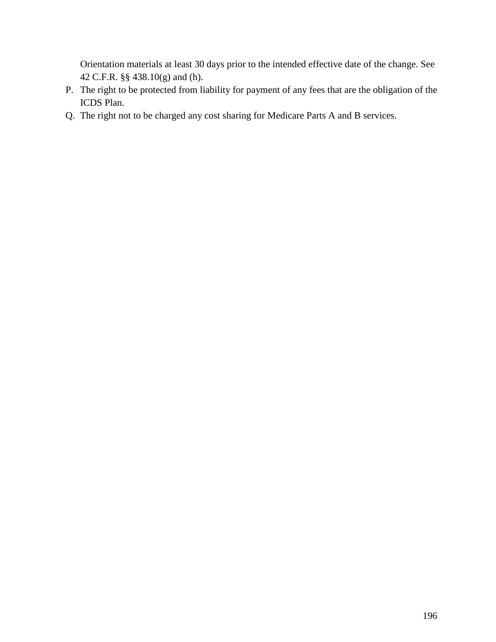Orientation materials at least 30 days prior to the intended effective date of the change. See 42 C.F.R. §§ 438.10(g) and (h).

- P. The right to be protected from liability for payment of any fees that are the obligation of the ICDS Plan.
- Q. The right not to be charged any cost sharing for Medicare Parts A and B services.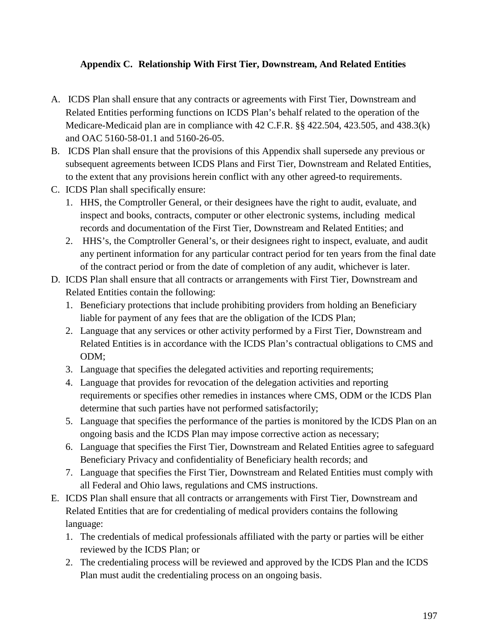### **Appendix C. Relationship With First Tier, Downstream, And Related Entities**

- A. ICDS Plan shall ensure that any contracts or agreements with First Tier, Downstream and Related Entities performing functions on ICDS Plan's behalf related to the operation of the Medicare-Medicaid plan are in compliance with 42 C.F.R. §§ 422.504, 423.505, and 438.3(k) and OAC 5160-58-01.1 and 5160-26-05.
- B. ICDS Plan shall ensure that the provisions of this Appendix shall supersede any previous or subsequent agreements between ICDS Plans and First Tier, Downstream and Related Entities, to the extent that any provisions herein conflict with any other agreed-to requirements.
- C. ICDS Plan shall specifically ensure:
	- 1. HHS, the Comptroller General, or their designees have the right to audit, evaluate, and inspect and books, contracts, computer or other electronic systems, including medical records and documentation of the First Tier, Downstream and Related Entities; and
	- 2. HHS's, the Comptroller General's, or their designees right to inspect, evaluate, and audit any pertinent information for any particular contract period for ten years from the final date of the contract period or from the date of completion of any audit, whichever is later.
- D. ICDS Plan shall ensure that all contracts or arrangements with First Tier, Downstream and Related Entities contain the following:
	- 1. Beneficiary protections that include prohibiting providers from holding an Beneficiary liable for payment of any fees that are the obligation of the ICDS Plan;
	- 2. Language that any services or other activity performed by a First Tier, Downstream and Related Entities is in accordance with the ICDS Plan's contractual obligations to CMS and ODM;
	- 3. Language that specifies the delegated activities and reporting requirements;
	- 4. Language that provides for revocation of the delegation activities and reporting requirements or specifies other remedies in instances where CMS, ODM or the ICDS Plan determine that such parties have not performed satisfactorily;
	- 5. Language that specifies the performance of the parties is monitored by the ICDS Plan on an ongoing basis and the ICDS Plan may impose corrective action as necessary;
	- 6. Language that specifies the First Tier, Downstream and Related Entities agree to safeguard Beneficiary Privacy and confidentiality of Beneficiary health records; and
	- 7. Language that specifies the First Tier, Downstream and Related Entities must comply with all Federal and Ohio laws, regulations and CMS instructions.
- E. ICDS Plan shall ensure that all contracts or arrangements with First Tier, Downstream and Related Entities that are for credentialing of medical providers contains the following language:
	- 1. The credentials of medical professionals affiliated with the party or parties will be either reviewed by the ICDS Plan; or
	- 2. The credentialing process will be reviewed and approved by the ICDS Plan and the ICDS Plan must audit the credentialing process on an ongoing basis.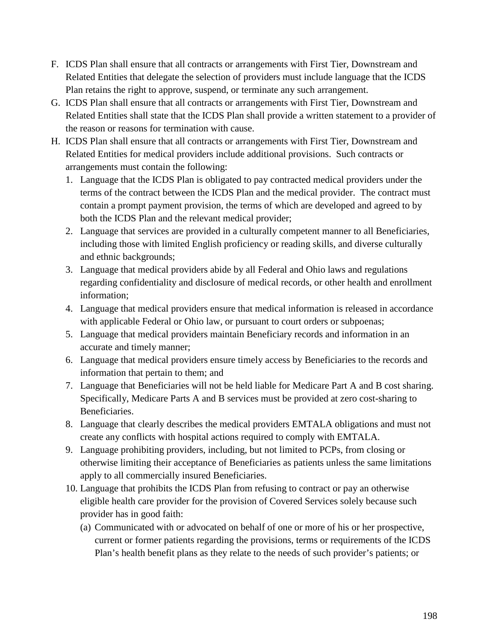- F. ICDS Plan shall ensure that all contracts or arrangements with First Tier, Downstream and Related Entities that delegate the selection of providers must include language that the ICDS Plan retains the right to approve, suspend, or terminate any such arrangement.
- G. ICDS Plan shall ensure that all contracts or arrangements with First Tier, Downstream and Related Entities shall state that the ICDS Plan shall provide a written statement to a provider of the reason or reasons for termination with cause.
- H. ICDS Plan shall ensure that all contracts or arrangements with First Tier, Downstream and Related Entities for medical providers include additional provisions. Such contracts or arrangements must contain the following:
	- 1. Language that the ICDS Plan is obligated to pay contracted medical providers under the terms of the contract between the ICDS Plan and the medical provider. The contract must contain a prompt payment provision, the terms of which are developed and agreed to by both the ICDS Plan and the relevant medical provider;
	- 2. Language that services are provided in a culturally competent manner to all Beneficiaries, including those with limited English proficiency or reading skills, and diverse culturally and ethnic backgrounds;
	- 3. Language that medical providers abide by all Federal and Ohio laws and regulations regarding confidentiality and disclosure of medical records, or other health and enrollment information;
	- 4. Language that medical providers ensure that medical information is released in accordance with applicable Federal or Ohio law, or pursuant to court orders or subpoenas;
	- 5. Language that medical providers maintain Beneficiary records and information in an accurate and timely manner;
	- 6. Language that medical providers ensure timely access by Beneficiaries to the records and information that pertain to them; and
	- 7. Language that Beneficiaries will not be held liable for Medicare Part A and B cost sharing. Specifically, Medicare Parts A and B services must be provided at zero cost-sharing to Beneficiaries.
	- 8. Language that clearly describes the medical providers EMTALA obligations and must not create any conflicts with hospital actions required to comply with EMTALA.
	- 9. Language prohibiting providers, including, but not limited to PCPs, from closing or otherwise limiting their acceptance of Beneficiaries as patients unless the same limitations apply to all commercially insured Beneficiaries.
	- 10. Language that prohibits the ICDS Plan from refusing to contract or pay an otherwise eligible health care provider for the provision of Covered Services solely because such provider has in good faith:
		- (a) Communicated with or advocated on behalf of one or more of his or her prospective, current or former patients regarding the provisions, terms or requirements of the ICDS Plan's health benefit plans as they relate to the needs of such provider's patients; or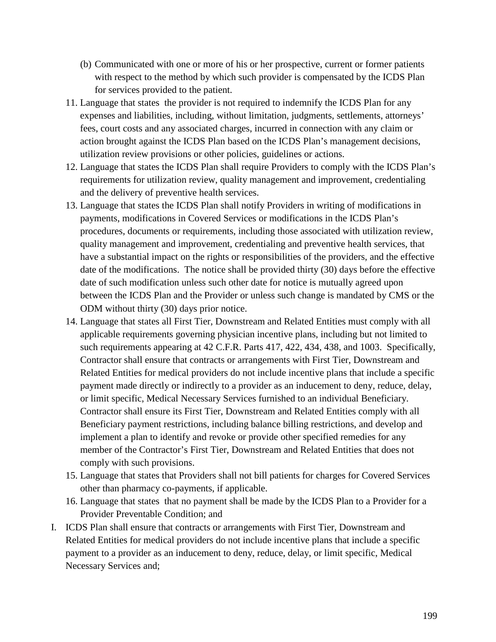- (b) Communicated with one or more of his or her prospective, current or former patients with respect to the method by which such provider is compensated by the ICDS Plan for services provided to the patient.
- 11. Language that states the provider is not required to indemnify the ICDS Plan for any expenses and liabilities, including, without limitation, judgments, settlements, attorneys' fees, court costs and any associated charges, incurred in connection with any claim or action brought against the ICDS Plan based on the ICDS Plan's management decisions, utilization review provisions or other policies, guidelines or actions.
- 12. Language that states the ICDS Plan shall require Providers to comply with the ICDS Plan's requirements for utilization review, quality management and improvement, credentialing and the delivery of preventive health services.
- 13. Language that states the ICDS Plan shall notify Providers in writing of modifications in payments, modifications in Covered Services or modifications in the ICDS Plan's procedures, documents or requirements, including those associated with utilization review, quality management and improvement, credentialing and preventive health services, that have a substantial impact on the rights or responsibilities of the providers, and the effective date of the modifications. The notice shall be provided thirty (30) days before the effective date of such modification unless such other date for notice is mutually agreed upon between the ICDS Plan and the Provider or unless such change is mandated by CMS or the ODM without thirty (30) days prior notice.
- 14. Language that states all First Tier, Downstream and Related Entities must comply with all applicable requirements governing physician incentive plans, including but not limited to such requirements appearing at 42 C.F.R. Parts 417, 422, 434, 438, and 1003. Specifically, Contractor shall ensure that contracts or arrangements with First Tier, Downstream and Related Entities for medical providers do not include incentive plans that include a specific payment made directly or indirectly to a provider as an inducement to deny, reduce, delay, or limit specific, Medical Necessary Services furnished to an individual Beneficiary. Contractor shall ensure its First Tier, Downstream and Related Entities comply with all Beneficiary payment restrictions, including balance billing restrictions, and develop and implement a plan to identify and revoke or provide other specified remedies for any member of the Contractor's First Tier, Downstream and Related Entities that does not comply with such provisions.
- 15. Language that states that Providers shall not bill patients for charges for Covered Services other than pharmacy co-payments, if applicable.
- 16. Language that states that no payment shall be made by the ICDS Plan to a Provider for a Provider Preventable Condition; and
- I. ICDS Plan shall ensure that contracts or arrangements with First Tier, Downstream and Related Entities for medical providers do not include incentive plans that include a specific payment to a provider as an inducement to deny, reduce, delay, or limit specific, Medical Necessary Services and;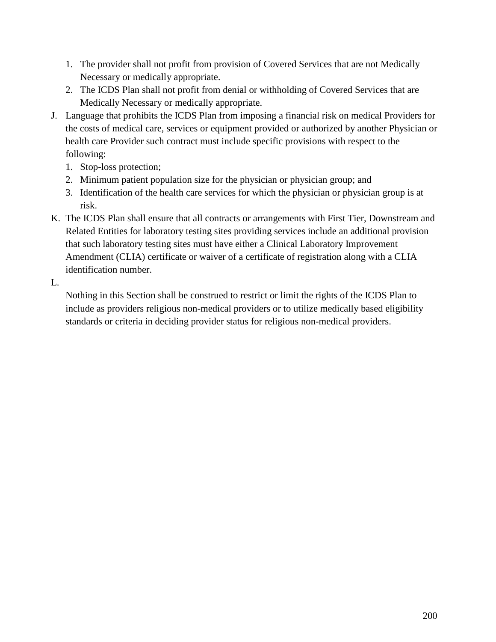- 1. The provider shall not profit from provision of Covered Services that are not Medically Necessary or medically appropriate.
- 2. The ICDS Plan shall not profit from denial or withholding of Covered Services that are Medically Necessary or medically appropriate.
- J. Language that prohibits the ICDS Plan from imposing a financial risk on medical Providers for the costs of medical care, services or equipment provided or authorized by another Physician or health care Provider such contract must include specific provisions with respect to the following:
	- 1. Stop-loss protection;
	- 2. Minimum patient population size for the physician or physician group; and
	- 3. Identification of the health care services for which the physician or physician group is at risk.
- K. The ICDS Plan shall ensure that all contracts or arrangements with First Tier, Downstream and Related Entities for laboratory testing sites providing services include an additional provision that such laboratory testing sites must have either a Clinical Laboratory Improvement Amendment (CLIA) certificate or waiver of a certificate of registration along with a CLIA identification number.

L.

Nothing in this Section shall be construed to restrict or limit the rights of the ICDS Plan to include as providers religious non-medical providers or to utilize medically based eligibility standards or criteria in deciding provider status for religious non-medical providers.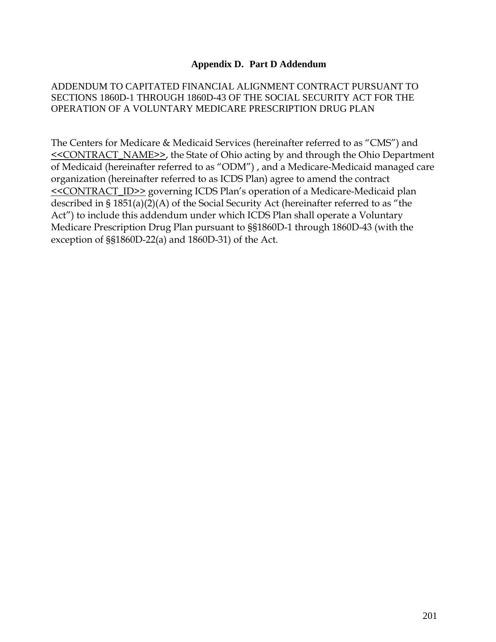#### **Appendix D. Part D Addendum**

#### ADDENDUM TO CAPITATED FINANCIAL ALIGNMENT CONTRACT PURSUANT TO SECTIONS 1860D-1 THROUGH 1860D-43 OF THE SOCIAL SECURITY ACT FOR THE OPERATION OF A VOLUNTARY MEDICARE PRESCRIPTION DRUG PLAN

The Centers for Medicare & Medicaid Services (hereinafter referred to as "CMS") and <<CONTRACT\_NAME>>, the State of Ohio acting by and through the Ohio Department of Medicaid (hereinafter referred to as "ODM") , and a Medicare-Medicaid managed care organization (hereinafter referred to as ICDS Plan) agree to amend the contract <<CONTRACT\_ID>> governing ICDS Plan's operation of a Medicare-Medicaid plan described in § 1851(a)(2)(A) of the Social Security Act (hereinafter referred to as "the Act") to include this addendum under which ICDS Plan shall operate a Voluntary Medicare Prescription Drug Plan pursuant to §§1860D-1 through 1860D-43 (with the exception of §§1860D-22(a) and 1860D-31) of the Act.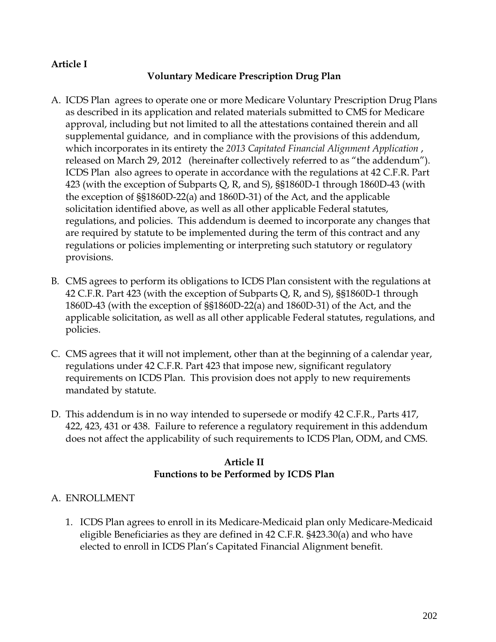### **Article I**

### **Voluntary Medicare Prescription Drug Plan**

- A. ICDS Plan agrees to operate one or more Medicare Voluntary Prescription Drug Plans as described in its application and related materials submitted to CMS for Medicare approval, including but not limited to all the attestations contained therein and all supplemental guidance, and in compliance with the provisions of this addendum, which incorporates in its entirety the *2013 Capitated Financial Alignment Application* , released on March 29, 2012 (hereinafter collectively referred to as "the addendum"). ICDS Plan also agrees to operate in accordance with the regulations at 42 C.F.R. Part 423 (with the exception of Subparts Q, R, and S), §§1860D-1 through 1860D-43 (with the exception of §§1860D-22(a) and 1860D-31) of the Act, and the applicable solicitation identified above, as well as all other applicable Federal statutes, regulations, and policies. This addendum is deemed to incorporate any changes that are required by statute to be implemented during the term of this contract and any regulations or policies implementing or interpreting such statutory or regulatory provisions.
- B. CMS agrees to perform its obligations to ICDS Plan consistent with the regulations at 42 C.F.R. Part 423 (with the exception of Subparts Q, R, and S), §§1860D-1 through 1860D-43 (with the exception of §§1860D-22(a) and 1860D-31) of the Act, and the applicable solicitation, as well as all other applicable Federal statutes, regulations, and policies.
- C. CMS agrees that it will not implement, other than at the beginning of a calendar year, regulations under 42 C.F.R. Part 423 that impose new, significant regulatory requirements on ICDS Plan. This provision does not apply to new requirements mandated by statute.
- D. This addendum is in no way intended to supersede or modify 42 C.F.R., Parts 417, 422, 423, 431 or 438. Failure to reference a regulatory requirement in this addendum does not affect the applicability of such requirements to ICDS Plan, ODM, and CMS.

### **Article II Functions to be Performed by ICDS Plan**

### A. ENROLLMENT

1. ICDS Plan agrees to enroll in its Medicare-Medicaid plan only Medicare-Medicaid eligible Beneficiaries as they are defined in 42 C.F.R. §423.30(a) and who have elected to enroll in ICDS Plan's Capitated Financial Alignment benefit.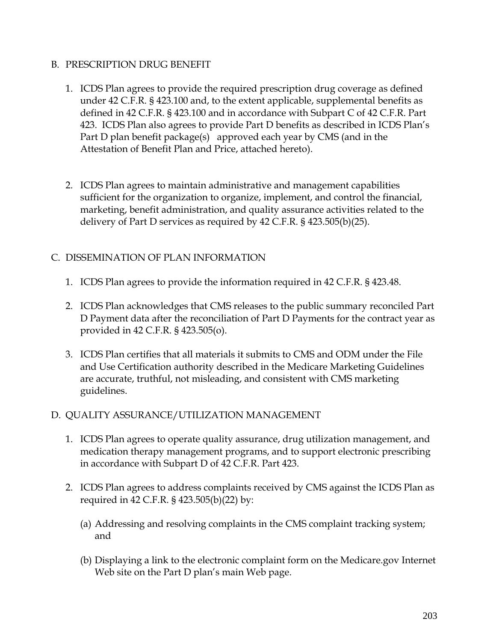### B. PRESCRIPTION DRUG BENEFIT

- 1. ICDS Plan agrees to provide the required prescription drug coverage as defined under 42 C.F.R. § 423.100 and, to the extent applicable, supplemental benefits as defined in 42 C.F.R. § 423.100 and in accordance with Subpart C of 42 C.F.R. Part 423. ICDS Plan also agrees to provide Part D benefits as described in ICDS Plan's Part D plan benefit package(s) approved each year by CMS (and in the Attestation of Benefit Plan and Price, attached hereto).
- 2. ICDS Plan agrees to maintain administrative and management capabilities sufficient for the organization to organize, implement, and control the financial, marketing, benefit administration, and quality assurance activities related to the delivery of Part D services as required by 42 C.F.R. § 423.505(b)(25).

### C. DISSEMINATION OF PLAN INFORMATION

- 1. ICDS Plan agrees to provide the information required in 42 C.F.R. § 423.48.
- 2. ICDS Plan acknowledges that CMS releases to the public summary reconciled Part D Payment data after the reconciliation of Part D Payments for the contract year as provided in 42 C.F.R. § 423.505(o).
- 3. ICDS Plan certifies that all materials it submits to CMS and ODM under the File and Use Certification authority described in the Medicare Marketing Guidelines are accurate, truthful, not misleading, and consistent with CMS marketing guidelines.

### D. QUALITY ASSURANCE/UTILIZATION MANAGEMENT

- 1. ICDS Plan agrees to operate quality assurance, drug utilization management, and medication therapy management programs, and to support electronic prescribing in accordance with Subpart D of 42 C.F.R. Part 423.
- 2. ICDS Plan agrees to address complaints received by CMS against the ICDS Plan as required in 42 C.F.R. § 423.505(b)(22) by:
	- (a) Addressing and resolving complaints in the CMS complaint tracking system; and
	- (b) Displaying a link to the electronic complaint form on the Medicare.gov Internet Web site on the Part D plan's main Web page.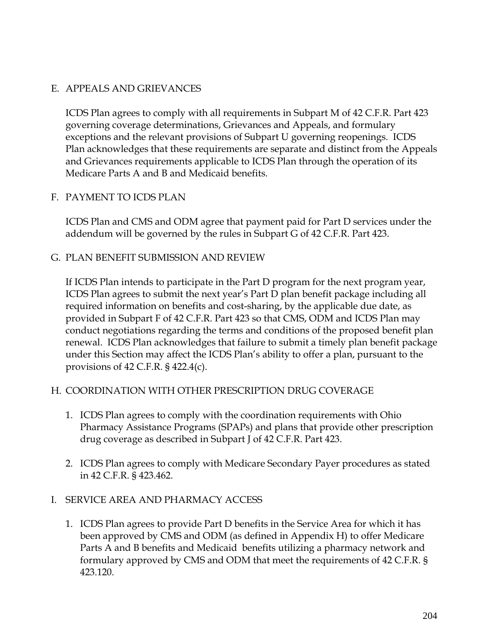### E. APPEALS AND GRIEVANCES

ICDS Plan agrees to comply with all requirements in Subpart M of 42 C.F.R. Part 423 governing coverage determinations, Grievances and Appeals, and formulary exceptions and the relevant provisions of Subpart U governing reopenings. ICDS Plan acknowledges that these requirements are separate and distinct from the Appeals and Grievances requirements applicable to ICDS Plan through the operation of its Medicare Parts A and B and Medicaid benefits.

### F. PAYMENT TO ICDS PLAN

ICDS Plan and CMS and ODM agree that payment paid for Part D services under the addendum will be governed by the rules in Subpart G of 42 C.F.R. Part 423.

G. PLAN BENEFIT SUBMISSION AND REVIEW

If ICDS Plan intends to participate in the Part D program for the next program year, ICDS Plan agrees to submit the next year's Part D plan benefit package including all required information on benefits and cost-sharing, by the applicable due date, as provided in Subpart F of 42 C.F.R. Part 423 so that CMS, ODM and ICDS Plan may conduct negotiations regarding the terms and conditions of the proposed benefit plan renewal. ICDS Plan acknowledges that failure to submit a timely plan benefit package under this Section may affect the ICDS Plan's ability to offer a plan, pursuant to the provisions of 42 C.F.R.  $\S$  422.4(c).

### H. COORDINATION WITH OTHER PRESCRIPTION DRUG COVERAGE

- 1. ICDS Plan agrees to comply with the coordination requirements with Ohio Pharmacy Assistance Programs (SPAPs) and plans that provide other prescription drug coverage as described in Subpart J of 42 C.F.R. Part 423.
- 2. ICDS Plan agrees to comply with Medicare Secondary Payer procedures as stated in 42 C.F.R. § 423.462.
- I. SERVICE AREA AND PHARMACY ACCESS
	- 1. ICDS Plan agrees to provide Part D benefits in the Service Area for which it has been approved by CMS and ODM (as defined in Appendix H) to offer Medicare Parts A and B benefits and Medicaid benefits utilizing a pharmacy network and formulary approved by CMS and ODM that meet the requirements of 42 C.F.R. § 423.120.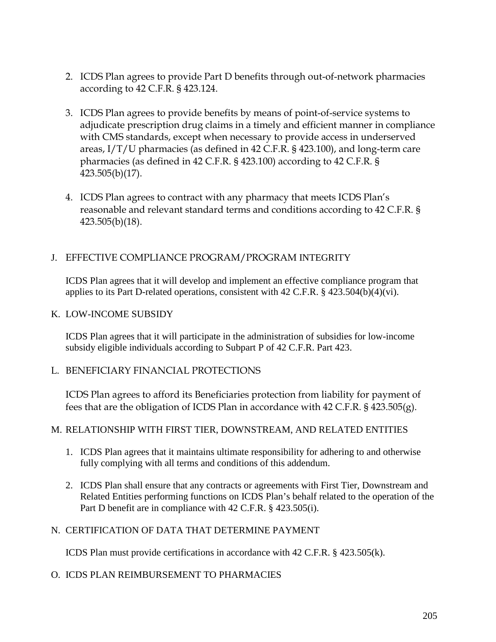- 2. ICDS Plan agrees to provide Part D benefits through out-of-network pharmacies according to 42 C.F.R. § 423.124.
- 3. ICDS Plan agrees to provide benefits by means of point-of-service systems to adjudicate prescription drug claims in a timely and efficient manner in compliance with CMS standards, except when necessary to provide access in underserved areas, I/T/U pharmacies (as defined in 42 C.F.R. § 423.100), and long-term care pharmacies (as defined in 42 C.F.R. § 423.100) according to 42 C.F.R. § 423.505(b)(17).
- 4. ICDS Plan agrees to contract with any pharmacy that meets ICDS Plan's reasonable and relevant standard terms and conditions according to 42 C.F.R. § 423.505(b)(18).

### J. EFFECTIVE COMPLIANCE PROGRAM/PROGRAM INTEGRITY

ICDS Plan agrees that it will develop and implement an effective compliance program that applies to its Part D-related operations, consistent with 42 C.F.R. § 423.504(b)(4)(vi).

#### K. LOW-INCOME SUBSIDY

ICDS Plan agrees that it will participate in the administration of subsidies for low-income subsidy eligible individuals according to Subpart P of 42 C.F.R. Part 423.

#### L. BENEFICIARY FINANCIAL PROTECTIONS

ICDS Plan agrees to afford its Beneficiaries protection from liability for payment of fees that are the obligation of ICDS Plan in accordance with 42 C.F.R. § 423.505(g).

#### M. RELATIONSHIP WITH FIRST TIER, DOWNSTREAM, AND RELATED ENTITIES

- 1. ICDS Plan agrees that it maintains ultimate responsibility for adhering to and otherwise fully complying with all terms and conditions of this addendum.
- 2. ICDS Plan shall ensure that any contracts or agreements with First Tier, Downstream and Related Entities performing functions on ICDS Plan's behalf related to the operation of the Part D benefit are in compliance with 42 C.F.R. § 423.505(i).

#### N. CERTIFICATION OF DATA THAT DETERMINE PAYMENT

ICDS Plan must provide certifications in accordance with 42 C.F.R. § 423.505(k).

#### O. ICDS PLAN REIMBURSEMENT TO PHARMACIES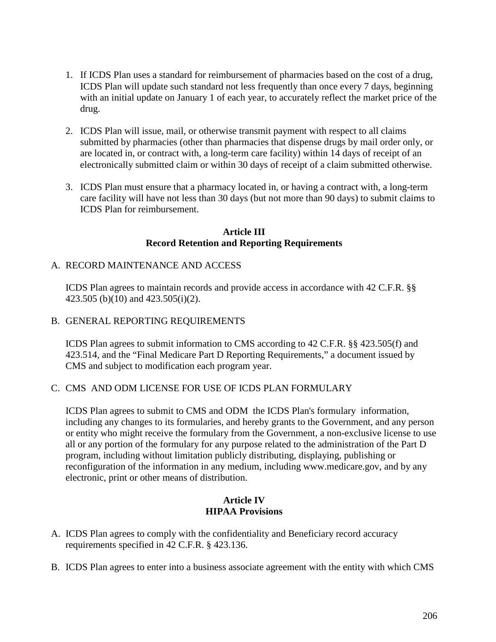- 1. If ICDS Plan uses a standard for reimbursement of pharmacies based on the cost of a drug, ICDS Plan will update such standard not less frequently than once every 7 days, beginning with an initial update on January 1 of each year, to accurately reflect the market price of the drug.
- 2. ICDS Plan will issue, mail, or otherwise transmit payment with respect to all claims submitted by pharmacies (other than pharmacies that dispense drugs by mail order only, or are located in, or contract with, a long-term care facility) within 14 days of receipt of an electronically submitted claim or within 30 days of receipt of a claim submitted otherwise.
- 3. ICDS Plan must ensure that a pharmacy located in, or having a contract with, a long-term care facility will have not less than 30 days (but not more than 90 days) to submit claims to ICDS Plan for reimbursement.

#### **Article III Record Retention and Reporting Requirements**

#### A. RECORD MAINTENANCE AND ACCESS

ICDS Plan agrees to maintain records and provide access in accordance with 42 C.F.R. §§ 423.505 (b)(10) and 423.505(i)(2).

### B. GENERAL REPORTING REQUIREMENTS

ICDS Plan agrees to submit information to CMS according to 42 C.F.R. §§ 423.505(f) and 423.514, and the "Final Medicare Part D Reporting Requirements," a document issued by CMS and subject to modification each program year.

#### C. CMS AND ODM LICENSE FOR USE OF ICDS PLAN FORMULARY

ICDS Plan agrees to submit to CMS and ODM the ICDS Plan's formulary information, including any changes to its formularies, and hereby grants to the Government, and any person or entity who might receive the formulary from the Government, a non-exclusive license to use all or any portion of the formulary for any purpose related to the administration of the Part D program, including without limitation publicly distributing, displaying, publishing or reconfiguration of the information in any medium, including www.medicare.gov, and by any electronic, print or other means of distribution.

#### **Article IV HIPAA Provisions**

- A. ICDS Plan agrees to comply with the confidentiality and Beneficiary record accuracy requirements specified in 42 C.F.R. § 423.136.
- B. ICDS Plan agrees to enter into a business associate agreement with the entity with which CMS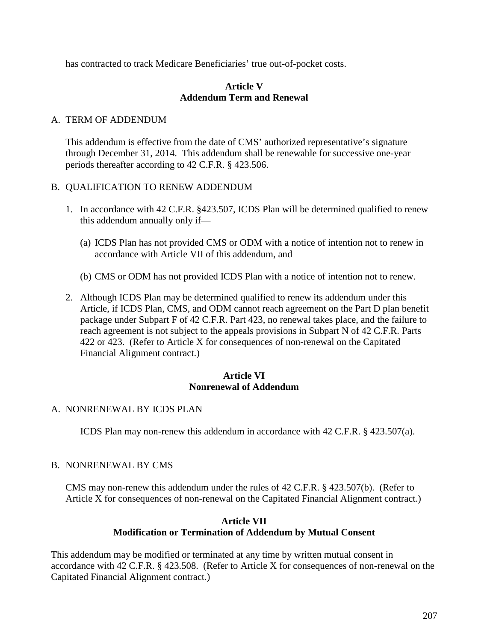has contracted to track Medicare Beneficiaries' true out-of-pocket costs.

#### **Article V Addendum Term and Renewal**

#### A. TERM OF ADDENDUM

This addendum is effective from the date of CMS' authorized representative's signature through December 31, 2014. This addendum shall be renewable for successive one-year periods thereafter according to 42 C.F.R. § 423.506.

#### B. QUALIFICATION TO RENEW ADDENDUM

- 1. In accordance with 42 C.F.R. §423.507, ICDS Plan will be determined qualified to renew this addendum annually only if—
	- (a) ICDS Plan has not provided CMS or ODM with a notice of intention not to renew in accordance with Article VII of this addendum, and
	- (b) CMS or ODM has not provided ICDS Plan with a notice of intention not to renew.
- 2. Although ICDS Plan may be determined qualified to renew its addendum under this Article, if ICDS Plan, CMS, and ODM cannot reach agreement on the Part D plan benefit package under Subpart F of 42 C.F.R. Part 423, no renewal takes place, and the failure to reach agreement is not subject to the appeals provisions in Subpart N of 42 C.F.R. Parts 422 or 423. (Refer to Article X for consequences of non-renewal on the Capitated Financial Alignment contract.)

#### **Article VI Nonrenewal of Addendum**

#### A. NONRENEWAL BY ICDS PLAN

ICDS Plan may non-renew this addendum in accordance with 42 C.F.R. § 423.507(a).

#### B. NONRENEWAL BY CMS

CMS may non-renew this addendum under the rules of 42 C.F.R. § 423.507(b). (Refer to Article X for consequences of non-renewal on the Capitated Financial Alignment contract.)

#### **Article VII Modification or Termination of Addendum by Mutual Consent**

This addendum may be modified or terminated at any time by written mutual consent in accordance with 42 C.F.R. § 423.508. (Refer to Article X for consequences of non-renewal on the Capitated Financial Alignment contract.)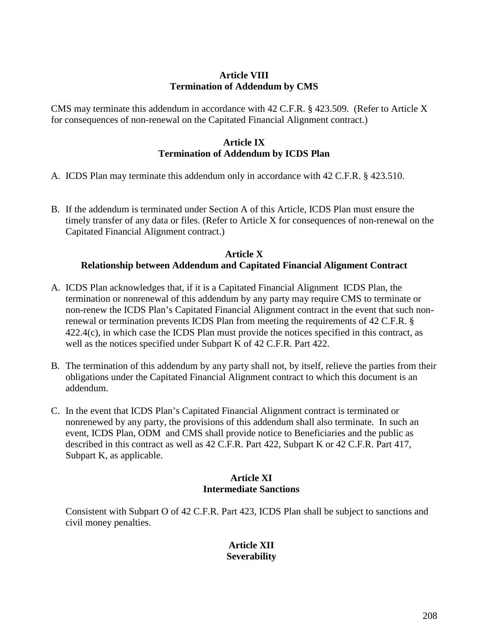#### **Article VIII Termination of Addendum by CMS**

CMS may terminate this addendum in accordance with 42 C.F.R. § 423.509. (Refer to Article X for consequences of non-renewal on the Capitated Financial Alignment contract.)

#### **Article IX Termination of Addendum by ICDS Plan**

- A. ICDS Plan may terminate this addendum only in accordance with 42 C.F.R. § 423.510.
- B. If the addendum is terminated under Section A of this Article, ICDS Plan must ensure the timely transfer of any data or files. (Refer to Article X for consequences of non-renewal on the Capitated Financial Alignment contract.)

#### **Article X Relationship between Addendum and Capitated Financial Alignment Contract**

- A. ICDS Plan acknowledges that, if it is a Capitated Financial Alignment ICDS Plan, the termination or nonrenewal of this addendum by any party may require CMS to terminate or non-renew the ICDS Plan's Capitated Financial Alignment contract in the event that such nonrenewal or termination prevents ICDS Plan from meeting the requirements of 42 C.F.R. § 422.4(c), in which case the ICDS Plan must provide the notices specified in this contract, as well as the notices specified under Subpart K of 42 C.F.R. Part 422.
- B. The termination of this addendum by any party shall not, by itself, relieve the parties from their obligations under the Capitated Financial Alignment contract to which this document is an addendum.
- C. In the event that ICDS Plan's Capitated Financial Alignment contract is terminated or nonrenewed by any party, the provisions of this addendum shall also terminate. In such an event, ICDS Plan, ODM and CMS shall provide notice to Beneficiaries and the public as described in this contract as well as 42 C.F.R. Part 422, Subpart K or 42 C.F.R. Part 417, Subpart K, as applicable.

#### **Article XI Intermediate Sanctions**

Consistent with Subpart O of 42 C.F.R. Part 423, ICDS Plan shall be subject to sanctions and civil money penalties.

### **Article XII Severability**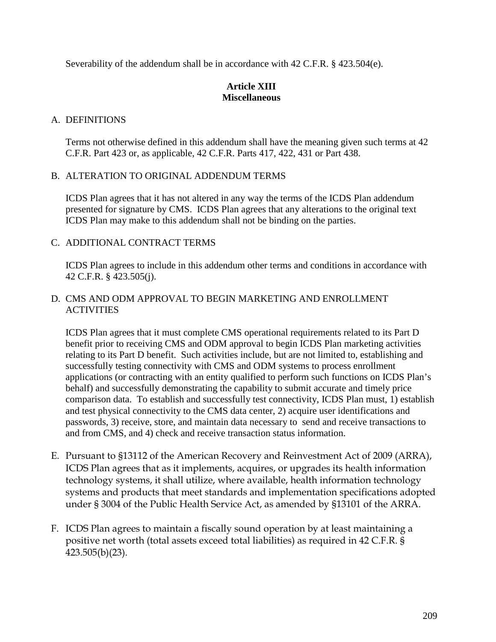Severability of the addendum shall be in accordance with 42 C.F.R. § 423.504(e).

### **Article XIII Miscellaneous**

### A. DEFINITIONS

Terms not otherwise defined in this addendum shall have the meaning given such terms at 42 C.F.R. Part 423 or, as applicable, 42 C.F.R. Parts 417, 422, 431 or Part 438.

#### B. ALTERATION TO ORIGINAL ADDENDUM TERMS

ICDS Plan agrees that it has not altered in any way the terms of the ICDS Plan addendum presented for signature by CMS. ICDS Plan agrees that any alterations to the original text ICDS Plan may make to this addendum shall not be binding on the parties.

### C. ADDITIONAL CONTRACT TERMS

ICDS Plan agrees to include in this addendum other terms and conditions in accordance with 42 C.F.R. § 423.505(j).

#### D. CMS AND ODM APPROVAL TO BEGIN MARKETING AND ENROLLMENT ACTIVITIES

ICDS Plan agrees that it must complete CMS operational requirements related to its Part D benefit prior to receiving CMS and ODM approval to begin ICDS Plan marketing activities relating to its Part D benefit. Such activities include, but are not limited to, establishing and successfully testing connectivity with CMS and ODM systems to process enrollment applications (or contracting with an entity qualified to perform such functions on ICDS Plan's behalf) and successfully demonstrating the capability to submit accurate and timely price comparison data. To establish and successfully test connectivity, ICDS Plan must, 1) establish and test physical connectivity to the CMS data center, 2) acquire user identifications and passwords, 3) receive, store, and maintain data necessary to send and receive transactions to and from CMS, and 4) check and receive transaction status information.

- E. Pursuant to §13112 of the American Recovery and Reinvestment Act of 2009 (ARRA), ICDS Plan agrees that as it implements, acquires, or upgrades its health information technology systems, it shall utilize, where available, health information technology systems and products that meet standards and implementation specifications adopted under § 3004 of the Public Health Service Act, as amended by §13101 of the ARRA.
- F. ICDS Plan agrees to maintain a fiscally sound operation by at least maintaining a positive net worth (total assets exceed total liabilities) as required in 42 C.F.R. § 423.505(b)(23).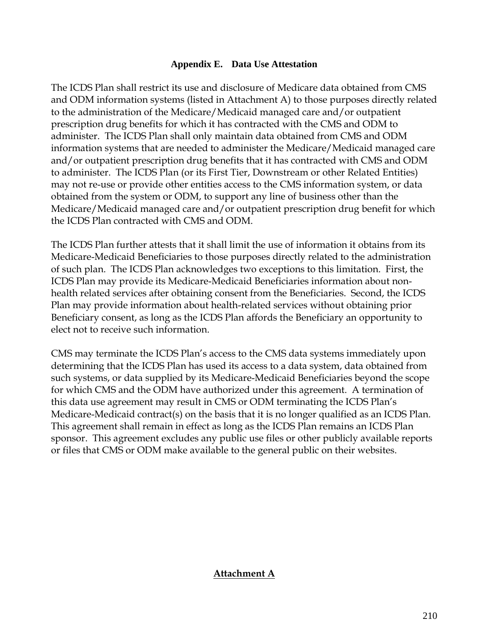#### **Appendix E. Data Use Attestation**

The ICDS Plan shall restrict its use and disclosure of Medicare data obtained from CMS and ODM information systems (listed in Attachment A) to those purposes directly related to the administration of the Medicare/Medicaid managed care and/or outpatient prescription drug benefits for which it has contracted with the CMS and ODM to administer. The ICDS Plan shall only maintain data obtained from CMS and ODM information systems that are needed to administer the Medicare/Medicaid managed care and/or outpatient prescription drug benefits that it has contracted with CMS and ODM to administer. The ICDS Plan (or its First Tier, Downstream or other Related Entities) may not re-use or provide other entities access to the CMS information system, or data obtained from the system or ODM, to support any line of business other than the Medicare/Medicaid managed care and/or outpatient prescription drug benefit for which the ICDS Plan contracted with CMS and ODM.

The ICDS Plan further attests that it shall limit the use of information it obtains from its Medicare-Medicaid Beneficiaries to those purposes directly related to the administration of such plan. The ICDS Plan acknowledges two exceptions to this limitation. First, the ICDS Plan may provide its Medicare-Medicaid Beneficiaries information about nonhealth related services after obtaining consent from the Beneficiaries. Second, the ICDS Plan may provide information about health-related services without obtaining prior Beneficiary consent, as long as the ICDS Plan affords the Beneficiary an opportunity to elect not to receive such information.

CMS may terminate the ICDS Plan's access to the CMS data systems immediately upon determining that the ICDS Plan has used its access to a data system, data obtained from such systems, or data supplied by its Medicare-Medicaid Beneficiaries beyond the scope for which CMS and the ODM have authorized under this agreement. A termination of this data use agreement may result in CMS or ODM terminating the ICDS Plan's Medicare-Medicaid contract(s) on the basis that it is no longer qualified as an ICDS Plan. This agreement shall remain in effect as long as the ICDS Plan remains an ICDS Plan sponsor. This agreement excludes any public use files or other publicly available reports or files that CMS or ODM make available to the general public on their websites.

#### **Attachment A**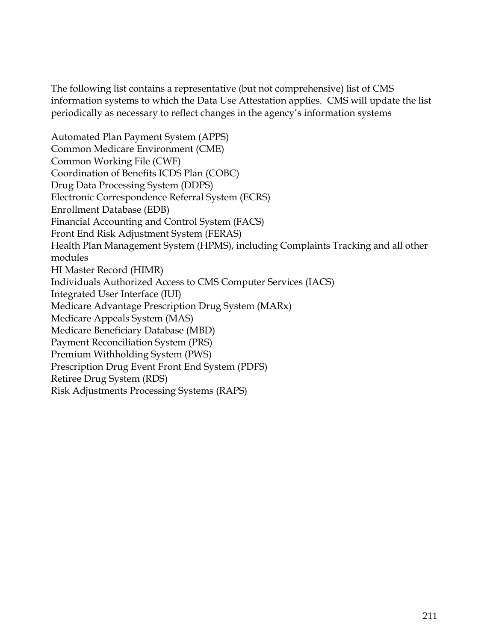The following list contains a representative (but not comprehensive) list of CMS information systems to which the Data Use Attestation applies. CMS will update the list periodically as necessary to reflect changes in the agency's information systems

Automated Plan Payment System (APPS) Common Medicare Environment (CME) Common Working File (CWF) Coordination of Benefits ICDS Plan (COBC) Drug Data Processing System (DDPS) Electronic Correspondence Referral System (ECRS) Enrollment Database (EDB) Financial Accounting and Control System (FACS) Front End Risk Adjustment System (FERAS) Health Plan Management System (HPMS), including Complaints Tracking and all other modules HI Master Record (HIMR) Individuals Authorized Access to CMS Computer Services (IACS) Integrated User Interface (IUI) Medicare Advantage Prescription Drug System (MARx) Medicare Appeals System (MAS) Medicare Beneficiary Database (MBD) Payment Reconciliation System (PRS) Premium Withholding System (PWS) Prescription Drug Event Front End System (PDFS) Retiree Drug System (RDS) Risk Adjustments Processing Systems (RAPS)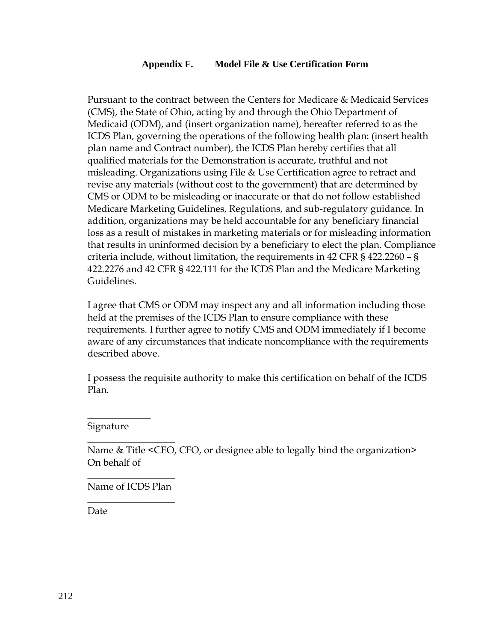#### **Appendix F. Model File & Use Certification Form**

Pursuant to the contract between the Centers for Medicare & Medicaid Services (CMS), the State of Ohio, acting by and through the Ohio Department of Medicaid (ODM), and (insert organization name), hereafter referred to as the ICDS Plan, governing the operations of the following health plan: (insert health plan name and Contract number), the ICDS Plan hereby certifies that all qualified materials for the Demonstration is accurate, truthful and not misleading. Organizations using File & Use Certification agree to retract and revise any materials (without cost to the government) that are determined by CMS or ODM to be misleading or inaccurate or that do not follow established Medicare Marketing Guidelines, Regulations, and sub-regulatory guidance. In addition, organizations may be held accountable for any beneficiary financial loss as a result of mistakes in marketing materials or for misleading information that results in uninformed decision by a beneficiary to elect the plan. Compliance criteria include, without limitation, the requirements in 42 CFR § 422.2260 – § 422.2276 and 42 CFR § 422.111 for the ICDS Plan and the Medicare Marketing Guidelines.

I agree that CMS or ODM may inspect any and all information including those held at the premises of the ICDS Plan to ensure compliance with these requirements. I further agree to notify CMS and ODM immediately if I become aware of any circumstances that indicate noncompliance with the requirements described above.

I possess the requisite authority to make this certification on behalf of the ICDS Plan.

#### Signature

 $\overline{\phantom{a}}$  , where  $\overline{\phantom{a}}$ 

Name & Title <CEO, CFO, or designee able to legally bind the organization> On behalf of

 $\_$ Name of ICDS Plan  $\_$ 

 $\_$ 

Date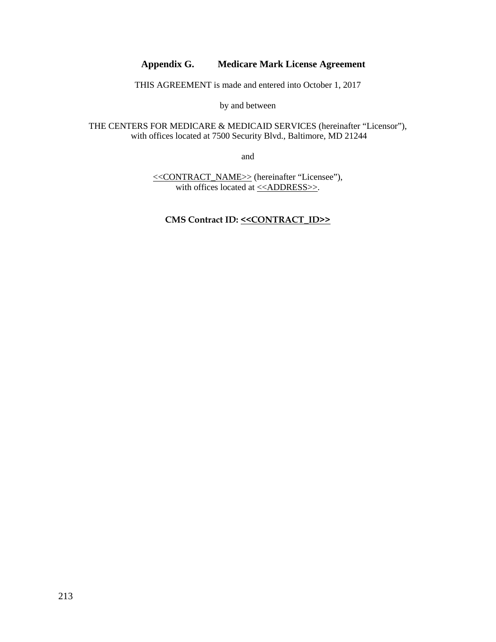#### **Appendix G. Medicare Mark License Agreement**

THIS AGREEMENT is made and entered into October 1, 2017

by and between

THE CENTERS FOR MEDICARE & MEDICAID SERVICES (hereinafter "Licensor"), with offices located at 7500 Security Blvd., Baltimore, MD 21244

and

<<CONTRACT\_NAME>> (hereinafter "Licensee"), with offices located at  $\leq$  ADDRESS $\geq$ .

#### CMS Contract ID: << CONTRACT\_ID>>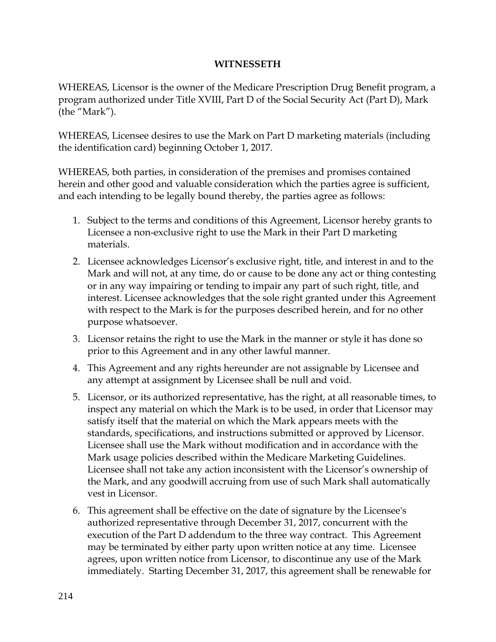### **WITNESSETH**

WHEREAS, Licensor is the owner of the Medicare Prescription Drug Benefit program, a program authorized under Title XVIII, Part D of the Social Security Act (Part D), Mark (the "Mark").

WHEREAS, Licensee desires to use the Mark on Part D marketing materials (including the identification card) beginning October 1, 2017.

WHEREAS, both parties, in consideration of the premises and promises contained herein and other good and valuable consideration which the parties agree is sufficient, and each intending to be legally bound thereby, the parties agree as follows:

- 1. Subject to the terms and conditions of this Agreement, Licensor hereby grants to Licensee a non-exclusive right to use the Mark in their Part D marketing materials.
- 2. Licensee acknowledges Licensor's exclusive right, title, and interest in and to the Mark and will not, at any time, do or cause to be done any act or thing contesting or in any way impairing or tending to impair any part of such right, title, and interest. Licensee acknowledges that the sole right granted under this Agreement with respect to the Mark is for the purposes described herein, and for no other purpose whatsoever.
- 3. Licensor retains the right to use the Mark in the manner or style it has done so prior to this Agreement and in any other lawful manner.
- 4. This Agreement and any rights hereunder are not assignable by Licensee and any attempt at assignment by Licensee shall be null and void.
- 5. Licensor, or its authorized representative, has the right, at all reasonable times, to inspect any material on which the Mark is to be used, in order that Licensor may satisfy itself that the material on which the Mark appears meets with the standards, specifications, and instructions submitted or approved by Licensor. Licensee shall use the Mark without modification and in accordance with the Mark usage policies described within the Medicare Marketing Guidelines. Licensee shall not take any action inconsistent with the Licensor's ownership of the Mark, and any goodwill accruing from use of such Mark shall automatically vest in Licensor.
- 6. This agreement shall be effective on the date of signature by the Licensee's authorized representative through December 31, 2017, concurrent with the execution of the Part D addendum to the three way contract. This Agreement may be terminated by either party upon written notice at any time. Licensee agrees, upon written notice from Licensor, to discontinue any use of the Mark immediately. Starting December 31, 2017, this agreement shall be renewable for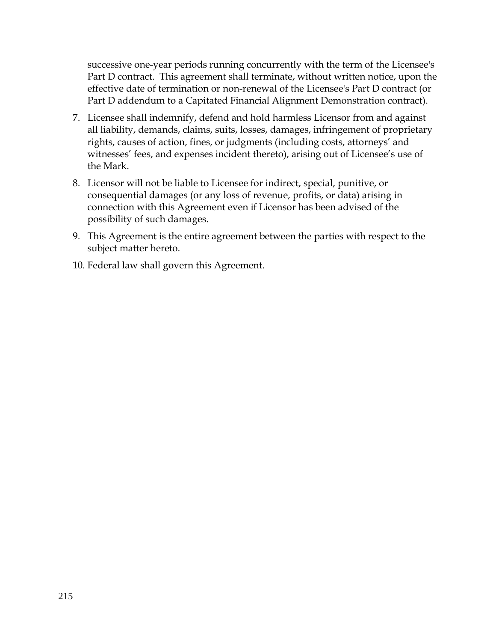successive one-year periods running concurrently with the term of the Licensee's Part D contract. This agreement shall terminate, without written notice, upon the effective date of termination or non-renewal of the Licensee's Part D contract (or Part D addendum to a Capitated Financial Alignment Demonstration contract).

- 7. Licensee shall indemnify, defend and hold harmless Licensor from and against all liability, demands, claims, suits, losses, damages, infringement of proprietary rights, causes of action, fines, or judgments (including costs, attorneys' and witnesses' fees, and expenses incident thereto), arising out of Licensee's use of the Mark.
- 8. Licensor will not be liable to Licensee for indirect, special, punitive, or consequential damages (or any loss of revenue, profits, or data) arising in connection with this Agreement even if Licensor has been advised of the possibility of such damages.
- 9. This Agreement is the entire agreement between the parties with respect to the subject matter hereto.
- 10. Federal law shall govern this Agreement.